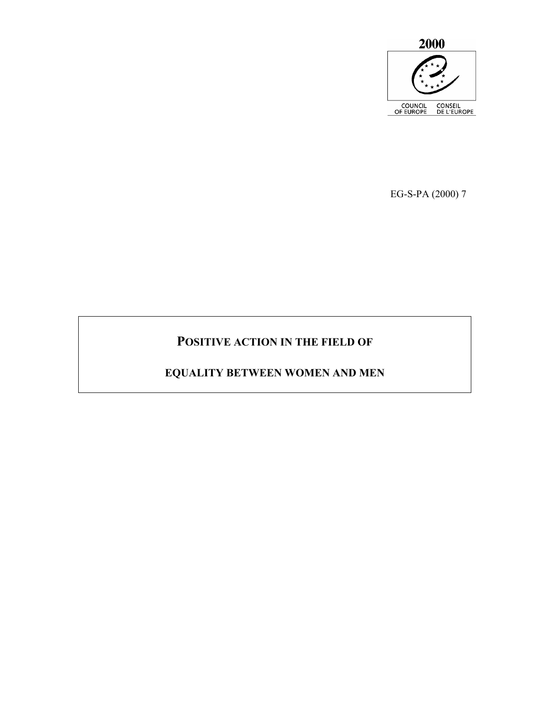

EG-S-PA (2000) 7

# **POSITIVE ACTION IN THE FIELD OF**

# **EQUALITY BETWEEN WOMEN AND MEN**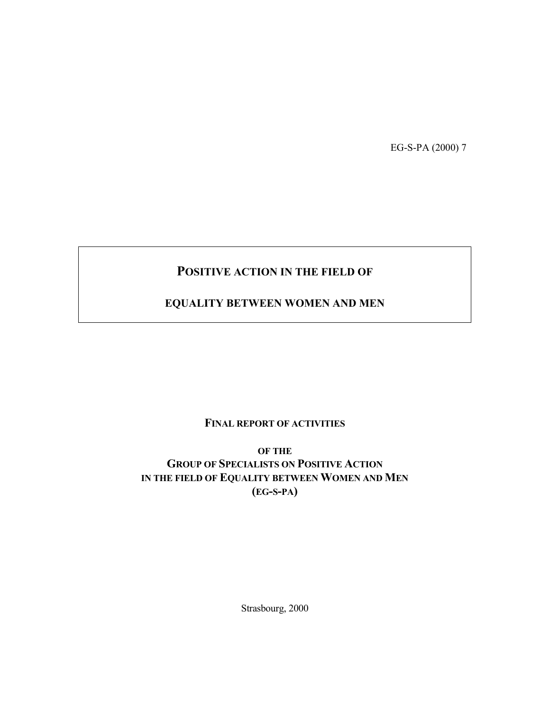EG-S-PA (2000) 7

# **POSITIVE ACTION IN THE FIELD OF**

# **EQUALITY BETWEEN WOMEN AND MEN**

# **FINAL REPORT OF ACTIVITIES**

**OF THE GROUP OF SPECIALISTS ON POSITIVE ACTION IN THE FIELD OF EQUALITY BETWEEN WOMEN AND MEN (EG-S-PA)** 

Strasbourg, 2000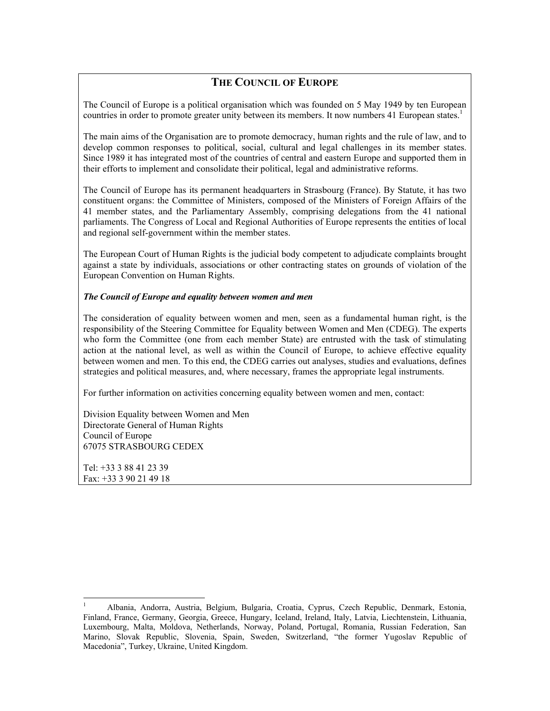# **THE COUNCIL OF EUROPE**

The Council of Europe is a political organisation which was founded on 5 May 1949 by ten European countries in order to promote greater unity between its members. It now numbers 41 European states.<sup>1</sup>

The main aims of the Organisation are to promote democracy, human rights and the rule of law, and to develop common responses to political, social, cultural and legal challenges in its member states. Since 1989 it has integrated most of the countries of central and eastern Europe and supported them in their efforts to implement and consolidate their political, legal and administrative reforms.

The Council of Europe has its permanent headquarters in Strasbourg (France). By Statute, it has two constituent organs: the Committee of Ministers, composed of the Ministers of Foreign Affairs of the 41 member states, and the Parliamentary Assembly, comprising delegations from the 41 national parliaments. The Congress of Local and Regional Authorities of Europe represents the entities of local and regional self-government within the member states.

The European Court of Human Rights is the judicial body competent to adjudicate complaints brought against a state by individuals, associations or other contracting states on grounds of violation of the European Convention on Human Rights.

## *The Council of Europe and equality between women and men*

The consideration of equality between women and men, seen as a fundamental human right, is the responsibility of the Steering Committee for Equality between Women and Men (CDEG). The experts who form the Committee (one from each member State) are entrusted with the task of stimulating action at the national level, as well as within the Council of Europe, to achieve effective equality between women and men. To this end, the CDEG carries out analyses, studies and evaluations, defines strategies and political measures, and, where necessary, frames the appropriate legal instruments.

For further information on activities concerning equality between women and men, contact:

Division Equality between Women and Men Directorate General of Human Rights Council of Europe 67075 STRASBOURG CEDEX

Tel: +33 3 88 41 23 39 Fax: +33 3 90 21 49 18

 $\overline{a}$ 

<sup>1</sup> Albania, Andorra, Austria, Belgium, Bulgaria, Croatia, Cyprus, Czech Republic, Denmark, Estonia, Finland, France, Germany, Georgia, Greece, Hungary, Iceland, Ireland, Italy, Latvia, Liechtenstein, Lithuania, Luxembourg, Malta, Moldova, Netherlands, Norway, Poland, Portugal, Romania, Russian Federation, San Marino, Slovak Republic, Slovenia, Spain, Sweden, Switzerland, "the former Yugoslav Republic of Macedonia", Turkey, Ukraine, United Kingdom.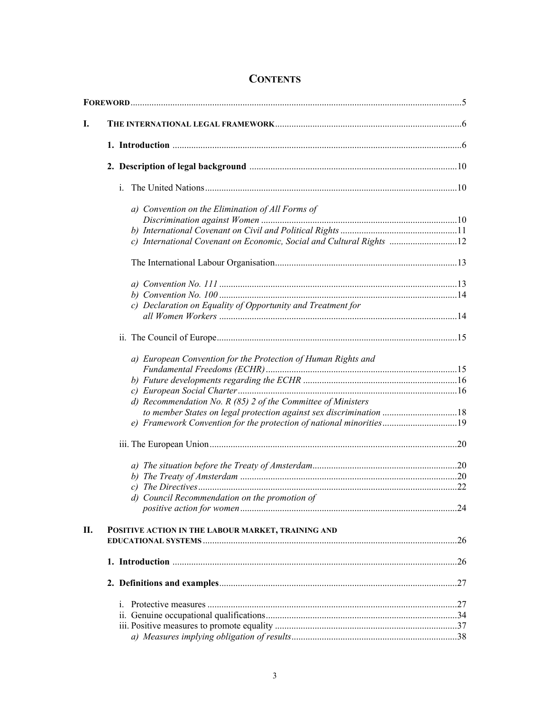| I. |                                                                      |  |
|----|----------------------------------------------------------------------|--|
|    |                                                                      |  |
|    |                                                                      |  |
|    | i.                                                                   |  |
|    | a) Convention on the Elimination of All Forms of                     |  |
|    |                                                                      |  |
|    | c) International Covenant on Economic, Social and Cultural Rights 12 |  |
|    |                                                                      |  |
|    |                                                                      |  |
|    |                                                                      |  |
|    |                                                                      |  |
|    | c) Declaration on Equality of Opportunity and Treatment for          |  |
|    |                                                                      |  |
|    | a) European Convention for the Protection of Human Rights and        |  |
|    |                                                                      |  |
|    |                                                                      |  |
|    | d) Recommendation No. R $(85)$ 2 of the Committee of Ministers       |  |
|    | to member States on legal protection against sex discrimination 18   |  |
|    |                                                                      |  |
|    |                                                                      |  |
|    |                                                                      |  |
|    |                                                                      |  |
|    |                                                                      |  |
|    | d) Council Recommendation on the promotion of                        |  |
| П. | POSITIVE ACTION IN THE LABOUR MARKET, TRAINING AND                   |  |
|    |                                                                      |  |
|    |                                                                      |  |
|    |                                                                      |  |
|    |                                                                      |  |
|    |                                                                      |  |
|    |                                                                      |  |
|    |                                                                      |  |

# **CONTENTS**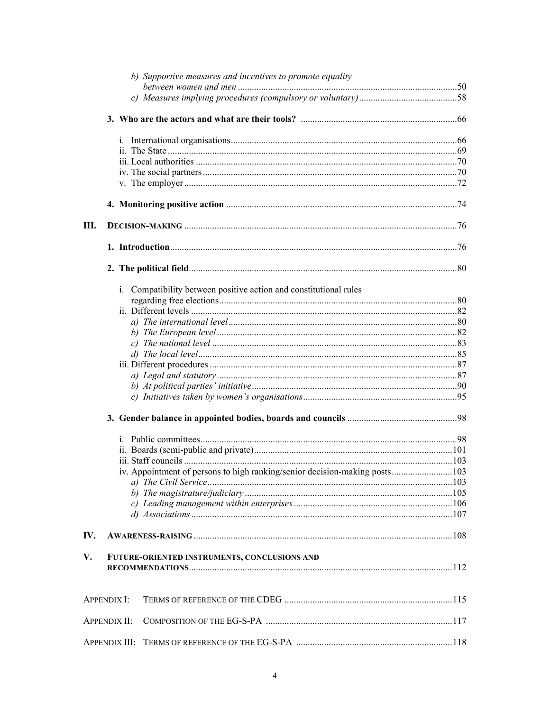|     | b) Supportive measures and incentives to promote equality                  |  |
|-----|----------------------------------------------------------------------------|--|
|     |                                                                            |  |
|     |                                                                            |  |
|     |                                                                            |  |
|     |                                                                            |  |
|     |                                                                            |  |
|     |                                                                            |  |
|     |                                                                            |  |
|     |                                                                            |  |
|     |                                                                            |  |
| Ш.  |                                                                            |  |
|     |                                                                            |  |
|     |                                                                            |  |
|     | i. Compatibility between positive action and constitutional rules          |  |
|     |                                                                            |  |
|     |                                                                            |  |
|     |                                                                            |  |
|     |                                                                            |  |
|     |                                                                            |  |
|     |                                                                            |  |
|     |                                                                            |  |
|     |                                                                            |  |
|     |                                                                            |  |
|     |                                                                            |  |
|     |                                                                            |  |
|     |                                                                            |  |
|     |                                                                            |  |
|     |                                                                            |  |
|     | iv. Appointment of persons to high ranking/senior decision-making posts103 |  |
|     |                                                                            |  |
|     |                                                                            |  |
|     |                                                                            |  |
|     |                                                                            |  |
| IV. |                                                                            |  |
| V.  | FUTURE-ORIENTED INSTRUMENTS, CONCLUSIONS AND                               |  |
|     |                                                                            |  |
|     | <b>APPENDIX I:</b>                                                         |  |
|     | <b>APPENDIX II:</b>                                                        |  |
|     |                                                                            |  |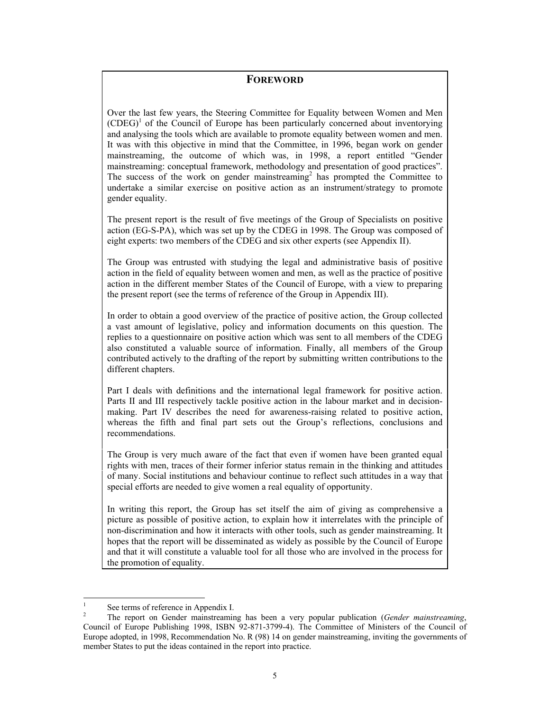# **FOREWORD**

Over the last few years, the Steering Committee for Equality between Women and Men  $(CDEG)^{1}$  of the Council of Europe has been particularly concerned about inventorying and analysing the tools which are available to promote equality between women and men. It was with this objective in mind that the Committee, in 1996, began work on gender mainstreaming, the outcome of which was, in 1998, a report entitled "Gender mainstreaming: conceptual framework, methodology and presentation of good practices". The success of the work on gender mainstreaming<sup>2</sup> has prompted the Committee to undertake a similar exercise on positive action as an instrument/strategy to promote gender equality.

The present report is the result of five meetings of the Group of Specialists on positive action (EG-S-PA), which was set up by the CDEG in 1998. The Group was composed of eight experts: two members of the CDEG and six other experts (see Appendix II).

The Group was entrusted with studying the legal and administrative basis of positive action in the field of equality between women and men, as well as the practice of positive action in the different member States of the Council of Europe, with a view to preparing the present report (see the terms of reference of the Group in Appendix III).

In order to obtain a good overview of the practice of positive action, the Group collected a vast amount of legislative, policy and information documents on this question. The replies to a questionnaire on positive action which was sent to all members of the CDEG also constituted a valuable source of information. Finally, all members of the Group contributed actively to the drafting of the report by submitting written contributions to the different chapters.

Part I deals with definitions and the international legal framework for positive action. Parts II and III respectively tackle positive action in the labour market and in decisionmaking. Part IV describes the need for awareness-raising related to positive action, whereas the fifth and final part sets out the Group's reflections, conclusions and recommendations.

The Group is very much aware of the fact that even if women have been granted equal rights with men, traces of their former inferior status remain in the thinking and attitudes of many. Social institutions and behaviour continue to reflect such attitudes in a way that special efforts are needed to give women a real equality of opportunity.

In writing this report, the Group has set itself the aim of giving as comprehensive a picture as possible of positive action, to explain how it interrelates with the principle of non-discrimination and how it interacts with other tools, such as gender mainstreaming. It hopes that the report will be disseminated as widely as possible by the Council of Europe and that it will constitute a valuable tool for all those who are involved in the process for the promotion of equality.

 $\frac{1}{1}$ See terms of reference in Appendix I.

<sup>2</sup> The report on Gender mainstreaming has been a very popular publication (*Gender mainstreaming*, Council of Europe Publishing 1998, ISBN 92-871-3799-4). The Committee of Ministers of the Council of Europe adopted, in 1998, Recommendation No. R (98) 14 on gender mainstreaming, inviting the governments of member States to put the ideas contained in the report into practice.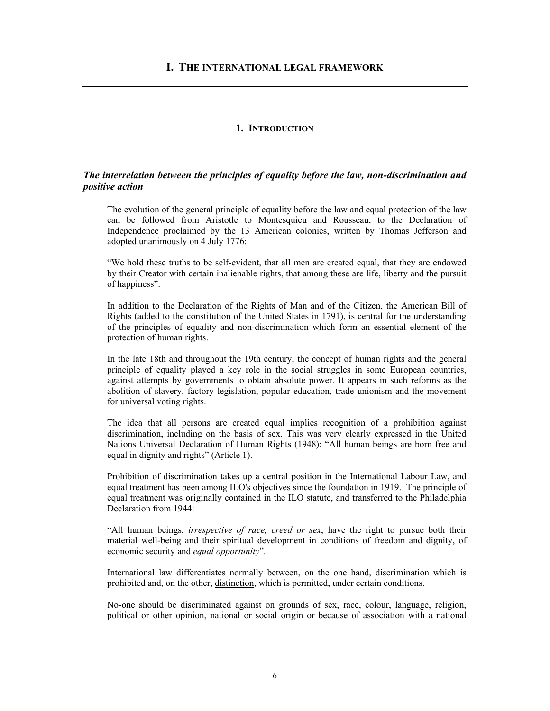## **1. INTRODUCTION**

# *The interrelation between the principles of equality before the law, non-discrimination and positive action*

The evolution of the general principle of equality before the law and equal protection of the law can be followed from Aristotle to Montesquieu and Rousseau, to the Declaration of Independence proclaimed by the 13 American colonies, written by Thomas Jefferson and adopted unanimously on 4 July 1776:

"We hold these truths to be self-evident, that all men are created equal, that they are endowed by their Creator with certain inalienable rights, that among these are life, liberty and the pursuit of happiness".

In addition to the Declaration of the Rights of Man and of the Citizen, the American Bill of Rights (added to the constitution of the United States in 1791), is central for the understanding of the principles of equality and non-discrimination which form an essential element of the protection of human rights.

In the late 18th and throughout the 19th century, the concept of human rights and the general principle of equality played a key role in the social struggles in some European countries, against attempts by governments to obtain absolute power. It appears in such reforms as the abolition of slavery, factory legislation, popular education, trade unionism and the movement for universal voting rights.

The idea that all persons are created equal implies recognition of a prohibition against discrimination, including on the basis of sex. This was very clearly expressed in the United Nations Universal Declaration of Human Rights (1948): "All human beings are born free and equal in dignity and rights" (Article 1).

Prohibition of discrimination takes up a central position in the International Labour Law, and equal treatment has been among ILO's objectives since the foundation in 1919. The principle of equal treatment was originally contained in the ILO statute, and transferred to the Philadelphia Declaration from 1944:

"All human beings, *irrespective of race, creed or sex*, have the right to pursue both their material well-being and their spiritual development in conditions of freedom and dignity, of economic security and *equal opportunity*".

International law differentiates normally between, on the one hand, discrimination which is prohibited and, on the other, distinction, which is permitted, under certain conditions.

No-one should be discriminated against on grounds of sex, race, colour, language, religion, political or other opinion, national or social origin or because of association with a national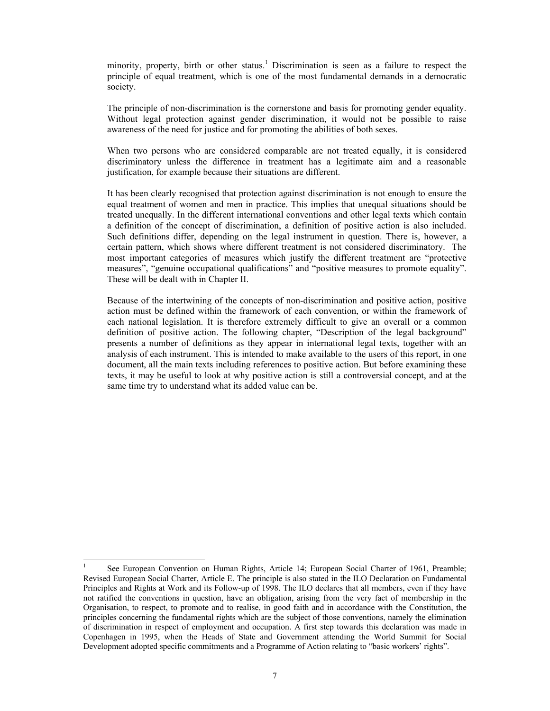minority, property, birth or other status.<sup>1</sup> Discrimination is seen as a failure to respect the principle of equal treatment, which is one of the most fundamental demands in a democratic society.

The principle of non-discrimination is the cornerstone and basis for promoting gender equality. Without legal protection against gender discrimination, it would not be possible to raise awareness of the need for justice and for promoting the abilities of both sexes.

When two persons who are considered comparable are not treated equally, it is considered discriminatory unless the difference in treatment has a legitimate aim and a reasonable justification, for example because their situations are different.

It has been clearly recognised that protection against discrimination is not enough to ensure the equal treatment of women and men in practice. This implies that unequal situations should be treated unequally. In the different international conventions and other legal texts which contain a definition of the concept of discrimination, a definition of positive action is also included. Such definitions differ, depending on the legal instrument in question. There is, however, a certain pattern, which shows where different treatment is not considered discriminatory. The most important categories of measures which justify the different treatment are "protective measures", "genuine occupational qualifications" and "positive measures to promote equality". These will be dealt with in Chapter II.

Because of the intertwining of the concepts of non-discrimination and positive action, positive action must be defined within the framework of each convention, or within the framework of each national legislation. It is therefore extremely difficult to give an overall or a common definition of positive action. The following chapter, "Description of the legal background" presents a number of definitions as they appear in international legal texts, together with an analysis of each instrument. This is intended to make available to the users of this report, in one document, all the main texts including references to positive action. But before examining these texts, it may be useful to look at why positive action is still a controversial concept, and at the same time try to understand what its added value can be.

l

<sup>1</sup> See European Convention on Human Rights, Article 14; European Social Charter of 1961, Preamble; Revised European Social Charter, Article E. The principle is also stated in the ILO Declaration on Fundamental Principles and Rights at Work and its Follow-up of 1998. The ILO declares that all members, even if they have not ratified the conventions in question, have an obligation, arising from the very fact of membership in the Organisation, to respect, to promote and to realise, in good faith and in accordance with the Constitution, the principles concerning the fundamental rights which are the subject of those conventions, namely the elimination of discrimination in respect of employment and occupation. A first step towards this declaration was made in Copenhagen in 1995, when the Heads of State and Government attending the World Summit for Social Development adopted specific commitments and a Programme of Action relating to "basic workers' rights".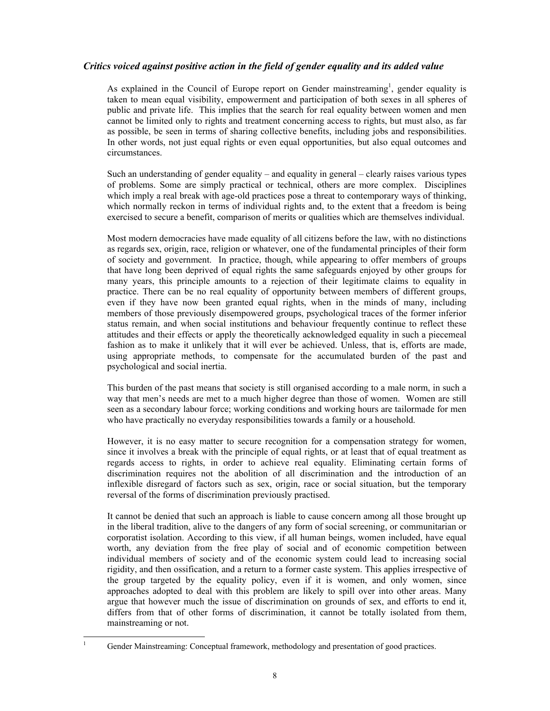# *Critics voiced against positive action in the field of gender equality and its added value*

As explained in the Council of Europe report on Gender mainstreaming<sup>1</sup>, gender equality is taken to mean equal visibility, empowerment and participation of both sexes in all spheres of public and private life. This implies that the search for real equality between women and men cannot be limited only to rights and treatment concerning access to rights, but must also, as far as possible, be seen in terms of sharing collective benefits, including jobs and responsibilities. In other words, not just equal rights or even equal opportunities, but also equal outcomes and circumstances.

Such an understanding of gender equality – and equality in general – clearly raises various types of problems. Some are simply practical or technical, others are more complex. Disciplines which imply a real break with age-old practices pose a threat to contemporary ways of thinking, which normally reckon in terms of individual rights and, to the extent that a freedom is being exercised to secure a benefit, comparison of merits or qualities which are themselves individual.

Most modern democracies have made equality of all citizens before the law, with no distinctions as regards sex, origin, race, religion or whatever, one of the fundamental principles of their form of society and government. In practice, though, while appearing to offer members of groups that have long been deprived of equal rights the same safeguards enjoyed by other groups for many years, this principle amounts to a rejection of their legitimate claims to equality in practice. There can be no real equality of opportunity between members of different groups, even if they have now been granted equal rights, when in the minds of many, including members of those previously disempowered groups, psychological traces of the former inferior status remain, and when social institutions and behaviour frequently continue to reflect these attitudes and their effects or apply the theoretically acknowledged equality in such a piecemeal fashion as to make it unlikely that it will ever be achieved. Unless, that is, efforts are made, using appropriate methods, to compensate for the accumulated burden of the past and psychological and social inertia.

This burden of the past means that society is still organised according to a male norm, in such a way that men's needs are met to a much higher degree than those of women. Women are still seen as a secondary labour force; working conditions and working hours are tailormade for men who have practically no everyday responsibilities towards a family or a household.

However, it is no easy matter to secure recognition for a compensation strategy for women, since it involves a break with the principle of equal rights, or at least that of equal treatment as regards access to rights, in order to achieve real equality. Eliminating certain forms of discrimination requires not the abolition of all discrimination and the introduction of an inflexible disregard of factors such as sex, origin, race or social situation, but the temporary reversal of the forms of discrimination previously practised.

It cannot be denied that such an approach is liable to cause concern among all those brought up in the liberal tradition, alive to the dangers of any form of social screening, or communitarian or corporatist isolation. According to this view, if all human beings, women included, have equal worth, any deviation from the free play of social and of economic competition between individual members of society and of the economic system could lead to increasing social rigidity, and then ossification, and a return to a former caste system. This applies irrespective of the group targeted by the equality policy, even if it is women, and only women, since approaches adopted to deal with this problem are likely to spill over into other areas. Many argue that however much the issue of discrimination on grounds of sex, and efforts to end it, differs from that of other forms of discrimination, it cannot be totally isolated from them, mainstreaming or not.

 $\frac{1}{1}$ 

Gender Mainstreaming: Conceptual framework, methodology and presentation of good practices.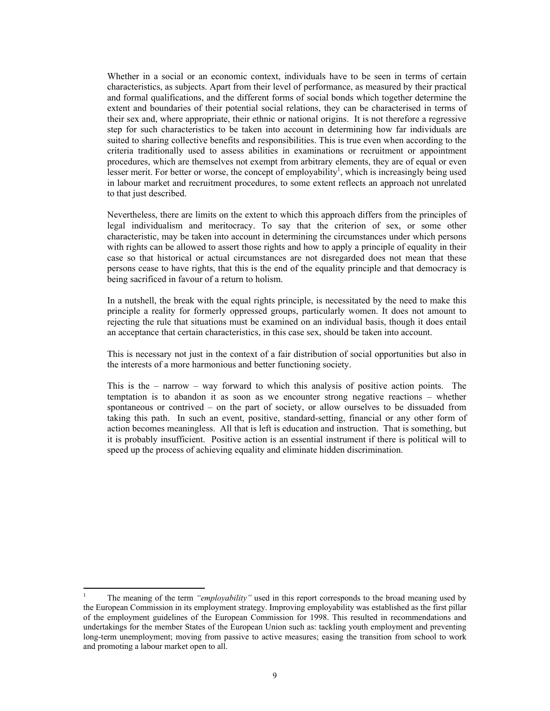Whether in a social or an economic context, individuals have to be seen in terms of certain characteristics, as subjects. Apart from their level of performance, as measured by their practical and formal qualifications, and the different forms of social bonds which together determine the extent and boundaries of their potential social relations, they can be characterised in terms of their sex and, where appropriate, their ethnic or national origins. It is not therefore a regressive step for such characteristics to be taken into account in determining how far individuals are suited to sharing collective benefits and responsibilities. This is true even when according to the criteria traditionally used to assess abilities in examinations or recruitment or appointment procedures, which are themselves not exempt from arbitrary elements, they are of equal or even lesser merit. For better or worse, the concept of employability<sup>1</sup>, which is increasingly being used in labour market and recruitment procedures, to some extent reflects an approach not unrelated to that just described.

Nevertheless, there are limits on the extent to which this approach differs from the principles of legal individualism and meritocracy. To say that the criterion of sex, or some other characteristic, may be taken into account in determining the circumstances under which persons with rights can be allowed to assert those rights and how to apply a principle of equality in their case so that historical or actual circumstances are not disregarded does not mean that these persons cease to have rights, that this is the end of the equality principle and that democracy is being sacrificed in favour of a return to holism.

In a nutshell, the break with the equal rights principle, is necessitated by the need to make this principle a reality for formerly oppressed groups, particularly women. It does not amount to rejecting the rule that situations must be examined on an individual basis, though it does entail an acceptance that certain characteristics, in this case sex, should be taken into account.

This is necessary not just in the context of a fair distribution of social opportunities but also in the interests of a more harmonious and better functioning society.

This is the – narrow – way forward to which this analysis of positive action points. The temptation is to abandon it as soon as we encounter strong negative reactions – whether spontaneous or contrived – on the part of society, or allow ourselves to be dissuaded from taking this path. In such an event, positive, standard-setting, financial or any other form of action becomes meaningless. All that is left is education and instruction. That is something, but it is probably insufficient. Positive action is an essential instrument if there is political will to speed up the process of achieving equality and eliminate hidden discrimination.

 $\frac{1}{1}$  The meaning of the term *"employability"* used in this report corresponds to the broad meaning used by the European Commission in its employment strategy. Improving employability was established as the first pillar of the employment guidelines of the European Commission for 1998. This resulted in recommendations and undertakings for the member States of the European Union such as: tackling youth employment and preventing long-term unemployment; moving from passive to active measures; easing the transition from school to work and promoting a labour market open to all.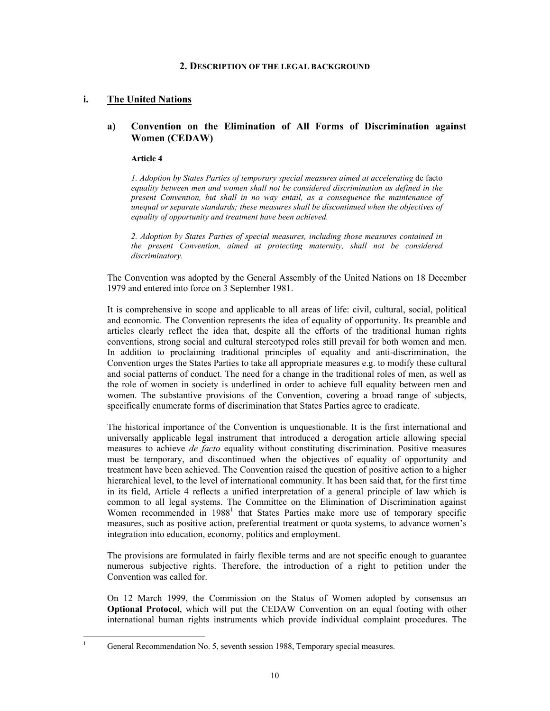#### **2. DESCRIPTION OF THE LEGAL BACKGROUND**

# **i. The United Nations**

## **a) Convention on the Elimination of All Forms of Discrimination against Women (CEDAW)**

#### **Article 4**

*1. Adoption by States Parties of temporary special measures aimed at accelerating* de facto *equality between men and women shall not be considered discrimination as defined in the present Convention, but shall in no way entail, as a consequence the maintenance of unequal or separate standards; these measures shall be discontinued when the objectives of equality of opportunity and treatment have been achieved.* 

*2. Adoption by States Parties of special measures, including those measures contained in the present Convention, aimed at protecting maternity, shall not be considered discriminatory.* 

The Convention was adopted by the General Assembly of the United Nations on 18 December 1979 and entered into force on 3 September 1981.

It is comprehensive in scope and applicable to all areas of life: civil, cultural, social, political and economic. The Convention represents the idea of equality of opportunity. Its preamble and articles clearly reflect the idea that, despite all the efforts of the traditional human rights conventions, strong social and cultural stereotyped roles still prevail for both women and men. In addition to proclaiming traditional principles of equality and anti-discrimination, the Convention urges the States Parties to take all appropriate measures e.g. to modify these cultural and social patterns of conduct. The need for a change in the traditional roles of men, as well as the role of women in society is underlined in order to achieve full equality between men and women. The substantive provisions of the Convention, covering a broad range of subjects, specifically enumerate forms of discrimination that States Parties agree to eradicate.

The historical importance of the Convention is unquestionable. It is the first international and universally applicable legal instrument that introduced a derogation article allowing special measures to achieve *de facto* equality without constituting discrimination. Positive measures must be temporary, and discontinued when the objectives of equality of opportunity and treatment have been achieved. The Convention raised the question of positive action to a higher hierarchical level, to the level of international community. It has been said that, for the first time in its field, Article 4 reflects a unified interpretation of a general principle of law which is common to all legal systems. The Committee on the Elimination of Discrimination against Women recommended in 1988<sup>1</sup> that States Parties make more use of temporary specific measures, such as positive action, preferential treatment or quota systems, to advance women's integration into education, economy, politics and employment.

The provisions are formulated in fairly flexible terms and are not specific enough to guarantee numerous subjective rights. Therefore, the introduction of a right to petition under the Convention was called for.

On 12 March 1999, the Commission on the Status of Women adopted by consensus an **Optional Protocol**, which will put the CEDAW Convention on an equal footing with other international human rights instruments which provide individual complaint procedures. The

 $\frac{1}{1}$ General Recommendation No. 5, seventh session 1988, Temporary special measures.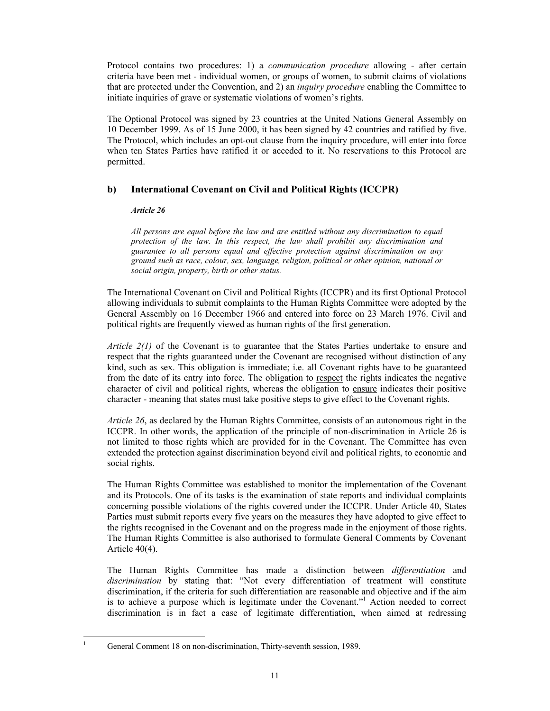Protocol contains two procedures: 1) a *communication procedure* allowing - after certain criteria have been met - individual women, or groups of women, to submit claims of violations that are protected under the Convention, and 2) an *inquiry procedure* enabling the Committee to initiate inquiries of grave or systematic violations of women's rights.

The Optional Protocol was signed by 23 countries at the United Nations General Assembly on 10 December 1999. As of 15 June 2000, it has been signed by 42 countries and ratified by five. The Protocol, which includes an opt-out clause from the inquiry procedure, will enter into force when ten States Parties have ratified it or acceded to it. No reservations to this Protocol are permitted.

# **b) International Covenant on Civil and Political Rights (ICCPR)**

## *Article 26*

*All persons are equal before the law and are entitled without any discrimination to equal protection of the law. In this respect, the law shall prohibit any discrimination and guarantee to all persons equal and effective protection against discrimination on any ground such as race, colour, sex, language, religion, political or other opinion, national or social origin, property, birth or other status.* 

The International Covenant on Civil and Political Rights (ICCPR) and its first Optional Protocol allowing individuals to submit complaints to the Human Rights Committee were adopted by the General Assembly on 16 December 1966 and entered into force on 23 March 1976. Civil and political rights are frequently viewed as human rights of the first generation.

*Article 2(1)* of the Covenant is to guarantee that the States Parties undertake to ensure and respect that the rights guaranteed under the Covenant are recognised without distinction of any kind, such as sex. This obligation is immediate; i.e. all Covenant rights have to be guaranteed from the date of its entry into force. The obligation to respect the rights indicates the negative character of civil and political rights, whereas the obligation to ensure indicates their positive character - meaning that states must take positive steps to give effect to the Covenant rights.

*Article 26*, as declared by the Human Rights Committee, consists of an autonomous right in the ICCPR. In other words, the application of the principle of non-discrimination in Article 26 is not limited to those rights which are provided for in the Covenant. The Committee has even extended the protection against discrimination beyond civil and political rights, to economic and social rights.

The Human Rights Committee was established to monitor the implementation of the Covenant and its Protocols. One of its tasks is the examination of state reports and individual complaints concerning possible violations of the rights covered under the ICCPR. Under Article 40, States Parties must submit reports every five years on the measures they have adopted to give effect to the rights recognised in the Covenant and on the progress made in the enjoyment of those rights. The Human Rights Committee is also authorised to formulate General Comments by Covenant Article 40(4).

The Human Rights Committee has made a distinction between *differentiation* and *discrimination* by stating that: "Not every differentiation of treatment will constitute discrimination, if the criteria for such differentiation are reasonable and objective and if the aim is to achieve a purpose which is legitimate under the Covenant."<sup>1</sup> Action needed to correct discrimination is in fact a case of legitimate differentiation, when aimed at redressing

l

<sup>1</sup> General Comment 18 on non-discrimination, Thirty-seventh session, 1989.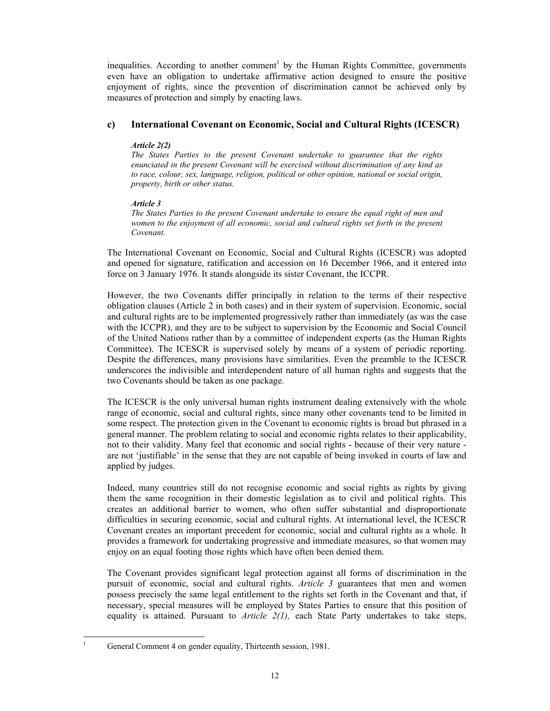inequalities. According to another comment<sup>1</sup> by the Human Rights Committee, governments even have an obligation to undertake affirmative action designed to ensure the positive enjoyment of rights, since the prevention of discrimination cannot be achieved only by measures of protection and simply by enacting laws.

## **c) International Covenant on Economic, Social and Cultural Rights (ICESCR)**

### *Article 2(2)*

*The States Parties to the present Covenant undertake to guarantee that the rights enunciated in the present Covenant will be exercised without discrimination of any kind as to race, colour, sex, language, religion, political or other opinion, national or social origin, property, birth or other status.* 

## *Article 3*

*The States Parties to the present Covenant undertake to ensure the equal right of men and women to the enjoyment of all economic, social and cultural rights set forth in the present Covenant.* 

The International Covenant on Economic, Social and Cultural Rights (ICESCR) was adopted and opened for signature, ratification and accession on 16 December 1966, and it entered into force on 3 January 1976. It stands alongside its sister Covenant, the ICCPR.

However, the two Covenants differ principally in relation to the terms of their respective obligation clauses (Article 2 in both cases) and in their system of supervision. Economic, social and cultural rights are to be implemented progressively rather than immediately (as was the case with the ICCPR), and they are to be subject to supervision by the Economic and Social Council of the United Nations rather than by a committee of independent experts (as the Human Rights Committee). The ICESCR is supervised solely by means of a system of periodic reporting. Despite the differences, many provisions have similarities. Even the preamble to the ICESCR underscores the indivisible and interdependent nature of all human rights and suggests that the two Covenants should be taken as one package.

The ICESCR is the only universal human rights instrument dealing extensively with the whole range of economic, social and cultural rights, since many other covenants tend to be limited in some respect. The protection given in the Covenant to economic rights is broad but phrased in a general manner. The problem relating to social and economic rights relates to their applicability, not to their validity. Many feel that economic and social rights - because of their very nature are not 'justifiable' in the sense that they are not capable of being invoked in courts of law and applied by judges.

Indeed, many countries still do not recognise economic and social rights as rights by giving them the same recognition in their domestic legislation as to civil and political rights. This creates an additional barrier to women, who often suffer substantial and disproportionate difficulties in securing economic, social and cultural rights. At international level, the ICESCR Covenant creates an important precedent for economic, social and cultural rights as a whole. It provides a framework for undertaking progressive and immediate measures, so that women may enjoy on an equal footing those rights which have often been denied them.

The Covenant provides significant legal protection against all forms of discrimination in the pursuit of economic, social and cultural rights. *Article 3* guarantees that men and women possess precisely the same legal entitlement to the rights set forth in the Covenant and that, if necessary, special measures will be employed by States Parties to ensure that this position of equality is attained. Pursuant to *Article 2(1),* each State Party undertakes to take steps,

 $\frac{1}{1}$ General Comment 4 on gender equality, Thirteenth session, 1981.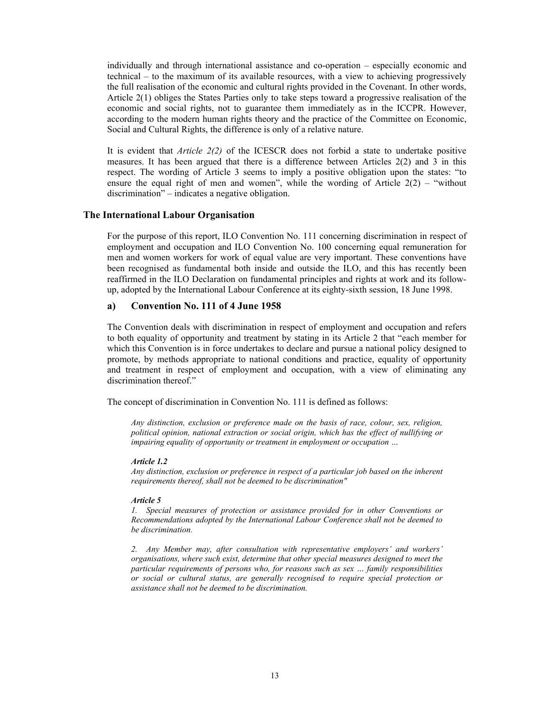individually and through international assistance and co-operation – especially economic and technical – to the maximum of its available resources, with a view to achieving progressively the full realisation of the economic and cultural rights provided in the Covenant. In other words, Article 2(1) obliges the States Parties only to take steps toward a progressive realisation of the economic and social rights, not to guarantee them immediately as in the ICCPR. However, according to the modern human rights theory and the practice of the Committee on Economic, Social and Cultural Rights, the difference is only of a relative nature.

It is evident that *Article 2(2)* of the ICESCR does not forbid a state to undertake positive measures. It has been argued that there is a difference between Articles 2(2) and 3 in this respect. The wording of Article 3 seems to imply a positive obligation upon the states: "to ensure the equal right of men and women", while the wording of Article  $2(2)$  – "without" discrimination" – indicates a negative obligation.

#### **The International Labour Organisation**

For the purpose of this report, ILO Convention No. 111 concerning discrimination in respect of employment and occupation and ILO Convention No. 100 concerning equal remuneration for men and women workers for work of equal value are very important. These conventions have been recognised as fundamental both inside and outside the ILO, and this has recently been reaffirmed in the ILO Declaration on fundamental principles and rights at work and its followup, adopted by the International Labour Conference at its eighty-sixth session, 18 June 1998.

### **a) Convention No. 111 of 4 June 1958**

The Convention deals with discrimination in respect of employment and occupation and refers to both equality of opportunity and treatment by stating in its Article 2 that "each member for which this Convention is in force undertakes to declare and pursue a national policy designed to promote, by methods appropriate to national conditions and practice, equality of opportunity and treatment in respect of employment and occupation, with a view of eliminating any discrimination thereof."

The concept of discrimination in Convention No. 111 is defined as follows:

*Any distinction, exclusion or preference made on the basis of race, colour, sex, religion, political opinion, national extraction or social origin, which has the effect of nullifying or impairing equality of opportunity or treatment in employment or occupation …*

#### *Article 1.2*

*Any distinction, exclusion or preference in respect of a particular job based on the inherent requirements thereof, shall not be deemed to be discrimination"* 

#### *Article 5*

*1. Special measures of protection or assistance provided for in other Conventions or Recommendations adopted by the International Labour Conference shall not be deemed to be discrimination.* 

*2. Any Member may, after consultation with representative employers' and workers' organisations, where such exist, determine that other special measures designed to meet the particular requirements of persons who, for reasons such as sex … family responsibilities or social or cultural status, are generally recognised to require special protection or assistance shall not be deemed to be discrimination.*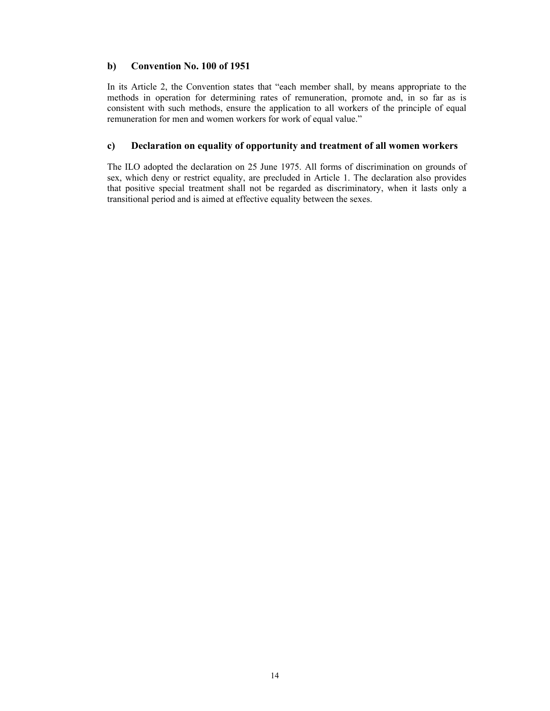## **b) Convention No. 100 of 1951**

In its Article 2, the Convention states that "each member shall, by means appropriate to the methods in operation for determining rates of remuneration, promote and, in so far as is consistent with such methods, ensure the application to all workers of the principle of equal remuneration for men and women workers for work of equal value."

## **c) Declaration on equality of opportunity and treatment of all women workers**

The ILO adopted the declaration on 25 June 1975. All forms of discrimination on grounds of sex, which deny or restrict equality, are precluded in Article 1. The declaration also provides that positive special treatment shall not be regarded as discriminatory, when it lasts only a transitional period and is aimed at effective equality between the sexes.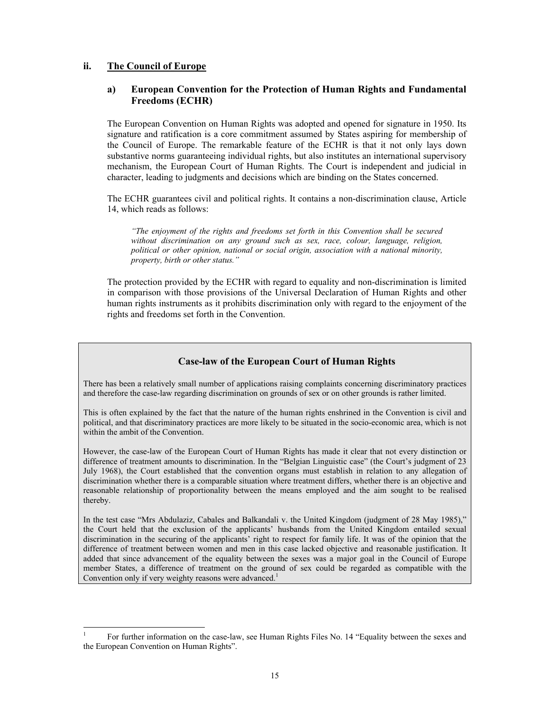# **ii. The Council of Europe**

l

# **a) European Convention for the Protection of Human Rights and Fundamental Freedoms (ECHR)**

The European Convention on Human Rights was adopted and opened for signature in 1950. Its signature and ratification is a core commitment assumed by States aspiring for membership of the Council of Europe. The remarkable feature of the ECHR is that it not only lays down substantive norms guaranteeing individual rights, but also institutes an international supervisory mechanism, the European Court of Human Rights. The Court is independent and judicial in character, leading to judgments and decisions which are binding on the States concerned.

The ECHR guarantees civil and political rights. It contains a non-discrimination clause, Article 14, which reads as follows:

*"The enjoyment of the rights and freedoms set forth in this Convention shall be secured without discrimination on any ground such as sex, race, colour, language, religion, political or other opinion, national or social origin, association with a national minority, property, birth or other status."* 

The protection provided by the ECHR with regard to equality and non-discrimination is limited in comparison with those provisions of the Universal Declaration of Human Rights and other human rights instruments as it prohibits discrimination only with regard to the enjoyment of the rights and freedoms set forth in the Convention.

# **Case-law of the European Court of Human Rights**

There has been a relatively small number of applications raising complaints concerning discriminatory practices and therefore the case-law regarding discrimination on grounds of sex or on other grounds is rather limited.

This is often explained by the fact that the nature of the human rights enshrined in the Convention is civil and political, and that discriminatory practices are more likely to be situated in the socio-economic area, which is not within the ambit of the Convention.

However, the case-law of the European Court of Human Rights has made it clear that not every distinction or difference of treatment amounts to discrimination. In the "Belgian Linguistic case" (the Court's judgment of 23 July 1968), the Court established that the convention organs must establish in relation to any allegation of discrimination whether there is a comparable situation where treatment differs, whether there is an objective and reasonable relationship of proportionality between the means employed and the aim sought to be realised thereby.

In the test case "Mrs Abdulaziz, Cabales and Balkandali v. the United Kingdom (judgment of 28 May 1985)," the Court held that the exclusion of the applicants' husbands from the United Kingdom entailed sexual discrimination in the securing of the applicants' right to respect for family life. It was of the opinion that the difference of treatment between women and men in this case lacked objective and reasonable justification. It added that since advancement of the equality between the sexes was a major goal in the Council of Europe member States, a difference of treatment on the ground of sex could be regarded as compatible with the Convention only if very weighty reasons were advanced.<sup>1</sup>

<sup>1</sup> For further information on the case-law, see Human Rights Files No. 14 "Equality between the sexes and the European Convention on Human Rights".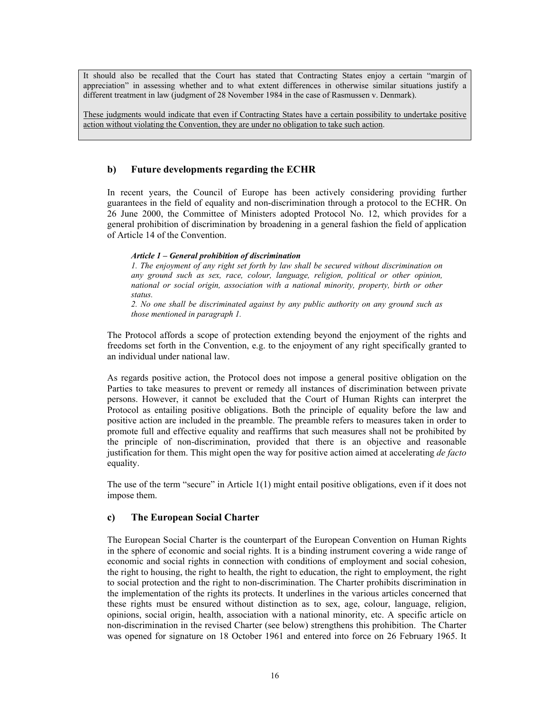It should also be recalled that the Court has stated that Contracting States enjoy a certain "margin of appreciation" in assessing whether and to what extent differences in otherwise similar situations justify a different treatment in law (judgment of 28 November 1984 in the case of Rasmussen v. Denmark).

These judgments would indicate that even if Contracting States have a certain possibility to undertake positive action without violating the Convention, they are under no obligation to take such action.

## **b) Future developments regarding the ECHR**

In recent years, the Council of Europe has been actively considering providing further guarantees in the field of equality and non-discrimination through a protocol to the ECHR. On 26 June 2000, the Committee of Ministers adopted Protocol No. 12, which provides for a general prohibition of discrimination by broadening in a general fashion the field of application of Article 14 of the Convention.

### *Article 1 – General prohibition of discrimination*

*1. The enjoyment of any right set forth by law shall be secured without discrimination on any ground such as sex, race, colour, language, religion, political or other opinion, national or social origin, association with a national minority, property, birth or other status.* 

*2. No one shall be discriminated against by any public authority on any ground such as those mentioned in paragraph 1.* 

The Protocol affords a scope of protection extending beyond the enjoyment of the rights and freedoms set forth in the Convention, e.g. to the enjoyment of any right specifically granted to an individual under national law.

As regards positive action, the Protocol does not impose a general positive obligation on the Parties to take measures to prevent or remedy all instances of discrimination between private persons. However, it cannot be excluded that the Court of Human Rights can interpret the Protocol as entailing positive obligations. Both the principle of equality before the law and positive action are included in the preamble. The preamble refers to measures taken in order to promote full and effective equality and reaffirms that such measures shall not be prohibited by the principle of non-discrimination, provided that there is an objective and reasonable justification for them. This might open the way for positive action aimed at accelerating *de facto* equality.

The use of the term "secure" in Article 1(1) might entail positive obligations, even if it does not impose them.

# **c) The European Social Charter**

The European Social Charter is the counterpart of the European Convention on Human Rights in the sphere of economic and social rights. It is a binding instrument covering a wide range of economic and social rights in connection with conditions of employment and social cohesion, the right to housing, the right to health, the right to education, the right to employment, the right to social protection and the right to non-discrimination. The Charter prohibits discrimination in the implementation of the rights its protects. It underlines in the various articles concerned that these rights must be ensured without distinction as to sex, age, colour, language, religion, opinions, social origin, health, association with a national minority, etc. A specific article on non-discrimination in the revised Charter (see below) strengthens this prohibition. The Charter was opened for signature on 18 October 1961 and entered into force on 26 February 1965. It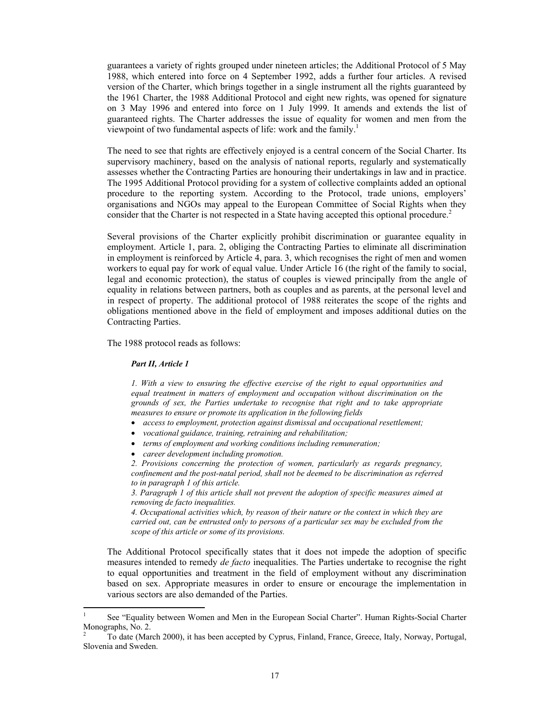guarantees a variety of rights grouped under nineteen articles; the Additional Protocol of 5 May 1988, which entered into force on 4 September 1992, adds a further four articles. A revised version of the Charter, which brings together in a single instrument all the rights guaranteed by the 1961 Charter, the 1988 Additional Protocol and eight new rights, was opened for signature on 3 May 1996 and entered into force on 1 July 1999. It amends and extends the list of guaranteed rights. The Charter addresses the issue of equality for women and men from the viewpoint of two fundamental aspects of life: work and the family.<sup>1</sup>

The need to see that rights are effectively enjoyed is a central concern of the Social Charter. Its supervisory machinery, based on the analysis of national reports, regularly and systematically assesses whether the Contracting Parties are honouring their undertakings in law and in practice. The 1995 Additional Protocol providing for a system of collective complaints added an optional procedure to the reporting system. According to the Protocol, trade unions, employers' organisations and NGOs may appeal to the European Committee of Social Rights when they consider that the Charter is not respected in a State having accepted this optional procedure.<sup>2</sup>

Several provisions of the Charter explicitly prohibit discrimination or guarantee equality in employment. Article 1, para. 2, obliging the Contracting Parties to eliminate all discrimination in employment is reinforced by Article 4, para. 3, which recognises the right of men and women workers to equal pay for work of equal value. Under Article 16 (the right of the family to social, legal and economic protection), the status of couples is viewed principally from the angle of equality in relations between partners, both as couples and as parents, at the personal level and in respect of property. The additional protocol of 1988 reiterates the scope of the rights and obligations mentioned above in the field of employment and imposes additional duties on the Contracting Parties.

The 1988 protocol reads as follows:

#### *Part II, Article 1*

*1. With a view to ensuring the effective exercise of the right to equal opportunities and equal treatment in matters of employment and occupation without discrimination on the grounds of sex, the Parties undertake to recognise that right and to take appropriate measures to ensure or promote its application in the following fields*

- *access to employment, protection against dismissal and occupational resettlement;*
- *vocational guidance, training, retraining and rehabilitation;*
- *terms of employment and working conditions including remuneration;*
- *career development including promotion.*

*2. Provisions concerning the protection of women, particularly as regards pregnancy, confinement and the post-natal period, shall not be deemed to be discrimination as referred to in paragraph 1 of this article.* 

*3. Paragraph 1 of this article shall not prevent the adoption of specific measures aimed at removing de facto inequalities.* 

*4. Occupational activities which, by reason of their nature or the context in which they are carried out, can be entrusted only to persons of a particular sex may be excluded from the scope of this article or some of its provisions.* 

The Additional Protocol specifically states that it does not impede the adoption of specific measures intended to remedy *de facto* inequalities. The Parties undertake to recognise the right to equal opportunities and treatment in the field of employment without any discrimination based on sex. Appropriate measures in order to ensure or encourage the implementation in various sectors are also demanded of the Parties.

<sup>1</sup> See "Equality between Women and Men in the European Social Charter". Human Rights-Social Charter Monographs, No. 2.

<sup>2</sup> To date (March 2000), it has been accepted by Cyprus, Finland, France, Greece, Italy, Norway, Portugal, Slovenia and Sweden.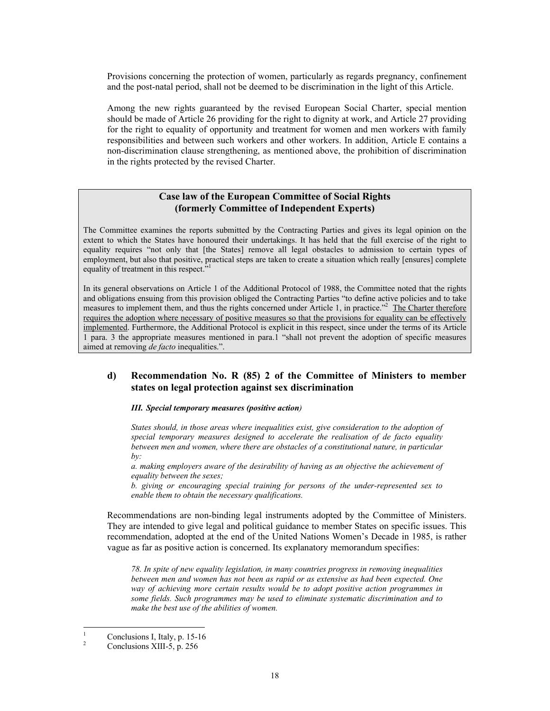Provisions concerning the protection of women, particularly as regards pregnancy, confinement and the post-natal period, shall not be deemed to be discrimination in the light of this Article.

Among the new rights guaranteed by the revised European Social Charter, special mention should be made of Article 26 providing for the right to dignity at work, and Article 27 providing for the right to equality of opportunity and treatment for women and men workers with family responsibilities and between such workers and other workers. In addition, Article E contains a non-discrimination clause strengthening, as mentioned above, the prohibition of discrimination in the rights protected by the revised Charter.

## **Case law of the European Committee of Social Rights (formerly Committee of Independent Experts)**

The Committee examines the reports submitted by the Contracting Parties and gives its legal opinion on the extent to which the States have honoured their undertakings. It has held that the full exercise of the right to equality requires "not only that [the States] remove all legal obstacles to admission to certain types of employment, but also that positive, practical steps are taken to create a situation which really [ensures] complete equality of treatment in this respect."<sup>1</sup>

In its general observations on Article 1 of the Additional Protocol of 1988, the Committee noted that the rights and obligations ensuing from this provision obliged the Contracting Parties "to define active policies and to take measures to implement them, and thus the rights concerned under Article 1, in practice."<sup>2</sup> The Charter therefore requires the adoption where necessary of positive measures so that the provisions for equality can be effectively implemented. Furthermore, the Additional Protocol is explicit in this respect, since under the terms of its Article 1 para. 3 the appropriate measures mentioned in para.1 "shall not prevent the adoption of specific measures aimed at removing *de facto* inequalities.".

## **d) Recommendation No. R (85) 2 of the Committee of Ministers to member states on legal protection against sex discrimination**

*III. Special temporary measures (positive action)* 

*States should, in those areas where inequalities exist, give consideration to the adoption of special temporary measures designed to accelerate the realisation of de facto equality between men and women, where there are obstacles of a constitutional nature, in particular by:* 

*a. making employers aware of the desirability of having as an objective the achievement of equality between the sexes;* 

*b. giving or encouraging special training for persons of the under-represented sex to enable them to obtain the necessary qualifications.* 

Recommendations are non-binding legal instruments adopted by the Committee of Ministers. They are intended to give legal and political guidance to member States on specific issues. This recommendation, adopted at the end of the United Nations Women's Decade in 1985, is rather vague as far as positive action is concerned. Its explanatory memorandum specifies:

*78. In spite of new equality legislation, in many countries progress in removing inequalities between men and women has not been as rapid or as extensive as had been expected. One way of achieving more certain results would be to adopt positive action programmes in some fields. Such programmes may be used to eliminate systematic discrimination and to make the best use of the abilities of women.* 

 $\frac{1}{1}$ Conclusions I, Italy, p. 15-16

<sup>2</sup> Conclusions XIII-5, p. 256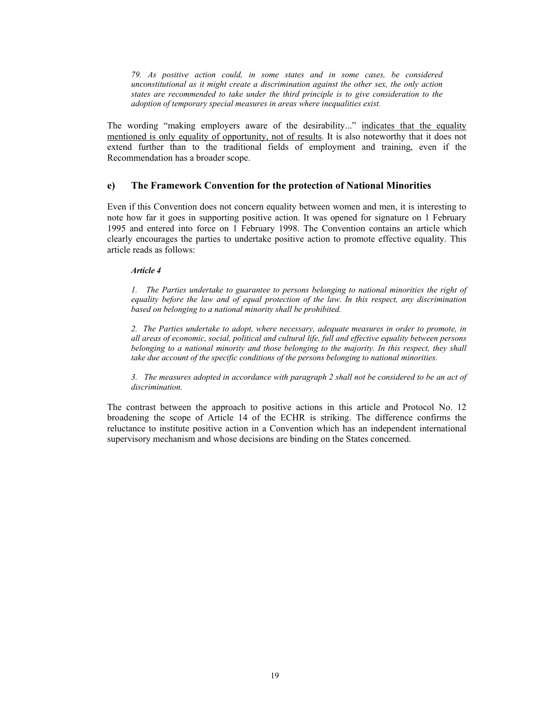*79. As positive action could, in some states and in some cases, be considered unconstitutional as it might create a discrimination against the other sex, the only action states are recommended to take under the third principle is to give consideration to the adoption of temporary special measures in areas where inequalities exist.* 

The wording "making employers aware of the desirability..." indicates that the equality mentioned is only equality of opportunity, not of results. It is also noteworthy that it does not extend further than to the traditional fields of employment and training, even if the Recommendation has a broader scope.

### **e) The Framework Convention for the protection of National Minorities**

Even if this Convention does not concern equality between women and men, it is interesting to note how far it goes in supporting positive action. It was opened for signature on 1 February 1995 and entered into force on 1 February 1998. The Convention contains an article which clearly encourages the parties to undertake positive action to promote effective equality. This article reads as follows:

#### *Article 4*

*1. The Parties undertake to guarantee to persons belonging to national minorities the right of equality before the law and of equal protection of the law. In this respect, any discrimination based on belonging to a national minority shall be prohibited.* 

*2. The Parties undertake to adopt, where necessary, adequate measures in order to promote, in all areas of economic, social, political and cultural life, full and effective equality between persons belonging to a national minority and those belonging to the majority. In this respect, they shall take due account of the specific conditions of the persons belonging to national minorities.* 

*3. The measures adopted in accordance with paragraph 2 shall not be considered to be an act of discrimination.* 

The contrast between the approach to positive actions in this article and Protocol No. 12 broadening the scope of Article 14 of the ECHR is striking. The difference confirms the reluctance to institute positive action in a Convention which has an independent international supervisory mechanism and whose decisions are binding on the States concerned.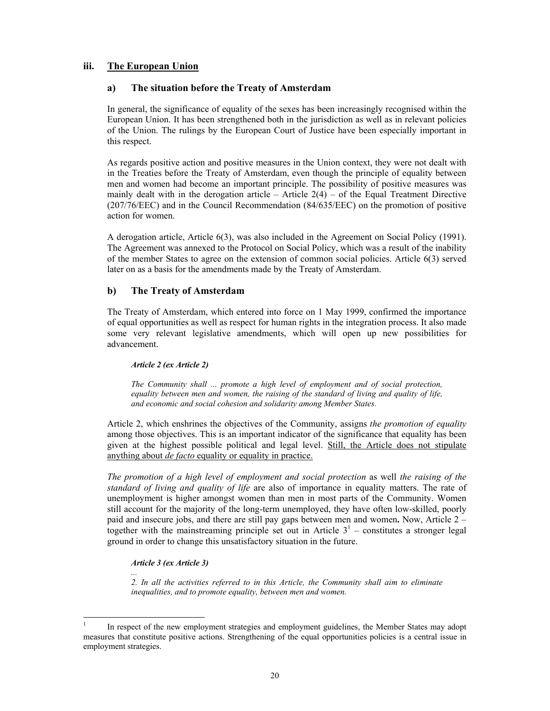# **iii. The European Union**

## **a) The situation before the Treaty of Amsterdam**

In general, the significance of equality of the sexes has been increasingly recognised within the European Union. It has been strengthened both in the jurisdiction as well as in relevant policies of the Union. The rulings by the European Court of Justice have been especially important in this respect.

As regards positive action and positive measures in the Union context, they were not dealt with in the Treaties before the Treaty of Amsterdam, even though the principle of equality between men and women had become an important principle. The possibility of positive measures was mainly dealt with in the derogation article – Article  $2(4)$  – of the Equal Treatment Directive (207/76/EEC) and in the Council Recommendation (84/635/EEC) on the promotion of positive action for women.

A derogation article, Article 6(3), was also included in the Agreement on Social Policy (1991). The Agreement was annexed to the Protocol on Social Policy, which was a result of the inability of the member States to agree on the extension of common social policies. Article 6(3) served later on as a basis for the amendments made by the Treaty of Amsterdam.

# **b) The Treaty of Amsterdam**

The Treaty of Amsterdam, which entered into force on 1 May 1999, confirmed the importance of equal opportunities as well as respect for human rights in the integration process. It also made some very relevant legislative amendments, which will open up new possibilities for advancement.

## *Article 2 (ex Article 2)*

*The Community shall ... promote a high level of employment and of social protection, equality between men and women, the raising of the standard of living and quality of life, and economic and social cohesion and solidarity among Member States.* 

Article 2, which enshrines the objectives of the Community, assigns *the promotion of equality* among those objectives. This is an important indicator of the significance that equality has been given at the highest possible political and legal level. Still, the Article does not stipulate anything about *de facto* equality or equality in practice.

*The promotion of a high level of employment and social protection* as well *the raising of the standard of living and quality of life* are also of importance in equality matters. The rate of unemployment is higher amongst women than men in most parts of the Community. Women still account for the majority of the long-term unemployed, they have often low-skilled, poorly paid and insecure jobs, and there are still pay gaps between men and women**.** Now, Article 2 – together with the mainstreaming principle set out in Article  $3<sup>1</sup>$  – constitutes a stronger legal ground in order to change this unsatisfactory situation in the future.

## *Article 3 (ex Article 3)*

*...* 

*2. In all the activities referred to in this Article, the Community shall aim to eliminate inequalities, and to promote equality, between men and women.* 

 $\frac{1}{1}$  In respect of the new employment strategies and employment guidelines, the Member States may adopt measures that constitute positive actions. Strengthening of the equal opportunities policies is a central issue in employment strategies.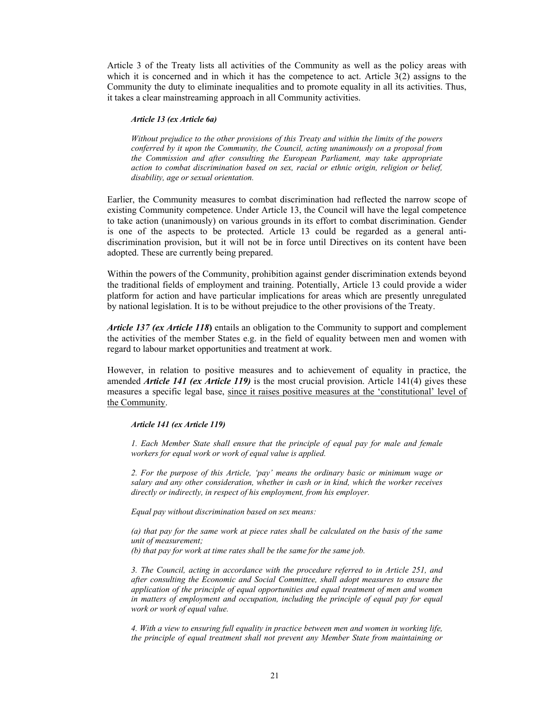Article 3 of the Treaty lists all activities of the Community as well as the policy areas with which it is concerned and in which it has the competence to act. Article 3(2) assigns to the Community the duty to eliminate inequalities and to promote equality in all its activities. Thus, it takes a clear mainstreaming approach in all Community activities.

#### *Article 13 (ex Article 6a)*

*Without prejudice to the other provisions of this Treaty and within the limits of the powers conferred by it upon the Community, the Council, acting unanimously on a proposal from the Commission and after consulting the European Parliament, may take appropriate action to combat discrimination based on sex, racial or ethnic origin, religion or belief, disability, age or sexual orientation.* 

Earlier, the Community measures to combat discrimination had reflected the narrow scope of existing Community competence. Under Article 13, the Council will have the legal competence to take action (unanimously) on various grounds in its effort to combat discrimination. Gender is one of the aspects to be protected. Article 13 could be regarded as a general antidiscrimination provision, but it will not be in force until Directives on its content have been adopted. These are currently being prepared.

Within the powers of the Community, prohibition against gender discrimination extends beyond the traditional fields of employment and training. Potentially, Article 13 could provide a wider platform for action and have particular implications for areas which are presently unregulated by national legislation. It is to be without prejudice to the other provisions of the Treaty.

*Article 137 (ex Article 118***)** entails an obligation to the Community to support and complement the activities of the member States e.g. in the field of equality between men and women with regard to labour market opportunities and treatment at work.

However, in relation to positive measures and to achievement of equality in practice, the amended *Article 141 (ex Article 119)* is the most crucial provision. Article 141(4) gives these measures a specific legal base, since it raises positive measures at the 'constitutional' level of the Community.

#### *Article 141 (ex Article 119)*

*1. Each Member State shall ensure that the principle of equal pay for male and female workers for equal work or work of equal value is applied.* 

*2. For the purpose of this Article, 'pay' means the ordinary basic or minimum wage or salary and any other consideration, whether in cash or in kind, which the worker receives directly or indirectly, in respect of his employment, from his employer.* 

*Equal pay without discrimination based on sex means:* 

*(a) that pay for the same work at piece rates shall be calculated on the basis of the same unit of measurement;* 

*(b) that pay for work at time rates shall be the same for the same job.* 

*3. The Council, acting in accordance with the procedure referred to in Article 251, and after consulting the Economic and Social Committee, shall adopt measures to ensure the application of the principle of equal opportunities and equal treatment of men and women in matters of employment and occupation, including the principle of equal pay for equal work or work of equal value.* 

*4. With a view to ensuring full equality in practice between men and women in working life, the principle of equal treatment shall not prevent any Member State from maintaining or*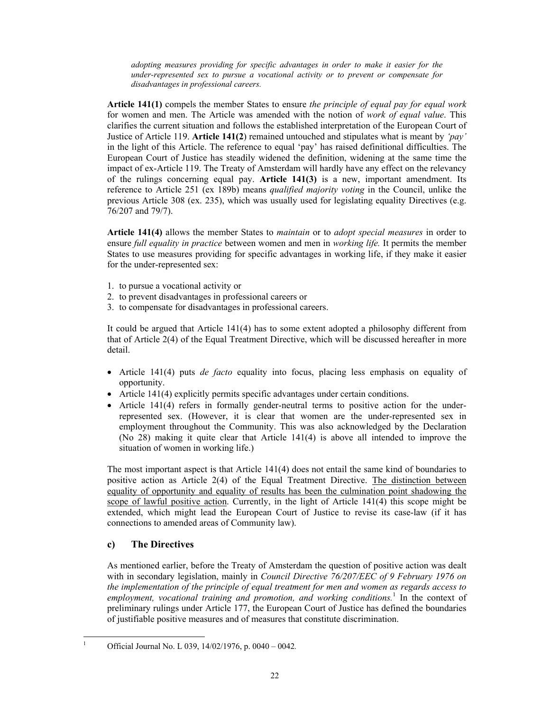*adopting measures providing for specific advantages in order to make it easier for the under-represented sex to pursue a vocational activity or to prevent or compensate for disadvantages in professional careers.* 

**Article 141(1)** compels the member States to ensure *the principle of equal pay for equal work* for women and men. The Article was amended with the notion of *work of equal value*. This clarifies the current situation and follows the established interpretation of the European Court of Justice of Article 119. **Article 141(2**) remained untouched and stipulates what is meant by *'pay'* in the light of this Article. The reference to equal 'pay' has raised definitional difficulties. The European Court of Justice has steadily widened the definition, widening at the same time the impact of ex-Article 119. The Treaty of Amsterdam will hardly have any effect on the relevancy of the rulings concerning equal pay. **Article 141(3)** is a new, important amendment. Its reference to Article 251 (ex 189b) means *qualified majority voting* in the Council, unlike the previous Article 308 (ex. 235), which was usually used for legislating equality Directives (e.g. 76/207 and 79/7).

**Article 141(4)** allows the member States to *maintain* or to *adopt special measures* in order to ensure *full equality in practice* between women and men in *working life.* It permits the member States to use measures providing for specific advantages in working life, if they make it easier for the under-represented sex:

- 1. to pursue a vocational activity or
- 2. to prevent disadvantages in professional careers or
- 3. to compensate for disadvantages in professional careers.

It could be argued that Article 141(4) has to some extent adopted a philosophy different from that of Article 2(4) of the Equal Treatment Directive, which will be discussed hereafter in more detail.

- Article 141(4) puts *de facto* equality into focus, placing less emphasis on equality of opportunity.
- Article 141(4) explicitly permits specific advantages under certain conditions.
- Article 141(4) refers in formally gender-neutral terms to positive action for the underrepresented sex. (However, it is clear that women are the under-represented sex in employment throughout the Community. This was also acknowledged by the Declaration (No 28) making it quite clear that Article 141(4) is above all intended to improve the situation of women in working life.)

The most important aspect is that Article 141(4) does not entail the same kind of boundaries to positive action as Article 2(4) of the Equal Treatment Directive. The distinction between equality of opportunity and equality of results has been the culmination point shadowing the scope of lawful positive action. Currently, in the light of Article 141(4) this scope might be extended, which might lead the European Court of Justice to revise its case-law (if it has connections to amended areas of Community law).

# **c) The Directives**

As mentioned earlier, before the Treaty of Amsterdam the question of positive action was dealt with in secondary legislation, mainly in *Council Directive 76/207/EEC of 9 February 1976 on the implementation of the principle of equal treatment for men and women as regards access to employment, vocational training and promotion, and working conditions.*<sup>1</sup> In the context of preliminary rulings under Article 177, the European Court of Justice has defined the boundaries of justifiable positive measures and of measures that constitute discrimination.

 $\frac{1}{1}$ Official Journal No. L 039, 14/02/1976, p. 0040 – 0042*.*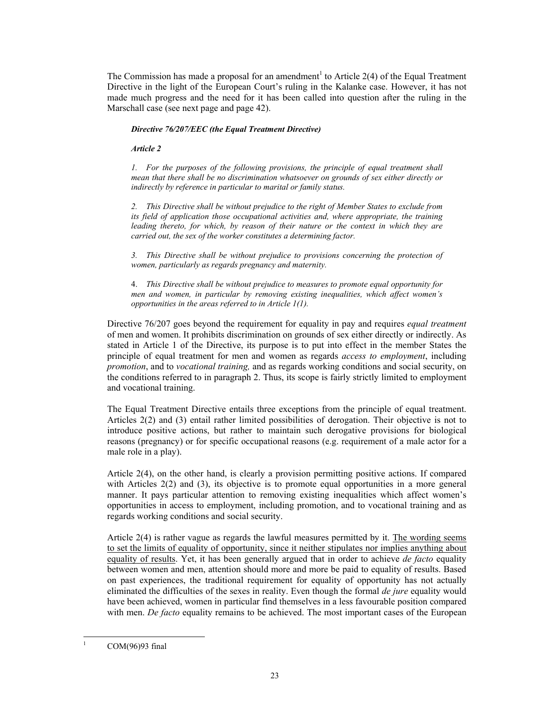The Commission has made a proposal for an amendment<sup>1</sup> to Article 2(4) of the Equal Treatment Directive in the light of the European Court's ruling in the Kalanke case. However, it has not made much progress and the need for it has been called into question after the ruling in the Marschall case (see next page and page 42).

### *Directive 76/207/EEC (the Equal Treatment Directive)*

### *Article 2*

*1. For the purposes of the following provisions, the principle of equal treatment shall mean that there shall be no discrimination whatsoever on grounds of sex either directly or indirectly by reference in particular to marital or family status.* 

*2. This Directive shall be without prejudice to the right of Member States to exclude from its field of application those occupational activities and, where appropriate, the training leading thereto, for which, by reason of their nature or the context in which they are carried out, the sex of the worker constitutes a determining factor.* 

*3. This Directive shall be without prejudice to provisions concerning the protection of women, particularly as regards pregnancy and maternity.* 

4. *This Directive shall be without prejudice to measures to promote equal opportunity for men and women, in particular by removing existing inequalities, which affect women's opportunities in the areas referred to in Article 1(1).* 

Directive 76/207 goes beyond the requirement for equality in pay and requires *equal treatment* of men and women. It prohibits discrimination on grounds of sex either directly or indirectly. As stated in Article 1 of the Directive, its purpose is to put into effect in the member States the principle of equal treatment for men and women as regards *access to employment*, including *promotion*, and to *vocational training,* and as regards working conditions and social security, on the conditions referred to in paragraph 2. Thus, its scope is fairly strictly limited to employment and vocational training.

The Equal Treatment Directive entails three exceptions from the principle of equal treatment. Articles 2(2) and (3) entail rather limited possibilities of derogation. Their objective is not to introduce positive actions, but rather to maintain such derogative provisions for biological reasons (pregnancy) or for specific occupational reasons (e.g. requirement of a male actor for a male role in a play).

Article 2(4), on the other hand, is clearly a provision permitting positive actions. If compared with Articles 2(2) and (3), its objective is to promote equal opportunities in a more general manner. It pays particular attention to removing existing inequalities which affect women's opportunities in access to employment, including promotion, and to vocational training and as regards working conditions and social security.

Article 2(4) is rather vague as regards the lawful measures permitted by it. The wording seems to set the limits of equality of opportunity, since it neither stipulates nor implies anything about equality of results. Yet, it has been generally argued that in order to achieve *de facto* equality between women and men, attention should more and more be paid to equality of results. Based on past experiences, the traditional requirement for equality of opportunity has not actually eliminated the difficulties of the sexes in reality. Even though the formal *de jure* equality would have been achieved, women in particular find themselves in a less favourable position compared with men. *De facto* equality remains to be achieved. The most important cases of the European

 $\frac{1}{1}$ COM(96)93 final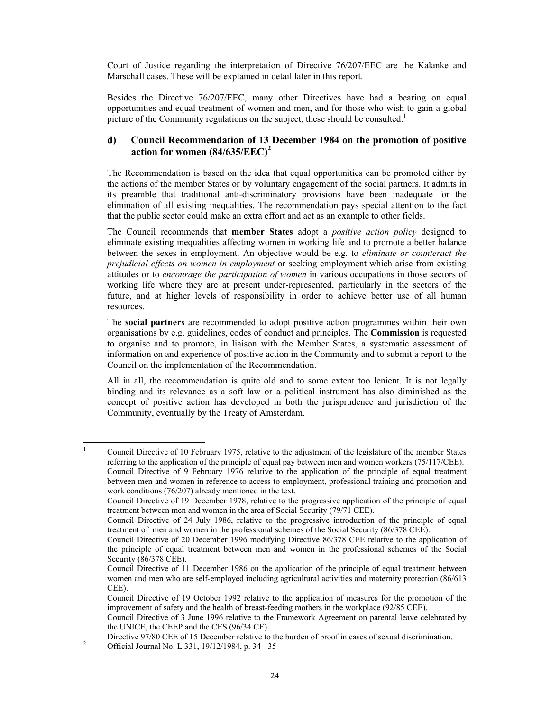Court of Justice regarding the interpretation of Directive 76/207/EEC are the Kalanke and Marschall cases. These will be explained in detail later in this report.

Besides the Directive 76/207/EEC, many other Directives have had a bearing on equal opportunities and equal treatment of women and men, and for those who wish to gain a global picture of the Community regulations on the subject, these should be consulted.<sup>1</sup>

# **d) Council Recommendation of 13 December 1984 on the promotion of positive action for women (84/635/EEC)<sup>2</sup>**

The Recommendation is based on the idea that equal opportunities can be promoted either by the actions of the member States or by voluntary engagement of the social partners. It admits in its preamble that traditional anti-discriminatory provisions have been inadequate for the elimination of all existing inequalities. The recommendation pays special attention to the fact that the public sector could make an extra effort and act as an example to other fields.

The Council recommends that **member States** adopt a *positive action policy* designed to eliminate existing inequalities affecting women in working life and to promote a better balance between the sexes in employment. An objective would be e.g. to *eliminate or counteract the prejudicial effects on women in employment* or seeking employment which arise from existing attitudes or to *encourage the participation of women* in various occupations in those sectors of working life where they are at present under-represented, particularly in the sectors of the future, and at higher levels of responsibility in order to achieve better use of all human resources.

The **social partners** are recommended to adopt positive action programmes within their own organisations by e.g. guidelines, codes of conduct and principles. The **Commission** is requested to organise and to promote, in liaison with the Member States, a systematic assessment of information on and experience of positive action in the Community and to submit a report to the Council on the implementation of the Recommendation.

All in all, the recommendation is quite old and to some extent too lenient. It is not legally binding and its relevance as a soft law or a political instrument has also diminished as the concept of positive action has developed in both the jurisprudence and jurisdiction of the Community, eventually by the Treaty of Amsterdam.

 $\frac{1}{1}$  Council Directive of 10 February 1975, relative to the adjustment of the legislature of the member States referring to the application of the principle of equal pay between men and women workers (75/117/CEE). Council Directive of 9 February 1976 relative to the application of the principle of equal treatment between men and women in reference to access to employment, professional training and promotion and work conditions (76/207) already mentioned in the text.

Council Directive of 19 December 1978, relative to the progressive application of the principle of equal treatment between men and women in the area of Social Security (79/71 CEE).

Council Directive of 24 July 1986, relative to the progressive introduction of the principle of equal treatment of men and women in the professional schemes of the Social Security (86/378 CEE).

Council Directive of 20 December 1996 modifying Directive 86/378 CEE relative to the application of the principle of equal treatment between men and women in the professional schemes of the Social Security (86/378 CEE).

Council Directive of 11 December 1986 on the application of the principle of equal treatment between women and men who are self-employed including agricultural activities and maternity protection (86/613 CEE).

Council Directive of 19 October 1992 relative to the application of measures for the promotion of the improvement of safety and the health of breast-feeding mothers in the workplace (92/85 CEE).

Council Directive of 3 June 1996 relative to the Framework Agreement on parental leave celebrated by the UNICE, the CEEP and the CES (96/34 CE).

Directive 97/80 CEE of 15 December relative to the burden of proof in cases of sexual discrimination.

<sup>2</sup> Official Journal No. L 331, 19/12/1984, p. 34 - 35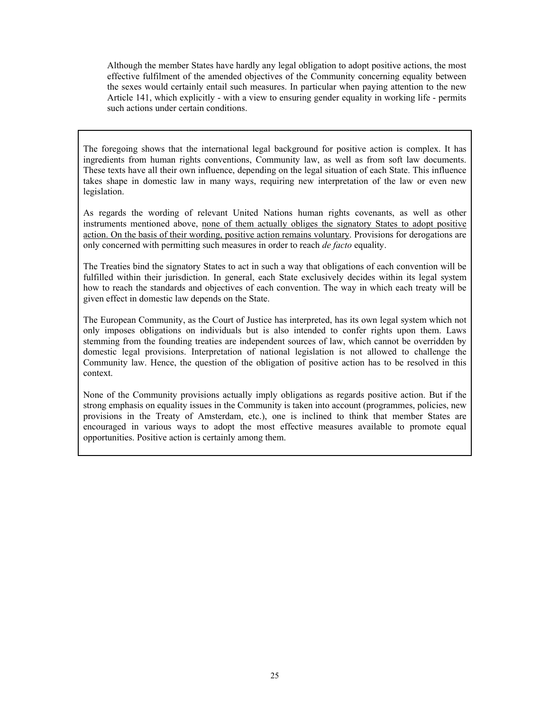Although the member States have hardly any legal obligation to adopt positive actions, the most effective fulfilment of the amended objectives of the Community concerning equality between the sexes would certainly entail such measures. In particular when paying attention to the new Article 141, which explicitly - with a view to ensuring gender equality in working life - permits such actions under certain conditions.

The foregoing shows that the international legal background for positive action is complex. It has ingredients from human rights conventions, Community law, as well as from soft law documents. These texts have all their own influence, depending on the legal situation of each State. This influence takes shape in domestic law in many ways, requiring new interpretation of the law or even new legislation.

As regards the wording of relevant United Nations human rights covenants, as well as other instruments mentioned above, none of them actually obliges the signatory States to adopt positive action. On the basis of their wording, positive action remains voluntary. Provisions for derogations are only concerned with permitting such measures in order to reach *de facto* equality.

The Treaties bind the signatory States to act in such a way that obligations of each convention will be fulfilled within their jurisdiction. In general, each State exclusively decides within its legal system how to reach the standards and objectives of each convention. The way in which each treaty will be given effect in domestic law depends on the State.

The European Community, as the Court of Justice has interpreted, has its own legal system which not only imposes obligations on individuals but is also intended to confer rights upon them. Laws stemming from the founding treaties are independent sources of law, which cannot be overridden by domestic legal provisions. Interpretation of national legislation is not allowed to challenge the Community law. Hence, the question of the obligation of positive action has to be resolved in this context.

None of the Community provisions actually imply obligations as regards positive action. But if the strong emphasis on equality issues in the Community is taken into account (programmes, policies, new provisions in the Treaty of Amsterdam, etc.), one is inclined to think that member States are encouraged in various ways to adopt the most effective measures available to promote equal opportunities. Positive action is certainly among them.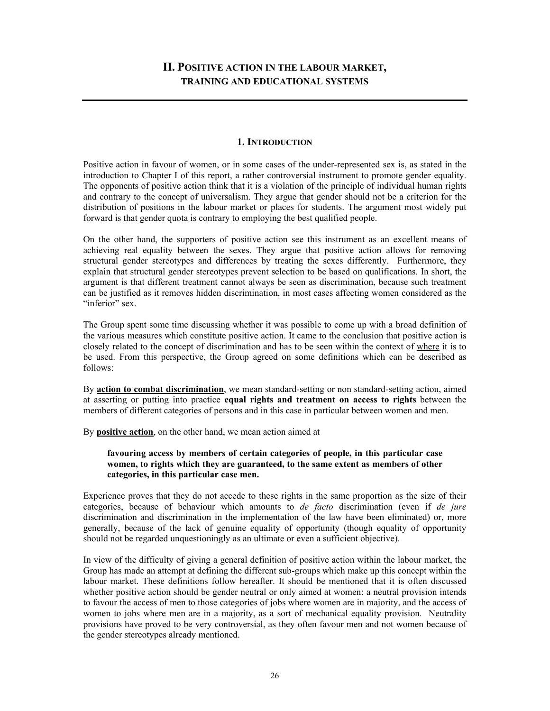# **II. POSITIVE ACTION IN THE LABOUR MARKET, TRAINING AND EDUCATIONAL SYSTEMS**

### **1. INTRODUCTION**

Positive action in favour of women, or in some cases of the under-represented sex is, as stated in the introduction to Chapter I of this report, a rather controversial instrument to promote gender equality. The opponents of positive action think that it is a violation of the principle of individual human rights and contrary to the concept of universalism. They argue that gender should not be a criterion for the distribution of positions in the labour market or places for students. The argument most widely put forward is that gender quota is contrary to employing the best qualified people.

On the other hand, the supporters of positive action see this instrument as an excellent means of achieving real equality between the sexes. They argue that positive action allows for removing structural gender stereotypes and differences by treating the sexes differently. Furthermore, they explain that structural gender stereotypes prevent selection to be based on qualifications. In short, the argument is that different treatment cannot always be seen as discrimination, because such treatment can be justified as it removes hidden discrimination, in most cases affecting women considered as the "inferior" sex.

The Group spent some time discussing whether it was possible to come up with a broad definition of the various measures which constitute positive action. It came to the conclusion that positive action is closely related to the concept of discrimination and has to be seen within the context of where it is to be used. From this perspective, the Group agreed on some definitions which can be described as follows:

By **action to combat discrimination**, we mean standard-setting or non standard-setting action, aimed at asserting or putting into practice **equal rights and treatment on access to rights** between the members of different categories of persons and in this case in particular between women and men.

By **positive action**, on the other hand, we mean action aimed at

## **favouring access by members of certain categories of people, in this particular case women, to rights which they are guaranteed, to the same extent as members of other categories, in this particular case men.**

Experience proves that they do not accede to these rights in the same proportion as the size of their categories, because of behaviour which amounts to *de facto* discrimination (even if *de jure* discrimination and discrimination in the implementation of the law have been eliminated) or, more generally, because of the lack of genuine equality of opportunity (though equality of opportunity should not be regarded unquestioningly as an ultimate or even a sufficient objective).

In view of the difficulty of giving a general definition of positive action within the labour market, the Group has made an attempt at defining the different sub-groups which make up this concept within the labour market. These definitions follow hereafter. It should be mentioned that it is often discussed whether positive action should be gender neutral or only aimed at women: a neutral provision intends to favour the access of men to those categories of jobs where women are in majority, and the access of women to jobs where men are in a majority, as a sort of mechanical equality provision. Neutrality provisions have proved to be very controversial, as they often favour men and not women because of the gender stereotypes already mentioned.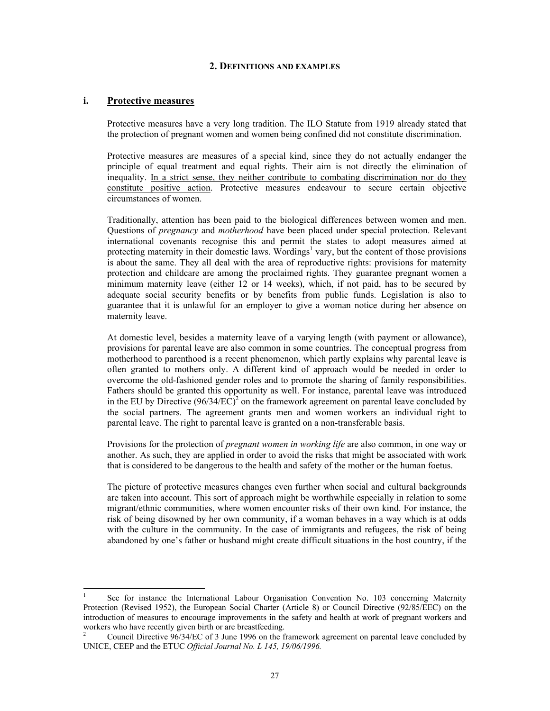#### **2. DEFINITIONS AND EXAMPLES**

## **i. Protective measures**

Protective measures have a very long tradition. The ILO Statute from 1919 already stated that the protection of pregnant women and women being confined did not constitute discrimination.

Protective measures are measures of a special kind, since they do not actually endanger the principle of equal treatment and equal rights. Their aim is not directly the elimination of inequality. In a strict sense, they neither contribute to combating discrimination nor do they constitute positive action. Protective measures endeavour to secure certain objective circumstances of women.

Traditionally, attention has been paid to the biological differences between women and men. Questions of *pregnancy* and *motherhood* have been placed under special protection. Relevant international covenants recognise this and permit the states to adopt measures aimed at protecting maternity in their domestic laws. Wordings<sup>1</sup> vary, but the content of those provisions is about the same. They all deal with the area of reproductive rights: provisions for maternity protection and childcare are among the proclaimed rights. They guarantee pregnant women a minimum maternity leave (either 12 or 14 weeks), which, if not paid, has to be secured by adequate social security benefits or by benefits from public funds. Legislation is also to guarantee that it is unlawful for an employer to give a woman notice during her absence on maternity leave.

At domestic level, besides a maternity leave of a varying length (with payment or allowance), provisions for parental leave are also common in some countries. The conceptual progress from motherhood to parenthood is a recent phenomenon, which partly explains why parental leave is often granted to mothers only. A different kind of approach would be needed in order to overcome the old-fashioned gender roles and to promote the sharing of family responsibilities. Fathers should be granted this opportunity as well. For instance, parental leave was introduced in the EU by Directive  $(96/34/EC)^2$  on the framework agreement on parental leave concluded by the social partners. The agreement grants men and women workers an individual right to parental leave. The right to parental leave is granted on a non-transferable basis.

Provisions for the protection of *pregnant women in working life* are also common, in one way or another. As such, they are applied in order to avoid the risks that might be associated with work that is considered to be dangerous to the health and safety of the mother or the human foetus.

The picture of protective measures changes even further when social and cultural backgrounds are taken into account. This sort of approach might be worthwhile especially in relation to some migrant/ethnic communities, where women encounter risks of their own kind. For instance, the risk of being disowned by her own community, if a woman behaves in a way which is at odds with the culture in the community. In the case of immigrants and refugees, the risk of being abandoned by one's father or husband might create difficult situations in the host country, if the

 $\frac{1}{1}$  See for instance the International Labour Organisation Convention No. 103 concerning Maternity Protection (Revised 1952), the European Social Charter (Article 8) or Council Directive (92/85/EEC) on the introduction of measures to encourage improvements in the safety and health at work of pregnant workers and workers who have recently given birth or are breastfeeding.

<sup>2</sup> Council Directive 96/34/EC of 3 June 1996 on the framework agreement on parental leave concluded by UNICE, CEEP and the ETUC *Official Journal No. L 145, 19/06/1996.*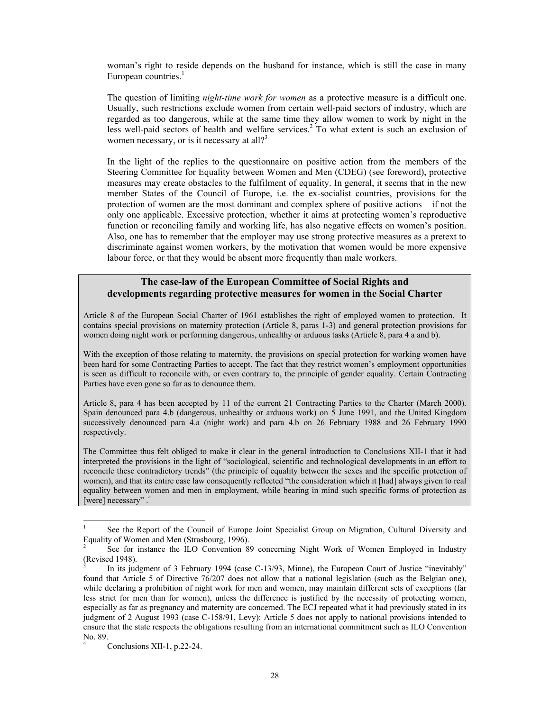woman's right to reside depends on the husband for instance, which is still the case in many European countries. $<sup>1</sup>$ </sup>

The question of limiting *night-time work for women* as a protective measure is a difficult one. Usually, such restrictions exclude women from certain well-paid sectors of industry, which are regarded as too dangerous, while at the same time they allow women to work by night in the less well-paid sectors of health and welfare services.<sup>2</sup> To what extent is such an exclusion of women necessary, or is it necessary at all?<sup>3</sup>

In the light of the replies to the questionnaire on positive action from the members of the Steering Committee for Equality between Women and Men (CDEG) (see foreword), protective measures may create obstacles to the fulfilment of equality. In general, it seems that in the new member States of the Council of Europe, i.e. the ex-socialist countries, provisions for the protection of women are the most dominant and complex sphere of positive actions – if not the only one applicable. Excessive protection, whether it aims at protecting women's reproductive function or reconciling family and working life, has also negative effects on women's position. Also, one has to remember that the employer may use strong protective measures as a pretext to discriminate against women workers, by the motivation that women would be more expensive labour force, or that they would be absent more frequently than male workers.

## **The case-law of the European Committee of Social Rights and developments regarding protective measures for women in the Social Charter**

Article 8 of the European Social Charter of 1961 establishes the right of employed women to protection. It contains special provisions on maternity protection (Article 8, paras 1-3) and general protection provisions for women doing night work or performing dangerous, unhealthy or arduous tasks (Article 8, para 4 a and b).

With the exception of those relating to maternity, the provisions on special protection for working women have been hard for some Contracting Parties to accept. The fact that they restrict women's employment opportunities is seen as difficult to reconcile with, or even contrary to, the principle of gender equality. Certain Contracting Parties have even gone so far as to denounce them.

Article 8, para 4 has been accepted by 11 of the current 21 Contracting Parties to the Charter (March 2000). Spain denounced para 4.b (dangerous, unhealthy or arduous work) on 5 June 1991, and the United Kingdom successively denounced para 4.a (night work) and para 4.b on 26 February 1988 and 26 February 1990 respectively.

The Committee thus felt obliged to make it clear in the general introduction to Conclusions XII-1 that it had interpreted the provisions in the light of "sociological, scientific and technological developments in an effort to reconcile these contradictory trends" (the principle of equality between the sexes and the specific protection of women), and that its entire case law consequently reflected "the consideration which it [had] always given to real equality between women and men in employment, while bearing in mind such specific forms of protection as [were] necessary".<sup>4</sup>

l

<sup>1</sup> See the Report of the Council of Europe Joint Specialist Group on Migration, Cultural Diversity and Equality of Women and Men (Strasbourg, 1996).

<sup>2</sup> See for instance the ILO Convention 89 concerning Night Work of Women Employed in Industry (Revised 1948).

<sup>3</sup> In its judgment of 3 February 1994 (case C-13/93, Minne), the European Court of Justice "inevitably" found that Article 5 of Directive 76/207 does not allow that a national legislation (such as the Belgian one), while declaring a prohibition of night work for men and women, may maintain different sets of exceptions (far less strict for men than for women), unless the difference is justified by the necessity of protecting women, especially as far as pregnancy and maternity are concerned. The ECJ repeated what it had previously stated in its judgment of 2 August 1993 (case C-158/91, Levy): Article 5 does not apply to national provisions intended to ensure that the state respects the obligations resulting from an international commitment such as ILO Convention No. 89. 4

Conclusions XII-1, p.22-24.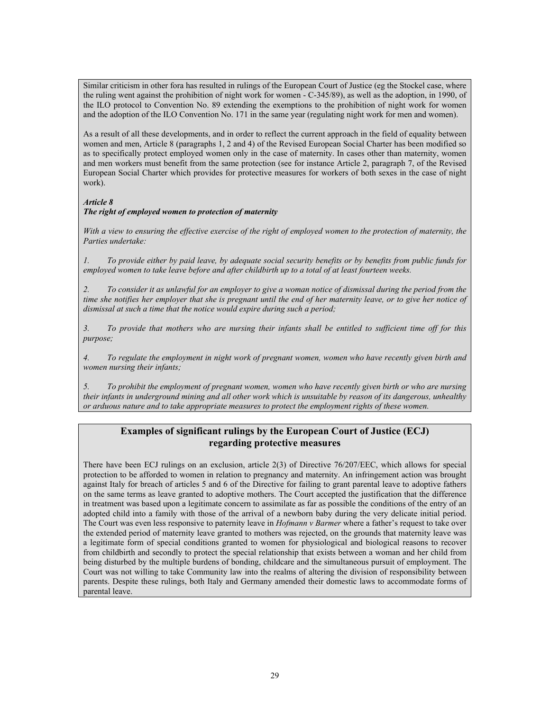Similar criticism in other fora has resulted in rulings of the European Court of Justice (eg the Stockel case, where the ruling went against the prohibition of night work for women - C-345/89), as well as the adoption, in 1990, of the ILO protocol to Convention No. 89 extending the exemptions to the prohibition of night work for women and the adoption of the ILO Convention No. 171 in the same year (regulating night work for men and women).

As a result of all these developments, and in order to reflect the current approach in the field of equality between women and men, Article 8 (paragraphs 1, 2 and 4) of the Revised European Social Charter has been modified so as to specifically protect employed women only in the case of maternity. In cases other than maternity, women and men workers must benefit from the same protection (see for instance Article 2, paragraph 7, of the Revised European Social Charter which provides for protective measures for workers of both sexes in the case of night work).

## *Article 8 The right of employed women to protection of maternity*

*With a view to ensuring the effective exercise of the right of employed women to the protection of maternity, the Parties undertake:* 

*1. To provide either by paid leave, by adequate social security benefits or by benefits from public funds for employed women to take leave before and after childbirth up to a total of at least fourteen weeks.* 

*2. To consider it as unlawful for an employer to give a woman notice of dismissal during the period from the time she notifies her employer that she is pregnant until the end of her maternity leave, or to give her notice of dismissal at such a time that the notice would expire during such a period;* 

*3. To provide that mothers who are nursing their infants shall be entitled to sufficient time off for this purpose;* 

*4. To regulate the employment in night work of pregnant women, women who have recently given birth and women nursing their infants;* 

*5. To prohibit the employment of pregnant women, women who have recently given birth or who are nursing their infants in underground mining and all other work which is unsuitable by reason of its dangerous, unhealthy or arduous nature and to take appropriate measures to protect the employment rights of these women.* 

# **Examples of significant rulings by the European Court of Justice (ECJ) regarding protective measures**

There have been ECJ rulings on an exclusion, article 2(3) of Directive 76/207/EEC, which allows for special protection to be afforded to women in relation to pregnancy and maternity. An infringement action was brought against Italy for breach of articles 5 and 6 of the Directive for failing to grant parental leave to adoptive fathers on the same terms as leave granted to adoptive mothers. The Court accepted the justification that the difference in treatment was based upon a legitimate concern to assimilate as far as possible the conditions of the entry of an adopted child into a family with those of the arrival of a newborn baby during the very delicate initial period. The Court was even less responsive to paternity leave in *Hofmann v Barmer* where a father's request to take over the extended period of maternity leave granted to mothers was rejected, on the grounds that maternity leave was a legitimate form of special conditions granted to women for physiological and biological reasons to recover from childbirth and secondly to protect the special relationship that exists between a woman and her child from being disturbed by the multiple burdens of bonding, childcare and the simultaneous pursuit of employment. The Court was not willing to take Community law into the realms of altering the division of responsibility between parents. Despite these rulings, both Italy and Germany amended their domestic laws to accommodate forms of parental leave.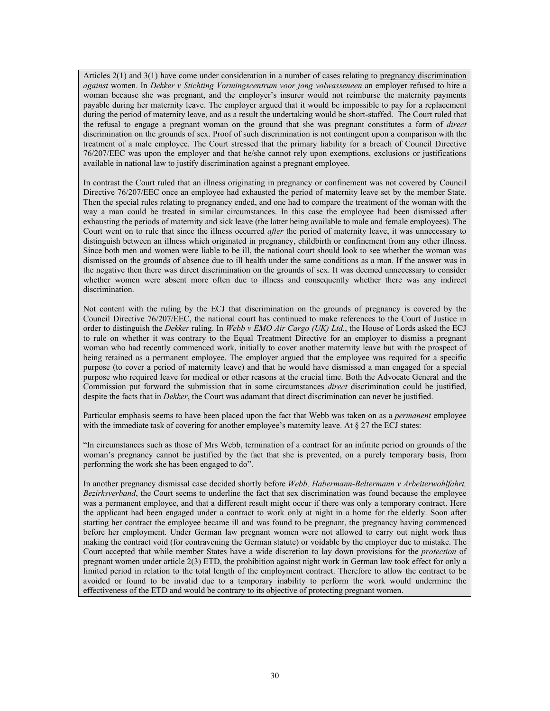Articles 2(1) and 3(1) have come under consideration in a number of cases relating to pregnancy discrimination *against* women. In *Dekker v Stichting Vormingscentrum voor jong volwasseneen* an employer refused to hire a woman because she was pregnant, and the employer's insurer would not reimburse the maternity payments payable during her maternity leave. The employer argued that it would be impossible to pay for a replacement during the period of maternity leave, and as a result the undertaking would be short-staffed. The Court ruled that the refusal to engage a pregnant woman on the ground that she was pregnant constitutes a form of *direct*  discrimination on the grounds of sex. Proof of such discrimination is not contingent upon a comparison with the treatment of a male employee. The Court stressed that the primary liability for a breach of Council Directive 76/207/EEC was upon the employer and that he/she cannot rely upon exemptions, exclusions or justifications available in national law to justify discrimination against a pregnant employee.

In contrast the Court ruled that an illness originating in pregnancy or confinement was not covered by Council Directive 76/207/EEC once an employee had exhausted the period of maternity leave set by the member State. Then the special rules relating to pregnancy ended, and one had to compare the treatment of the woman with the way a man could be treated in similar circumstances. In this case the employee had been dismissed after exhausting the periods of maternity and sick leave (the latter being available to male and female employees). The Court went on to rule that since the illness occurred *after* the period of maternity leave, it was unnecessary to distinguish between an illness which originated in pregnancy, childbirth or confinement from any other illness. Since both men and women were liable to be ill, the national court should look to see whether the woman was dismissed on the grounds of absence due to ill health under the same conditions as a man. If the answer was in the negative then there was direct discrimination on the grounds of sex. It was deemed unnecessary to consider whether women were absent more often due to illness and consequently whether there was any indirect discrimination.

Not content with the ruling by the ECJ that discrimination on the grounds of pregnancy is covered by the Council Directive 76/207/EEC, the national court has continued to make references to the Court of Justice in order to distinguish the *Dekker* ruling. In *Webb v EMO Air Cargo (UK) Ltd.*, the House of Lords asked the ECJ to rule on whether it was contrary to the Equal Treatment Directive for an employer to dismiss a pregnant woman who had recently commenced work, initially to cover another maternity leave but with the prospect of being retained as a permanent employee. The employer argued that the employee was required for a specific purpose (to cover a period of maternity leave) and that he would have dismissed a man engaged for a special purpose who required leave for medical or other reasons at the crucial time. Both the Advocate General and the Commission put forward the submission that in some circumstances *direct* discrimination could be justified, despite the facts that in *Dekker*, the Court was adamant that direct discrimination can never be justified.

Particular emphasis seems to have been placed upon the fact that Webb was taken on as a *permanent* employee with the immediate task of covering for another employee's maternity leave. At § 27 the ECJ states:

"In circumstances such as those of Mrs Webb, termination of a contract for an infinite period on grounds of the woman's pregnancy cannot be justified by the fact that she is prevented, on a purely temporary basis, from performing the work she has been engaged to do".

In another pregnancy dismissal case decided shortly before *Webb, Habermann-Beltermann v Arbeiterwohlfahrt, Bezirksverband*, the Court seems to underline the fact that sex discrimination was found because the employee was a permanent employee, and that a different result might occur if there was only a temporary contract. Here the applicant had been engaged under a contract to work only at night in a home for the elderly. Soon after starting her contract the employee became ill and was found to be pregnant, the pregnancy having commenced before her employment. Under German law pregnant women were not allowed to carry out night work thus making the contract void (for contravening the German statute) or voidable by the employer due to mistake. The Court accepted that while member States have a wide discretion to lay down provisions for the *protection* of pregnant women under article 2(3) ETD, the prohibition against night work in German law took effect for only a limited period in relation to the total length of the employment contract. Therefore to allow the contract to be avoided or found to be invalid due to a temporary inability to perform the work would undermine the effectiveness of the ETD and would be contrary to its objective of protecting pregnant women.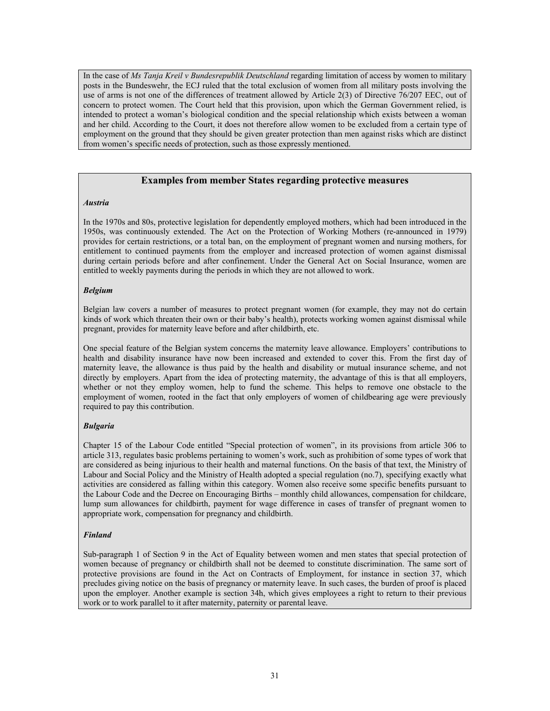In the case of *Ms Tanja Kreil v Bundesrepublik Deutschland* regarding limitation of access by women to military posts in the Bundeswehr, the ECJ ruled that the total exclusion of women from all military posts involving the use of arms is not one of the differences of treatment allowed by Article 2(3) of Directive 76/207 EEC, out of concern to protect women. The Court held that this provision, upon which the German Government relied, is intended to protect a woman's biological condition and the special relationship which exists between a woman and her child. According to the Court, it does not therefore allow women to be excluded from a certain type of employment on the ground that they should be given greater protection than men against risks which are distinct from women's specific needs of protection, such as those expressly mentioned.

## **Examples from member States regarding protective measures**

## *Austria*

In the 1970s and 80s, protective legislation for dependently employed mothers, which had been introduced in the 1950s, was continuously extended. The Act on the Protection of Working Mothers (re-announced in 1979) provides for certain restrictions, or a total ban, on the employment of pregnant women and nursing mothers, for entitlement to continued payments from the employer and increased protection of women against dismissal during certain periods before and after confinement. Under the General Act on Social Insurance, women are entitled to weekly payments during the periods in which they are not allowed to work.

### *Belgium*

Belgian law covers a number of measures to protect pregnant women (for example, they may not do certain kinds of work which threaten their own or their baby's health), protects working women against dismissal while pregnant, provides for maternity leave before and after childbirth, etc.

One special feature of the Belgian system concerns the maternity leave allowance. Employers' contributions to health and disability insurance have now been increased and extended to cover this. From the first day of maternity leave, the allowance is thus paid by the health and disability or mutual insurance scheme, and not directly by employers. Apart from the idea of protecting maternity, the advantage of this is that all employers, whether or not they employ women, help to fund the scheme. This helps to remove one obstacle to the employment of women, rooted in the fact that only employers of women of childbearing age were previously required to pay this contribution.

## *Bulgaria*

Chapter 15 of the Labour Code entitled "Special protection of women", in its provisions from article 306 to article 313, regulates basic problems pertaining to women's work, such as prohibition of some types of work that are considered as being injurious to their health and maternal functions. On the basis of that text, the Ministry of Labour and Social Policy and the Ministry of Health adopted a special regulation (no.7), specifying exactly what activities are considered as falling within this category. Women also receive some specific benefits pursuant to the Labour Code and the Decree on Encouraging Births – monthly child allowances, compensation for childcare, lump sum allowances for childbirth, payment for wage difference in cases of transfer of pregnant women to appropriate work, compensation for pregnancy and childbirth.

#### *Finland*

Sub-paragraph 1 of Section 9 in the Act of Equality between women and men states that special protection of women because of pregnancy or childbirth shall not be deemed to constitute discrimination. The same sort of protective provisions are found in the Act on Contracts of Employment, for instance in section 37, which precludes giving notice on the basis of pregnancy or maternity leave. In such cases, the burden of proof is placed upon the employer. Another example is section 34h, which gives employees a right to return to their previous work or to work parallel to it after maternity, paternity or parental leave.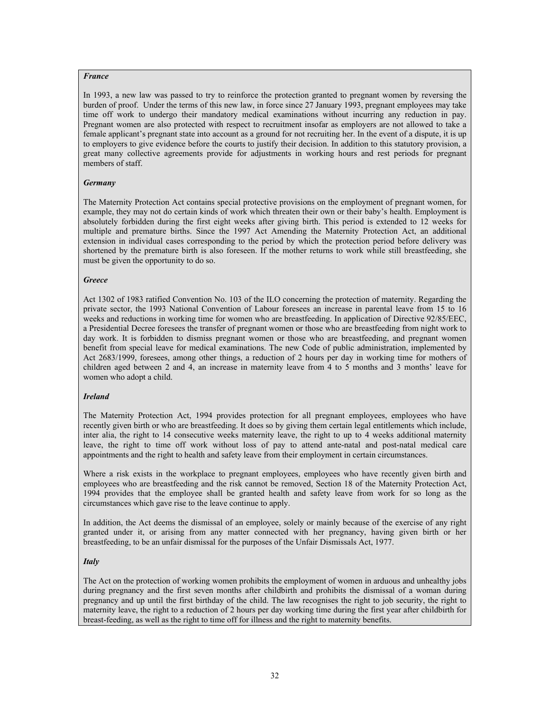#### *France*

In 1993, a new law was passed to try to reinforce the protection granted to pregnant women by reversing the burden of proof. Under the terms of this new law, in force since 27 January 1993, pregnant employees may take time off work to undergo their mandatory medical examinations without incurring any reduction in pay. Pregnant women are also protected with respect to recruitment insofar as employers are not allowed to take a female applicant's pregnant state into account as a ground for not recruiting her. In the event of a dispute, it is up to employers to give evidence before the courts to justify their decision. In addition to this statutory provision, a great many collective agreements provide for adjustments in working hours and rest periods for pregnant members of staff.

#### *Germany*

The Maternity Protection Act contains special protective provisions on the employment of pregnant women, for example, they may not do certain kinds of work which threaten their own or their baby's health. Employment is absolutely forbidden during the first eight weeks after giving birth. This period is extended to 12 weeks for multiple and premature births. Since the 1997 Act Amending the Maternity Protection Act, an additional extension in individual cases corresponding to the period by which the protection period before delivery was shortened by the premature birth is also foreseen. If the mother returns to work while still breastfeeding, she must be given the opportunity to do so.

#### *Greece*

Act 1302 of 1983 ratified Convention No. 103 of the ILO concerning the protection of maternity. Regarding the private sector, the 1993 National Convention of Labour foresees an increase in parental leave from 15 to 16 weeks and reductions in working time for women who are breastfeeding. In application of Directive 92/85/EEC, a Presidential Decree foresees the transfer of pregnant women or those who are breastfeeding from night work to day work. It is forbidden to dismiss pregnant women or those who are breastfeeding, and pregnant women benefit from special leave for medical examinations. The new Code of public administration, implemented by Act 2683/1999, foresees, among other things, a reduction of 2 hours per day in working time for mothers of children aged between 2 and 4, an increase in maternity leave from 4 to 5 months and 3 months' leave for women who adopt a child.

#### *Ireland*

The Maternity Protection Act, 1994 provides protection for all pregnant employees, employees who have recently given birth or who are breastfeeding. It does so by giving them certain legal entitlements which include, inter alia, the right to 14 consecutive weeks maternity leave, the right to up to 4 weeks additional maternity leave, the right to time off work without loss of pay to attend ante-natal and post-natal medical care appointments and the right to health and safety leave from their employment in certain circumstances.

Where a risk exists in the workplace to pregnant employees, employees who have recently given birth and employees who are breastfeeding and the risk cannot be removed, Section 18 of the Maternity Protection Act, 1994 provides that the employee shall be granted health and safety leave from work for so long as the circumstances which gave rise to the leave continue to apply.

In addition, the Act deems the dismissal of an employee, solely or mainly because of the exercise of any right granted under it, or arising from any matter connected with her pregnancy, having given birth or her breastfeeding, to be an unfair dismissal for the purposes of the Unfair Dismissals Act, 1977.

#### *Italy*

The Act on the protection of working women prohibits the employment of women in arduous and unhealthy jobs during pregnancy and the first seven months after childbirth and prohibits the dismissal of a woman during pregnancy and up until the first birthday of the child. The law recognises the right to job security, the right to maternity leave, the right to a reduction of 2 hours per day working time during the first year after childbirth for breast-feeding, as well as the right to time off for illness and the right to maternity benefits.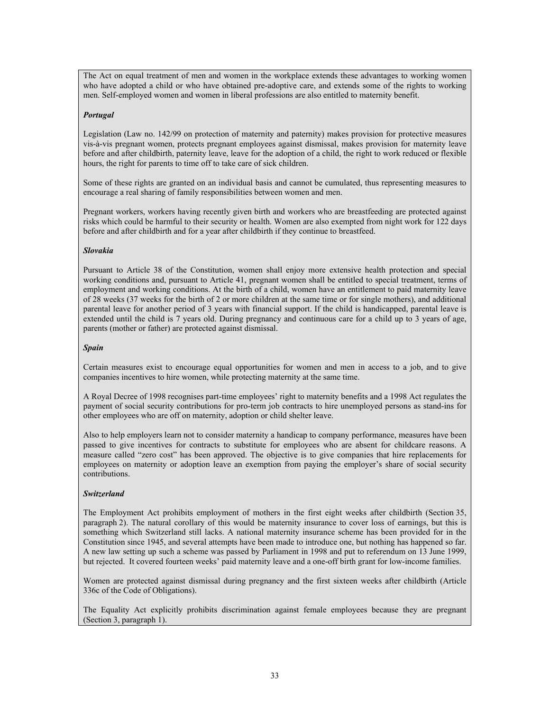The Act on equal treatment of men and women in the workplace extends these advantages to working women who have adopted a child or who have obtained pre-adoptive care, and extends some of the rights to working men. Self-employed women and women in liberal professions are also entitled to maternity benefit.

### *Portugal*

Legislation (Law no. 142/99 on protection of maternity and paternity) makes provision for protective measures vis-à-vis pregnant women, protects pregnant employees against dismissal, makes provision for maternity leave before and after childbirth, paternity leave, leave for the adoption of a child, the right to work reduced or flexible hours, the right for parents to time off to take care of sick children.

Some of these rights are granted on an individual basis and cannot be cumulated, thus representing measures to encourage a real sharing of family responsibilities between women and men.

Pregnant workers, workers having recently given birth and workers who are breastfeeding are protected against risks which could be harmful to their security or health. Women are also exempted from night work for 122 days before and after childbirth and for a year after childbirth if they continue to breastfeed.

### *Slovakia*

Pursuant to Article 38 of the Constitution, women shall enjoy more extensive health protection and special working conditions and, pursuant to Article 41, pregnant women shall be entitled to special treatment, terms of employment and working conditions. At the birth of a child, women have an entitlement to paid maternity leave of 28 weeks (37 weeks for the birth of 2 or more children at the same time or for single mothers), and additional parental leave for another period of 3 years with financial support. If the child is handicapped, parental leave is extended until the child is 7 years old. During pregnancy and continuous care for a child up to 3 years of age, parents (mother or father) are protected against dismissal.

#### *Spain*

Certain measures exist to encourage equal opportunities for women and men in access to a job, and to give companies incentives to hire women, while protecting maternity at the same time.

A Royal Decree of 1998 recognises part-time employees' right to maternity benefits and a 1998 Act regulates the payment of social security contributions for pro-term job contracts to hire unemployed persons as stand-ins for other employees who are off on maternity, adoption or child shelter leave.

Also to help employers learn not to consider maternity a handicap to company performance, measures have been passed to give incentives for contracts to substitute for employees who are absent for childcare reasons. A measure called "zero cost" has been approved. The objective is to give companies that hire replacements for employees on maternity or adoption leave an exemption from paying the employer's share of social security contributions.

### *Switzerland*

The Employment Act prohibits employment of mothers in the first eight weeks after childbirth (Section 35, paragraph 2). The natural corollary of this would be maternity insurance to cover loss of earnings, but this is something which Switzerland still lacks. A national maternity insurance scheme has been provided for in the Constitution since 1945, and several attempts have been made to introduce one, but nothing has happened so far. A new law setting up such a scheme was passed by Parliament in 1998 and put to referendum on 13 June 1999, but rejected. It covered fourteen weeks' paid maternity leave and a one-off birth grant for low-income families.

Women are protected against dismissal during pregnancy and the first sixteen weeks after childbirth (Article 336c of the Code of Obligations).

The Equality Act explicitly prohibits discrimination against female employees because they are pregnant (Section 3, paragraph 1).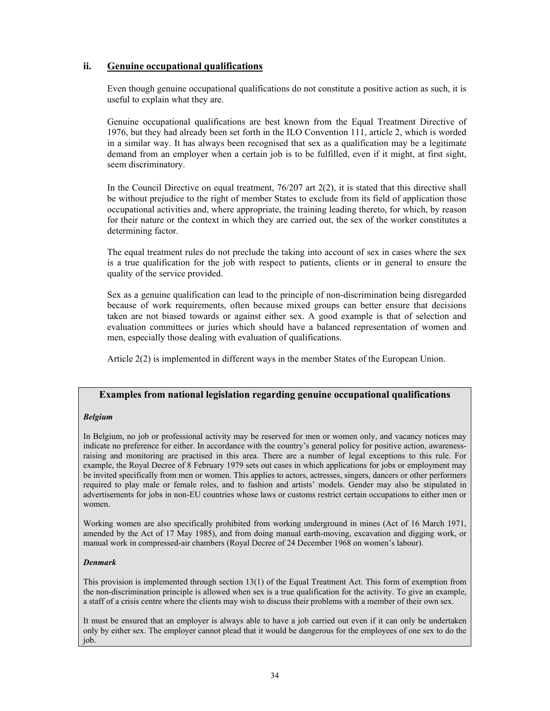# **ii. Genuine occupational qualifications**

Even though genuine occupational qualifications do not constitute a positive action as such, it is useful to explain what they are.

Genuine occupational qualifications are best known from the Equal Treatment Directive of 1976, but they had already been set forth in the ILO Convention 111, article 2, which is worded in a similar way. It has always been recognised that sex as a qualification may be a legitimate demand from an employer when a certain job is to be fulfilled, even if it might, at first sight, seem discriminatory.

In the Council Directive on equal treatment,  $76/207$  art  $2(2)$ , it is stated that this directive shall be without prejudice to the right of member States to exclude from its field of application those occupational activities and, where appropriate, the training leading thereto, for which, by reason for their nature or the context in which they are carried out, the sex of the worker constitutes a determining factor.

The equal treatment rules do not preclude the taking into account of sex in cases where the sex is a true qualification for the job with respect to patients, clients or in general to ensure the quality of the service provided.

Sex as a genuine qualification can lead to the principle of non-discrimination being disregarded because of work requirements, often because mixed groups can better ensure that decisions taken are not biased towards or against either sex. A good example is that of selection and evaluation committees or juries which should have a balanced representation of women and men, especially those dealing with evaluation of qualifications.

Article 2(2) is implemented in different ways in the member States of the European Union.

## **Examples from national legislation regarding genuine occupational qualifications**

#### *Belgium*

In Belgium, no job or professional activity may be reserved for men or women only, and vacancy notices may indicate no preference for either. In accordance with the country's general policy for positive action, awarenessraising and monitoring are practised in this area. There are a number of legal exceptions to this rule. For example, the Royal Decree of 8 February 1979 sets out cases in which applications for jobs or employment may be invited specifically from men or women. This applies to actors, actresses, singers, dancers or other performers required to play male or female roles, and to fashion and artists' models. Gender may also be stipulated in advertisements for jobs in non-EU countries whose laws or customs restrict certain occupations to either men or women.

Working women are also specifically prohibited from working underground in mines (Act of 16 March 1971, amended by the Act of 17 May 1985), and from doing manual earth-moving, excavation and digging work, or manual work in compressed-air chambers (Royal Decree of 24 December 1968 on women's labour).

#### *Denmark*

This provision is implemented through section 13(1) of the Equal Treatment Act. This form of exemption from the non-discrimination principle is allowed when sex is a true qualification for the activity. To give an example, a staff of a crisis centre where the clients may wish to discuss their problems with a member of their own sex.

It must be ensured that an employer is always able to have a job carried out even if it can only be undertaken only by either sex. The employer cannot plead that it would be dangerous for the employees of one sex to do the job.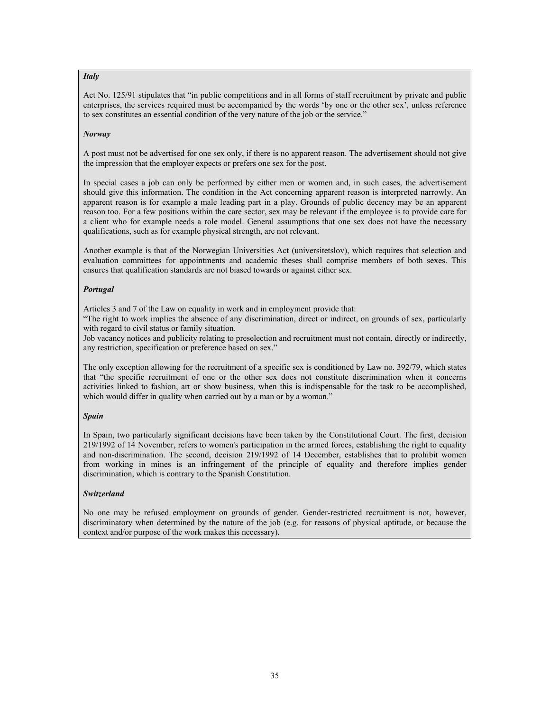## *Italy*

Act No. 125/91 stipulates that "in public competitions and in all forms of staff recruitment by private and public enterprises, the services required must be accompanied by the words 'by one or the other sex', unless reference to sex constitutes an essential condition of the very nature of the job or the service."

## *Norway*

A post must not be advertised for one sex only, if there is no apparent reason. The advertisement should not give the impression that the employer expects or prefers one sex for the post.

In special cases a job can only be performed by either men or women and, in such cases, the advertisement should give this information. The condition in the Act concerning apparent reason is interpreted narrowly. An apparent reason is for example a male leading part in a play. Grounds of public decency may be an apparent reason too. For a few positions within the care sector, sex may be relevant if the employee is to provide care for a client who for example needs a role model. General assumptions that one sex does not have the necessary qualifications, such as for example physical strength, are not relevant.

Another example is that of the Norwegian Universities Act (universitetslov), which requires that selection and evaluation committees for appointments and academic theses shall comprise members of both sexes. This ensures that qualification standards are not biased towards or against either sex.

## *Portugal*

Articles 3 and 7 of the Law on equality in work and in employment provide that:

"The right to work implies the absence of any discrimination, direct or indirect, on grounds of sex, particularly with regard to civil status or family situation.

Job vacancy notices and publicity relating to preselection and recruitment must not contain, directly or indirectly, any restriction, specification or preference based on sex."

The only exception allowing for the recruitment of a specific sex is conditioned by Law no. 392/79, which states that "the specific recruitment of one or the other sex does not constitute discrimination when it concerns activities linked to fashion, art or show business, when this is indispensable for the task to be accomplished, which would differ in quality when carried out by a man or by a woman."

## *Spain*

In Spain, two particularly significant decisions have been taken by the Constitutional Court. The first, decision 219/1992 of 14 November, refers to women's participation in the armed forces, establishing the right to equality and non-discrimination. The second, decision 219/1992 of 14 December, establishes that to prohibit women from working in mines is an infringement of the principle of equality and therefore implies gender discrimination, which is contrary to the Spanish Constitution.

# *Switzerland*

No one may be refused employment on grounds of gender. Gender-restricted recruitment is not, however, discriminatory when determined by the nature of the job (e.g. for reasons of physical aptitude, or because the context and/or purpose of the work makes this necessary).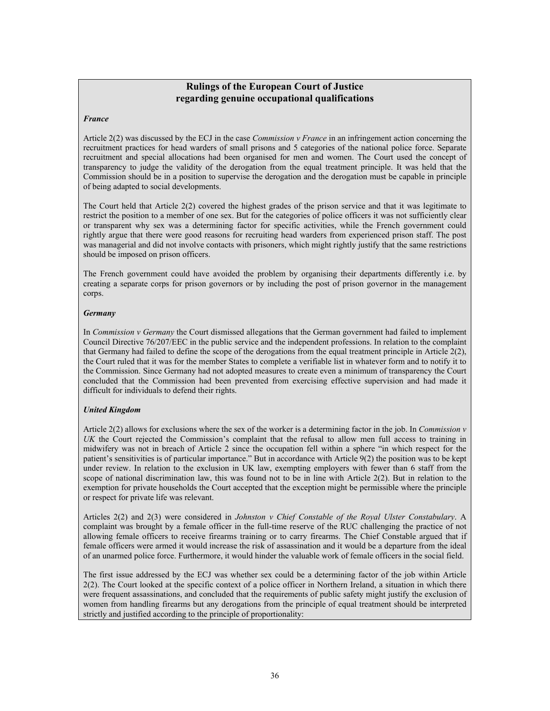# **Rulings of the European Court of Justice regarding genuine occupational qualifications**

## *France*

Article 2(2) was discussed by the ECJ in the case *Commission v France* in an infringement action concerning the recruitment practices for head warders of small prisons and 5 categories of the national police force. Separate recruitment and special allocations had been organised for men and women. The Court used the concept of transparency to judge the validity of the derogation from the equal treatment principle. It was held that the Commission should be in a position to supervise the derogation and the derogation must be capable in principle of being adapted to social developments.

The Court held that Article 2(2) covered the highest grades of the prison service and that it was legitimate to restrict the position to a member of one sex. But for the categories of police officers it was not sufficiently clear or transparent why sex was a determining factor for specific activities, while the French government could rightly argue that there were good reasons for recruiting head warders from experienced prison staff. The post was managerial and did not involve contacts with prisoners, which might rightly justify that the same restrictions should be imposed on prison officers.

The French government could have avoided the problem by organising their departments differently i.e. by creating a separate corps for prison governors or by including the post of prison governor in the management corps.

## *Germany*

In *Commission v Germany* the Court dismissed allegations that the German government had failed to implement Council Directive 76/207/EEC in the public service and the independent professions. In relation to the complaint that Germany had failed to define the scope of the derogations from the equal treatment principle in Article 2(2), the Court ruled that it was for the member States to complete a verifiable list in whatever form and to notify it to the Commission. Since Germany had not adopted measures to create even a minimum of transparency the Court concluded that the Commission had been prevented from exercising effective supervision and had made it difficult for individuals to defend their rights.

# *United Kingdom*

Article 2(2) allows for exclusions where the sex of the worker is a determining factor in the job. In *Commission v UK* the Court rejected the Commission's complaint that the refusal to allow men full access to training in midwifery was not in breach of Article 2 since the occupation fell within a sphere "in which respect for the patient's sensitivities is of particular importance." But in accordance with Article 9(2) the position was to be kept under review. In relation to the exclusion in UK law, exempting employers with fewer than 6 staff from the scope of national discrimination law, this was found not to be in line with Article 2(2). But in relation to the exemption for private households the Court accepted that the exception might be permissible where the principle or respect for private life was relevant.

Articles 2(2) and 2(3) were considered in *Johnston v Chief Constable of the Royal Ulster Constabulary*. A complaint was brought by a female officer in the full-time reserve of the RUC challenging the practice of not allowing female officers to receive firearms training or to carry firearms. The Chief Constable argued that if female officers were armed it would increase the risk of assassination and it would be a departure from the ideal of an unarmed police force. Furthermore, it would hinder the valuable work of female officers in the social field.

The first issue addressed by the ECJ was whether sex could be a determining factor of the job within Article 2(2). The Court looked at the specific context of a police officer in Northern Ireland, a situation in which there were frequent assassinations, and concluded that the requirements of public safety might justify the exclusion of women from handling firearms but any derogations from the principle of equal treatment should be interpreted strictly and justified according to the principle of proportionality: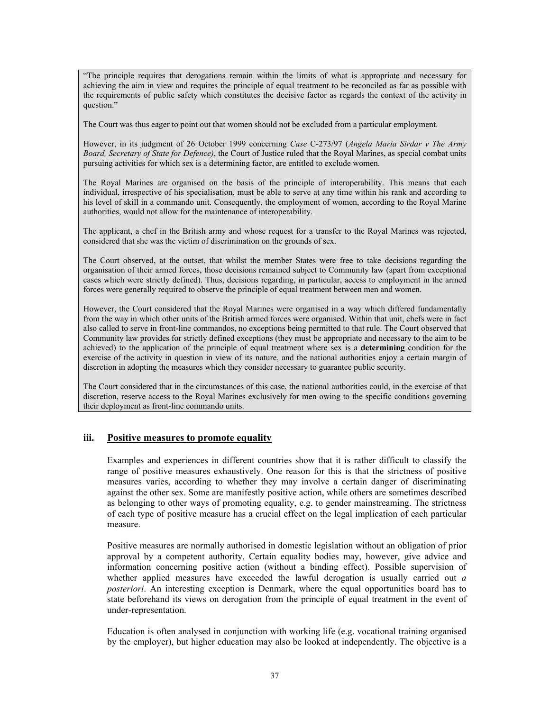"The principle requires that derogations remain within the limits of what is appropriate and necessary for achieving the aim in view and requires the principle of equal treatment to be reconciled as far as possible with the requirements of public safety which constitutes the decisive factor as regards the context of the activity in question."

The Court was thus eager to point out that women should not be excluded from a particular employment.

However, in its judgment of 26 October 1999 concerning *Case* C-273/97 (*Angela Maria Sirdar v The Army Board, Secretary of State for Defence)*, the Court of Justice ruled that the Royal Marines, as special combat units pursuing activities for which sex is a determining factor, are entitled to exclude women.

The Royal Marines are organised on the basis of the principle of interoperability. This means that each individual, irrespective of his specialisation, must be able to serve at any time within his rank and according to his level of skill in a commando unit. Consequently, the employment of women, according to the Royal Marine authorities, would not allow for the maintenance of interoperability.

The applicant, a chef in the British army and whose request for a transfer to the Royal Marines was rejected, considered that she was the victim of discrimination on the grounds of sex.

The Court observed, at the outset, that whilst the member States were free to take decisions regarding the organisation of their armed forces, those decisions remained subject to Community law (apart from exceptional cases which were strictly defined). Thus, decisions regarding, in particular, access to employment in the armed forces were generally required to observe the principle of equal treatment between men and women.

However, the Court considered that the Royal Marines were organised in a way which differed fundamentally from the way in which other units of the British armed forces were organised. Within that unit, chefs were in fact also called to serve in front-line commandos, no exceptions being permitted to that rule. The Court observed that Community law provides for strictly defined exceptions (they must be appropriate and necessary to the aim to be achieved) to the application of the principle of equal treatment where sex is a **determining** condition for the exercise of the activity in question in view of its nature, and the national authorities enjoy a certain margin of discretion in adopting the measures which they consider necessary to guarantee public security.

The Court considered that in the circumstances of this case, the national authorities could, in the exercise of that discretion, reserve access to the Royal Marines exclusively for men owing to the specific conditions governing their deployment as front-line commando units.

# **iii. Positive measures to promote equality**

Examples and experiences in different countries show that it is rather difficult to classify the range of positive measures exhaustively. One reason for this is that the strictness of positive measures varies, according to whether they may involve a certain danger of discriminating against the other sex. Some are manifestly positive action, while others are sometimes described as belonging to other ways of promoting equality, e.g. to gender mainstreaming. The strictness of each type of positive measure has a crucial effect on the legal implication of each particular measure.

Positive measures are normally authorised in domestic legislation without an obligation of prior approval by a competent authority. Certain equality bodies may, however, give advice and information concerning positive action (without a binding effect). Possible supervision of whether applied measures have exceeded the lawful derogation is usually carried out *a posteriori*. An interesting exception is Denmark, where the equal opportunities board has to state beforehand its views on derogation from the principle of equal treatment in the event of under-representation.

Education is often analysed in conjunction with working life (e.g. vocational training organised by the employer), but higher education may also be looked at independently. The objective is a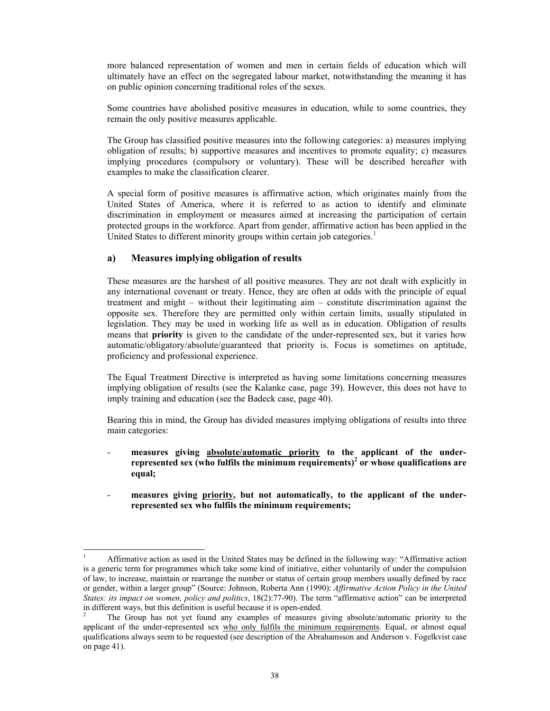more balanced representation of women and men in certain fields of education which will ultimately have an effect on the segregated labour market, notwithstanding the meaning it has on public opinion concerning traditional roles of the sexes.

Some countries have abolished positive measures in education, while to some countries, they remain the only positive measures applicable.

The Group has classified positive measures into the following categories: a) measures implying obligation of results; b) supportive measures and incentives to promote equality; c) measures implying procedures (compulsory or voluntary). These will be described hereafter with examples to make the classification clearer.

A special form of positive measures is affirmative action, which originates mainly from the United States of America, where it is referred to as action to identify and eliminate discrimination in employment or measures aimed at increasing the participation of certain protected groups in the workforce. Apart from gender, affirmative action has been applied in the United States to different minority groups within certain job categories.<sup>1</sup>

# **a) Measures implying obligation of results**

These measures are the harshest of all positive measures. They are not dealt with explicitly in any international covenant or treaty. Hence, they are often at odds with the principle of equal treatment and might – without their legitimating aim – constitute discrimination against the opposite sex. Therefore they are permitted only within certain limits, usually stipulated in legislation. They may be used in working life as well as in education. Obligation of results means that **priority** is given to the candidate of the under-represented sex, but it varies how automatic/obligatory/absolute/guaranteed that priority is. Focus is sometimes on aptitude, proficiency and professional experience.

The Equal Treatment Directive is interpreted as having some limitations concerning measures implying obligation of results (see the Kalanke case, page 39). However, this does not have to imply training and education (see the Badeck case, page 40).

Bearing this in mind, the Group has divided measures implying obligations of results into three main categories:

- **measures giving absolute/automatic priority to the applicant of the underrepresented sex (who fulfils the minimum requirements)<sup>2</sup> or whose qualifications are equal;**
- measures giving priority, but not automatically, to the applicant of the under**represented sex who fulfils the minimum requirements;**

 $\frac{1}{1}$  Affirmative action as used in the United States may be defined in the following way: "Affirmative action is a generic term for programmes which take some kind of initiative, either voluntarily of under the compulsion of law, to increase, maintain or rearrange the number or status of certain group members usually defined by race or gender, within a larger group" (Source: Johnson, Roberta Ann (1990): *Affirmative Action Policy in the United States: its impact on women, policy and politics*, 18(2):77-90). The term "affirmative action" can be interpreted in different ways, but this definition is useful because it is open-ended.

<sup>2</sup> The Group has not yet found any examples of measures giving absolute/automatic priority to the applicant of the under-represented sex who only fulfils the minimum requirements. Equal, or almost equal qualifications always seem to be requested (see description of the Abrahamsson and Anderson v. Fogelkvist case on page 41).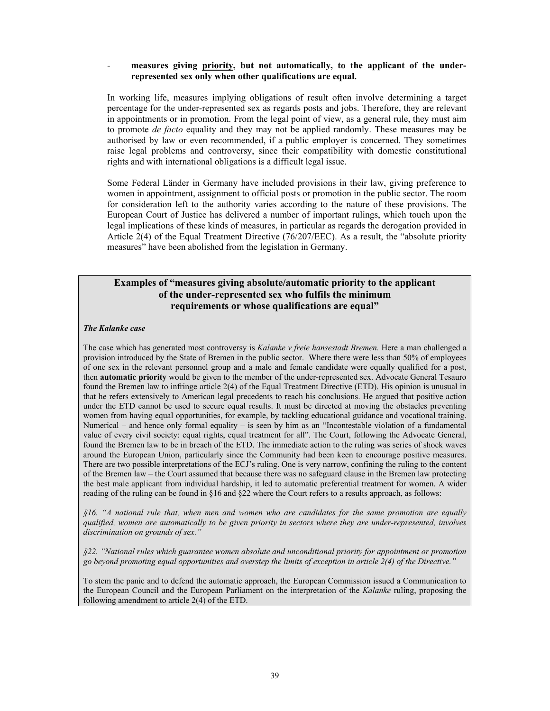## measures giving priority, but not automatically, to the applicant of the under**represented sex only when other qualifications are equal.**

In working life, measures implying obligations of result often involve determining a target percentage for the under-represented sex as regards posts and jobs. Therefore, they are relevant in appointments or in promotion. From the legal point of view, as a general rule, they must aim to promote *de facto* equality and they may not be applied randomly. These measures may be authorised by law or even recommended, if a public employer is concerned. They sometimes raise legal problems and controversy, since their compatibility with domestic constitutional rights and with international obligations is a difficult legal issue.

Some Federal Länder in Germany have included provisions in their law, giving preference to women in appointment, assignment to official posts or promotion in the public sector. The room for consideration left to the authority varies according to the nature of these provisions. The European Court of Justice has delivered a number of important rulings, which touch upon the legal implications of these kinds of measures, in particular as regards the derogation provided in Article 2(4) of the Equal Treatment Directive (76/207/EEC). As a result, the "absolute priority measures" have been abolished from the legislation in Germany.

# **Examples of "measures giving absolute/automatic priority to the applicant of the under-represented sex who fulfils the minimum requirements or whose qualifications are equal"**

## *The Kalanke case*

The case which has generated most controversy is *Kalanke v freie hansestadt Bremen.* Here a man challenged a provision introduced by the State of Bremen in the public sector. Where there were less than 50% of employees of one sex in the relevant personnel group and a male and female candidate were equally qualified for a post, then **automatic priority** would be given to the member of the under-represented sex. Advocate General Tesauro found the Bremen law to infringe article 2(4) of the Equal Treatment Directive (ETD). His opinion is unusual in that he refers extensively to American legal precedents to reach his conclusions. He argued that positive action under the ETD cannot be used to secure equal results. It must be directed at moving the obstacles preventing women from having equal opportunities, for example, by tackling educational guidance and vocational training. Numerical – and hence only formal equality – is seen by him as an "Incontestable violation of a fundamental value of every civil society: equal rights, equal treatment for all". The Court, following the Advocate General, found the Bremen law to be in breach of the ETD. The immediate action to the ruling was series of shock waves around the European Union, particularly since the Community had been keen to encourage positive measures. There are two possible interpretations of the ECJ's ruling. One is very narrow, confining the ruling to the content of the Bremen law – the Court assumed that because there was no safeguard clause in the Bremen law protecting the best male applicant from individual hardship, it led to automatic preferential treatment for women. A wider reading of the ruling can be found in §16 and §22 where the Court refers to a results approach, as follows:

*§16. "A national rule that, when men and women who are candidates for the same promotion are equally qualified, women are automatically to be given priority in sectors where they are under-represented, involves discrimination on grounds of sex."* 

*§22. "National rules which guarantee women absolute and unconditional priority for appointment or promotion go beyond promoting equal opportunities and overstep the limits of exception in article 2(4) of the Directive."* 

To stem the panic and to defend the automatic approach, the European Commission issued a Communication to the European Council and the European Parliament on the interpretation of the *Kalanke* ruling, proposing the following amendment to article 2(4) of the ETD.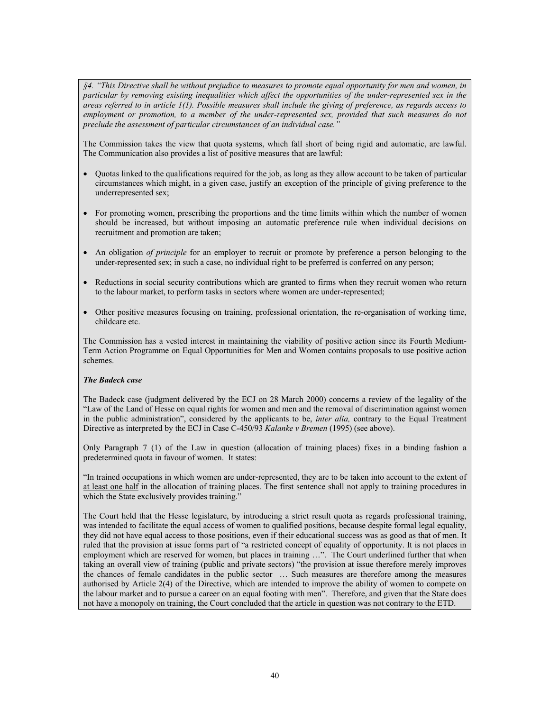*§4. "This Directive shall be without prejudice to measures to promote equal opportunity for men and women, in particular by removing existing inequalities which affect the opportunities of the under-represented sex in the areas referred to in article 1(1). Possible measures shall include the giving of preference, as regards access to employment or promotion, to a member of the under-represented sex, provided that such measures do not preclude the assessment of particular circumstances of an individual case."* 

The Commission takes the view that quota systems, which fall short of being rigid and automatic, are lawful. The Communication also provides a list of positive measures that are lawful:

- Quotas linked to the qualifications required for the job, as long as they allow account to be taken of particular circumstances which might, in a given case, justify an exception of the principle of giving preference to the underrepresented sex;
- For promoting women, prescribing the proportions and the time limits within which the number of women should be increased, but without imposing an automatic preference rule when individual decisions on recruitment and promotion are taken;
- An obligation *of principle* for an employer to recruit or promote by preference a person belonging to the under-represented sex; in such a case, no individual right to be preferred is conferred on any person;
- Reductions in social security contributions which are granted to firms when they recruit women who return to the labour market, to perform tasks in sectors where women are under-represented;
- Other positive measures focusing on training, professional orientation, the re-organisation of working time, childcare etc.

The Commission has a vested interest in maintaining the viability of positive action since its Fourth Medium-Term Action Programme on Equal Opportunities for Men and Women contains proposals to use positive action schemes.

## *The Badeck case*

The Badeck case (judgment delivered by the ECJ on 28 March 2000) concerns a review of the legality of the "Law of the Land of Hesse on equal rights for women and men and the removal of discrimination against women in the public administration", considered by the applicants to be, *inter alia,* contrary to the Equal Treatment Directive as interpreted by the ECJ in Case C-450/93 *Kalanke v Bremen* (1995) (see above).

Only Paragraph 7 (1) of the Law in question (allocation of training places) fixes in a binding fashion a predetermined quota in favour of women. It states:

"In trained occupations in which women are under-represented, they are to be taken into account to the extent of at least one half in the allocation of training places. The first sentence shall not apply to training procedures in which the State exclusively provides training."

The Court held that the Hesse legislature, by introducing a strict result quota as regards professional training, was intended to facilitate the equal access of women to qualified positions, because despite formal legal equality, they did not have equal access to those positions, even if their educational success was as good as that of men. It ruled that the provision at issue forms part of "a restricted concept of equality of opportunity. It is not places in employment which are reserved for women, but places in training ...". The Court underlined further that when taking an overall view of training (public and private sectors) "the provision at issue therefore merely improves the chances of female candidates in the public sector … Such measures are therefore among the measures authorised by Article 2(4) of the Directive, which are intended to improve the ability of women to compete on the labour market and to pursue a career on an equal footing with men". Therefore, and given that the State does not have a monopoly on training, the Court concluded that the article in question was not contrary to the ETD.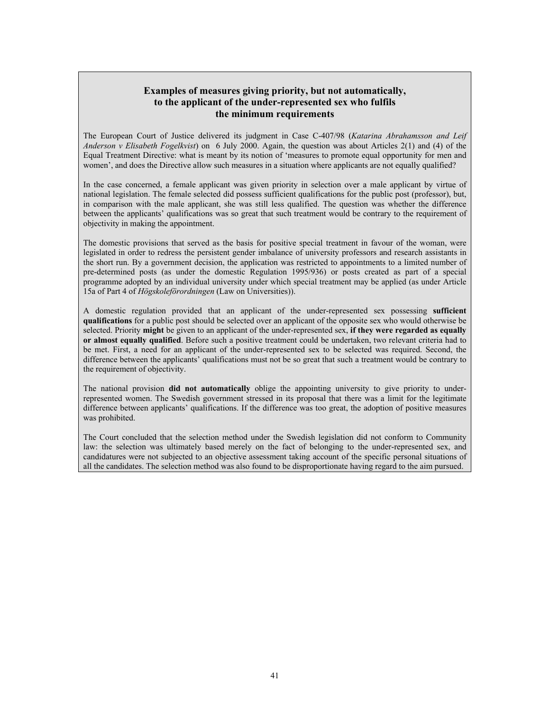# **Examples of measures giving priority, but not automatically, to the applicant of the under-represented sex who fulfils the minimum requirements**

The European Court of Justice delivered its judgment in Case C-407/98 (*Katarina Abrahamsson and Leif Anderson v Elisabeth Fogelkvist*) on 6 July 2000. Again, the question was about Articles 2(1) and (4) of the Equal Treatment Directive: what is meant by its notion of 'measures to promote equal opportunity for men and women', and does the Directive allow such measures in a situation where applicants are not equally qualified?

In the case concerned, a female applicant was given priority in selection over a male applicant by virtue of national legislation. The female selected did possess sufficient qualifications for the public post (professor), but, in comparison with the male applicant, she was still less qualified. The question was whether the difference between the applicants' qualifications was so great that such treatment would be contrary to the requirement of objectivity in making the appointment.

The domestic provisions that served as the basis for positive special treatment in favour of the woman, were legislated in order to redress the persistent gender imbalance of university professors and research assistants in the short run. By a government decision, the application was restricted to appointments to a limited number of pre-determined posts (as under the domestic Regulation 1995/936) or posts created as part of a special programme adopted by an individual university under which special treatment may be applied (as under Article 15a of Part 4 of *Högskoleförordningen* (Law on Universities)).

A domestic regulation provided that an applicant of the under-represented sex possessing **sufficient qualifications** for a public post should be selected over an applicant of the opposite sex who would otherwise be selected. Priority **might** be given to an applicant of the under-represented sex, **if they were regarded as equally or almost equally qualified**. Before such a positive treatment could be undertaken, two relevant criteria had to be met. First, a need for an applicant of the under-represented sex to be selected was required. Second, the difference between the applicants' qualifications must not be so great that such a treatment would be contrary to the requirement of objectivity.

The national provision **did not automatically** oblige the appointing university to give priority to underrepresented women. The Swedish government stressed in its proposal that there was a limit for the legitimate difference between applicants' qualifications. If the difference was too great, the adoption of positive measures was prohibited.

The Court concluded that the selection method under the Swedish legislation did not conform to Community law: the selection was ultimately based merely on the fact of belonging to the under-represented sex, and candidatures were not subjected to an objective assessment taking account of the specific personal situations of all the candidates. The selection method was also found to be disproportionate having regard to the aim pursued.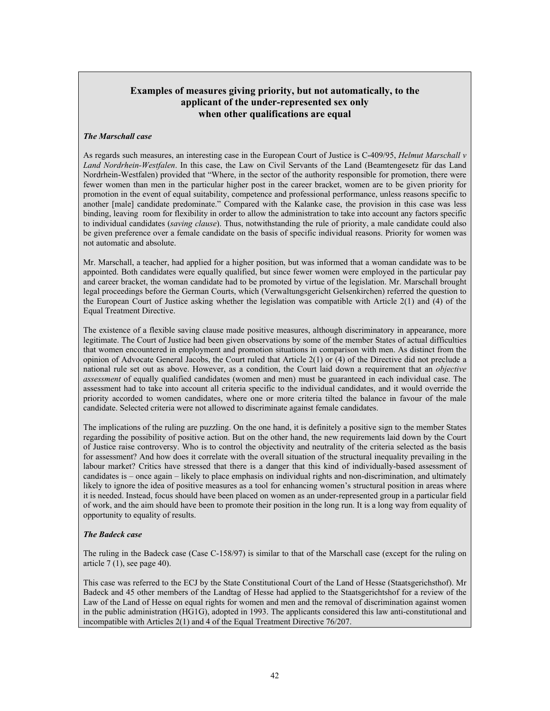# **Examples of measures giving priority, but not automatically, to the applicant of the under-represented sex only when other qualifications are equal**

## *The Marschall case*

As regards such measures, an interesting case in the European Court of Justice is C-409/95, *Helmut Marschall v Land Nordrhein-Westfalen*. In this case, the Law on Civil Servants of the Land (Beamtengesetz für das Land Nordrhein-Westfalen) provided that "Where, in the sector of the authority responsible for promotion, there were fewer women than men in the particular higher post in the career bracket, women are to be given priority for promotion in the event of equal suitability, competence and professional performance, unless reasons specific to another [male] candidate predominate." Compared with the Kalanke case, the provision in this case was less binding, leaving room for flexibility in order to allow the administration to take into account any factors specific to individual candidates (*saving clause*). Thus, notwithstanding the rule of priority, a male candidate could also be given preference over a female candidate on the basis of specific individual reasons. Priority for women was not automatic and absolute.

Mr. Marschall, a teacher, had applied for a higher position, but was informed that a woman candidate was to be appointed. Both candidates were equally qualified, but since fewer women were employed in the particular pay and career bracket, the woman candidate had to be promoted by virtue of the legislation. Mr. Marschall brought legal proceedings before the German Courts, which (Verwaltungsgericht Gelsenkirchen) referred the question to the European Court of Justice asking whether the legislation was compatible with Article 2(1) and (4) of the Equal Treatment Directive.

The existence of a flexible saving clause made positive measures, although discriminatory in appearance, more legitimate. The Court of Justice had been given observations by some of the member States of actual difficulties that women encountered in employment and promotion situations in comparison with men. As distinct from the opinion of Advocate General Jacobs, the Court ruled that Article 2(1) or (4) of the Directive did not preclude a national rule set out as above. However, as a condition, the Court laid down a requirement that an *objective assessment* of equally qualified candidates (women and men) must be guaranteed in each individual case. The assessment had to take into account all criteria specific to the individual candidates, and it would override the priority accorded to women candidates, where one or more criteria tilted the balance in favour of the male candidate. Selected criteria were not allowed to discriminate against female candidates.

The implications of the ruling are puzzling. On the one hand, it is definitely a positive sign to the member States regarding the possibility of positive action. But on the other hand, the new requirements laid down by the Court of Justice raise controversy. Who is to control the objectivity and neutrality of the criteria selected as the basis for assessment? And how does it correlate with the overall situation of the structural inequality prevailing in the labour market? Critics have stressed that there is a danger that this kind of individually-based assessment of candidates is – once again – likely to place emphasis on individual rights and non-discrimination, and ultimately likely to ignore the idea of positive measures as a tool for enhancing women's structural position in areas where it is needed. Instead, focus should have been placed on women as an under-represented group in a particular field of work, and the aim should have been to promote their position in the long run. It is a long way from equality of opportunity to equality of results.

# *The Badeck case*

The ruling in the Badeck case (Case C-158/97) is similar to that of the Marschall case (except for the ruling on article  $7(1)$ , see page 40).

This case was referred to the ECJ by the State Constitutional Court of the Land of Hesse (Staatsgerichsthof). Mr Badeck and 45 other members of the Landtag of Hesse had applied to the Staatsgerichtshof for a review of the Law of the Land of Hesse on equal rights for women and men and the removal of discrimination against women in the public administration (HG1G), adopted in 1993. The applicants considered this law anti-constitutional and incompatible with Articles 2(1) and 4 of the Equal Treatment Directive 76/207.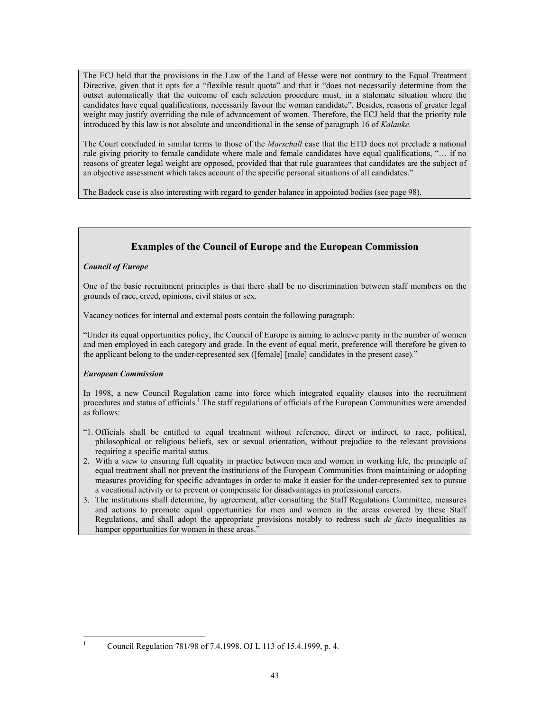The ECJ held that the provisions in the Law of the Land of Hesse were not contrary to the Equal Treatment Directive, given that it opts for a "flexible result quota" and that it "does not necessarily determine from the outset automatically that the outcome of each selection procedure must, in a stalemate situation where the candidates have equal qualifications, necessarily favour the woman candidate". Besides, reasons of greater legal weight may justify overriding the rule of advancement of women. Therefore, the ECJ held that the priority rule introduced by this law is not absolute and unconditional in the sense of paragraph 16 of *Kalanke.*

The Court concluded in similar terms to those of the *Marschall* case that the ETD does not preclude a national rule giving priority to female candidate where male and female candidates have equal qualifications, "… if no reasons of greater legal weight are opposed, provided that that rule guarantees that candidates are the subject of an objective assessment which takes account of the specific personal situations of all candidates."

The Badeck case is also interesting with regard to gender balance in appointed bodies (see page 98).

# **Examples of the Council of Europe and the European Commission**

## *Council of Europe*

One of the basic recruitment principles is that there shall be no discrimination between staff members on the grounds of race, creed, opinions, civil status or sex.

Vacancy notices for internal and external posts contain the following paragraph:

"Under its equal opportunities policy, the Council of Europe is aiming to achieve parity in the number of women and men employed in each category and grade. In the event of equal merit, preference will therefore be given to the applicant belong to the under-represented sex ([female] [male] candidates in the present case)."

# *European Commission*

 $\overline{a}$ 

In 1998, a new Council Regulation came into force which integrated equality clauses into the recruitment procedures and status of officials.<sup>1</sup> The staff regulations of officials of the European Communities were amended as follows:

- "1. Officials shall be entitled to equal treatment without reference, direct or indirect, to race, political, philosophical or religious beliefs, sex or sexual orientation, without prejudice to the relevant provisions requiring a specific marital status.
- 2. With a view to ensuring full equality in practice between men and women in working life, the principle of equal treatment shall not prevent the institutions of the European Communities from maintaining or adopting measures providing for specific advantages in order to make it easier for the under-represented sex to pursue a vocational activity or to prevent or compensate for disadvantages in professional careers.
- 3. The institutions shall determine, by agreement, after consulting the Staff Regulations Committee, measures and actions to promote equal opportunities for men and women in the areas covered by these Staff Regulations, and shall adopt the appropriate provisions notably to redress such *de facto* inequalities as hamper opportunities for women in these areas."

<sup>1</sup> Council Regulation 781/98 of 7.4.1998. OJ L 113 of 15.4.1999, p. 4.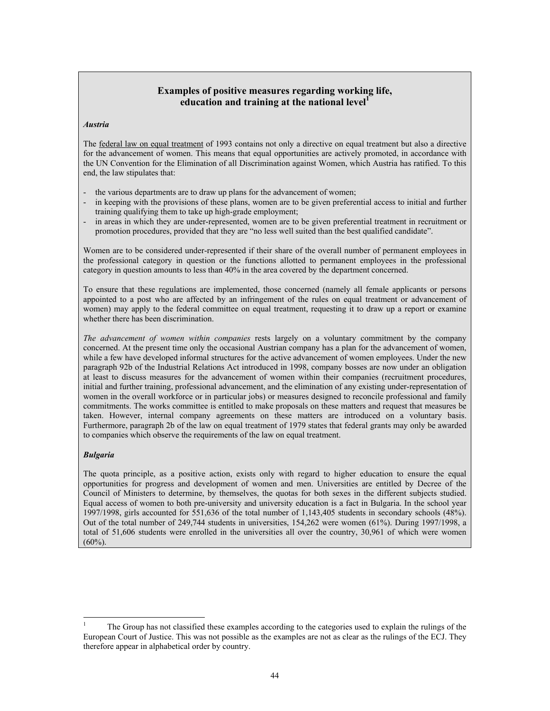# **Examples of positive measures regarding working life, education and training at the national level<sup>1</sup>**

### *Austria*

The **federal law on equal treatment** of 1993 contains not only a directive on equal treatment but also a directive for the advancement of women. This means that equal opportunities are actively promoted, in accordance with the UN Convention for the Elimination of all Discrimination against Women, which Austria has ratified. To this end, the law stipulates that:

- the various departments are to draw up plans for the advancement of women;
- in keeping with the provisions of these plans, women are to be given preferential access to initial and further training qualifying them to take up high-grade employment;
- in areas in which they are under-represented, women are to be given preferential treatment in recruitment or promotion procedures, provided that they are "no less well suited than the best qualified candidate".

Women are to be considered under-represented if their share of the overall number of permanent employees in the professional category in question or the functions allotted to permanent employees in the professional category in question amounts to less than 40% in the area covered by the department concerned.

To ensure that these regulations are implemented, those concerned (namely all female applicants or persons appointed to a post who are affected by an infringement of the rules on equal treatment or advancement of women) may apply to the federal committee on equal treatment, requesting it to draw up a report or examine whether there has been discrimination.

*The advancement of women within companies* rests largely on a voluntary commitment by the company concerned. At the present time only the occasional Austrian company has a plan for the advancement of women, while a few have developed informal structures for the active advancement of women employees. Under the new paragraph 92b of the Industrial Relations Act introduced in 1998, company bosses are now under an obligation at least to discuss measures for the advancement of women within their companies (recruitment procedures, initial and further training, professional advancement, and the elimination of any existing under-representation of women in the overall workforce or in particular jobs) or measures designed to reconcile professional and family commitments. The works committee is entitled to make proposals on these matters and request that measures be taken. However, internal company agreements on these matters are introduced on a voluntary basis. Furthermore, paragraph 2b of the law on equal treatment of 1979 states that federal grants may only be awarded to companies which observe the requirements of the law on equal treatment.

## *Bulgaria*

 $\overline{a}$ 

The quota principle, as a positive action, exists only with regard to higher education to ensure the equal opportunities for progress and development of women and men. Universities are entitled by Decree of the Council of Ministers to determine, by themselves, the quotas for both sexes in the different subjects studied. Equal access of women to both pre-university and university education is a fact in Bulgaria. In the school year 1997/1998, girls accounted for 551,636 of the total number of 1,143,405 students in secondary schools (48%). Out of the total number of 249,744 students in universities, 154,262 were women (61%). During 1997/1998, a total of 51,606 students were enrolled in the universities all over the country, 30,961 of which were women  $(60\%)$ .

<sup>1</sup> The Group has not classified these examples according to the categories used to explain the rulings of the European Court of Justice. This was not possible as the examples are not as clear as the rulings of the ECJ. They therefore appear in alphabetical order by country.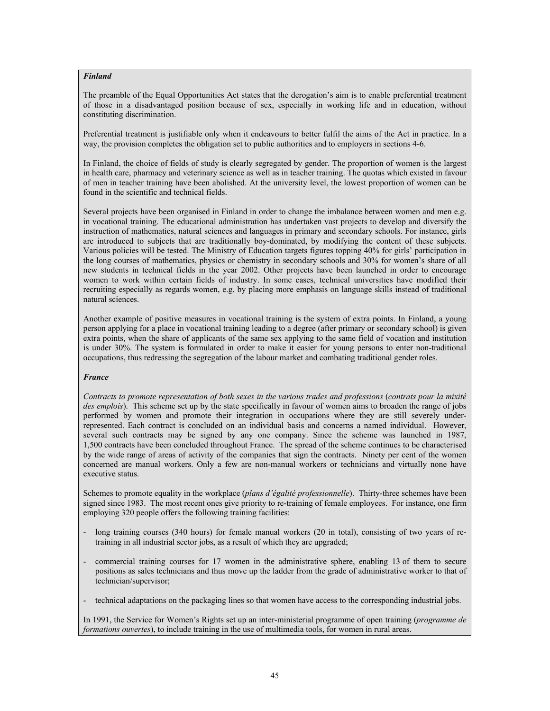## *Finland*

The preamble of the Equal Opportunities Act states that the derogation's aim is to enable preferential treatment of those in a disadvantaged position because of sex, especially in working life and in education, without constituting discrimination.

Preferential treatment is justifiable only when it endeavours to better fulfil the aims of the Act in practice. In a way, the provision completes the obligation set to public authorities and to employers in sections 4-6.

In Finland, the choice of fields of study is clearly segregated by gender. The proportion of women is the largest in health care, pharmacy and veterinary science as well as in teacher training. The quotas which existed in favour of men in teacher training have been abolished. At the university level, the lowest proportion of women can be found in the scientific and technical fields.

Several projects have been organised in Finland in order to change the imbalance between women and men e.g. in vocational training. The educational administration has undertaken vast projects to develop and diversify the instruction of mathematics, natural sciences and languages in primary and secondary schools. For instance, girls are introduced to subjects that are traditionally boy-dominated, by modifying the content of these subjects. Various policies will be tested. The Ministry of Education targets figures topping 40% for girls' participation in the long courses of mathematics, physics or chemistry in secondary schools and 30% for women's share of all new students in technical fields in the year 2002. Other projects have been launched in order to encourage women to work within certain fields of industry. In some cases, technical universities have modified their recruiting especially as regards women, e.g. by placing more emphasis on language skills instead of traditional natural sciences.

Another example of positive measures in vocational training is the system of extra points. In Finland, a young person applying for a place in vocational training leading to a degree (after primary or secondary school) is given extra points, when the share of applicants of the same sex applying to the same field of vocation and institution is under 30%. The system is formulated in order to make it easier for young persons to enter non-traditional occupations, thus redressing the segregation of the labour market and combating traditional gender roles.

## *France*

*Contracts to promote representation of both sexes in the various trades and professions* (*contrats pour la mixité des emplois*). This scheme set up by the state specifically in favour of women aims to broaden the range of jobs performed by women and promote their integration in occupations where they are still severely underrepresented. Each contract is concluded on an individual basis and concerns a named individual. However, several such contracts may be signed by any one company. Since the scheme was launched in 1987, 1,500 contracts have been concluded throughout France. The spread of the scheme continues to be characterised by the wide range of areas of activity of the companies that sign the contracts. Ninety per cent of the women concerned are manual workers. Only a few are non-manual workers or technicians and virtually none have executive status.

Schemes to promote equality in the workplace (*plans d'égalité professionnelle*). Thirty-three schemes have been signed since 1983. The most recent ones give priority to re-training of female employees. For instance, one firm employing 320 people offers the following training facilities:

- long training courses (340 hours) for female manual workers (20 in total), consisting of two years of retraining in all industrial sector jobs, as a result of which they are upgraded;
- commercial training courses for 17 women in the administrative sphere, enabling 13 of them to secure positions as sales technicians and thus move up the ladder from the grade of administrative worker to that of technician/supervisor;
- technical adaptations on the packaging lines so that women have access to the corresponding industrial jobs.

In 1991, the Service for Women's Rights set up an inter-ministerial programme of open training (*programme de formations ouvertes*), to include training in the use of multimedia tools, for women in rural areas.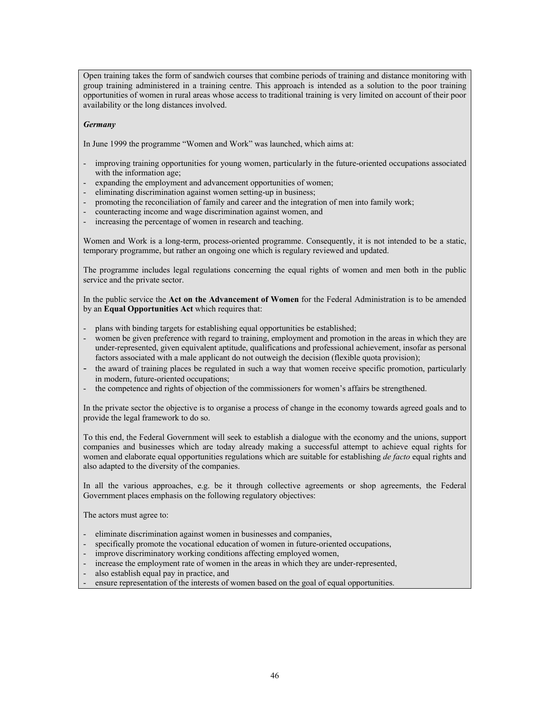Open training takes the form of sandwich courses that combine periods of training and distance monitoring with group training administered in a training centre. This approach is intended as a solution to the poor training opportunities of women in rural areas whose access to traditional training is very limited on account of their poor availability or the long distances involved.

## *Germany*

In June 1999 the programme "Women and Work" was launched, which aims at:

- improving training opportunities for young women, particularly in the future-oriented occupations associated with the information age;
- expanding the employment and advancement opportunities of women;
- eliminating discrimination against women setting-up in business;
- promoting the reconciliation of family and career and the integration of men into family work;
- counteracting income and wage discrimination against women, and
- increasing the percentage of women in research and teaching.

Women and Work is a long-term, process-oriented programme. Consequently, it is not intended to be a static, temporary programme, but rather an ongoing one which is regulary reviewed and updated.

The programme includes legal regulations concerning the equal rights of women and men both in the public service and the private sector.

In the public service the **Act on the Advancement of Women** for the Federal Administration is to be amended by an **Equal Opportunities Act** which requires that:

- plans with binding targets for establishing equal opportunities be established;
- women be given preference with regard to training, employment and promotion in the areas in which they are under-represented, given equivalent aptitude, qualifications and professional achievement, insofar as personal factors associated with a male applicant do not outweigh the decision (flexible quota provision);
- the award of training places be regulated in such a way that women receive specific promotion, particularly in modern, future-oriented occupations;
- the competence and rights of objection of the commissioners for women's affairs be strengthened.

In the private sector the objective is to organise a process of change in the economy towards agreed goals and to provide the legal framework to do so.

To this end, the Federal Government will seek to establish a dialogue with the economy and the unions, support companies and businesses which are today already making a successful attempt to achieve equal rights for women and elaborate equal opportunities regulations which are suitable for establishing *de facto* equal rights and also adapted to the diversity of the companies.

In all the various approaches, e.g. be it through collective agreements or shop agreements, the Federal Government places emphasis on the following regulatory objectives:

The actors must agree to:

- eliminate discrimination against women in businesses and companies,
- specifically promote the vocational education of women in future-oriented occupations,
- improve discriminatory working conditions affecting employed women,
- increase the employment rate of women in the areas in which they are under-represented,
- also establish equal pay in practice, and
- ensure representation of the interests of women based on the goal of equal opportunities.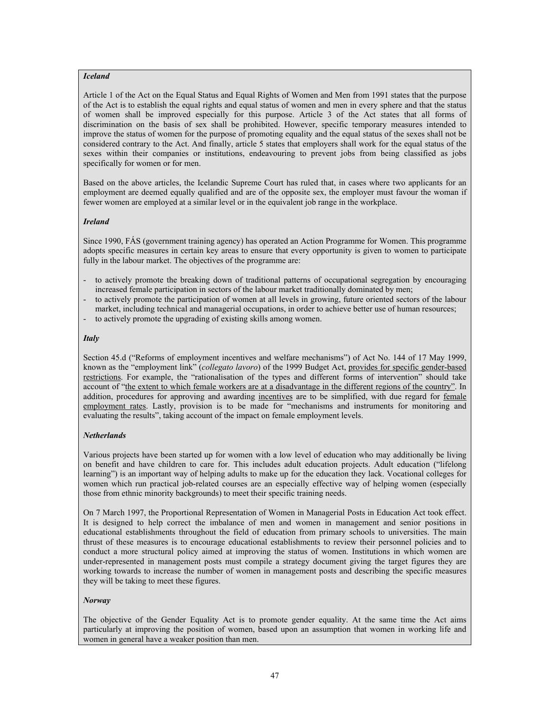## *Iceland*

Article 1 of the Act on the Equal Status and Equal Rights of Women and Men from 1991 states that the purpose of the Act is to establish the equal rights and equal status of women and men in every sphere and that the status of women shall be improved especially for this purpose. Article 3 of the Act states that all forms of discrimination on the basis of sex shall be prohibited. However, specific temporary measures intended to improve the status of women for the purpose of promoting equality and the equal status of the sexes shall not be considered contrary to the Act. And finally, article 5 states that employers shall work for the equal status of the sexes within their companies or institutions, endeavouring to prevent jobs from being classified as jobs specifically for women or for men.

Based on the above articles, the Icelandic Supreme Court has ruled that, in cases where two applicants for an employment are deemed equally qualified and are of the opposite sex, the employer must favour the woman if fewer women are employed at a similar level or in the equivalent job range in the workplace.

## *Ireland*

Since 1990, FÁS (government training agency) has operated an Action Programme for Women. This programme adopts specific measures in certain key areas to ensure that every opportunity is given to women to participate fully in the labour market. The objectives of the programme are:

- to actively promote the breaking down of traditional patterns of occupational segregation by encouraging increased female participation in sectors of the labour market traditionally dominated by men;
- to actively promote the participation of women at all levels in growing, future oriented sectors of the labour market, including technical and managerial occupations, in order to achieve better use of human resources;
- to actively promote the upgrading of existing skills among women.

## *Italy*

Section 45.d ("Reforms of employment incentives and welfare mechanisms") of Act No. 144 of 17 May 1999, known as the "employment link" (*collegato lavoro*) of the 1999 Budget Act, provides for specific gender-based restrictions. For example, the "rationalisation of the types and different forms of intervention" should take account of "the extent to which female workers are at a disadvantage in the different regions of the country". In addition, procedures for approving and awarding incentives are to be simplified, with due regard for female employment rates. Lastly, provision is to be made for "mechanisms and instruments for monitoring and evaluating the results", taking account of the impact on female employment levels.

## *Netherlands*

Various projects have been started up for women with a low level of education who may additionally be living on benefit and have children to care for. This includes adult education projects. Adult education ("lifelong learning") is an important way of helping adults to make up for the education they lack. Vocational colleges for women which run practical job-related courses are an especially effective way of helping women (especially those from ethnic minority backgrounds) to meet their specific training needs.

On 7 March 1997, the Proportional Representation of Women in Managerial Posts in Education Act took effect. It is designed to help correct the imbalance of men and women in management and senior positions in educational establishments throughout the field of education from primary schools to universities. The main thrust of these measures is to encourage educational establishments to review their personnel policies and to conduct a more structural policy aimed at improving the status of women. Institutions in which women are under-represented in management posts must compile a strategy document giving the target figures they are working towards to increase the number of women in management posts and describing the specific measures they will be taking to meet these figures.

# *Norway*

The objective of the Gender Equality Act is to promote gender equality. At the same time the Act aims particularly at improving the position of women, based upon an assumption that women in working life and women in general have a weaker position than men.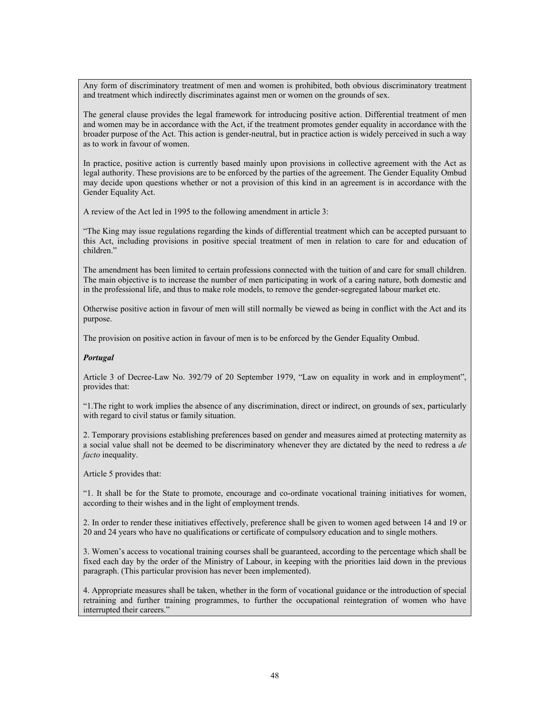Any form of discriminatory treatment of men and women is prohibited, both obvious discriminatory treatment and treatment which indirectly discriminates against men or women on the grounds of sex.

The general clause provides the legal framework for introducing positive action. Differential treatment of men and women may be in accordance with the Act, if the treatment promotes gender equality in accordance with the broader purpose of the Act. This action is gender-neutral, but in practice action is widely perceived in such a way as to work in favour of women.

In practice, positive action is currently based mainly upon provisions in collective agreement with the Act as legal authority. These provisions are to be enforced by the parties of the agreement. The Gender Equality Ombud may decide upon questions whether or not a provision of this kind in an agreement is in accordance with the Gender Equality Act.

A review of the Act led in 1995 to the following amendment in article 3:

"The King may issue regulations regarding the kinds of differential treatment which can be accepted pursuant to this Act, including provisions in positive special treatment of men in relation to care for and education of children<sup>"</sup>

The amendment has been limited to certain professions connected with the tuition of and care for small children. The main objective is to increase the number of men participating in work of a caring nature, both domestic and in the professional life, and thus to make role models, to remove the gender-segregated labour market etc.

Otherwise positive action in favour of men will still normally be viewed as being in conflict with the Act and its purpose.

The provision on positive action in favour of men is to be enforced by the Gender Equality Ombud.

## *Portugal*

Article 3 of Decree-Law No. 392/79 of 20 September 1979, "Law on equality in work and in employment", provides that:

"1.The right to work implies the absence of any discrimination, direct or indirect, on grounds of sex, particularly with regard to civil status or family situation.

2. Temporary provisions establishing preferences based on gender and measures aimed at protecting maternity as a social value shall not be deemed to be discriminatory whenever they are dictated by the need to redress a *de facto* inequality.

Article 5 provides that:

"1. It shall be for the State to promote, encourage and co-ordinate vocational training initiatives for women, according to their wishes and in the light of employment trends.

2. In order to render these initiatives effectively, preference shall be given to women aged between 14 and 19 or 20 and 24 years who have no qualifications or certificate of compulsory education and to single mothers.

3. Women's access to vocational training courses shall be guaranteed, according to the percentage which shall be fixed each day by the order of the Ministry of Labour, in keeping with the priorities laid down in the previous paragraph. (This particular provision has never been implemented).

4. Appropriate measures shall be taken, whether in the form of vocational guidance or the introduction of special retraining and further training programmes, to further the occupational reintegration of women who have interrupted their careers."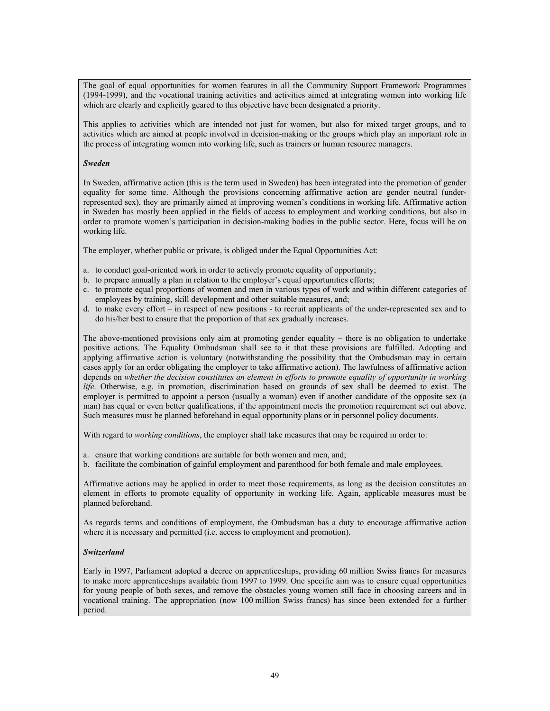The goal of equal opportunities for women features in all the Community Support Framework Programmes (1994-1999), and the vocational training activities and activities aimed at integrating women into working life which are clearly and explicitly geared to this objective have been designated a priority.

This applies to activities which are intended not just for women, but also for mixed target groups, and to activities which are aimed at people involved in decision-making or the groups which play an important role in the process of integrating women into working life, such as trainers or human resource managers.

### *Sweden*

In Sweden, affirmative action (this is the term used in Sweden) has been integrated into the promotion of gender equality for some time. Although the provisions concerning affirmative action are gender neutral (underrepresented sex), they are primarily aimed at improving women's conditions in working life. Affirmative action in Sweden has mostly been applied in the fields of access to employment and working conditions, but also in order to promote women's participation in decision-making bodies in the public sector. Here, focus will be on working life.

The employer, whether public or private, is obliged under the Equal Opportunities Act:

- a. to conduct goal-oriented work in order to actively promote equality of opportunity;
- b. to prepare annually a plan in relation to the employer's equal opportunities efforts;
- c. to promote equal proportions of women and men in various types of work and within different categories of employees by training, skill development and other suitable measures, and;
- d. to make every effort in respect of new positions to recruit applicants of the under-represented sex and to do his/her best to ensure that the proportion of that sex gradually increases.

The above-mentioned provisions only aim at promoting gender equality – there is no obligation to undertake positive actions. The Equality Ombudsman shall see to it that these provisions are fulfilled. Adopting and applying affirmative action is voluntary (notwithstanding the possibility that the Ombudsman may in certain cases apply for an order obligating the employer to take affirmative action). The lawfulness of affirmative action depends on *whether the decision constitutes an element in efforts to promote equality of opportunity in working life*. Otherwise, e.g. in promotion, discrimination based on grounds of sex shall be deemed to exist. The employer is permitted to appoint a person (usually a woman) even if another candidate of the opposite sex (a man) has equal or even better qualifications, if the appointment meets the promotion requirement set out above. Such measures must be planned beforehand in equal opportunity plans or in personnel policy documents.

With regard to *working conditions*, the employer shall take measures that may be required in order to:

- a. ensure that working conditions are suitable for both women and men, and;
- b. facilitate the combination of gainful employment and parenthood for both female and male employees.

Affirmative actions may be applied in order to meet those requirements, as long as the decision constitutes an element in efforts to promote equality of opportunity in working life. Again, applicable measures must be planned beforehand.

As regards terms and conditions of employment, the Ombudsman has a duty to encourage affirmative action where it is necessary and permitted (i.e. access to employment and promotion).

## *Switzerland*

Early in 1997, Parliament adopted a decree on apprenticeships, providing 60 million Swiss francs for measures to make more apprenticeships available from 1997 to 1999. One specific aim was to ensure equal opportunities for young people of both sexes, and remove the obstacles young women still face in choosing careers and in vocational training. The appropriation (now 100 million Swiss francs) has since been extended for a further period.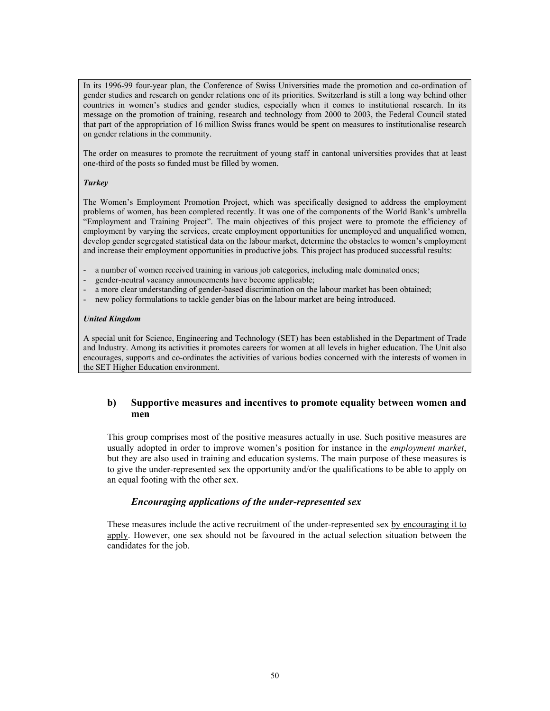In its 1996-99 four-year plan, the Conference of Swiss Universities made the promotion and co-ordination of gender studies and research on gender relations one of its priorities. Switzerland is still a long way behind other countries in women's studies and gender studies, especially when it comes to institutional research. In its message on the promotion of training, research and technology from 2000 to 2003, the Federal Council stated that part of the appropriation of 16 million Swiss francs would be spent on measures to institutionalise research on gender relations in the community.

The order on measures to promote the recruitment of young staff in cantonal universities provides that at least one-third of the posts so funded must be filled by women.

## *Turkey*

The Women's Employment Promotion Project, which was specifically designed to address the employment problems of women, has been completed recently. It was one of the components of the World Bank's umbrella "Employment and Training Project". The main objectives of this project were to promote the efficiency of employment by varying the services, create employment opportunities for unemployed and unqualified women, develop gender segregated statistical data on the labour market, determine the obstacles to women's employment and increase their employment opportunities in productive jobs. This project has produced successful results:

- a number of women received training in various job categories, including male dominated ones;
- gender-neutral vacancy announcements have become applicable;
- a more clear understanding of gender-based discrimination on the labour market has been obtained;
- new policy formulations to tackle gender bias on the labour market are being introduced.

## *United Kingdom*

A special unit for Science, Engineering and Technology (SET) has been established in the Department of Trade and Industry. Among its activities it promotes careers for women at all levels in higher education. The Unit also encourages, supports and co-ordinates the activities of various bodies concerned with the interests of women in the SET Higher Education environment.

# **b) Supportive measures and incentives to promote equality between women and men**

This group comprises most of the positive measures actually in use. Such positive measures are usually adopted in order to improve women's position for instance in the *employment market*, but they are also used in training and education systems. The main purpose of these measures is to give the under-represented sex the opportunity and/or the qualifications to be able to apply on an equal footing with the other sex.

# *Encouraging applications of the under-represented sex*

These measures include the active recruitment of the under-represented sex by encouraging it to apply. However, one sex should not be favoured in the actual selection situation between the candidates for the job.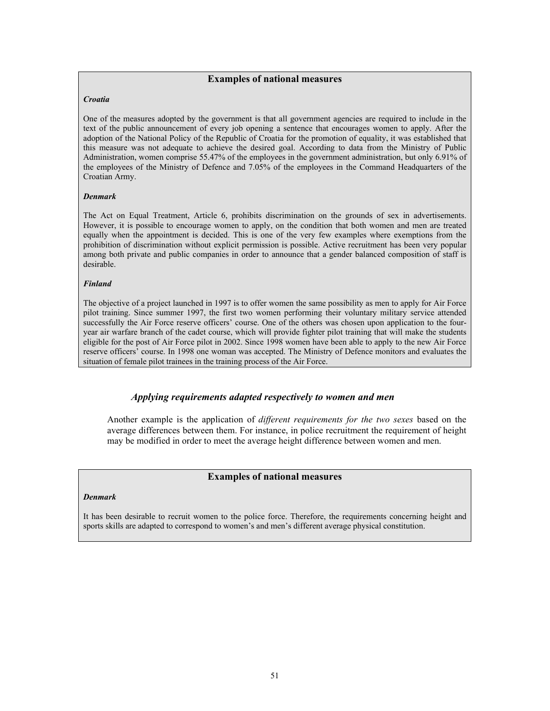# **Examples of national measures**

#### *Croatia*

One of the measures adopted by the government is that all government agencies are required to include in the text of the public announcement of every job opening a sentence that encourages women to apply. After the adoption of the National Policy of the Republic of Croatia for the promotion of equality, it was established that this measure was not adequate to achieve the desired goal. According to data from the Ministry of Public Administration, women comprise 55.47% of the employees in the government administration, but only 6.91% of the employees of the Ministry of Defence and 7.05% of the employees in the Command Headquarters of the Croatian Army.

#### *Denmark*

The Act on Equal Treatment, Article 6, prohibits discrimination on the grounds of sex in advertisements. However, it is possible to encourage women to apply, on the condition that both women and men are treated equally when the appointment is decided. This is one of the very few examples where exemptions from the prohibition of discrimination without explicit permission is possible. Active recruitment has been very popular among both private and public companies in order to announce that a gender balanced composition of staff is desirable.

#### *Finland*

The objective of a project launched in 1997 is to offer women the same possibility as men to apply for Air Force pilot training. Since summer 1997, the first two women performing their voluntary military service attended successfully the Air Force reserve officers' course. One of the others was chosen upon application to the fouryear air warfare branch of the cadet course, which will provide fighter pilot training that will make the students eligible for the post of Air Force pilot in 2002. Since 1998 women have been able to apply to the new Air Force reserve officers' course. In 1998 one woman was accepted. The Ministry of Defence monitors and evaluates the situation of female pilot trainees in the training process of the Air Force.

# *Applying requirements adapted respectively to women and men*

Another example is the application of *different requirements for the two sexes* based on the average differences between them. For instance, in police recruitment the requirement of height may be modified in order to meet the average height difference between women and men.

## **Examples of national measures**

#### *Denmark*

It has been desirable to recruit women to the police force. Therefore, the requirements concerning height and sports skills are adapted to correspond to women's and men's different average physical constitution.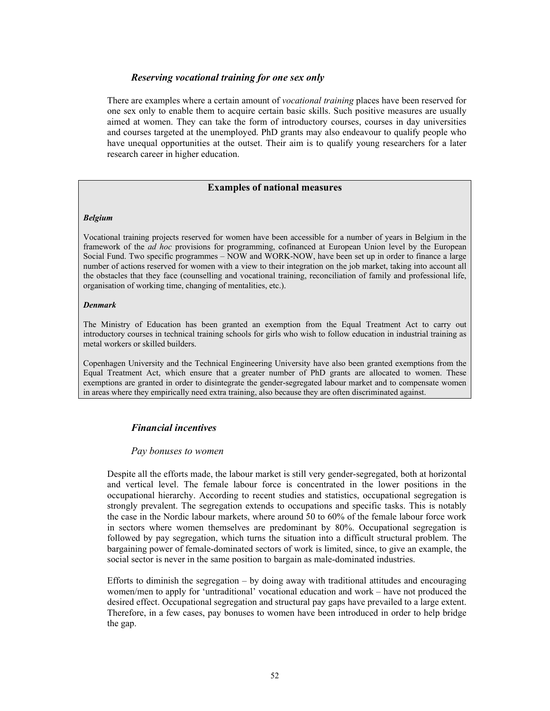# *Reserving vocational training for one sex only*

There are examples where a certain amount of *vocational training* places have been reserved for one sex only to enable them to acquire certain basic skills. Such positive measures are usually aimed at women. They can take the form of introductory courses, courses in day universities and courses targeted at the unemployed. PhD grants may also endeavour to qualify people who have unequal opportunities at the outset. Their aim is to qualify young researchers for a later research career in higher education.

# **Examples of national measures**

## *Belgium*

Vocational training projects reserved for women have been accessible for a number of years in Belgium in the framework of the *ad hoc* provisions for programming, cofinanced at European Union level by the European Social Fund. Two specific programmes – NOW and WORK-NOW, have been set up in order to finance a large number of actions reserved for women with a view to their integration on the job market, taking into account all the obstacles that they face (counselling and vocational training, reconciliation of family and professional life, organisation of working time, changing of mentalities, etc.).

## *Denmark*

The Ministry of Education has been granted an exemption from the Equal Treatment Act to carry out introductory courses in technical training schools for girls who wish to follow education in industrial training as metal workers or skilled builders.

Copenhagen University and the Technical Engineering University have also been granted exemptions from the Equal Treatment Act, which ensure that a greater number of PhD grants are allocated to women. These exemptions are granted in order to disintegrate the gender-segregated labour market and to compensate women in areas where they empirically need extra training, also because they are often discriminated against.

# *Financial incentives*

# *Pay bonuses to women*

Despite all the efforts made, the labour market is still very gender-segregated, both at horizontal and vertical level. The female labour force is concentrated in the lower positions in the occupational hierarchy. According to recent studies and statistics, occupational segregation is strongly prevalent. The segregation extends to occupations and specific tasks. This is notably the case in the Nordic labour markets, where around 50 to 60% of the female labour force work in sectors where women themselves are predominant by 80%. Occupational segregation is followed by pay segregation, which turns the situation into a difficult structural problem. The bargaining power of female-dominated sectors of work is limited, since, to give an example, the social sector is never in the same position to bargain as male-dominated industries.

Efforts to diminish the segregation  $-$  by doing away with traditional attitudes and encouraging women/men to apply for 'untraditional' vocational education and work – have not produced the desired effect. Occupational segregation and structural pay gaps have prevailed to a large extent. Therefore, in a few cases, pay bonuses to women have been introduced in order to help bridge the gap.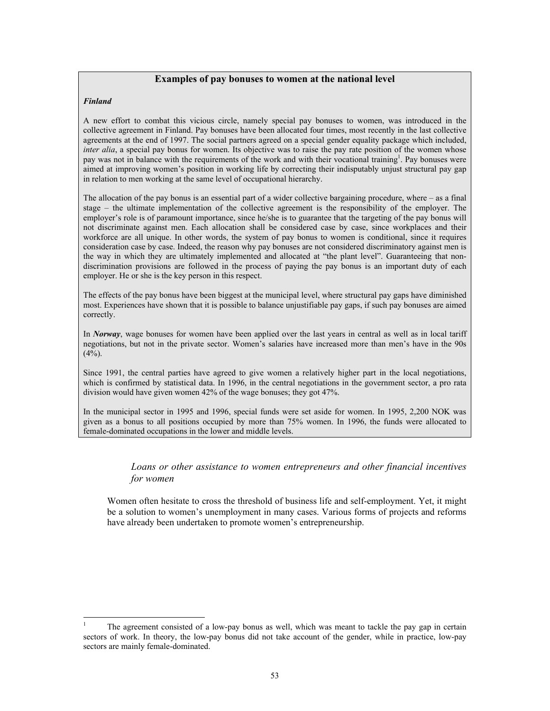# **Examples of pay bonuses to women at the national level**

### *Finland*

 $\overline{a}$ 

A new effort to combat this vicious circle, namely special pay bonuses to women, was introduced in the collective agreement in Finland. Pay bonuses have been allocated four times, most recently in the last collective agreements at the end of 1997. The social partners agreed on a special gender equality package which included, *inter alia*, a special pay bonus for women. Its objective was to raise the pay rate position of the women whose pay was not in balance with the requirements of the work and with their vocational training<sup>1</sup>. Pay bonuses were aimed at improving women's position in working life by correcting their indisputably unjust structural pay gap in relation to men working at the same level of occupational hierarchy.

The allocation of the pay bonus is an essential part of a wider collective bargaining procedure, where – as a final stage – the ultimate implementation of the collective agreement is the responsibility of the employer. The employer's role is of paramount importance, since he/she is to guarantee that the targeting of the pay bonus will not discriminate against men. Each allocation shall be considered case by case, since workplaces and their workforce are all unique. In other words, the system of pay bonus to women is conditional, since it requires consideration case by case. Indeed, the reason why pay bonuses are not considered discriminatory against men is the way in which they are ultimately implemented and allocated at "the plant level". Guaranteeing that nondiscrimination provisions are followed in the process of paying the pay bonus is an important duty of each employer. He or she is the key person in this respect.

The effects of the pay bonus have been biggest at the municipal level, where structural pay gaps have diminished most. Experiences have shown that it is possible to balance unjustifiable pay gaps, if such pay bonuses are aimed correctly.

In *Norway*, wage bonuses for women have been applied over the last years in central as well as in local tariff negotiations, but not in the private sector. Women's salaries have increased more than men's have in the 90s  $(4\%)$ .

Since 1991, the central parties have agreed to give women a relatively higher part in the local negotiations, which is confirmed by statistical data. In 1996, in the central negotiations in the government sector, a pro rata division would have given women 42% of the wage bonuses; they got 47%.

In the municipal sector in 1995 and 1996, special funds were set aside for women. In 1995, 2,200 NOK was given as a bonus to all positions occupied by more than 75% women. In 1996, the funds were allocated to female-dominated occupations in the lower and middle levels.

# *Loans or other assistance to women entrepreneurs and other financial incentives for women*

Women often hesitate to cross the threshold of business life and self-employment. Yet, it might be a solution to women's unemployment in many cases. Various forms of projects and reforms have already been undertaken to promote women's entrepreneurship.

<sup>1</sup> The agreement consisted of a low-pay bonus as well, which was meant to tackle the pay gap in certain sectors of work. In theory, the low-pay bonus did not take account of the gender, while in practice, low-pay sectors are mainly female-dominated.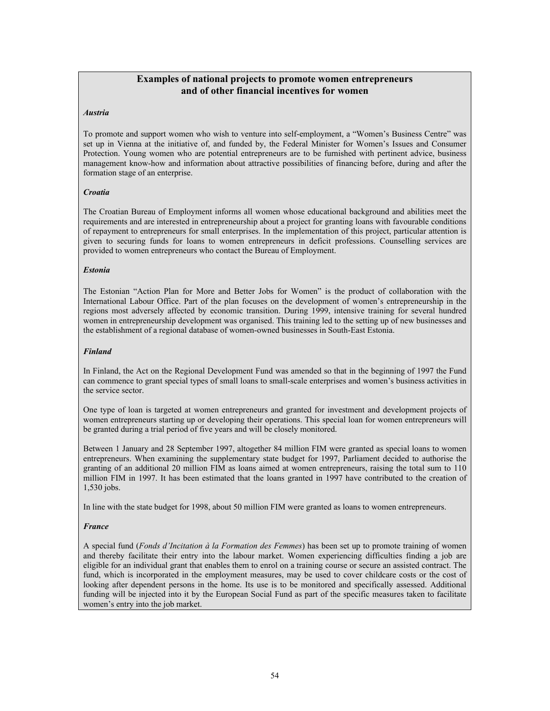# **Examples of national projects to promote women entrepreneurs and of other financial incentives for women**

### *Austria*

To promote and support women who wish to venture into self-employment, a "Women's Business Centre" was set up in Vienna at the initiative of, and funded by, the Federal Minister for Women's Issues and Consumer Protection. Young women who are potential entrepreneurs are to be furnished with pertinent advice, business management know-how and information about attractive possibilities of financing before, during and after the formation stage of an enterprise.

#### *Croatia*

The Croatian Bureau of Employment informs all women whose educational background and abilities meet the requirements and are interested in entrepreneurship about a project for granting loans with favourable conditions of repayment to entrepreneurs for small enterprises. In the implementation of this project, particular attention is given to securing funds for loans to women entrepreneurs in deficit professions. Counselling services are provided to women entrepreneurs who contact the Bureau of Employment.

#### *Estonia*

The Estonian "Action Plan for More and Better Jobs for Women" is the product of collaboration with the International Labour Office. Part of the plan focuses on the development of women's entrepreneurship in the regions most adversely affected by economic transition. During 1999, intensive training for several hundred women in entrepreneurship development was organised. This training led to the setting up of new businesses and the establishment of a regional database of women-owned businesses in South-East Estonia.

#### *Finland*

In Finland, the Act on the Regional Development Fund was amended so that in the beginning of 1997 the Fund can commence to grant special types of small loans to small-scale enterprises and women's business activities in the service sector.

One type of loan is targeted at women entrepreneurs and granted for investment and development projects of women entrepreneurs starting up or developing their operations. This special loan for women entrepreneurs will be granted during a trial period of five years and will be closely monitored.

Between 1 January and 28 September 1997, altogether 84 million FIM were granted as special loans to women entrepreneurs. When examining the supplementary state budget for 1997, Parliament decided to authorise the granting of an additional 20 million FIM as loans aimed at women entrepreneurs, raising the total sum to 110 million FIM in 1997. It has been estimated that the loans granted in 1997 have contributed to the creation of 1,530 jobs.

In line with the state budget for 1998, about 50 million FIM were granted as loans to women entrepreneurs.

## *France*

A special fund (*Fonds d'Incitation à la Formation des Femmes*) has been set up to promote training of women and thereby facilitate their entry into the labour market. Women experiencing difficulties finding a job are eligible for an individual grant that enables them to enrol on a training course or secure an assisted contract. The fund, which is incorporated in the employment measures, may be used to cover childcare costs or the cost of looking after dependent persons in the home. Its use is to be monitored and specifically assessed. Additional funding will be injected into it by the European Social Fund as part of the specific measures taken to facilitate women's entry into the job market.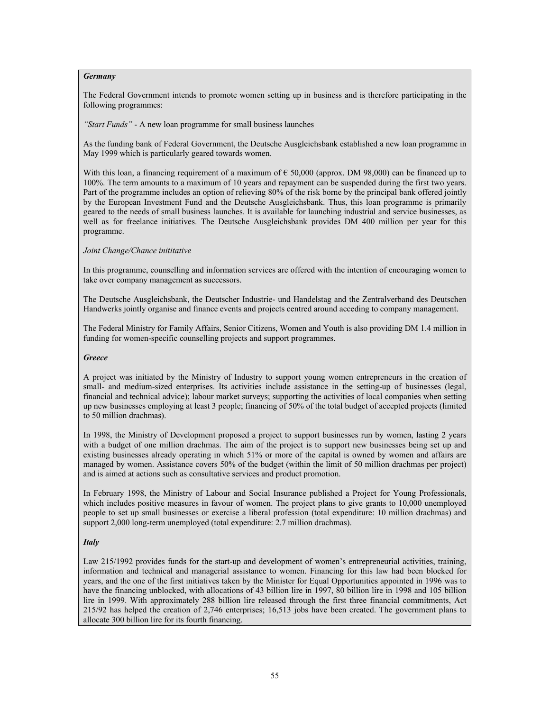## *Germany*

The Federal Government intends to promote women setting up in business and is therefore participating in the following programmes:

*"Start Funds"* - A new loan programme for small business launches

As the funding bank of Federal Government, the Deutsche Ausgleichsbank established a new loan programme in May 1999 which is particularly geared towards women.

With this loan, a financing requirement of a maximum of  $\epsilon$  50,000 (approx. DM 98,000) can be financed up to 100%. The term amounts to a maximum of 10 years and repayment can be suspended during the first two years. Part of the programme includes an option of relieving 80% of the risk borne by the principal bank offered jointly by the European Investment Fund and the Deutsche Ausgleichsbank. Thus, this loan programme is primarily geared to the needs of small business launches. It is available for launching industrial and service businesses, as well as for freelance initiatives. The Deutsche Ausgleichsbank provides DM 400 million per year for this programme.

## *Joint Change/Chance inititative*

In this programme, counselling and information services are offered with the intention of encouraging women to take over company management as successors.

The Deutsche Ausgleichsbank, the Deutscher Industrie- und Handelstag and the Zentralverband des Deutschen Handwerks jointly organise and finance events and projects centred around acceding to company management.

The Federal Ministry for Family Affairs, Senior Citizens, Women and Youth is also providing DM 1.4 million in funding for women-specific counselling projects and support programmes.

#### *Greece*

A project was initiated by the Ministry of Industry to support young women entrepreneurs in the creation of small- and medium-sized enterprises. Its activities include assistance in the setting-up of businesses (legal, financial and technical advice); labour market surveys; supporting the activities of local companies when setting up new businesses employing at least 3 people; financing of 50% of the total budget of accepted projects (limited to 50 million drachmas).

In 1998, the Ministry of Development proposed a project to support businesses run by women, lasting 2 years with a budget of one million drachmas. The aim of the project is to support new businesses being set up and existing businesses already operating in which 51% or more of the capital is owned by women and affairs are managed by women. Assistance covers 50% of the budget (within the limit of 50 million drachmas per project) and is aimed at actions such as consultative services and product promotion.

In February 1998, the Ministry of Labour and Social Insurance published a Project for Young Professionals, which includes positive measures in favour of women. The project plans to give grants to 10,000 unemployed people to set up small businesses or exercise a liberal profession (total expenditure: 10 million drachmas) and support 2,000 long-term unemployed (total expenditure: 2.7 million drachmas).

## *Italy*

Law 215/1992 provides funds for the start-up and development of women's entrepreneurial activities, training, information and technical and managerial assistance to women. Financing for this law had been blocked for years, and the one of the first initiatives taken by the Minister for Equal Opportunities appointed in 1996 was to have the financing unblocked, with allocations of 43 billion lire in 1997, 80 billion lire in 1998 and 105 billion lire in 1999. With approximately 288 billion lire released through the first three financial commitments, Act 215/92 has helped the creation of 2,746 enterprises; 16,513 jobs have been created. The government plans to allocate 300 billion lire for its fourth financing.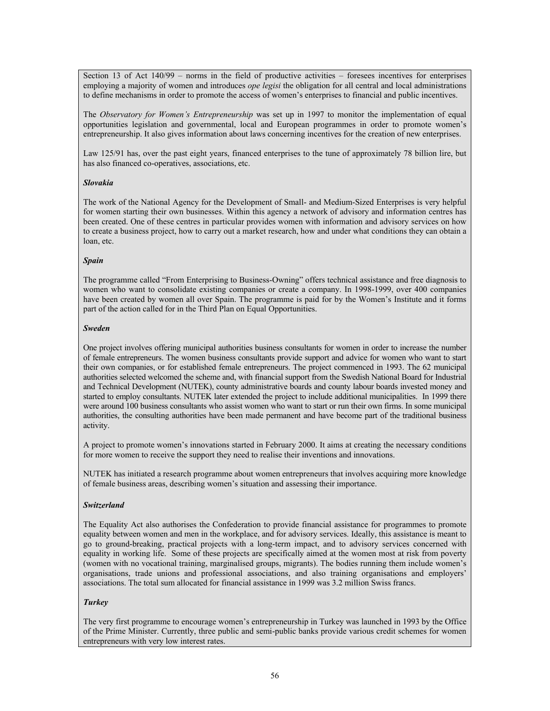Section 13 of Act 140/99 – norms in the field of productive activities – foresees incentives for enterprises employing a majority of women and introduces *ope legisi* the obligation for all central and local administrations to define mechanisms in order to promote the access of women's enterprises to financial and public incentives.

The *Observatory for Women's Entrepreneurship* was set up in 1997 to monitor the implementation of equal opportunities legislation and governmental, local and European programmes in order to promote women's entrepreneurship. It also gives information about laws concerning incentives for the creation of new enterprises.

Law 125/91 has, over the past eight years, financed enterprises to the tune of approximately 78 billion lire, but has also financed co-operatives, associations, etc.

## *Slovakia*

The work of the National Agency for the Development of Small- and Medium-Sized Enterprises is very helpful for women starting their own businesses. Within this agency a network of advisory and information centres has been created. One of these centres in particular provides women with information and advisory services on how to create a business project, how to carry out a market research, how and under what conditions they can obtain a loan, etc.

## *Spain*

The programme called "From Enterprising to Business-Owning" offers technical assistance and free diagnosis to women who want to consolidate existing companies or create a company. In 1998-1999, over 400 companies have been created by women all over Spain. The programme is paid for by the Women's Institute and it forms part of the action called for in the Third Plan on Equal Opportunities.

## *Sweden*

One project involves offering municipal authorities business consultants for women in order to increase the number of female entrepreneurs. The women business consultants provide support and advice for women who want to start their own companies, or for established female entrepreneurs. The project commenced in 1993. The 62 municipal authorities selected welcomed the scheme and, with financial support from the Swedish National Board for Industrial and Technical Development (NUTEK), county administrative boards and county labour boards invested money and started to employ consultants. NUTEK later extended the project to include additional municipalities. In 1999 there were around 100 business consultants who assist women who want to start or run their own firms. In some municipal authorities, the consulting authorities have been made permanent and have become part of the traditional business activity.

A project to promote women's innovations started in February 2000. It aims at creating the necessary conditions for more women to receive the support they need to realise their inventions and innovations.

NUTEK has initiated a research programme about women entrepreneurs that involves acquiring more knowledge of female business areas, describing women's situation and assessing their importance.

# *Switzerland*

The Equality Act also authorises the Confederation to provide financial assistance for programmes to promote equality between women and men in the workplace, and for advisory services. Ideally, this assistance is meant to go to ground-breaking, practical projects with a long-term impact, and to advisory services concerned with equality in working life. Some of these projects are specifically aimed at the women most at risk from poverty (women with no vocational training, marginalised groups, migrants). The bodies running them include women's organisations, trade unions and professional associations, and also training organisations and employers' associations. The total sum allocated for financial assistance in 1999 was 3.2 million Swiss francs.

# *Turkey*

The very first programme to encourage women's entrepreneurship in Turkey was launched in 1993 by the Office of the Prime Minister. Currently, three public and semi-public banks provide various credit schemes for women entrepreneurs with very low interest rates.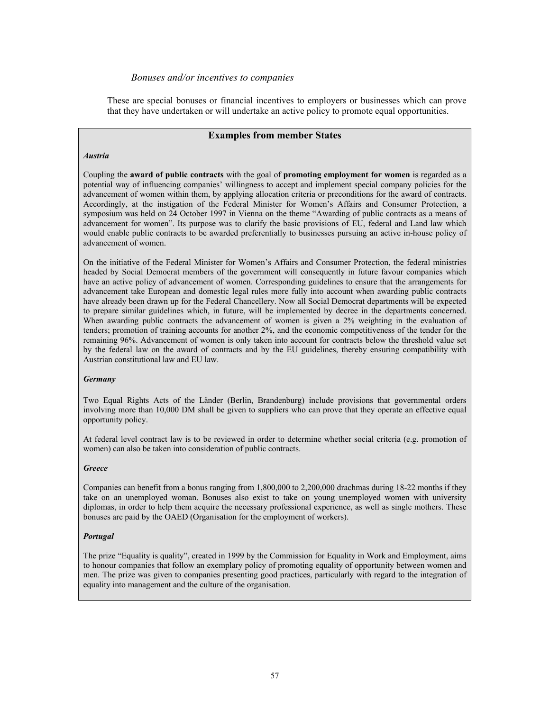# *Bonuses and/or incentives to companies*

These are special bonuses or financial incentives to employers or businesses which can prove that they have undertaken or will undertake an active policy to promote equal opportunities.

## **Examples from member States**

#### *Austria*

Coupling the **award of public contracts** with the goal of **promoting employment for women** is regarded as a potential way of influencing companies' willingness to accept and implement special company policies for the advancement of women within them, by applying allocation criteria or preconditions for the award of contracts. Accordingly, at the instigation of the Federal Minister for Women's Affairs and Consumer Protection, a symposium was held on 24 October 1997 in Vienna on the theme "Awarding of public contracts as a means of advancement for women". Its purpose was to clarify the basic provisions of EU, federal and Land law which would enable public contracts to be awarded preferentially to businesses pursuing an active in-house policy of advancement of women.

On the initiative of the Federal Minister for Women's Affairs and Consumer Protection, the federal ministries headed by Social Democrat members of the government will consequently in future favour companies which have an active policy of advancement of women. Corresponding guidelines to ensure that the arrangements for advancement take European and domestic legal rules more fully into account when awarding public contracts have already been drawn up for the Federal Chancellery. Now all Social Democrat departments will be expected to prepare similar guidelines which, in future, will be implemented by decree in the departments concerned. When awarding public contracts the advancement of women is given a 2% weighting in the evaluation of tenders; promotion of training accounts for another 2%, and the economic competitiveness of the tender for the remaining 96%. Advancement of women is only taken into account for contracts below the threshold value set by the federal law on the award of contracts and by the EU guidelines, thereby ensuring compatibility with Austrian constitutional law and EU law.

#### *Germany*

Two Equal Rights Acts of the Länder (Berlin, Brandenburg) include provisions that governmental orders involving more than 10,000 DM shall be given to suppliers who can prove that they operate an effective equal opportunity policy.

At federal level contract law is to be reviewed in order to determine whether social criteria (e.g. promotion of women) can also be taken into consideration of public contracts.

#### *Greece*

Companies can benefit from a bonus ranging from 1,800,000 to 2,200,000 drachmas during 18-22 months if they take on an unemployed woman. Bonuses also exist to take on young unemployed women with university diplomas, in order to help them acquire the necessary professional experience, as well as single mothers. These bonuses are paid by the OAED (Organisation for the employment of workers).

## *Portugal*

The prize "Equality is quality", created in 1999 by the Commission for Equality in Work and Employment, aims to honour companies that follow an exemplary policy of promoting equality of opportunity between women and men. The prize was given to companies presenting good practices, particularly with regard to the integration of equality into management and the culture of the organisation.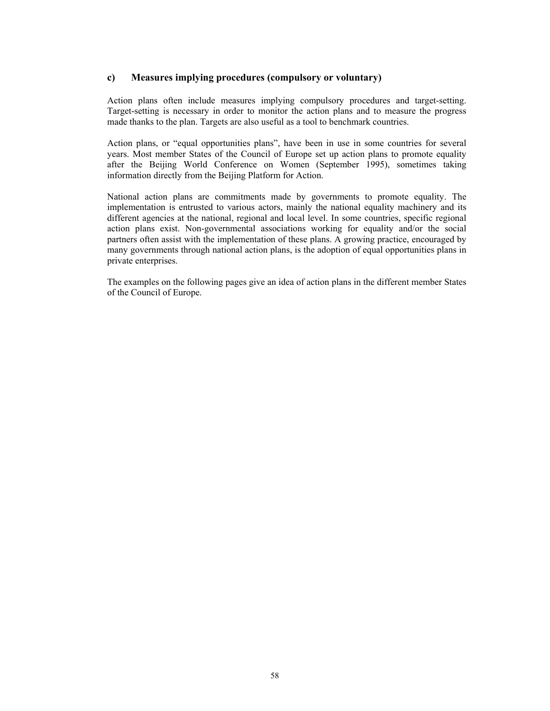# **c) Measures implying procedures (compulsory or voluntary)**

Action plans often include measures implying compulsory procedures and target-setting. Target-setting is necessary in order to monitor the action plans and to measure the progress made thanks to the plan. Targets are also useful as a tool to benchmark countries.

Action plans, or "equal opportunities plans", have been in use in some countries for several years. Most member States of the Council of Europe set up action plans to promote equality after the Beijing World Conference on Women (September 1995), sometimes taking information directly from the Beijing Platform for Action.

National action plans are commitments made by governments to promote equality. The implementation is entrusted to various actors, mainly the national equality machinery and its different agencies at the national, regional and local level. In some countries, specific regional action plans exist. Non-governmental associations working for equality and/or the social partners often assist with the implementation of these plans. A growing practice, encouraged by many governments through national action plans, is the adoption of equal opportunities plans in private enterprises.

The examples on the following pages give an idea of action plans in the different member States of the Council of Europe.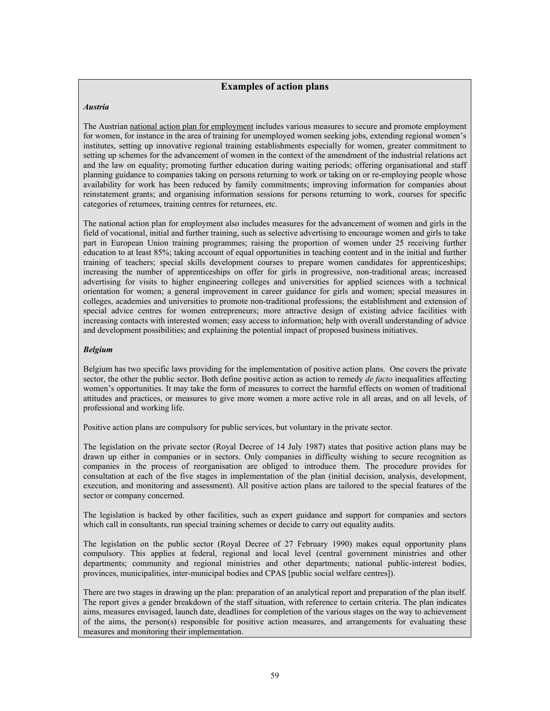# **Examples of action plans**

## *Austria*

The Austrian national action plan for employment includes various measures to secure and promote employment for women, for instance in the area of training for unemployed women seeking jobs, extending regional women's institutes, setting up innovative regional training establishments especially for women, greater commitment to setting up schemes for the advancement of women in the context of the amendment of the industrial relations act and the law on equality; promoting further education during waiting periods; offering organisational and staff planning guidance to companies taking on persons returning to work or taking on or re-employing people whose availability for work has been reduced by family commitments; improving information for companies about reinstatement grants; and organising information sessions for persons returning to work, courses for specific categories of returnees, training centres for returnees, etc.

The national action plan for employment also includes measures for the advancement of women and girls in the field of vocational, initial and further training, such as selective advertising to encourage women and girls to take part in European Union training programmes; raising the proportion of women under 25 receiving further education to at least 85%; taking account of equal opportunities in teaching content and in the initial and further training of teachers; special skills development courses to prepare women candidates for apprenticeships; increasing the number of apprenticeships on offer for girls in progressive, non-traditional areas; increased advertising for visits to higher engineering colleges and universities for applied sciences with a technical orientation for women; a general improvement in career guidance for girls and women; special measures in colleges, academies and universities to promote non-traditional professions; the establishment and extension of special advice centres for women entrepreneurs; more attractive design of existing advice facilities with increasing contacts with interested women; easy access to information; help with overall understanding of advice and development possibilities; and explaining the potential impact of proposed business initiatives.

## *Belgium*

Belgium has two specific laws providing for the implementation of positive action plans. One covers the private sector, the other the public sector. Both define positive action as action to remedy *de facto* inequalities affecting women's opportunities. It may take the form of measures to correct the harmful effects on women of traditional attitudes and practices, or measures to give more women a more active role in all areas, and on all levels, of professional and working life.

Positive action plans are compulsory for public services, but voluntary in the private sector.

The legislation on the private sector (Royal Decree of 14 July 1987) states that positive action plans may be drawn up either in companies or in sectors. Only companies in difficulty wishing to secure recognition as companies in the process of reorganisation are obliged to introduce them. The procedure provides for consultation at each of the five stages in implementation of the plan (initial decision, analysis, development, execution, and monitoring and assessment). All positive action plans are tailored to the special features of the sector or company concerned.

The legislation is backed by other facilities, such as expert guidance and support for companies and sectors which call in consultants, run special training schemes or decide to carry out equality audits.

The legislation on the public sector (Royal Decree of 27 February 1990) makes equal opportunity plans compulsory. This applies at federal, regional and local level (central government ministries and other departments; community and regional ministries and other departments; national public-interest bodies, provinces, municipalities, inter-municipal bodies and CPAS [public social welfare centres]).

There are two stages in drawing up the plan: preparation of an analytical report and preparation of the plan itself. The report gives a gender breakdown of the staff situation, with reference to certain criteria. The plan indicates aims, measures envisaged, launch date, deadlines for completion of the various stages on the way to achievement of the aims, the person(s) responsible for positive action measures, and arrangements for evaluating these measures and monitoring their implementation.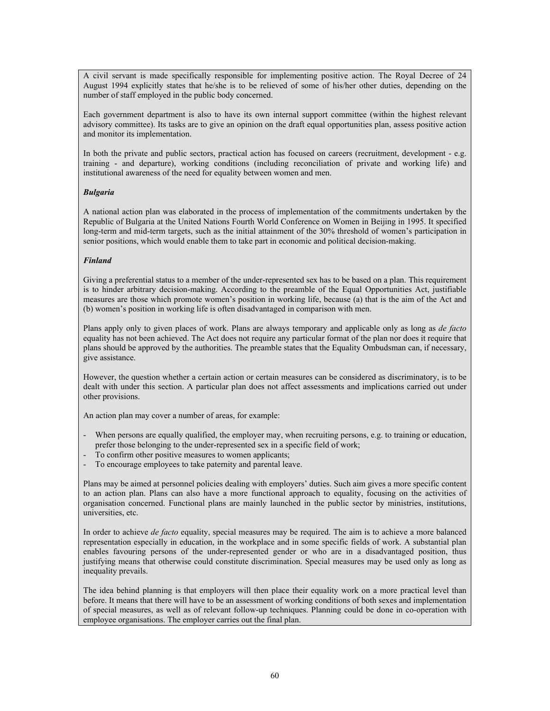A civil servant is made specifically responsible for implementing positive action. The Royal Decree of 24 August 1994 explicitly states that he/she is to be relieved of some of his/her other duties, depending on the number of staff employed in the public body concerned.

Each government department is also to have its own internal support committee (within the highest relevant advisory committee). Its tasks are to give an opinion on the draft equal opportunities plan, assess positive action and monitor its implementation.

In both the private and public sectors, practical action has focused on careers (recruitment, development - e.g. training - and departure), working conditions (including reconciliation of private and working life) and institutional awareness of the need for equality between women and men.

## *Bulgaria*

A national action plan was elaborated in the process of implementation of the commitments undertaken by the Republic of Bulgaria at the United Nations Fourth World Conference on Women in Beijing in 1995. It specified long-term and mid-term targets, such as the initial attainment of the 30% threshold of women's participation in senior positions, which would enable them to take part in economic and political decision-making.

## *Finland*

Giving a preferential status to a member of the under-represented sex has to be based on a plan. This requirement is to hinder arbitrary decision-making. According to the preamble of the Equal Opportunities Act, justifiable measures are those which promote women's position in working life, because (a) that is the aim of the Act and (b) women's position in working life is often disadvantaged in comparison with men.

Plans apply only to given places of work. Plans are always temporary and applicable only as long as *de facto* equality has not been achieved. The Act does not require any particular format of the plan nor does it require that plans should be approved by the authorities. The preamble states that the Equality Ombudsman can, if necessary, give assistance.

However, the question whether a certain action or certain measures can be considered as discriminatory, is to be dealt with under this section. A particular plan does not affect assessments and implications carried out under other provisions.

An action plan may cover a number of areas, for example:

- When persons are equally qualified, the employer may, when recruiting persons, e.g. to training or education, prefer those belonging to the under-represented sex in a specific field of work;
- To confirm other positive measures to women applicants;
- To encourage employees to take paternity and parental leave.

Plans may be aimed at personnel policies dealing with employers' duties. Such aim gives a more specific content to an action plan. Plans can also have a more functional approach to equality, focusing on the activities of organisation concerned. Functional plans are mainly launched in the public sector by ministries, institutions, universities, etc.

In order to achieve *de facto* equality, special measures may be required. The aim is to achieve a more balanced representation especially in education, in the workplace and in some specific fields of work. A substantial plan enables favouring persons of the under-represented gender or who are in a disadvantaged position, thus justifying means that otherwise could constitute discrimination. Special measures may be used only as long as inequality prevails.

The idea behind planning is that employers will then place their equality work on a more practical level than before. It means that there will have to be an assessment of working conditions of both sexes and implementation of special measures, as well as of relevant follow-up techniques. Planning could be done in co-operation with employee organisations. The employer carries out the final plan.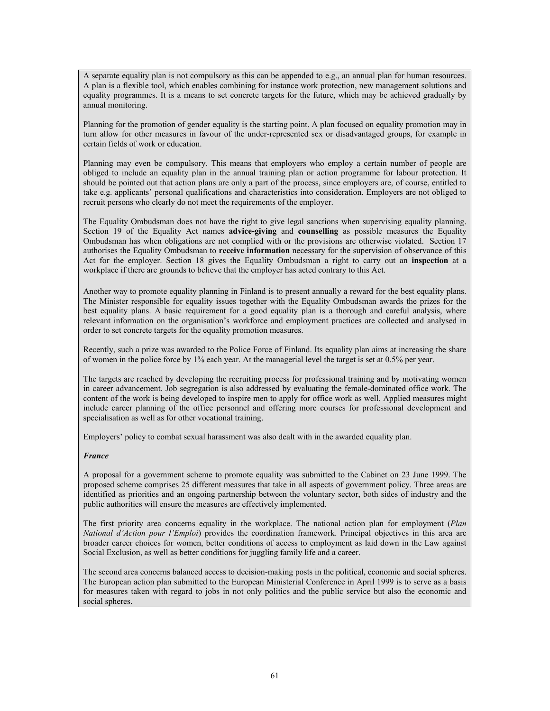A separate equality plan is not compulsory as this can be appended to e.g., an annual plan for human resources. A plan is a flexible tool, which enables combining for instance work protection, new management solutions and equality programmes. It is a means to set concrete targets for the future, which may be achieved gradually by annual monitoring.

Planning for the promotion of gender equality is the starting point. A plan focused on equality promotion may in turn allow for other measures in favour of the under-represented sex or disadvantaged groups, for example in certain fields of work or education.

Planning may even be compulsory. This means that employers who employ a certain number of people are obliged to include an equality plan in the annual training plan or action programme for labour protection. It should be pointed out that action plans are only a part of the process, since employers are, of course, entitled to take e.g. applicants' personal qualifications and characteristics into consideration. Employers are not obliged to recruit persons who clearly do not meet the requirements of the employer.

The Equality Ombudsman does not have the right to give legal sanctions when supervising equality planning. Section 19 of the Equality Act names **advice-giving** and **counselling** as possible measures the Equality Ombudsman has when obligations are not complied with or the provisions are otherwise violated. Section 17 authorises the Equality Ombudsman to **receive information** necessary for the supervision of observance of this Act for the employer. Section 18 gives the Equality Ombudsman a right to carry out an **inspection** at a workplace if there are grounds to believe that the employer has acted contrary to this Act.

Another way to promote equality planning in Finland is to present annually a reward for the best equality plans. The Minister responsible for equality issues together with the Equality Ombudsman awards the prizes for the best equality plans. A basic requirement for a good equality plan is a thorough and careful analysis, where relevant information on the organisation's workforce and employment practices are collected and analysed in order to set concrete targets for the equality promotion measures.

Recently, such a prize was awarded to the Police Force of Finland. Its equality plan aims at increasing the share of women in the police force by 1% each year. At the managerial level the target is set at 0.5% per year.

The targets are reached by developing the recruiting process for professional training and by motivating women in career advancement. Job segregation is also addressed by evaluating the female-dominated office work. The content of the work is being developed to inspire men to apply for office work as well. Applied measures might include career planning of the office personnel and offering more courses for professional development and specialisation as well as for other vocational training.

Employers' policy to combat sexual harassment was also dealt with in the awarded equality plan.

#### *France*

A proposal for a government scheme to promote equality was submitted to the Cabinet on 23 June 1999. The proposed scheme comprises 25 different measures that take in all aspects of government policy. Three areas are identified as priorities and an ongoing partnership between the voluntary sector, both sides of industry and the public authorities will ensure the measures are effectively implemented.

The first priority area concerns equality in the workplace. The national action plan for employment (*Plan National d'Action pour l'Emploi*) provides the coordination framework. Principal objectives in this area are broader career choices for women, better conditions of access to employment as laid down in the Law against Social Exclusion, as well as better conditions for juggling family life and a career.

The second area concerns balanced access to decision-making posts in the political, economic and social spheres. The European action plan submitted to the European Ministerial Conference in April 1999 is to serve as a basis for measures taken with regard to jobs in not only politics and the public service but also the economic and social spheres.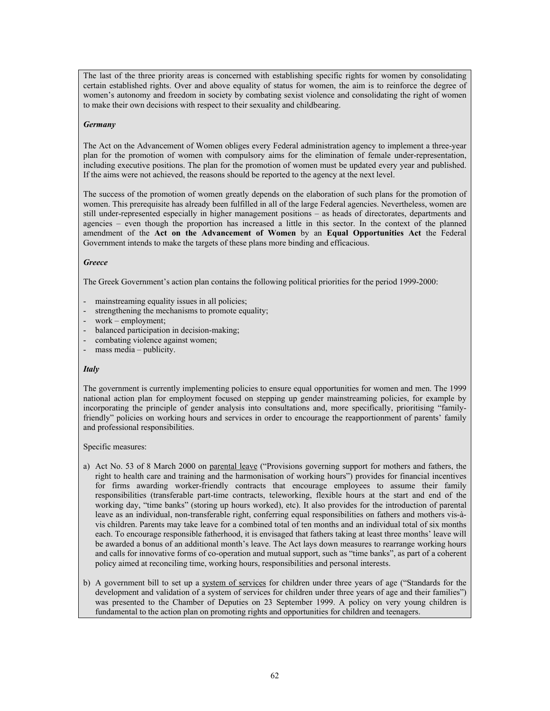The last of the three priority areas is concerned with establishing specific rights for women by consolidating certain established rights. Over and above equality of status for women, the aim is to reinforce the degree of women's autonomy and freedom in society by combating sexist violence and consolidating the right of women to make their own decisions with respect to their sexuality and childbearing.

### *Germany*

The Act on the Advancement of Women obliges every Federal administration agency to implement a three-year plan for the promotion of women with compulsory aims for the elimination of female under-representation, including executive positions. The plan for the promotion of women must be updated every year and published. If the aims were not achieved, the reasons should be reported to the agency at the next level.

The success of the promotion of women greatly depends on the elaboration of such plans for the promotion of women. This prerequisite has already been fulfilled in all of the large Federal agencies. Nevertheless, women are still under-represented especially in higher management positions – as heads of directorates, departments and agencies – even though the proportion has increased a little in this sector. In the context of the planned amendment of the **Act on the Advancement of Women** by an **Equal Opportunities Act** the Federal Government intends to make the targets of these plans more binding and efficacious.

## *Greece*

The Greek Government's action plan contains the following political priorities for the period 1999-2000:

- mainstreaming equality issues in all policies;
- strengthening the mechanisms to promote equality;
- $work$  employment;
- balanced participation in decision-making;
- combating violence against women;
- mass media publicity.

# *Italy*

The government is currently implementing policies to ensure equal opportunities for women and men. The 1999 national action plan for employment focused on stepping up gender mainstreaming policies, for example by incorporating the principle of gender analysis into consultations and, more specifically, prioritising "familyfriendly" policies on working hours and services in order to encourage the reapportionment of parents' family and professional responsibilities.

Specific measures:

- a) Act No. 53 of 8 March 2000 on parental leave ("Provisions governing support for mothers and fathers, the right to health care and training and the harmonisation of working hours") provides for financial incentives for firms awarding worker-friendly contracts that encourage employees to assume their family responsibilities (transferable part-time contracts, teleworking, flexible hours at the start and end of the working day, "time banks" (storing up hours worked), etc). It also provides for the introduction of parental leave as an individual, non-transferable right, conferring equal responsibilities on fathers and mothers vis-àvis children. Parents may take leave for a combined total of ten months and an individual total of six months each. To encourage responsible fatherhood, it is envisaged that fathers taking at least three months' leave will be awarded a bonus of an additional month's leave. The Act lays down measures to rearrange working hours and calls for innovative forms of co-operation and mutual support, such as "time banks", as part of a coherent policy aimed at reconciling time, working hours, responsibilities and personal interests.
- b) A government bill to set up a system of services for children under three years of age ("Standards for the development and validation of a system of services for children under three years of age and their families") was presented to the Chamber of Deputies on 23 September 1999. A policy on very young children is fundamental to the action plan on promoting rights and opportunities for children and teenagers.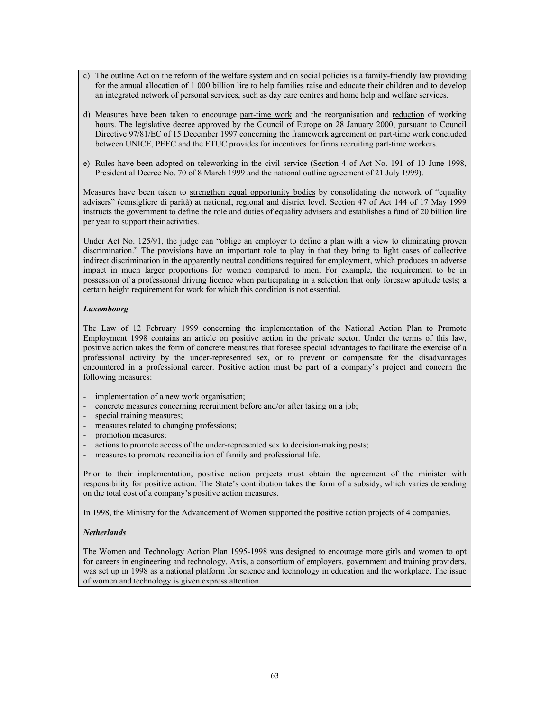- c) The outline Act on the reform of the welfare system and on social policies is a family-friendly law providing for the annual allocation of 1 000 billion lire to help families raise and educate their children and to develop an integrated network of personal services, such as day care centres and home help and welfare services.
- d) Measures have been taken to encourage part-time work and the reorganisation and reduction of working hours. The legislative decree approved by the Council of Europe on 28 January 2000, pursuant to Council Directive 97/81/EC of 15 December 1997 concerning the framework agreement on part-time work concluded between UNICE, PEEC and the ETUC provides for incentives for firms recruiting part-time workers.
- e) Rules have been adopted on teleworking in the civil service (Section 4 of Act No. 191 of 10 June 1998, Presidential Decree No. 70 of 8 March 1999 and the national outline agreement of 21 July 1999).

Measures have been taken to strengthen equal opportunity bodies by consolidating the network of "equality advisers" (consigliere di parità) at national, regional and district level. Section 47 of Act 144 of 17 May 1999 instructs the government to define the role and duties of equality advisers and establishes a fund of 20 billion lire per year to support their activities.

Under Act No. 125/91, the judge can "oblige an employer to define a plan with a view to eliminating proven discrimination." The provisions have an important role to play in that they bring to light cases of collective indirect discrimination in the apparently neutral conditions required for employment, which produces an adverse impact in much larger proportions for women compared to men. For example, the requirement to be in possession of a professional driving licence when participating in a selection that only foresaw aptitude tests; a certain height requirement for work for which this condition is not essential.

## *Luxembourg*

The Law of 12 February 1999 concerning the implementation of the National Action Plan to Promote Employment 1998 contains an article on positive action in the private sector. Under the terms of this law, positive action takes the form of concrete measures that foresee special advantages to facilitate the exercise of a professional activity by the under-represented sex, or to prevent or compensate for the disadvantages encountered in a professional career. Positive action must be part of a company's project and concern the following measures:

- implementation of a new work organisation;
- concrete measures concerning recruitment before and/or after taking on a job;
- special training measures;
- measures related to changing professions;
- promotion measures;
- actions to promote access of the under-represented sex to decision-making posts;
- measures to promote reconciliation of family and professional life.

Prior to their implementation, positive action projects must obtain the agreement of the minister with responsibility for positive action. The State's contribution takes the form of a subsidy, which varies depending on the total cost of a company's positive action measures.

In 1998, the Ministry for the Advancement of Women supported the positive action projects of 4 companies.

## *Netherlands*

The Women and Technology Action Plan 1995-1998 was designed to encourage more girls and women to opt for careers in engineering and technology. Axis, a consortium of employers, government and training providers, was set up in 1998 as a national platform for science and technology in education and the workplace. The issue of women and technology is given express attention.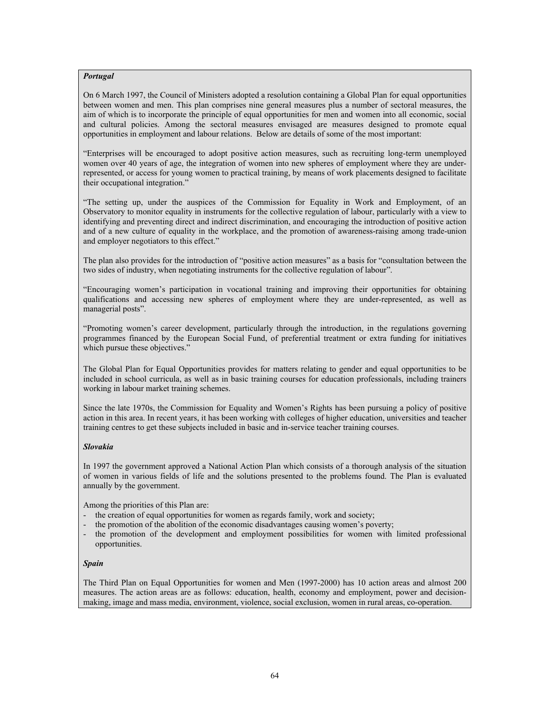## *Portugal*

On 6 March 1997, the Council of Ministers adopted a resolution containing a Global Plan for equal opportunities between women and men. This plan comprises nine general measures plus a number of sectoral measures, the aim of which is to incorporate the principle of equal opportunities for men and women into all economic, social and cultural policies. Among the sectoral measures envisaged are measures designed to promote equal opportunities in employment and labour relations. Below are details of some of the most important:

"Enterprises will be encouraged to adopt positive action measures, such as recruiting long-term unemployed women over 40 years of age, the integration of women into new spheres of employment where they are underrepresented, or access for young women to practical training, by means of work placements designed to facilitate their occupational integration."

"The setting up, under the auspices of the Commission for Equality in Work and Employment, of an Observatory to monitor equality in instruments for the collective regulation of labour, particularly with a view to identifying and preventing direct and indirect discrimination, and encouraging the introduction of positive action and of a new culture of equality in the workplace, and the promotion of awareness-raising among trade-union and employer negotiators to this effect."

The plan also provides for the introduction of "positive action measures" as a basis for "consultation between the two sides of industry, when negotiating instruments for the collective regulation of labour".

"Encouraging women's participation in vocational training and improving their opportunities for obtaining qualifications and accessing new spheres of employment where they are under-represented, as well as managerial posts".

"Promoting women's career development, particularly through the introduction, in the regulations governing programmes financed by the European Social Fund, of preferential treatment or extra funding for initiatives which pursue these objectives."

The Global Plan for Equal Opportunities provides for matters relating to gender and equal opportunities to be included in school curricula, as well as in basic training courses for education professionals, including trainers working in labour market training schemes.

Since the late 1970s, the Commission for Equality and Women's Rights has been pursuing a policy of positive action in this area. In recent years, it has been working with colleges of higher education, universities and teacher training centres to get these subjects included in basic and in-service teacher training courses.

## *Slovakia*

In 1997 the government approved a National Action Plan which consists of a thorough analysis of the situation of women in various fields of life and the solutions presented to the problems found. The Plan is evaluated annually by the government.

Among the priorities of this Plan are:

- the creation of equal opportunities for women as regards family, work and society;
- the promotion of the abolition of the economic disadvantages causing women's poverty;
- the promotion of the development and employment possibilities for women with limited professional opportunities.

## *Spain*

The Third Plan on Equal Opportunities for women and Men (1997-2000) has 10 action areas and almost 200 measures. The action areas are as follows: education, health, economy and employment, power and decisionmaking, image and mass media, environment, violence, social exclusion, women in rural areas, co-operation.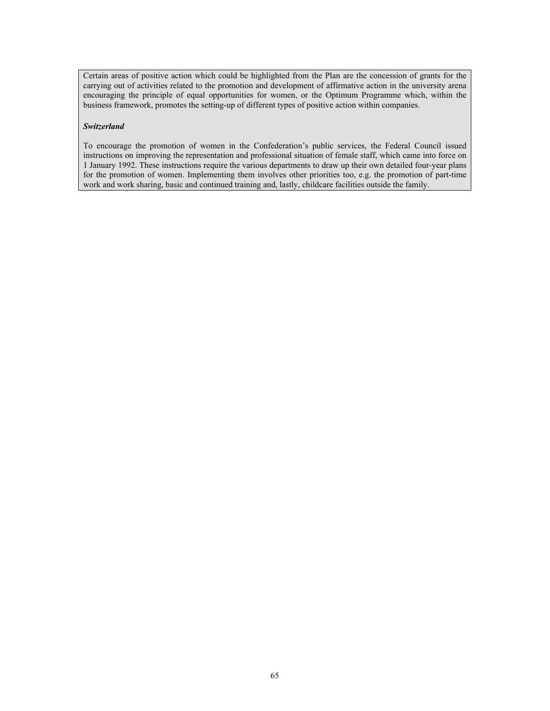Certain areas of positive action which could be highlighted from the Plan are the concession of grants for the carrying out of activities related to the promotion and development of affirmative action in the university arena encouraging the principle of equal opportunities for women, or the Optimum Programme which, within the business framework, promotes the setting-up of different types of positive action within companies.

## *Switzerland*

To encourage the promotion of women in the Confederation's public services, the Federal Council issued instructions on improving the representation and professional situation of female staff, which came into force on 1 January 1992. These instructions require the various departments to draw up their own detailed four-year plans for the promotion of women. Implementing them involves other priorities too, e.g. the promotion of part-time work and work sharing, basic and continued training and, lastly, childcare facilities outside the family.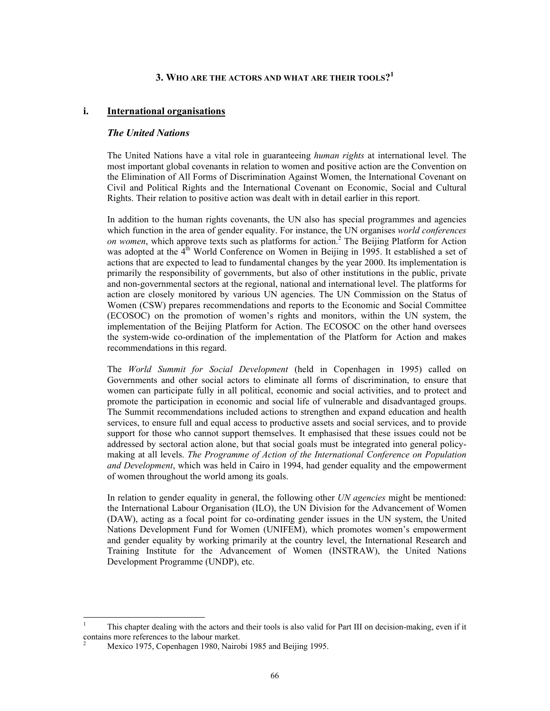# **3. WHO ARE THE ACTORS AND WHAT ARE THEIR TOOLS?<sup>1</sup>**

## **i. International organisations**

## *The United Nations*

The United Nations have a vital role in guaranteeing *human rights* at international level. The most important global covenants in relation to women and positive action are the Convention on the Elimination of All Forms of Discrimination Against Women, the International Covenant on Civil and Political Rights and the International Covenant on Economic, Social and Cultural Rights. Their relation to positive action was dealt with in detail earlier in this report.

In addition to the human rights covenants, the UN also has special programmes and agencies which function in the area of gender equality. For instance, the UN organises *world conferences*  on women, which approve texts such as platforms for action.<sup>2</sup> The Beijing Platform for Action was adopted at the 4<sup>th</sup> World Conference on Women in Beijing in 1995. It established a set of actions that are expected to lead to fundamental changes by the year 2000. Its implementation is primarily the responsibility of governments, but also of other institutions in the public, private and non-governmental sectors at the regional, national and international level. The platforms for action are closely monitored by various UN agencies. The UN Commission on the Status of Women (CSW) prepares recommendations and reports to the Economic and Social Committee (ECOSOC) on the promotion of women's rights and monitors, within the UN system, the implementation of the Beijing Platform for Action. The ECOSOC on the other hand oversees the system-wide co-ordination of the implementation of the Platform for Action and makes recommendations in this regard.

The *World Summit for Social Development* (held in Copenhagen in 1995) called on Governments and other social actors to eliminate all forms of discrimination, to ensure that women can participate fully in all political, economic and social activities, and to protect and promote the participation in economic and social life of vulnerable and disadvantaged groups. The Summit recommendations included actions to strengthen and expand education and health services, to ensure full and equal access to productive assets and social services, and to provide support for those who cannot support themselves. It emphasised that these issues could not be addressed by sectoral action alone, but that social goals must be integrated into general policymaking at all levels. *The Programme of Action of the International Conference on Population and Development*, which was held in Cairo in 1994, had gender equality and the empowerment of women throughout the world among its goals.

In relation to gender equality in general, the following other *UN agencies* might be mentioned: the International Labour Organisation (ILO), the UN Division for the Advancement of Women (DAW), acting as a focal point for co-ordinating gender issues in the UN system, the United Nations Development Fund for Women (UNIFEM), which promotes women's empowerment and gender equality by working primarily at the country level, the International Research and Training Institute for the Advancement of Women (INSTRAW), the United Nations Development Programme (UNDP), etc.

 $\overline{a}$ 

<sup>1</sup> This chapter dealing with the actors and their tools is also valid for Part III on decision-making, even if it contains more references to the labour market. 2

Mexico 1975, Copenhagen 1980, Nairobi 1985 and Beijing 1995.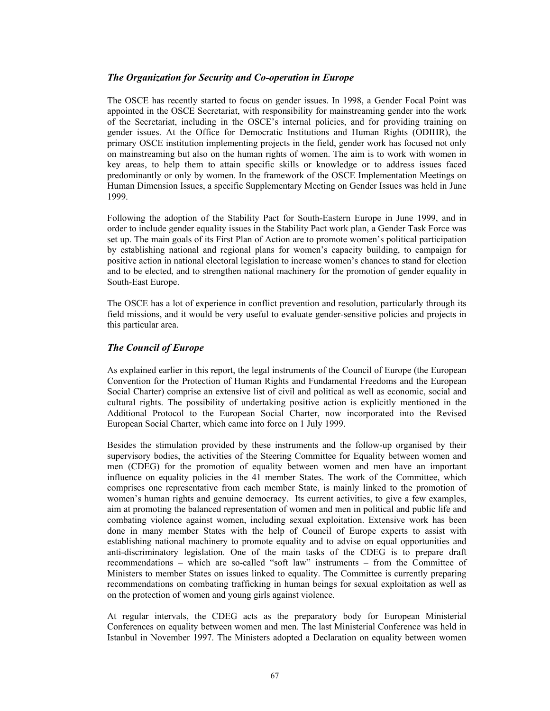# *The Organization for Security and Co-operation in Europe*

The OSCE has recently started to focus on gender issues. In 1998, a Gender Focal Point was appointed in the OSCE Secretariat, with responsibility for mainstreaming gender into the work of the Secretariat, including in the OSCE's internal policies, and for providing training on gender issues. At the Office for Democratic Institutions and Human Rights (ODIHR), the primary OSCE institution implementing projects in the field, gender work has focused not only on mainstreaming but also on the human rights of women. The aim is to work with women in key areas, to help them to attain specific skills or knowledge or to address issues faced predominantly or only by women. In the framework of the OSCE Implementation Meetings on Human Dimension Issues, a specific Supplementary Meeting on Gender Issues was held in June 1999.

Following the adoption of the Stability Pact for South-Eastern Europe in June 1999, and in order to include gender equality issues in the Stability Pact work plan, a Gender Task Force was set up. The main goals of its First Plan of Action are to promote women's political participation by establishing national and regional plans for women's capacity building, to campaign for positive action in national electoral legislation to increase women's chances to stand for election and to be elected, and to strengthen national machinery for the promotion of gender equality in South-East Europe.

The OSCE has a lot of experience in conflict prevention and resolution, particularly through its field missions, and it would be very useful to evaluate gender-sensitive policies and projects in this particular area.

# *The Council of Europe*

As explained earlier in this report, the legal instruments of the Council of Europe (the European Convention for the Protection of Human Rights and Fundamental Freedoms and the European Social Charter) comprise an extensive list of civil and political as well as economic, social and cultural rights. The possibility of undertaking positive action is explicitly mentioned in the Additional Protocol to the European Social Charter, now incorporated into the Revised European Social Charter, which came into force on 1 July 1999.

Besides the stimulation provided by these instruments and the follow-up organised by their supervisory bodies, the activities of the Steering Committee for Equality between women and men (CDEG) for the promotion of equality between women and men have an important influence on equality policies in the 41 member States. The work of the Committee, which comprises one representative from each member State, is mainly linked to the promotion of women's human rights and genuine democracy. Its current activities, to give a few examples, aim at promoting the balanced representation of women and men in political and public life and combating violence against women, including sexual exploitation. Extensive work has been done in many member States with the help of Council of Europe experts to assist with establishing national machinery to promote equality and to advise on equal opportunities and anti-discriminatory legislation. One of the main tasks of the CDEG is to prepare draft recommendations – which are so-called "soft law" instruments – from the Committee of Ministers to member States on issues linked to equality. The Committee is currently preparing recommendations on combating trafficking in human beings for sexual exploitation as well as on the protection of women and young girls against violence.

At regular intervals, the CDEG acts as the preparatory body for European Ministerial Conferences on equality between women and men. The last Ministerial Conference was held in Istanbul in November 1997. The Ministers adopted a Declaration on equality between women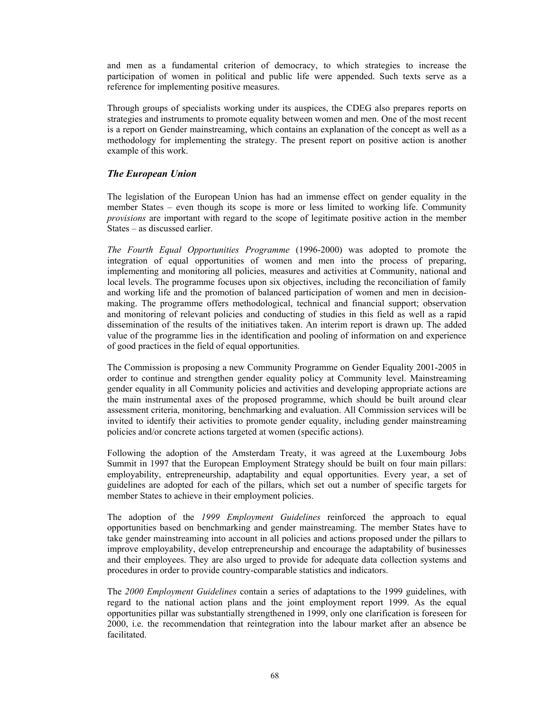and men as a fundamental criterion of democracy, to which strategies to increase the participation of women in political and public life were appended. Such texts serve as a reference for implementing positive measures.

Through groups of specialists working under its auspices, the CDEG also prepares reports on strategies and instruments to promote equality between women and men. One of the most recent is a report on Gender mainstreaming, which contains an explanation of the concept as well as a methodology for implementing the strategy. The present report on positive action is another example of this work.

# *The European Union*

The legislation of the European Union has had an immense effect on gender equality in the member States – even though its scope is more or less limited to working life. Community *provisions* are important with regard to the scope of legitimate positive action in the member States – as discussed earlier.

*The Fourth Equal Opportunities Programme* (1996-2000) was adopted to promote the integration of equal opportunities of women and men into the process of preparing, implementing and monitoring all policies, measures and activities at Community, national and local levels. The programme focuses upon six objectives, including the reconciliation of family and working life and the promotion of balanced participation of women and men in decisionmaking. The programme offers methodological, technical and financial support; observation and monitoring of relevant policies and conducting of studies in this field as well as a rapid dissemination of the results of the initiatives taken. An interim report is drawn up. The added value of the programme lies in the identification and pooling of information on and experience of good practices in the field of equal opportunities.

The Commission is proposing a new Community Programme on Gender Equality 2001-2005 in order to continue and strengthen gender equality policy at Community level. Mainstreaming gender equality in all Community policies and activities and developing appropriate actions are the main instrumental axes of the proposed programme, which should be built around clear assessment criteria, monitoring, benchmarking and evaluation. All Commission services will be invited to identify their activities to promote gender equality, including gender mainstreaming policies and/or concrete actions targeted at women (specific actions).

Following the adoption of the Amsterdam Treaty, it was agreed at the Luxembourg Jobs Summit in 1997 that the European Employment Strategy should be built on four main pillars: employability, entrepreneurship, adaptability and equal opportunities. Every year, a set of guidelines are adopted for each of the pillars, which set out a number of specific targets for member States to achieve in their employment policies.

The adoption of the *1999 Employment Guidelines* reinforced the approach to equal opportunities based on benchmarking and gender mainstreaming. The member States have to take gender mainstreaming into account in all policies and actions proposed under the pillars to improve employability, develop entrepreneurship and encourage the adaptability of businesses and their employees. They are also urged to provide for adequate data collection systems and procedures in order to provide country-comparable statistics and indicators.

The *2000 Employment Guidelines* contain a series of adaptations to the 1999 guidelines, with regard to the national action plans and the joint employment report 1999. As the equal opportunities pillar was substantially strengthened in 1999, only one clarification is foreseen for 2000, i.e. the recommendation that reintegration into the labour market after an absence be facilitated.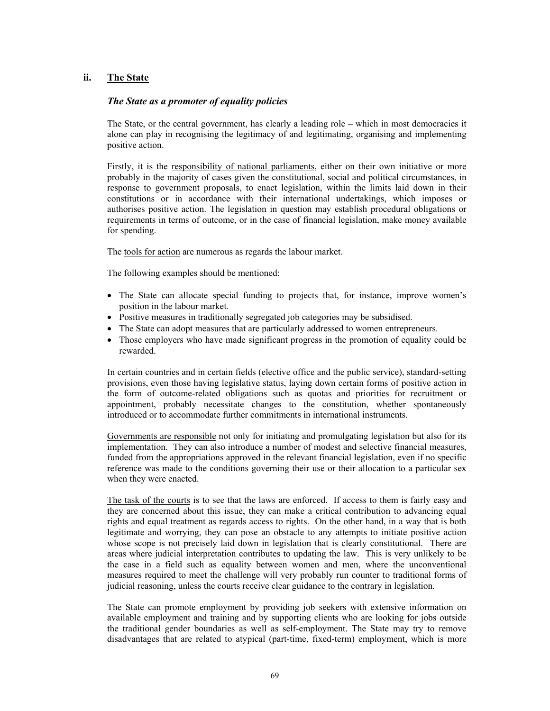# **ii. The State**

# *The State as a promoter of equality policies*

The State, or the central government, has clearly a leading role – which in most democracies it alone can play in recognising the legitimacy of and legitimating, organising and implementing positive action.

Firstly, it is the responsibility of national parliaments, either on their own initiative or more probably in the majority of cases given the constitutional, social and political circumstances, in response to government proposals, to enact legislation, within the limits laid down in their constitutions or in accordance with their international undertakings, which imposes or authorises positive action. The legislation in question may establish procedural obligations or requirements in terms of outcome, or in the case of financial legislation, make money available for spending.

The tools for action are numerous as regards the labour market.

The following examples should be mentioned:

- The State can allocate special funding to projects that, for instance, improve women's position in the labour market.
- Positive measures in traditionally segregated job categories may be subsidised.
- The State can adopt measures that are particularly addressed to women entrepreneurs.
- Those employers who have made significant progress in the promotion of equality could be rewarded.

In certain countries and in certain fields (elective office and the public service), standard-setting provisions, even those having legislative status, laying down certain forms of positive action in the form of outcome-related obligations such as quotas and priorities for recruitment or appointment, probably necessitate changes to the constitution, whether spontaneously introduced or to accommodate further commitments in international instruments.

Governments are responsible not only for initiating and promulgating legislation but also for its implementation. They can also introduce a number of modest and selective financial measures, funded from the appropriations approved in the relevant financial legislation, even if no specific reference was made to the conditions governing their use or their allocation to a particular sex when they were enacted.

The task of the courts is to see that the laws are enforced. If access to them is fairly easy and they are concerned about this issue, they can make a critical contribution to advancing equal rights and equal treatment as regards access to rights. On the other hand, in a way that is both legitimate and worrying, they can pose an obstacle to any attempts to initiate positive action whose scope is not precisely laid down in legislation that is clearly constitutional. There are areas where judicial interpretation contributes to updating the law. This is very unlikely to be the case in a field such as equality between women and men, where the unconventional measures required to meet the challenge will very probably run counter to traditional forms of judicial reasoning, unless the courts receive clear guidance to the contrary in legislation.

The State can promote employment by providing job seekers with extensive information on available employment and training and by supporting clients who are looking for jobs outside the traditional gender boundaries as well as self-employment. The State may try to remove disadvantages that are related to atypical (part-time, fixed-term) employment, which is more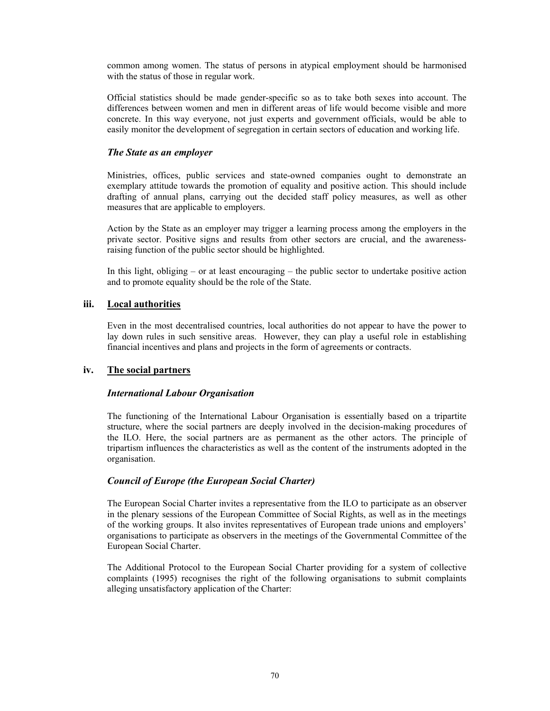common among women. The status of persons in atypical employment should be harmonised with the status of those in regular work.

Official statistics should be made gender-specific so as to take both sexes into account. The differences between women and men in different areas of life would become visible and more concrete. In this way everyone, not just experts and government officials, would be able to easily monitor the development of segregation in certain sectors of education and working life.

# *The State as an employer*

Ministries, offices, public services and state-owned companies ought to demonstrate an exemplary attitude towards the promotion of equality and positive action. This should include drafting of annual plans, carrying out the decided staff policy measures, as well as other measures that are applicable to employers.

Action by the State as an employer may trigger a learning process among the employers in the private sector. Positive signs and results from other sectors are crucial, and the awarenessraising function of the public sector should be highlighted.

In this light, obliging – or at least encouraging – the public sector to undertake positive action and to promote equality should be the role of the State.

# **iii. Local authorities**

Even in the most decentralised countries, local authorities do not appear to have the power to lay down rules in such sensitive areas. However, they can play a useful role in establishing financial incentives and plans and projects in the form of agreements or contracts.

# **iv. The social partners**

# *International Labour Organisation*

The functioning of the International Labour Organisation is essentially based on a tripartite structure, where the social partners are deeply involved in the decision-making procedures of the ILO. Here, the social partners are as permanent as the other actors. The principle of tripartism influences the characteristics as well as the content of the instruments adopted in the organisation.

# *Council of Europe (the European Social Charter)*

The European Social Charter invites a representative from the ILO to participate as an observer in the plenary sessions of the European Committee of Social Rights, as well as in the meetings of the working groups. It also invites representatives of European trade unions and employers' organisations to participate as observers in the meetings of the Governmental Committee of the European Social Charter.

The Additional Protocol to the European Social Charter providing for a system of collective complaints (1995) recognises the right of the following organisations to submit complaints alleging unsatisfactory application of the Charter: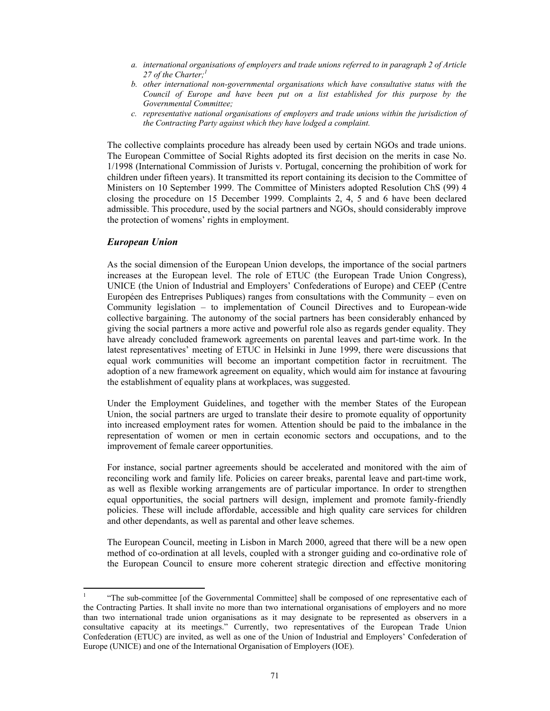- *a. international organisations of employers and trade unions referred to in paragraph 2 of Article 27 of the Charter;<sup>1</sup>*
- *b. other international non-governmental organisations which have consultative status with the Council of Europe and have been put on a list established for this purpose by the Governmental Committee;*
- *c. representative national organisations of employers and trade unions within the jurisdiction of the Contracting Party against which they have lodged a complaint.*

The collective complaints procedure has already been used by certain NGOs and trade unions. The European Committee of Social Rights adopted its first decision on the merits in case No. 1/1998 (International Commission of Jurists v. Portugal, concerning the prohibition of work for children under fifteen years). It transmitted its report containing its decision to the Committee of Ministers on 10 September 1999. The Committee of Ministers adopted Resolution ChS (99) 4 closing the procedure on 15 December 1999. Complaints 2, 4, 5 and 6 have been declared admissible. This procedure, used by the social partners and NGOs, should considerably improve the protection of womens' rights in employment.

### *European Union*

As the social dimension of the European Union develops, the importance of the social partners increases at the European level. The role of ETUC (the European Trade Union Congress), UNICE (the Union of Industrial and Employers' Confederations of Europe) and CEEP (Centre Européen des Entreprises Publiques) ranges from consultations with the Community – even on Community legislation – to implementation of Council Directives and to European-wide collective bargaining. The autonomy of the social partners has been considerably enhanced by giving the social partners a more active and powerful role also as regards gender equality. They have already concluded framework agreements on parental leaves and part-time work. In the latest representatives' meeting of ETUC in Helsinki in June 1999, there were discussions that equal work communities will become an important competition factor in recruitment. The adoption of a new framework agreement on equality, which would aim for instance at favouring the establishment of equality plans at workplaces, was suggested.

Under the Employment Guidelines, and together with the member States of the European Union, the social partners are urged to translate their desire to promote equality of opportunity into increased employment rates for women. Attention should be paid to the imbalance in the representation of women or men in certain economic sectors and occupations, and to the improvement of female career opportunities.

For instance, social partner agreements should be accelerated and monitored with the aim of reconciling work and family life. Policies on career breaks, parental leave and part-time work, as well as flexible working arrangements are of particular importance. In order to strengthen equal opportunities, the social partners will design, implement and promote family-friendly policies. These will include affordable, accessible and high quality care services for children and other dependants, as well as parental and other leave schemes.

The European Council, meeting in Lisbon in March 2000, agreed that there will be a new open method of co-ordination at all levels, coupled with a stronger guiding and co-ordinative role of the European Council to ensure more coherent strategic direction and effective monitoring

 $\frac{1}{1}$  "The sub-committee [of the Governmental Committee] shall be composed of one representative each of the Contracting Parties. It shall invite no more than two international organisations of employers and no more than two international trade union organisations as it may designate to be represented as observers in a consultative capacity at its meetings." Currently, two representatives of the European Trade Union Confederation (ETUC) are invited, as well as one of the Union of Industrial and Employers' Confederation of Europe (UNICE) and one of the International Organisation of Employers (IOE).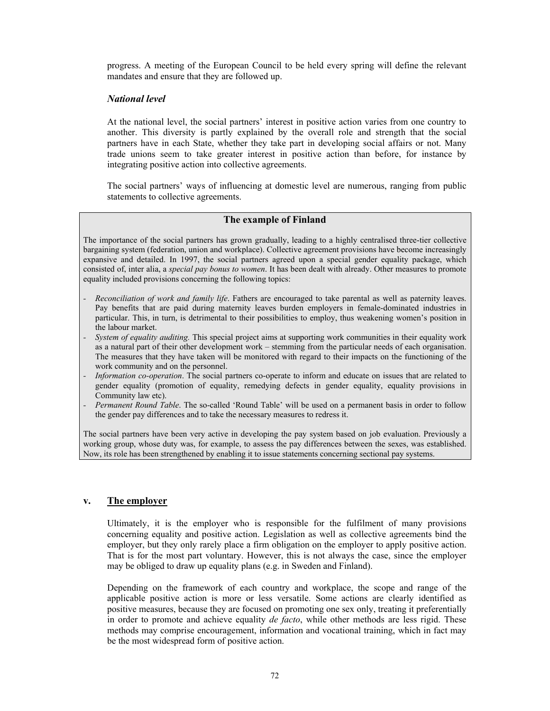progress. A meeting of the European Council to be held every spring will define the relevant mandates and ensure that they are followed up.

## *National level*

At the national level, the social partners' interest in positive action varies from one country to another. This diversity is partly explained by the overall role and strength that the social partners have in each State, whether they take part in developing social affairs or not. Many trade unions seem to take greater interest in positive action than before, for instance by integrating positive action into collective agreements.

The social partners' ways of influencing at domestic level are numerous, ranging from public statements to collective agreements.

# **The example of Finland**

The importance of the social partners has grown gradually, leading to a highly centralised three-tier collective bargaining system (federation, union and workplace). Collective agreement provisions have become increasingly expansive and detailed. In 1997, the social partners agreed upon a special gender equality package, which consisted of, inter alia, a *special pay bonus to women*. It has been dealt with already. Other measures to promote equality included provisions concerning the following topics:

- *Reconciliation of work and family life*. Fathers are encouraged to take parental as well as paternity leaves. Pay benefits that are paid during maternity leaves burden employers in female-dominated industries in particular. This, in turn, is detrimental to their possibilities to employ, thus weakening women's position in the labour market.
- *System of equality auditing.* This special project aims at supporting work communities in their equality work as a natural part of their other development work – stemming from the particular needs of each organisation. The measures that they have taken will be monitored with regard to their impacts on the functioning of the work community and on the personnel.
- *Information co-operation*. The social partners co-operate to inform and educate on issues that are related to gender equality (promotion of equality, remedying defects in gender equality, equality provisions in Community law etc).
- *Permanent Round Table*. The so-called 'Round Table' will be used on a permanent basis in order to follow the gender pay differences and to take the necessary measures to redress it.

The social partners have been very active in developing the pay system based on job evaluation. Previously a working group, whose duty was, for example, to assess the pay differences between the sexes, was established. Now, its role has been strengthened by enabling it to issue statements concerning sectional pay systems.

### **v. The employer**

Ultimately, it is the employer who is responsible for the fulfilment of many provisions concerning equality and positive action. Legislation as well as collective agreements bind the employer, but they only rarely place a firm obligation on the employer to apply positive action. That is for the most part voluntary. However, this is not always the case, since the employer may be obliged to draw up equality plans (e.g. in Sweden and Finland).

Depending on the framework of each country and workplace, the scope and range of the applicable positive action is more or less versatile. Some actions are clearly identified as positive measures, because they are focused on promoting one sex only, treating it preferentially in order to promote and achieve equality *de facto*, while other methods are less rigid. These methods may comprise encouragement, information and vocational training, which in fact may be the most widespread form of positive action.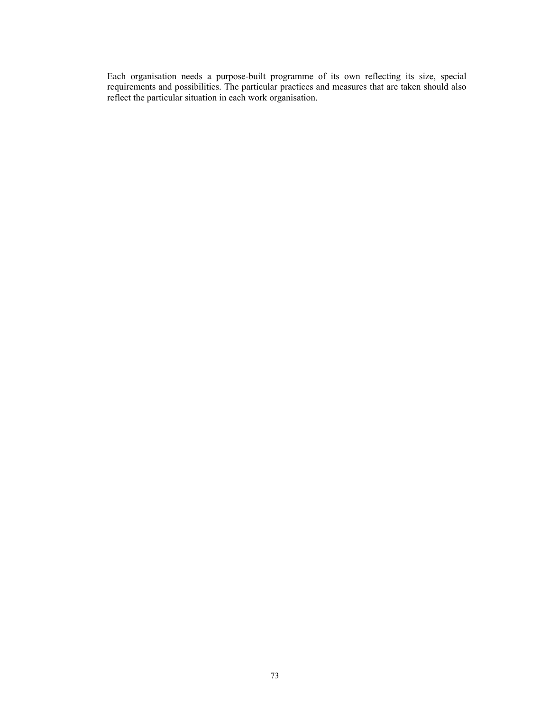Each organisation needs a purpose-built programme of its own reflecting its size, special requirements and possibilities. The particular practices and measures that are taken should also reflect the particular situation in each work organisation.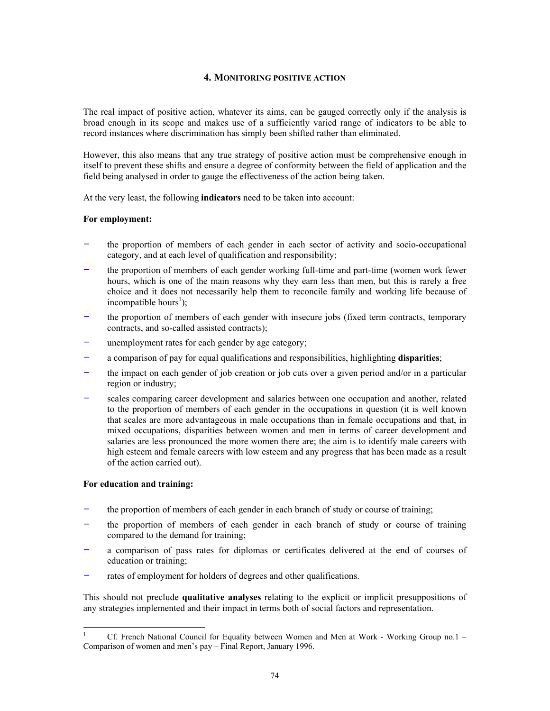### **4. MONITORING POSITIVE ACTION**

The real impact of positive action, whatever its aims, can be gauged correctly only if the analysis is broad enough in its scope and makes use of a sufficiently varied range of indicators to be able to record instances where discrimination has simply been shifted rather than eliminated.

However, this also means that any true strategy of positive action must be comprehensive enough in itself to prevent these shifts and ensure a degree of conformity between the field of application and the field being analysed in order to gauge the effectiveness of the action being taken.

At the very least, the following **indicators** need to be taken into account:

## **For employment:**

- the proportion of members of each gender in each sector of activity and socio-occupational category, and at each level of qualification and responsibility;
- the proportion of members of each gender working full-time and part-time (women work fewer hours, which is one of the main reasons why they earn less than men, but this is rarely a free choice and it does not necessarily help them to reconcile family and working life because of incompatible hours<sup>1</sup>);
- the proportion of members of each gender with insecure jobs (fixed term contracts, temporary contracts, and so-called assisted contracts);
- unemployment rates for each gender by age category;
- a comparison of pay for equal qualifications and responsibilities, highlighting **disparities**;
- the impact on each gender of job creation or job cuts over a given period and/or in a particular region or industry;
- scales comparing career development and salaries between one occupation and another, related to the proportion of members of each gender in the occupations in question (it is well known that scales are more advantageous in male occupations than in female occupations and that, in mixed occupations, disparities between women and men in terms of career development and salaries are less pronounced the more women there are; the aim is to identify male careers with high esteem and female careers with low esteem and any progress that has been made as a result of the action carried out).

### **For education and training:**

- the proportion of members of each gender in each branch of study or course of training;
- the proportion of members of each gender in each branch of study or course of training compared to the demand for training;
- a comparison of pass rates for diplomas or certificates delivered at the end of courses of education or training;
- rates of employment for holders of degrees and other qualifications.

This should not preclude **qualitative analyses** relating to the explicit or implicit presuppositions of any strategies implemented and their impact in terms both of social factors and representation.

 $\frac{1}{1}$  Cf. French National Council for Equality between Women and Men at Work - Working Group no.1 – Comparison of women and men's pay – Final Report, January 1996.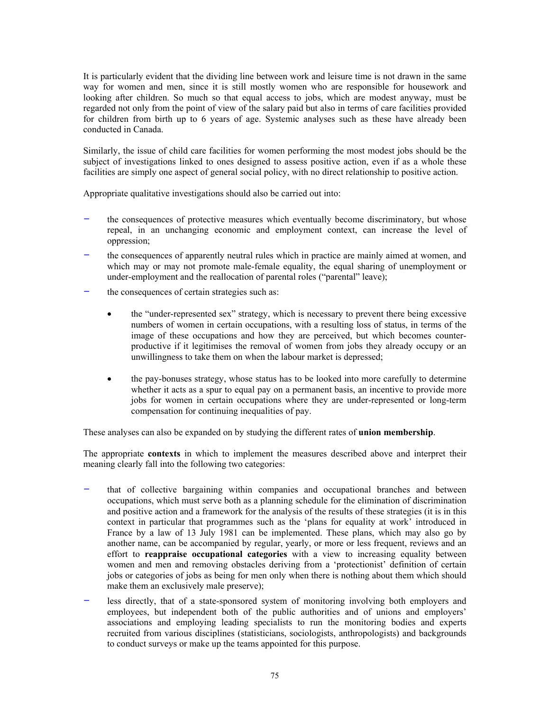It is particularly evident that the dividing line between work and leisure time is not drawn in the same way for women and men, since it is still mostly women who are responsible for housework and looking after children. So much so that equal access to jobs, which are modest anyway, must be regarded not only from the point of view of the salary paid but also in terms of care facilities provided for children from birth up to 6 years of age. Systemic analyses such as these have already been conducted in Canada.

Similarly, the issue of child care facilities for women performing the most modest jobs should be the subject of investigations linked to ones designed to assess positive action, even if as a whole these facilities are simply one aspect of general social policy, with no direct relationship to positive action.

Appropriate qualitative investigations should also be carried out into:

- the consequences of protective measures which eventually become discriminatory, but whose repeal, in an unchanging economic and employment context, can increase the level of oppression;
- the consequences of apparently neutral rules which in practice are mainly aimed at women, and which may or may not promote male-female equality, the equal sharing of unemployment or under-employment and the reallocation of parental roles ("parental" leave);
- the consequences of certain strategies such as:
	- the "under-represented sex" strategy, which is necessary to prevent there being excessive numbers of women in certain occupations, with a resulting loss of status, in terms of the image of these occupations and how they are perceived, but which becomes counterproductive if it legitimises the removal of women from jobs they already occupy or an unwillingness to take them on when the labour market is depressed;
	- the pay-bonuses strategy, whose status has to be looked into more carefully to determine whether it acts as a spur to equal pay on a permanent basis, an incentive to provide more jobs for women in certain occupations where they are under-represented or long-term compensation for continuing inequalities of pay.

These analyses can also be expanded on by studying the different rates of **union membership**.

The appropriate **contexts** in which to implement the measures described above and interpret their meaning clearly fall into the following two categories:

- that of collective bargaining within companies and occupational branches and between occupations, which must serve both as a planning schedule for the elimination of discrimination and positive action and a framework for the analysis of the results of these strategies (it is in this context in particular that programmes such as the 'plans for equality at work' introduced in France by a law of 13 July 1981 can be implemented. These plans, which may also go by another name, can be accompanied by regular, yearly, or more or less frequent, reviews and an effort to **reappraise occupational categories** with a view to increasing equality between women and men and removing obstacles deriving from a 'protectionist' definition of certain jobs or categories of jobs as being for men only when there is nothing about them which should make them an exclusively male preserve);
- less directly, that of a state-sponsored system of monitoring involving both employers and employees, but independent both of the public authorities and of unions and employers' associations and employing leading specialists to run the monitoring bodies and experts recruited from various disciplines (statisticians, sociologists, anthropologists) and backgrounds to conduct surveys or make up the teams appointed for this purpose.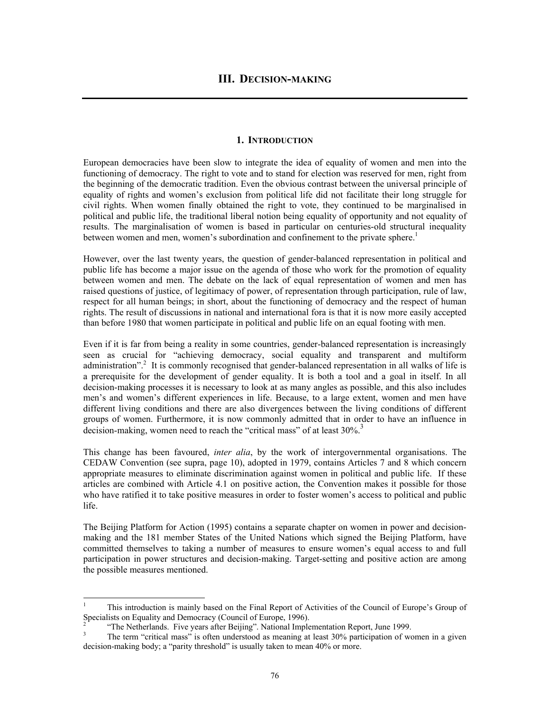### **1. INTRODUCTION**

European democracies have been slow to integrate the idea of equality of women and men into the functioning of democracy. The right to vote and to stand for election was reserved for men, right from the beginning of the democratic tradition. Even the obvious contrast between the universal principle of equality of rights and women's exclusion from political life did not facilitate their long struggle for civil rights. When women finally obtained the right to vote, they continued to be marginalised in political and public life, the traditional liberal notion being equality of opportunity and not equality of results. The marginalisation of women is based in particular on centuries-old structural inequality between women and men, women's subordination and confinement to the private sphere.<sup>1</sup>

However, over the last twenty years, the question of gender-balanced representation in political and public life has become a major issue on the agenda of those who work for the promotion of equality between women and men. The debate on the lack of equal representation of women and men has raised questions of justice, of legitimacy of power, of representation through participation, rule of law, respect for all human beings; in short, about the functioning of democracy and the respect of human rights. The result of discussions in national and international fora is that it is now more easily accepted than before 1980 that women participate in political and public life on an equal footing with men.

Even if it is far from being a reality in some countries, gender-balanced representation is increasingly seen as crucial for "achieving democracy, social equality and transparent and multiform administration".<sup>2</sup> It is commonly recognised that gender-balanced representation in all walks of life is a prerequisite for the development of gender equality. It is both a tool and a goal in itself. In all decision-making processes it is necessary to look at as many angles as possible, and this also includes men's and women's different experiences in life. Because, to a large extent, women and men have different living conditions and there are also divergences between the living conditions of different groups of women. Furthermore, it is now commonly admitted that in order to have an influence in decision-making, women need to reach the "critical mass" of at least 30%.<sup>3</sup>

This change has been favoured, *inter alia*, by the work of intergovernmental organisations. The CEDAW Convention (see supra, page 10), adopted in 1979, contains Articles 7 and 8 which concern appropriate measures to eliminate discrimination against women in political and public life. If these articles are combined with Article 4.1 on positive action, the Convention makes it possible for those who have ratified it to take positive measures in order to foster women's access to political and public life.

The Beijing Platform for Action (1995) contains a separate chapter on women in power and decisionmaking and the 181 member States of the United Nations which signed the Beijing Platform, have committed themselves to taking a number of measures to ensure women's equal access to and full participation in power structures and decision-making. Target-setting and positive action are among the possible measures mentioned.

 $\overline{a}$ 

<sup>1</sup> This introduction is mainly based on the Final Report of Activities of the Council of Europe's Group of Specialists on Equality and Democracy (Council of Europe, 1996).

<sup>2</sup> "The Netherlands. Five years after Beijing". National Implementation Report, June 1999.

<sup>3</sup> The term "critical mass" is often understood as meaning at least 30% participation of women in a given decision-making body; a "parity threshold" is usually taken to mean 40% or more.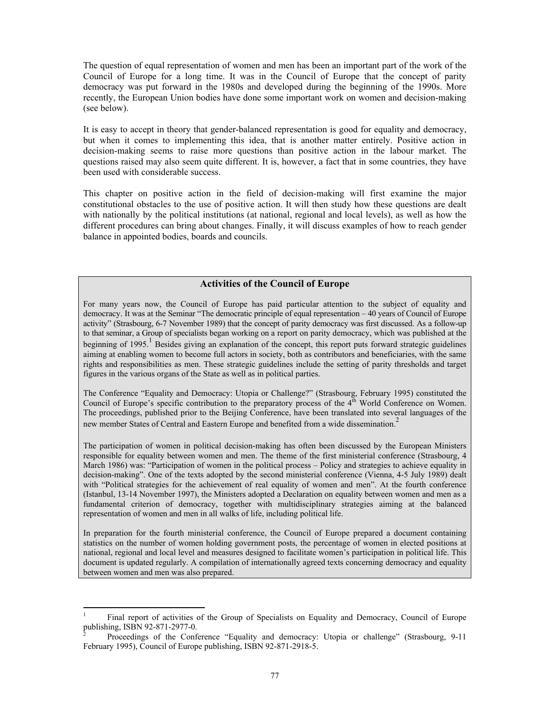The question of equal representation of women and men has been an important part of the work of the Council of Europe for a long time. It was in the Council of Europe that the concept of parity democracy was put forward in the 1980s and developed during the beginning of the 1990s. More recently, the European Union bodies have done some important work on women and decision-making (see below).

It is easy to accept in theory that gender-balanced representation is good for equality and democracy, but when it comes to implementing this idea, that is another matter entirely. Positive action in decision-making seems to raise more questions than positive action in the labour market. The questions raised may also seem quite different. It is, however, a fact that in some countries, they have been used with considerable success.

This chapter on positive action in the field of decision-making will first examine the major constitutional obstacles to the use of positive action. It will then study how these questions are dealt with nationally by the political institutions (at national, regional and local levels), as well as how the different procedures can bring about changes. Finally, it will discuss examples of how to reach gender balance in appointed bodies, boards and councils.

# **Activities of the Council of Europe**

For many years now, the Council of Europe has paid particular attention to the subject of equality and democracy. It was at the Seminar "The democratic principle of equal representation – 40 years of Council of Europe activity" (Strasbourg, 6-7 November 1989) that the concept of parity democracy was first discussed. As a follow-up to that seminar, a Group of specialists began working on a report on parity democracy, which was published at the beginning of 1995.<sup>1</sup> Besides giving an explanation of the concept, this report puts forward strategic guidelines aiming at enabling women to become full actors in society, both as contributors and beneficiaries, with the same rights and responsibilities as men. These strategic guidelines include the setting of parity thresholds and target figures in the various organs of the State as well as in political parties.

The Conference "Equality and Democracy: Utopia or Challenge?" (Strasbourg, February 1995) constituted the Council of Europe's specific contribution to the preparatory process of the 4<sup>th</sup> World Conference on Women. The proceedings, published prior to the Beijing Conference, have been translated into several languages of the new member States of Central and Eastern Europe and benefited from a wide dissemination.<sup>2</sup>

The participation of women in political decision-making has often been discussed by the European Ministers responsible for equality between women and men. The theme of the first ministerial conference (Strasbourg, 4 March 1986) was: "Participation of women in the political process – Policy and strategies to achieve equality in decision-making". One of the texts adopted by the second ministerial conference (Vienna, 4-5 July 1989) dealt with "Political strategies for the achievement of real equality of women and men". At the fourth conference (Istanbul, 13-14 November 1997), the Ministers adopted a Declaration on equality between women and men as a fundamental criterion of democracy, together with multidisciplinary strategies aiming at the balanced representation of women and men in all walks of life, including political life.

In preparation for the fourth ministerial conference, the Council of Europe prepared a document containing statistics on the number of women holding government posts, the percentage of women in elected positions at national, regional and local level and measures designed to facilitate women's participation in political life. This document is updated regularly. A compilation of internationally agreed texts concerning democracy and equality between women and men was also prepared.

<sup>1</sup> Final report of activities of the Group of Specialists on Equality and Democracy, Council of Europe publishing, ISBN 92-871-2977-0.

<sup>2</sup> Proceedings of the Conference "Equality and democracy: Utopia or challenge" (Strasbourg, 9-11 February 1995), Council of Europe publishing, ISBN 92-871-2918-5.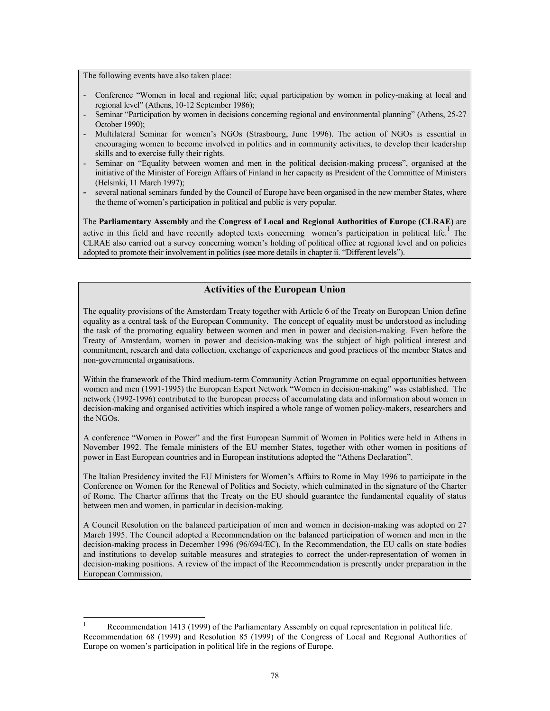The following events have also taken place:

- Conference "Women in local and regional life; equal participation by women in policy-making at local and regional level" (Athens, 10-12 September 1986);
- Seminar "Participation by women in decisions concerning regional and environmental planning" (Athens, 25-27) October 1990);
- Multilateral Seminar for women's NGOs (Strasbourg, June 1996). The action of NGOs is essential in encouraging women to become involved in politics and in community activities, to develop their leadership skills and to exercise fully their rights.
- Seminar on "Equality between women and men in the political decision-making process", organised at the initiative of the Minister of Foreign Affairs of Finland in her capacity as President of the Committee of Ministers (Helsinki, 11 March 1997);
- several national seminars funded by the Council of Europe have been organised in the new member States, where the theme of women's participation in political and public is very popular.

The **Parliamentary Assembly** and the **Congress of Local and Regional Authorities of Europe (CLRAE)** are active in this field and have recently adopted texts concerning women's participation in political life.<sup>1</sup> The CLRAE also carried out a survey concerning women's holding of political office at regional level and on policies adopted to promote their involvement in politics (see more details in chapter ii. "Different levels").

# **Activities of the European Union**

The equality provisions of the Amsterdam Treaty together with Article 6 of the Treaty on European Union define equality as a central task of the European Community. The concept of equality must be understood as including the task of the promoting equality between women and men in power and decision-making. Even before the Treaty of Amsterdam, women in power and decision-making was the subject of high political interest and commitment, research and data collection, exchange of experiences and good practices of the member States and non-governmental organisations.

Within the framework of the Third medium-term Community Action Programme on equal opportunities between women and men (1991-1995) the European Expert Network "Women in decision-making" was established. The network (1992-1996) contributed to the European process of accumulating data and information about women in decision-making and organised activities which inspired a whole range of women policy-makers, researchers and the NGOs.

A conference "Women in Power" and the first European Summit of Women in Politics were held in Athens in November 1992. The female ministers of the EU member States, together with other women in positions of power in East European countries and in European institutions adopted the "Athens Declaration".

The Italian Presidency invited the EU Ministers for Women's Affairs to Rome in May 1996 to participate in the Conference on Women for the Renewal of Politics and Society, which culminated in the signature of the Charter of Rome. The Charter affirms that the Treaty on the EU should guarantee the fundamental equality of status between men and women, in particular in decision-making.

A Council Resolution on the balanced participation of men and women in decision-making was adopted on 27 March 1995. The Council adopted a Recommendation on the balanced participation of women and men in the decision-making process in December 1996 (96/694/EC). In the Recommendation, the EU calls on state bodies and institutions to develop suitable measures and strategies to correct the under-representation of women in decision-making positions. A review of the impact of the Recommendation is presently under preparation in the European Commission.

 $\frac{1}{1}$  Recommendation 1413 (1999) of the Parliamentary Assembly on equal representation in political life. Recommendation 68 (1999) and Resolution 85 (1999) of the Congress of Local and Regional Authorities of Europe on women's participation in political life in the regions of Europe.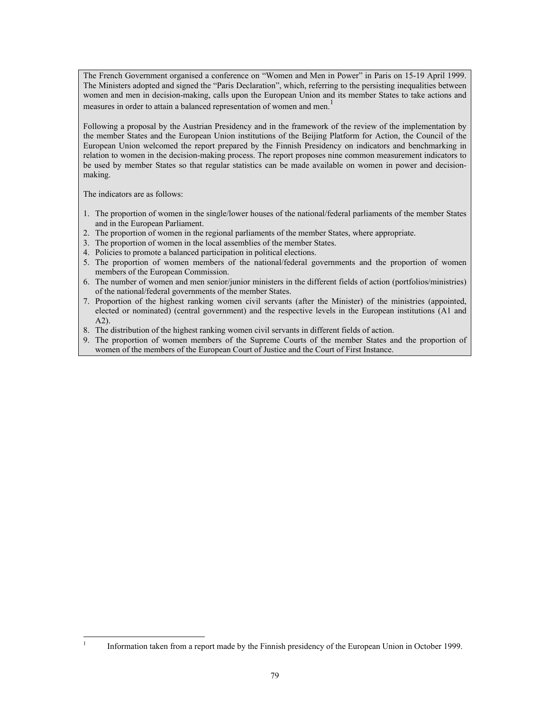The French Government organised a conference on "Women and Men in Power" in Paris on 15-19 April 1999. The Ministers adopted and signed the "Paris Declaration", which, referring to the persisting inequalities between women and men in decision-making, calls upon the European Union and its member States to take actions and measures in order to attain a balanced representation of women and men.<sup>1</sup>

Following a proposal by the Austrian Presidency and in the framework of the review of the implementation by the member States and the European Union institutions of the Beijing Platform for Action, the Council of the European Union welcomed the report prepared by the Finnish Presidency on indicators and benchmarking in relation to women in the decision-making process. The report proposes nine common measurement indicators to be used by member States so that regular statistics can be made available on women in power and decisionmaking.

The indicators are as follows:

- 1. The proportion of women in the single/lower houses of the national/federal parliaments of the member States and in the European Parliament.
- 2. The proportion of women in the regional parliaments of the member States, where appropriate.
- 3. The proportion of women in the local assemblies of the member States.
- 4. Policies to promote a balanced participation in political elections.
- 5. The proportion of women members of the national/federal governments and the proportion of women members of the European Commission.
- 6. The number of women and men senior/junior ministers in the different fields of action (portfolios/ministries) of the national/federal governments of the member States.
- 7. Proportion of the highest ranking women civil servants (after the Minister) of the ministries (appointed, elected or nominated) (central government) and the respective levels in the European institutions (A1 and A2).
- 8. The distribution of the highest ranking women civil servants in different fields of action.
- 9. The proportion of women members of the Supreme Courts of the member States and the proportion of women of the members of the European Court of Justice and the Court of First Instance.

l 1 Information taken from a report made by the Finnish presidency of the European Union in October 1999.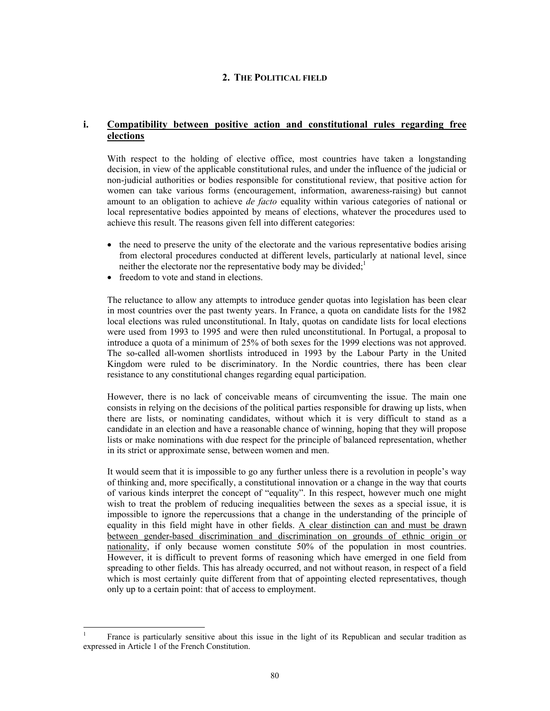### **2. THE POLITICAL FIELD**

### **i. Compatibility between positive action and constitutional rules regarding free elections**

With respect to the holding of elective office, most countries have taken a longstanding decision, in view of the applicable constitutional rules, and under the influence of the judicial or non-judicial authorities or bodies responsible for constitutional review, that positive action for women can take various forms (encouragement, information, awareness-raising) but cannot amount to an obligation to achieve *de facto* equality within various categories of national or local representative bodies appointed by means of elections, whatever the procedures used to achieve this result. The reasons given fell into different categories:

- the need to preserve the unity of the electorate and the various representative bodies arising from electoral procedures conducted at different levels, particularly at national level, since neither the electorate nor the representative body may be divided; $<sup>1</sup>$ </sup>
- freedom to vote and stand in elections.

l

The reluctance to allow any attempts to introduce gender quotas into legislation has been clear in most countries over the past twenty years. In France, a quota on candidate lists for the 1982 local elections was ruled unconstitutional. In Italy, quotas on candidate lists for local elections were used from 1993 to 1995 and were then ruled unconstitutional. In Portugal, a proposal to introduce a quota of a minimum of 25% of both sexes for the 1999 elections was not approved. The so-called all-women shortlists introduced in 1993 by the Labour Party in the United Kingdom were ruled to be discriminatory. In the Nordic countries, there has been clear resistance to any constitutional changes regarding equal participation.

However, there is no lack of conceivable means of circumventing the issue. The main one consists in relying on the decisions of the political parties responsible for drawing up lists, when there are lists, or nominating candidates, without which it is very difficult to stand as a candidate in an election and have a reasonable chance of winning, hoping that they will propose lists or make nominations with due respect for the principle of balanced representation, whether in its strict or approximate sense, between women and men.

It would seem that it is impossible to go any further unless there is a revolution in people's way of thinking and, more specifically, a constitutional innovation or a change in the way that courts of various kinds interpret the concept of "equality". In this respect, however much one might wish to treat the problem of reducing inequalities between the sexes as a special issue, it is impossible to ignore the repercussions that a change in the understanding of the principle of equality in this field might have in other fields. A clear distinction can and must be drawn between gender-based discrimination and discrimination on grounds of ethnic origin or nationality, if only because women constitute 50% of the population in most countries. However, it is difficult to prevent forms of reasoning which have emerged in one field from spreading to other fields. This has already occurred, and not without reason, in respect of a field which is most certainly quite different from that of appointing elected representatives, though only up to a certain point: that of access to employment.

<sup>1</sup> France is particularly sensitive about this issue in the light of its Republican and secular tradition as expressed in Article 1 of the French Constitution.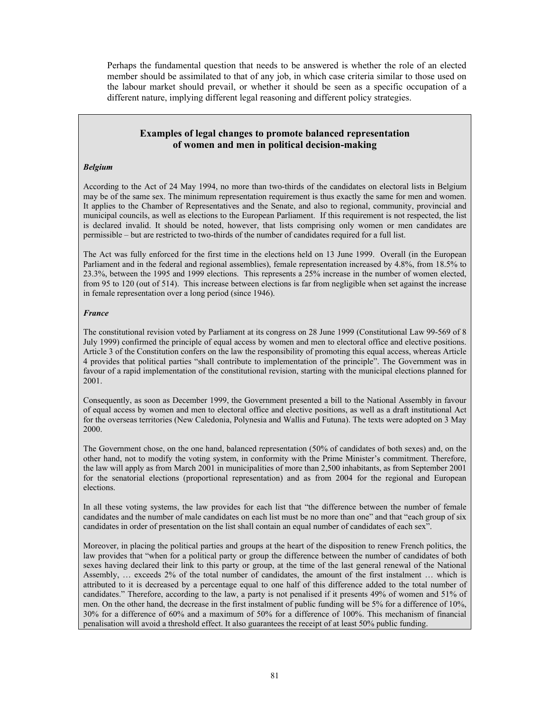Perhaps the fundamental question that needs to be answered is whether the role of an elected member should be assimilated to that of any job, in which case criteria similar to those used on the labour market should prevail, or whether it should be seen as a specific occupation of a different nature, implying different legal reasoning and different policy strategies.

# **Examples of legal changes to promote balanced representation of women and men in political decision-making**

#### *Belgium*

According to the Act of 24 May 1994, no more than two-thirds of the candidates on electoral lists in Belgium may be of the same sex. The minimum representation requirement is thus exactly the same for men and women. It applies to the Chamber of Representatives and the Senate, and also to regional, community, provincial and municipal councils, as well as elections to the European Parliament. If this requirement is not respected, the list is declared invalid. It should be noted, however, that lists comprising only women or men candidates are permissible – but are restricted to two-thirds of the number of candidates required for a full list.

The Act was fully enforced for the first time in the elections held on 13 June 1999. Overall (in the European Parliament and in the federal and regional assemblies), female representation increased by 4.8%, from 18.5% to 23.3%, between the 1995 and 1999 elections. This represents a 25% increase in the number of women elected, from 95 to 120 (out of 514). This increase between elections is far from negligible when set against the increase in female representation over a long period (since 1946).

#### *France*

The constitutional revision voted by Parliament at its congress on 28 June 1999 (Constitutional Law 99-569 of 8 July 1999) confirmed the principle of equal access by women and men to electoral office and elective positions. Article 3 of the Constitution confers on the law the responsibility of promoting this equal access, whereas Article 4 provides that political parties "shall contribute to implementation of the principle". The Government was in favour of a rapid implementation of the constitutional revision, starting with the municipal elections planned for 2001.

Consequently, as soon as December 1999, the Government presented a bill to the National Assembly in favour of equal access by women and men to electoral office and elective positions, as well as a draft institutional Act for the overseas territories (New Caledonia, Polynesia and Wallis and Futuna). The texts were adopted on 3 May 2000.

The Government chose, on the one hand, balanced representation (50% of candidates of both sexes) and, on the other hand, not to modify the voting system, in conformity with the Prime Minister's commitment. Therefore, the law will apply as from March 2001 in municipalities of more than 2,500 inhabitants, as from September 2001 for the senatorial elections (proportional representation) and as from 2004 for the regional and European elections.

In all these voting systems, the law provides for each list that "the difference between the number of female candidates and the number of male candidates on each list must be no more than one" and that "each group of six candidates in order of presentation on the list shall contain an equal number of candidates of each sex".

Moreover, in placing the political parties and groups at the heart of the disposition to renew French politics, the law provides that "when for a political party or group the difference between the number of candidates of both sexes having declared their link to this party or group, at the time of the last general renewal of the National Assembly, … exceeds 2% of the total number of candidates, the amount of the first instalment … which is attributed to it is decreased by a percentage equal to one half of this difference added to the total number of candidates." Therefore, according to the law, a party is not penalised if it presents 49% of women and 51% of men. On the other hand, the decrease in the first instalment of public funding will be 5% for a difference of 10%, 30% for a difference of 60% and a maximum of 50% for a difference of 100%. This mechanism of financial penalisation will avoid a threshold effect. It also guarantees the receipt of at least 50% public funding.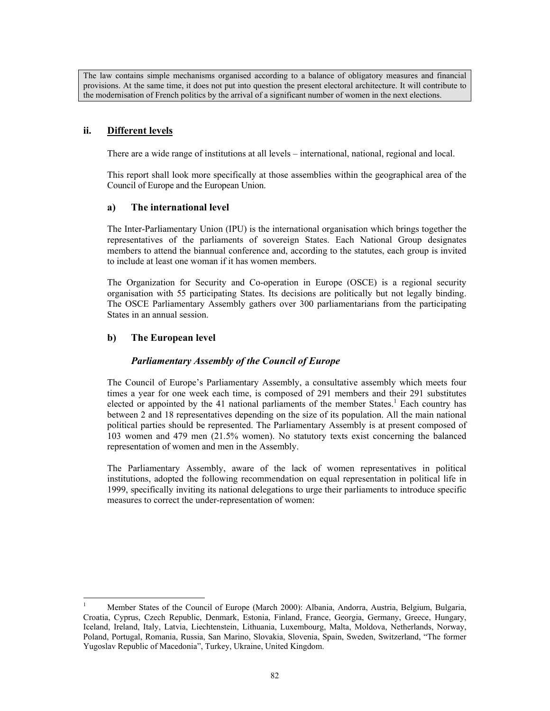The law contains simple mechanisms organised according to a balance of obligatory measures and financial provisions. At the same time, it does not put into question the present electoral architecture. It will contribute to the modernisation of French politics by the arrival of a significant number of women in the next elections.

# **ii. Different levels**

There are a wide range of institutions at all levels – international, national, regional and local.

This report shall look more specifically at those assemblies within the geographical area of the Council of Europe and the European Union.

## **a) The international level**

The Inter-Parliamentary Union (IPU) is the international organisation which brings together the representatives of the parliaments of sovereign States. Each National Group designates members to attend the biannual conference and, according to the statutes, each group is invited to include at least one woman if it has women members.

The Organization for Security and Co-operation in Europe (OSCE) is a regional security organisation with 55 participating States. Its decisions are politically but not legally binding. The OSCE Parliamentary Assembly gathers over 300 parliamentarians from the participating States in an annual session.

# **b) The European level**

# *Parliamentary Assembly of the Council of Europe*

The Council of Europe's Parliamentary Assembly, a consultative assembly which meets four times a year for one week each time, is composed of 291 members and their 291 substitutes elected or appointed by the 41 national parliaments of the member States.<sup>1</sup> Each country has between 2 and 18 representatives depending on the size of its population. All the main national political parties should be represented. The Parliamentary Assembly is at present composed of 103 women and 479 men (21.5% women). No statutory texts exist concerning the balanced representation of women and men in the Assembly.

The Parliamentary Assembly, aware of the lack of women representatives in political institutions, adopted the following recommendation on equal representation in political life in 1999, specifically inviting its national delegations to urge their parliaments to introduce specific measures to correct the under-representation of women:

 $\frac{1}{1}$  Member States of the Council of Europe (March 2000): Albania, Andorra, Austria, Belgium, Bulgaria, Croatia, Cyprus, Czech Republic, Denmark, Estonia, Finland, France, Georgia, Germany, Greece, Hungary, Iceland, Ireland, Italy, Latvia, Liechtenstein, Lithuania, Luxembourg, Malta, Moldova, Netherlands, Norway, Poland, Portugal, Romania, Russia, San Marino, Slovakia, Slovenia, Spain, Sweden, Switzerland, "The former Yugoslav Republic of Macedonia", Turkey, Ukraine, United Kingdom.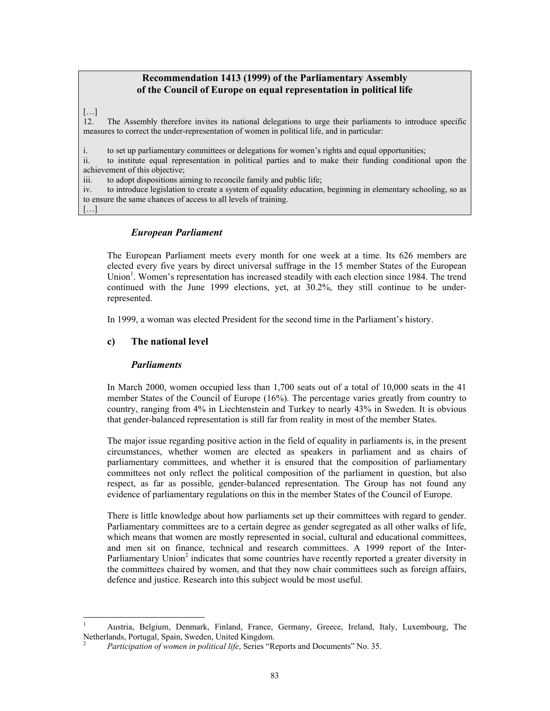# **Recommendation 1413 (1999) of the Parliamentary Assembly of the Council of Europe on equal representation in political life**

### […]

[…]

l

12. The Assembly therefore invites its national delegations to urge their parliaments to introduce specific measures to correct the under-representation of women in political life, and in particular:

i. to set up parliamentary committees or delegations for women's rights and equal opportunities;

ii. to institute equal representation in political parties and to make their funding conditional upon the achievement of this objective;

iii. to adopt dispositions aiming to reconcile family and public life;

iv. to introduce legislation to create a system of equality education, beginning in elementary schooling, so as to ensure the same chances of access to all levels of training.

## *European Parliament*

The European Parliament meets every month for one week at a time. Its 626 members are elected every five years by direct universal suffrage in the 15 member States of the European Union<sup>1</sup>. Women's representation has increased steadily with each election since 1984. The trend continued with the June 1999 elections, yet, at 30.2%, they still continue to be underrepresented.

In 1999, a woman was elected President for the second time in the Parliament's history.

## **c) The national level**

### *Parliaments*

In March 2000, women occupied less than 1,700 seats out of a total of 10,000 seats in the 41 member States of the Council of Europe (16%). The percentage varies greatly from country to country, ranging from 4% in Liechtenstein and Turkey to nearly 43% in Sweden. It is obvious that gender-balanced representation is still far from reality in most of the member States.

The major issue regarding positive action in the field of equality in parliaments is, in the present circumstances, whether women are elected as speakers in parliament and as chairs of parliamentary committees, and whether it is ensured that the composition of parliamentary committees not only reflect the political composition of the parliament in question, but also respect, as far as possible, gender-balanced representation. The Group has not found any evidence of parliamentary regulations on this in the member States of the Council of Europe.

There is little knowledge about how parliaments set up their committees with regard to gender. Parliamentary committees are to a certain degree as gender segregated as all other walks of life, which means that women are mostly represented in social, cultural and educational committees, and men sit on finance, technical and research committees. A 1999 report of the Inter-Parliamentary Union<sup>2</sup> indicates that some countries have recently reported a greater diversity in the committees chaired by women, and that they now chair committees such as foreign affairs, defence and justice. Research into this subject would be most useful.

<sup>1</sup> Austria, Belgium, Denmark, Finland, France, Germany, Greece, Ireland, Italy, Luxembourg, The Netherlands, Portugal, Spain, Sweden, United Kingdom. 2

*Participation of women in political life*, Series "Reports and Documents" No. 35.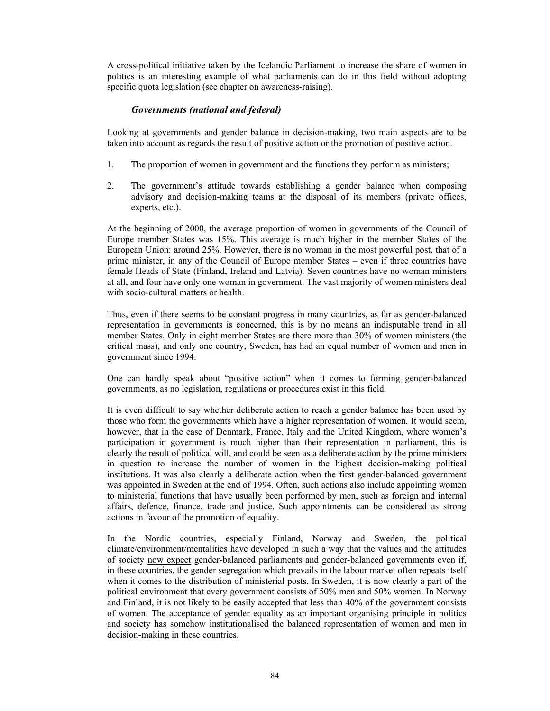A cross-political initiative taken by the Icelandic Parliament to increase the share of women in politics is an interesting example of what parliaments can do in this field without adopting specific quota legislation (see chapter on awareness-raising).

# *Governments (national and federal)*

Looking at governments and gender balance in decision-making, two main aspects are to be taken into account as regards the result of positive action or the promotion of positive action.

- 1. The proportion of women in government and the functions they perform as ministers;
- 2. The government's attitude towards establishing a gender balance when composing advisory and decision-making teams at the disposal of its members (private offices, experts, etc.).

At the beginning of 2000, the average proportion of women in governments of the Council of Europe member States was 15%. This average is much higher in the member States of the European Union: around 25%. However, there is no woman in the most powerful post, that of a prime minister, in any of the Council of Europe member States – even if three countries have female Heads of State (Finland, Ireland and Latvia). Seven countries have no woman ministers at all, and four have only one woman in government. The vast majority of women ministers deal with socio-cultural matters or health.

Thus, even if there seems to be constant progress in many countries, as far as gender-balanced representation in governments is concerned, this is by no means an indisputable trend in all member States. Only in eight member States are there more than 30% of women ministers (the critical mass), and only one country, Sweden, has had an equal number of women and men in government since 1994.

One can hardly speak about "positive action" when it comes to forming gender-balanced governments, as no legislation, regulations or procedures exist in this field.

It is even difficult to say whether deliberate action to reach a gender balance has been used by those who form the governments which have a higher representation of women. It would seem, however, that in the case of Denmark, France, Italy and the United Kingdom, where women's participation in government is much higher than their representation in parliament, this is clearly the result of political will, and could be seen as a deliberate action by the prime ministers in question to increase the number of women in the highest decision-making political institutions. It was also clearly a deliberate action when the first gender-balanced government was appointed in Sweden at the end of 1994. Often, such actions also include appointing women to ministerial functions that have usually been performed by men, such as foreign and internal affairs, defence, finance, trade and justice. Such appointments can be considered as strong actions in favour of the promotion of equality.

In the Nordic countries, especially Finland, Norway and Sweden, the political climate/environment/mentalities have developed in such a way that the values and the attitudes of society now expect gender-balanced parliaments and gender-balanced governments even if, in these countries, the gender segregation which prevails in the labour market often repeats itself when it comes to the distribution of ministerial posts. In Sweden, it is now clearly a part of the political environment that every government consists of 50% men and 50% women. In Norway and Finland, it is not likely to be easily accepted that less than 40% of the government consists of women. The acceptance of gender equality as an important organising principle in politics and society has somehow institutionalised the balanced representation of women and men in decision-making in these countries.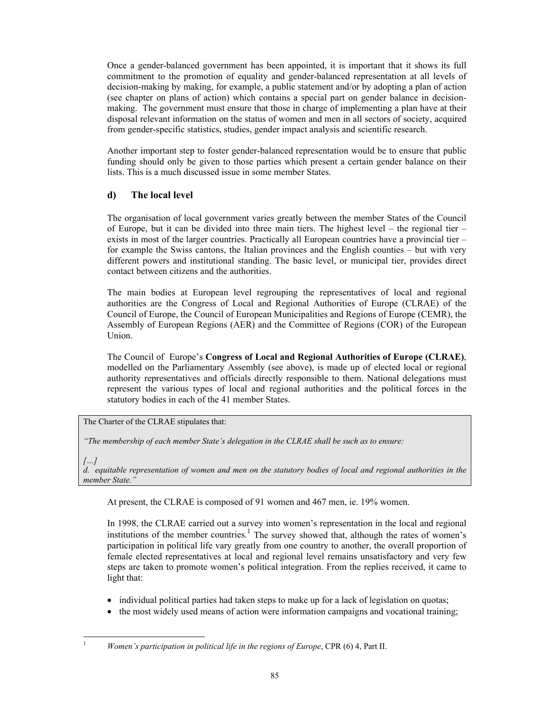Once a gender-balanced government has been appointed, it is important that it shows its full commitment to the promotion of equality and gender-balanced representation at all levels of decision-making by making, for example, a public statement and/or by adopting a plan of action (see chapter on plans of action) which contains a special part on gender balance in decisionmaking. The government must ensure that those in charge of implementing a plan have at their disposal relevant information on the status of women and men in all sectors of society, acquired from gender-specific statistics, studies, gender impact analysis and scientific research.

Another important step to foster gender-balanced representation would be to ensure that public funding should only be given to those parties which present a certain gender balance on their lists. This is a much discussed issue in some member States.

# **d) The local level**

The organisation of local government varies greatly between the member States of the Council of Europe, but it can be divided into three main tiers. The highest level – the regional tier – exists in most of the larger countries. Practically all European countries have a provincial tier – for example the Swiss cantons, the Italian provinces and the English counties – but with very different powers and institutional standing. The basic level, or municipal tier, provides direct contact between citizens and the authorities.

The main bodies at European level regrouping the representatives of local and regional authorities are the Congress of Local and Regional Authorities of Europe (CLRAE) of the Council of Europe, the Council of European Municipalities and Regions of Europe (CEMR), the Assembly of European Regions (AER) and the Committee of Regions (COR) of the European Union.

The Council of Europe's **Congress of Local and Regional Authorities of Europe (CLRAE)**, modelled on the Parliamentary Assembly (see above), is made up of elected local or regional authority representatives and officials directly responsible to them. National delegations must represent the various types of local and regional authorities and the political forces in the statutory bodies in each of the 41 member States.

# The Charter of the CLRAE stipulates that:

*"The membership of each member State's delegation in the CLRAE shall be such as to ensure:* 

*[…]* 

*d. equitable representation of women and men on the statutory bodies of local and regional authorities in the member State."* 

At present, the CLRAE is composed of 91 women and 467 men, ie. 19% women.

In 1998, the CLRAE carried out a survey into women's representation in the local and regional institutions of the member countries.<sup>1</sup> The survey showed that, although the rates of women's participation in political life vary greatly from one country to another, the overall proportion of female elected representatives at local and regional level remains unsatisfactory and very few steps are taken to promote women's political integration. From the replies received, it came to light that:

- individual political parties had taken steps to make up for a lack of legislation on quotas;
- the most widely used means of action were information campaigns and vocational training;

l 1 *Women's participation in political life in the regions of Europe*, CPR (6) 4, Part II.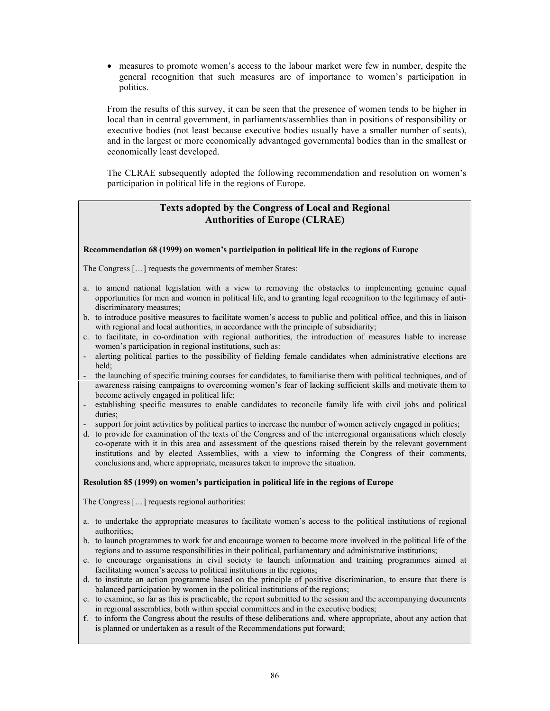• measures to promote women's access to the labour market were few in number, despite the general recognition that such measures are of importance to women's participation in politics.

From the results of this survey, it can be seen that the presence of women tends to be higher in local than in central government, in parliaments/assemblies than in positions of responsibility or executive bodies (not least because executive bodies usually have a smaller number of seats), and in the largest or more economically advantaged governmental bodies than in the smallest or economically least developed.

The CLRAE subsequently adopted the following recommendation and resolution on women's participation in political life in the regions of Europe.

# **Texts adopted by the Congress of Local and Regional Authorities of Europe (CLRAE)**

#### **Recommendation 68 (1999) on women's participation in political life in the regions of Europe**

The Congress […] requests the governments of member States:

- a. to amend national legislation with a view to removing the obstacles to implementing genuine equal opportunities for men and women in political life, and to granting legal recognition to the legitimacy of antidiscriminatory measures;
- b. to introduce positive measures to facilitate women's access to public and political office, and this in liaison with regional and local authorities, in accordance with the principle of subsidiarity;
- c. to facilitate, in co-ordination with regional authorities, the introduction of measures liable to increase women's participation in regional institutions, such as:
- alerting political parties to the possibility of fielding female candidates when administrative elections are held;
- the launching of specific training courses for candidates, to familiarise them with political techniques, and of awareness raising campaigns to overcoming women's fear of lacking sufficient skills and motivate them to become actively engaged in political life;
- establishing specific measures to enable candidates to reconcile family life with civil jobs and political duties;
- support for joint activities by political parties to increase the number of women actively engaged in politics;
- d. to provide for examination of the texts of the Congress and of the interregional organisations which closely co-operate with it in this area and assessment of the questions raised therein by the relevant government institutions and by elected Assemblies, with a view to informing the Congress of their comments, conclusions and, where appropriate, measures taken to improve the situation.

#### **Resolution 85 (1999) on women's participation in political life in the regions of Europe**

The Congress […] requests regional authorities:

- a. to undertake the appropriate measures to facilitate women's access to the political institutions of regional authorities;
- b. to launch programmes to work for and encourage women to become more involved in the political life of the regions and to assume responsibilities in their political, parliamentary and administrative institutions;
- c. to encourage organisations in civil society to launch information and training programmes aimed at facilitating women's access to political institutions in the regions;
- d. to institute an action programme based on the principle of positive discrimination, to ensure that there is balanced participation by women in the political institutions of the regions;
- e. to examine, so far as this is practicable, the report submitted to the session and the accompanying documents in regional assemblies, both within special committees and in the executive bodies;
- f. to inform the Congress about the results of these deliberations and, where appropriate, about any action that is planned or undertaken as a result of the Recommendations put forward;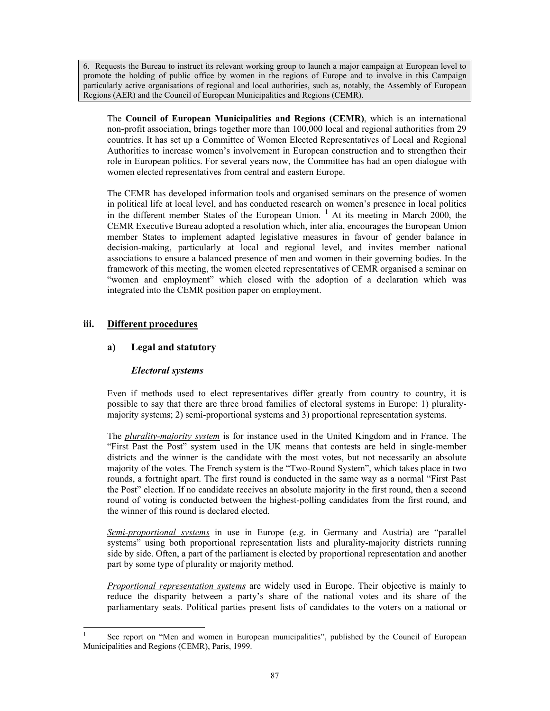6. Requests the Bureau to instruct its relevant working group to launch a major campaign at European level to promote the holding of public office by women in the regions of Europe and to involve in this Campaign particularly active organisations of regional and local authorities, such as, notably, the Assembly of European Regions (AER) and the Council of European Municipalities and Regions (CEMR).

The **Council of European Municipalities and Regions (CEMR)**, which is an international non-profit association, brings together more than 100,000 local and regional authorities from 29 countries. It has set up a Committee of Women Elected Representatives of Local and Regional Authorities to increase women's involvement in European construction and to strengthen their role in European politics. For several years now, the Committee has had an open dialogue with women elected representatives from central and eastern Europe.

The CEMR has developed information tools and organised seminars on the presence of women in political life at local level, and has conducted research on women's presence in local politics in the different member States of the European Union.<sup>1</sup> At its meeting in March 2000, the CEMR Executive Bureau adopted a resolution which, inter alia, encourages the European Union member States to implement adapted legislative measures in favour of gender balance in decision-making, particularly at local and regional level, and invites member national associations to ensure a balanced presence of men and women in their governing bodies. In the framework of this meeting, the women elected representatives of CEMR organised a seminar on "women and employment" which closed with the adoption of a declaration which was integrated into the CEMR position paper on employment.

# **iii. Different procedures**

l

# **a) Legal and statutory**

# *Electoral systems*

Even if methods used to elect representatives differ greatly from country to country, it is possible to say that there are three broad families of electoral systems in Europe: 1) pluralitymajority systems; 2) semi-proportional systems and 3) proportional representation systems.

The *plurality-majority system* is for instance used in the United Kingdom and in France. The "First Past the Post" system used in the UK means that contests are held in single-member districts and the winner is the candidate with the most votes, but not necessarily an absolute majority of the votes. The French system is the "Two-Round System", which takes place in two rounds, a fortnight apart. The first round is conducted in the same way as a normal "First Past the Post" election. If no candidate receives an absolute majority in the first round, then a second round of voting is conducted between the highest-polling candidates from the first round, and the winner of this round is declared elected.

*Semi-proportional systems* in use in Europe (e.g. in Germany and Austria) are "parallel systems" using both proportional representation lists and plurality-majority districts running side by side. Often, a part of the parliament is elected by proportional representation and another part by some type of plurality or majority method.

*Proportional representation systems* are widely used in Europe. Their objective is mainly to reduce the disparity between a party's share of the national votes and its share of the parliamentary seats. Political parties present lists of candidates to the voters on a national or

<sup>1</sup> See report on "Men and women in European municipalities", published by the Council of European Municipalities and Regions (CEMR), Paris, 1999.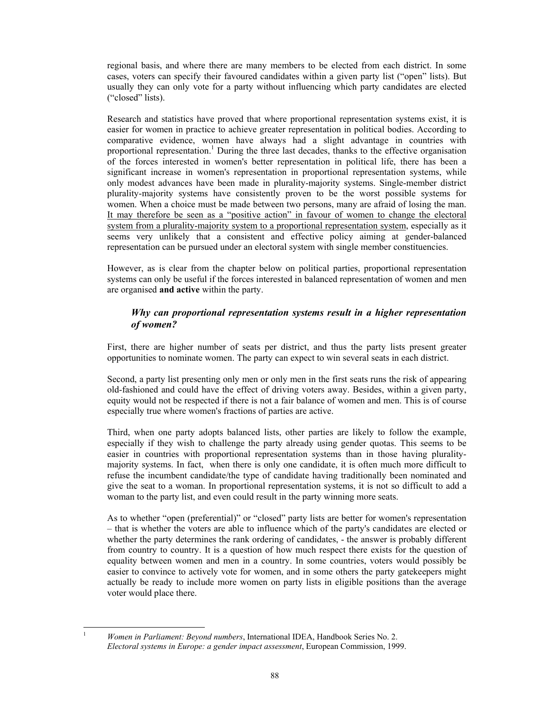regional basis, and where there are many members to be elected from each district. In some cases, voters can specify their favoured candidates within a given party list ("open" lists). But usually they can only vote for a party without influencing which party candidates are elected ("closed" lists).

Research and statistics have proved that where proportional representation systems exist, it is easier for women in practice to achieve greater representation in political bodies. According to comparative evidence, women have always had a slight advantage in countries with proportional representation.<sup>1</sup> During the three last decades, thanks to the effective organisation of the forces interested in women's better representation in political life, there has been a significant increase in women's representation in proportional representation systems, while only modest advances have been made in plurality-majority systems. Single-member district plurality-majority systems have consistently proven to be the worst possible systems for women. When a choice must be made between two persons, many are afraid of losing the man. It may therefore be seen as a "positive action" in favour of women to change the electoral system from a plurality-majority system to a proportional representation system, especially as it seems very unlikely that a consistent and effective policy aiming at gender-balanced representation can be pursued under an electoral system with single member constituencies.

However, as is clear from the chapter below on political parties, proportional representation systems can only be useful if the forces interested in balanced representation of women and men are organised **and active** within the party.

# *Why can proportional representation systems result in a higher representation of women?*

First, there are higher number of seats per district, and thus the party lists present greater opportunities to nominate women. The party can expect to win several seats in each district.

Second, a party list presenting only men or only men in the first seats runs the risk of appearing old-fashioned and could have the effect of driving voters away. Besides, within a given party, equity would not be respected if there is not a fair balance of women and men. This is of course especially true where women's fractions of parties are active.

Third, when one party adopts balanced lists, other parties are likely to follow the example, especially if they wish to challenge the party already using gender quotas. This seems to be easier in countries with proportional representation systems than in those having pluralitymajority systems. In fact, when there is only one candidate, it is often much more difficult to refuse the incumbent candidate/the type of candidate having traditionally been nominated and give the seat to a woman. In proportional representation systems, it is not so difficult to add a woman to the party list, and even could result in the party winning more seats.

As to whether "open (preferential)" or "closed" party lists are better for women's representation – that is whether the voters are able to influence which of the party's candidates are elected or whether the party determines the rank ordering of candidates, - the answer is probably different from country to country. It is a question of how much respect there exists for the question of equality between women and men in a country. In some countries, voters would possibly be easier to convince to actively vote for women, and in some others the party gatekeepers might actually be ready to include more women on party lists in eligible positions than the average voter would place there.

 $\frac{1}{1}$  *Women in Parliament: Beyond numbers*, International IDEA, Handbook Series No. 2. *Electoral systems in Europe: a gender impact assessment*, European Commission, 1999.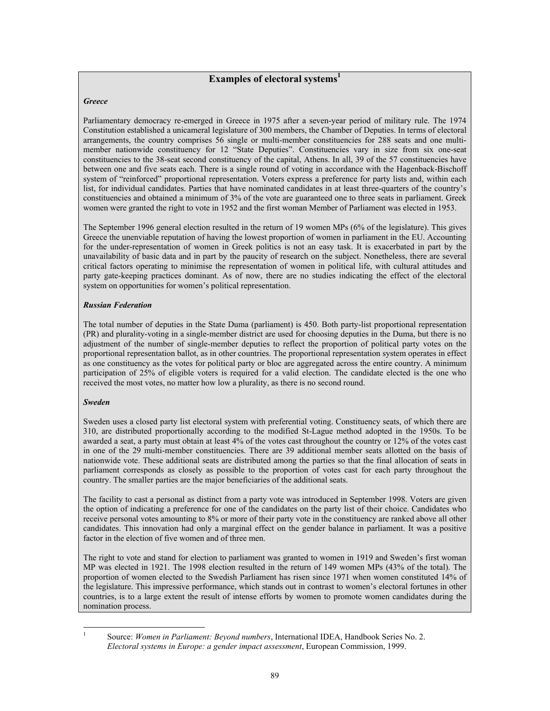# **Examples of electoral systems**<sup>1</sup>

#### *Greece*

Parliamentary democracy re-emerged in Greece in 1975 after a seven-year period of military rule. The 1974 Constitution established a unicameral legislature of 300 members, the Chamber of Deputies. In terms of electoral arrangements, the country comprises 56 single or multi-member constituencies for 288 seats and one multimember nationwide constituency for 12 "State Deputies". Constituencies vary in size from six one-seat constituencies to the 38-seat second constituency of the capital, Athens. In all, 39 of the 57 constituencies have between one and five seats each. There is a single round of voting in accordance with the Hagenback-Bischoff system of "reinforced" proportional representation. Voters express a preference for party lists and, within each list, for individual candidates. Parties that have nominated candidates in at least three-quarters of the country's constituencies and obtained a minimum of 3% of the vote are guaranteed one to three seats in parliament. Greek women were granted the right to vote in 1952 and the first woman Member of Parliament was elected in 1953.

The September 1996 general election resulted in the return of 19 women MPs (6% of the legislature). This gives Greece the unenviable reputation of having the lowest proportion of women in parliament in the EU. Accounting for the under-representation of women in Greek politics is not an easy task. It is exacerbated in part by the unavailability of basic data and in part by the paucity of research on the subject. Nonetheless, there are several critical factors operating to minimise the representation of women in political life, with cultural attitudes and party gate-keeping practices dominant. As of now, there are no studies indicating the effect of the electoral system on opportunities for women's political representation.

#### *Russian Federation*

The total number of deputies in the State Duma (parliament) is 450. Both party-list proportional representation (PR) and plurality-voting in a single-member district are used for choosing deputies in the Duma, but there is no adjustment of the number of single-member deputies to reflect the proportion of political party votes on the proportional representation ballot, as in other countries. The proportional representation system operates in effect as one constituency as the votes for political party or bloc are aggregated across the entire country. A minimum participation of 25% of eligible voters is required for a valid election. The candidate elected is the one who received the most votes, no matter how low a plurality, as there is no second round.

#### *Sweden*

Sweden uses a closed party list electoral system with preferential voting. Constituency seats, of which there are 310, are distributed proportionally according to the modified St-Lague method adopted in the 1950s. To be awarded a seat, a party must obtain at least 4% of the votes cast throughout the country or 12% of the votes cast in one of the 29 multi-member constituencies. There are 39 additional member seats allotted on the basis of nationwide vote. These additional seats are distributed among the parties so that the final allocation of seats in parliament corresponds as closely as possible to the proportion of votes cast for each party throughout the country. The smaller parties are the major beneficiaries of the additional seats.

The facility to cast a personal as distinct from a party vote was introduced in September 1998. Voters are given the option of indicating a preference for one of the candidates on the party list of their choice. Candidates who receive personal votes amounting to 8% or more of their party vote in the constituency are ranked above all other candidates. This innovation had only a marginal effect on the gender balance in parliament. It was a positive factor in the election of five women and of three men.

The right to vote and stand for election to parliament was granted to women in 1919 and Sweden's first woman MP was elected in 1921. The 1998 election resulted in the return of 149 women MPs (43% of the total). The proportion of women elected to the Swedish Parliament has risen since 1971 when women constituted 14% of the legislature. This impressive performance, which stands out in contrast to women's electoral fortunes in other countries, is to a large extent the result of intense efforts by women to promote women candidates during the nomination process.

 $\frac{1}{1}$ 

Source: *Women in Parliament: Beyond numbers*, International IDEA, Handbook Series No. 2. *Electoral systems in Europe: a gender impact assessment*, European Commission, 1999.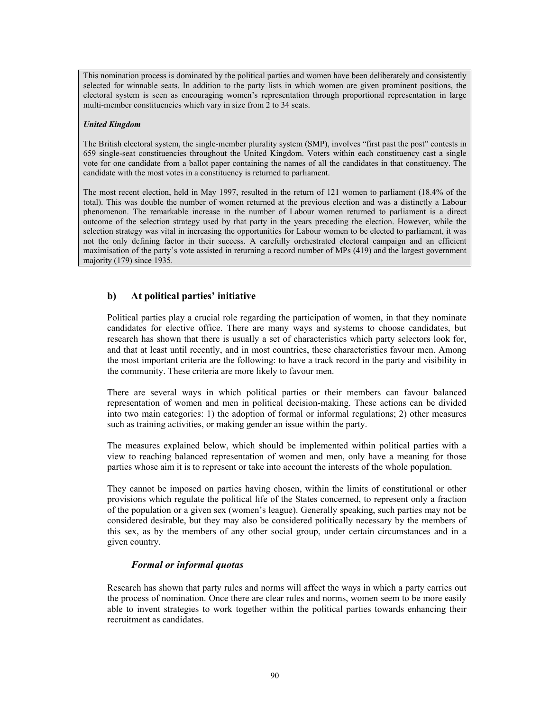This nomination process is dominated by the political parties and women have been deliberately and consistently selected for winnable seats. In addition to the party lists in which women are given prominent positions, the electoral system is seen as encouraging women's representation through proportional representation in large multi-member constituencies which vary in size from 2 to 34 seats.

### *United Kingdom*

The British electoral system, the single-member plurality system (SMP), involves "first past the post" contests in 659 single-seat constituencies throughout the United Kingdom. Voters within each constituency cast a single vote for one candidate from a ballot paper containing the names of all the candidates in that constituency. The candidate with the most votes in a constituency is returned to parliament.

The most recent election, held in May 1997, resulted in the return of 121 women to parliament (18.4% of the total). This was double the number of women returned at the previous election and was a distinctly a Labour phenomenon. The remarkable increase in the number of Labour women returned to parliament is a direct outcome of the selection strategy used by that party in the years preceding the election. However, while the selection strategy was vital in increasing the opportunities for Labour women to be elected to parliament, it was not the only defining factor in their success. A carefully orchestrated electoral campaign and an efficient maximisation of the party's vote assisted in returning a record number of MPs (419) and the largest government majority (179) since 1935.

# **b) At political parties' initiative**

Political parties play a crucial role regarding the participation of women, in that they nominate candidates for elective office. There are many ways and systems to choose candidates, but research has shown that there is usually a set of characteristics which party selectors look for, and that at least until recently, and in most countries, these characteristics favour men. Among the most important criteria are the following: to have a track record in the party and visibility in the community. These criteria are more likely to favour men.

There are several ways in which political parties or their members can favour balanced representation of women and men in political decision-making. These actions can be divided into two main categories: 1) the adoption of formal or informal regulations; 2) other measures such as training activities, or making gender an issue within the party.

The measures explained below, which should be implemented within political parties with a view to reaching balanced representation of women and men, only have a meaning for those parties whose aim it is to represent or take into account the interests of the whole population.

They cannot be imposed on parties having chosen, within the limits of constitutional or other provisions which regulate the political life of the States concerned, to represent only a fraction of the population or a given sex (women's league). Generally speaking, such parties may not be considered desirable, but they may also be considered politically necessary by the members of this sex, as by the members of any other social group, under certain circumstances and in a given country.

### *Formal or informal quotas*

Research has shown that party rules and norms will affect the ways in which a party carries out the process of nomination. Once there are clear rules and norms, women seem to be more easily able to invent strategies to work together within the political parties towards enhancing their recruitment as candidates.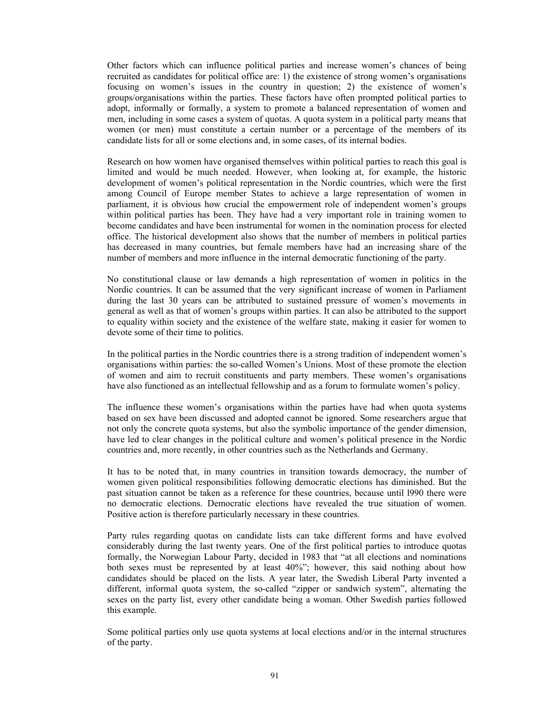Other factors which can influence political parties and increase women's chances of being recruited as candidates for political office are: 1) the existence of strong women's organisations focusing on women's issues in the country in question; 2) the existence of women's groups/organisations within the parties. These factors have often prompted political parties to adopt, informally or formally, a system to promote a balanced representation of women and men, including in some cases a system of quotas. A quota system in a political party means that women (or men) must constitute a certain number or a percentage of the members of its candidate lists for all or some elections and, in some cases, of its internal bodies.

Research on how women have organised themselves within political parties to reach this goal is limited and would be much needed. However, when looking at, for example, the historic development of women's political representation in the Nordic countries, which were the first among Council of Europe member States to achieve a large representation of women in parliament, it is obvious how crucial the empowerment role of independent women's groups within political parties has been. They have had a very important role in training women to become candidates and have been instrumental for women in the nomination process for elected office. The historical development also shows that the number of members in political parties has decreased in many countries, but female members have had an increasing share of the number of members and more influence in the internal democratic functioning of the party.

No constitutional clause or law demands a high representation of women in politics in the Nordic countries. It can be assumed that the very significant increase of women in Parliament during the last 30 years can be attributed to sustained pressure of women's movements in general as well as that of women's groups within parties. It can also be attributed to the support to equality within society and the existence of the welfare state, making it easier for women to devote some of their time to politics.

In the political parties in the Nordic countries there is a strong tradition of independent women's organisations within parties: the so-called Women's Unions. Most of these promote the election of women and aim to recruit constituents and party members. These women's organisations have also functioned as an intellectual fellowship and as a forum to formulate women's policy.

The influence these women's organisations within the parties have had when quota systems based on sex have been discussed and adopted cannot be ignored. Some researchers argue that not only the concrete quota systems, but also the symbolic importance of the gender dimension, have led to clear changes in the political culture and women's political presence in the Nordic countries and, more recently, in other countries such as the Netherlands and Germany.

It has to be noted that, in many countries in transition towards democracy, the number of women given political responsibilities following democratic elections has diminished. But the past situation cannot be taken as a reference for these countries, because until l990 there were no democratic elections. Democratic elections have revealed the true situation of women. Positive action is therefore particularly necessary in these countries.

Party rules regarding quotas on candidate lists can take different forms and have evolved considerably during the last twenty years. One of the first political parties to introduce quotas formally, the Norwegian Labour Party, decided in 1983 that "at all elections and nominations both sexes must be represented by at least 40%"; however, this said nothing about how candidates should be placed on the lists. A year later, the Swedish Liberal Party invented a different, informal quota system, the so-called "zipper or sandwich system", alternating the sexes on the party list, every other candidate being a woman. Other Swedish parties followed this example.

Some political parties only use quota systems at local elections and/or in the internal structures of the party.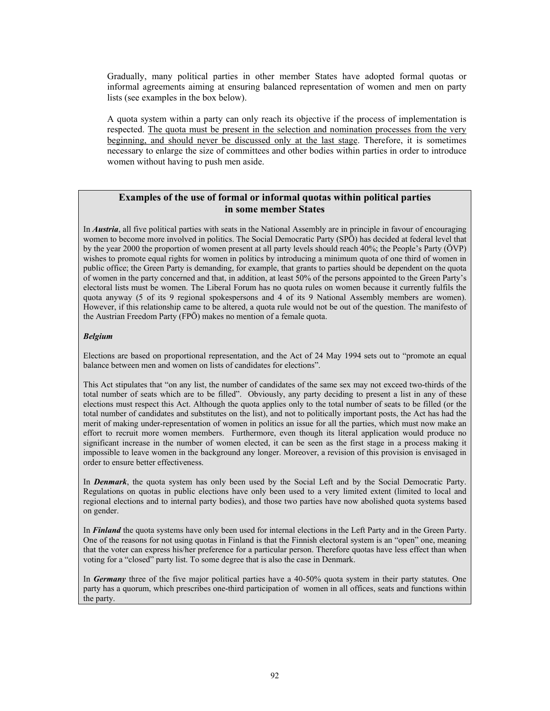Gradually, many political parties in other member States have adopted formal quotas or informal agreements aiming at ensuring balanced representation of women and men on party lists (see examples in the box below).

A quota system within a party can only reach its objective if the process of implementation is respected. The quota must be present in the selection and nomination processes from the very beginning, and should never be discussed only at the last stage. Therefore, it is sometimes necessary to enlarge the size of committees and other bodies within parties in order to introduce women without having to push men aside.

# **Examples of the use of formal or informal quotas within political parties in some member States**

In *Austria*, all five political parties with seats in the National Assembly are in principle in favour of encouraging women to become more involved in politics. The Social Democratic Party (SPÖ) has decided at federal level that by the year 2000 the proportion of women present at all party levels should reach 40%; the People's Party (ÖVP) wishes to promote equal rights for women in politics by introducing a minimum quota of one third of women in public office; the Green Party is demanding, for example, that grants to parties should be dependent on the quota of women in the party concerned and that, in addition, at least 50% of the persons appointed to the Green Party's electoral lists must be women. The Liberal Forum has no quota rules on women because it currently fulfils the quota anyway (5 of its 9 regional spokespersons and 4 of its 9 National Assembly members are women). However, if this relationship came to be altered, a quota rule would not be out of the question. The manifesto of the Austrian Freedom Party (FPÖ) makes no mention of a female quota.

### *Belgium*

Elections are based on proportional representation, and the Act of 24 May 1994 sets out to "promote an equal balance between men and women on lists of candidates for elections".

This Act stipulates that "on any list, the number of candidates of the same sex may not exceed two-thirds of the total number of seats which are to be filled". Obviously, any party deciding to present a list in any of these elections must respect this Act. Although the quota applies only to the total number of seats to be filled (or the total number of candidates and substitutes on the list), and not to politically important posts, the Act has had the merit of making under-representation of women in politics an issue for all the parties, which must now make an effort to recruit more women members. Furthermore, even though its literal application would produce no significant increase in the number of women elected, it can be seen as the first stage in a process making it impossible to leave women in the background any longer. Moreover, a revision of this provision is envisaged in order to ensure better effectiveness.

In *Denmark*, the quota system has only been used by the Social Left and by the Social Democratic Party. Regulations on quotas in public elections have only been used to a very limited extent (limited to local and regional elections and to internal party bodies), and those two parties have now abolished quota systems based on gender.

In *Finland* the quota systems have only been used for internal elections in the Left Party and in the Green Party. One of the reasons for not using quotas in Finland is that the Finnish electoral system is an "open" one, meaning that the voter can express his/her preference for a particular person. Therefore quotas have less effect than when voting for a "closed" party list. To some degree that is also the case in Denmark.

In *Germany* three of the five major political parties have a 40-50% quota system in their party statutes. One party has a quorum, which prescribes one-third participation of women in all offices, seats and functions within the party.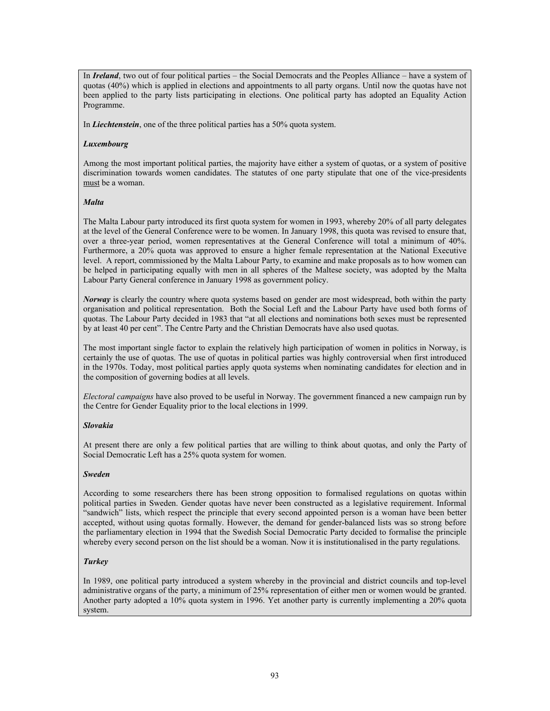In *Ireland*, two out of four political parties – the Social Democrats and the Peoples Alliance – have a system of quotas (40%) which is applied in elections and appointments to all party organs. Until now the quotas have not been applied to the party lists participating in elections. One political party has adopted an Equality Action Programme.

In *Liechtenstein*, one of the three political parties has a 50% quota system.

### *Luxembourg*

Among the most important political parties, the majority have either a system of quotas, or a system of positive discrimination towards women candidates. The statutes of one party stipulate that one of the vice-presidents must be a woman.

#### *Malta*

The Malta Labour party introduced its first quota system for women in 1993, whereby 20% of all party delegates at the level of the General Conference were to be women. In January 1998, this quota was revised to ensure that, over a three-year period, women representatives at the General Conference will total a minimum of 40%. Furthermore, a 20% quota was approved to ensure a higher female representation at the National Executive level. A report, commissioned by the Malta Labour Party, to examine and make proposals as to how women can be helped in participating equally with men in all spheres of the Maltese society, was adopted by the Malta Labour Party General conference in January 1998 as government policy.

*Norway* is clearly the country where quota systems based on gender are most widespread, both within the party organisation and political representation. Both the Social Left and the Labour Party have used both forms of quotas. The Labour Party decided in 1983 that "at all elections and nominations both sexes must be represented by at least 40 per cent". The Centre Party and the Christian Democrats have also used quotas.

The most important single factor to explain the relatively high participation of women in politics in Norway, is certainly the use of quotas. The use of quotas in political parties was highly controversial when first introduced in the 1970s. Today, most political parties apply quota systems when nominating candidates for election and in the composition of governing bodies at all levels.

*Electoral campaigns* have also proved to be useful in Norway. The government financed a new campaign run by the Centre for Gender Equality prior to the local elections in 1999.

### *Slovakia*

At present there are only a few political parties that are willing to think about quotas, and only the Party of Social Democratic Left has a 25% quota system for women.

#### *Sweden*

According to some researchers there has been strong opposition to formalised regulations on quotas within political parties in Sweden. Gender quotas have never been constructed as a legislative requirement. Informal "sandwich" lists, which respect the principle that every second appointed person is a woman have been better accepted, without using quotas formally. However, the demand for gender-balanced lists was so strong before the parliamentary election in 1994 that the Swedish Social Democratic Party decided to formalise the principle whereby every second person on the list should be a woman. Now it is institutionalised in the party regulations.

### *Turkey*

In 1989, one political party introduced a system whereby in the provincial and district councils and top-level administrative organs of the party, a minimum of 25% representation of either men or women would be granted. Another party adopted a 10% quota system in 1996. Yet another party is currently implementing a 20% quota system.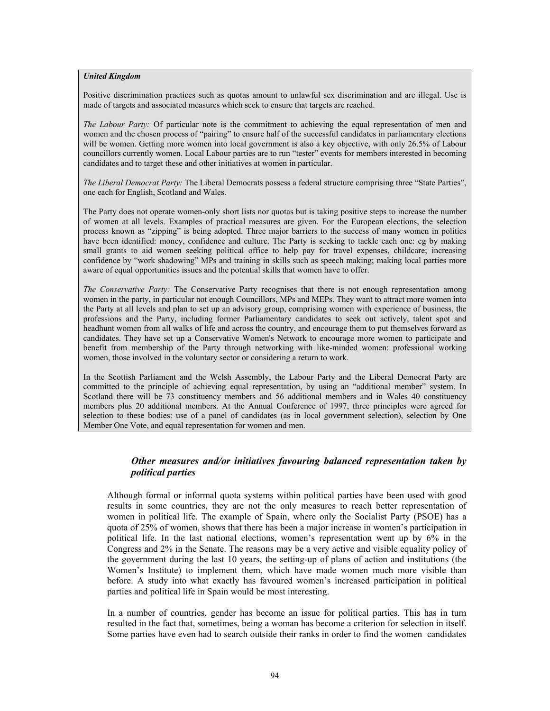#### *United Kingdom*

Positive discrimination practices such as quotas amount to unlawful sex discrimination and are illegal. Use is made of targets and associated measures which seek to ensure that targets are reached.

*The Labour Party:* Of particular note is the commitment to achieving the equal representation of men and women and the chosen process of "pairing" to ensure half of the successful candidates in parliamentary elections will be women. Getting more women into local government is also a key objective, with only 26.5% of Labour councillors currently women. Local Labour parties are to run "tester" events for members interested in becoming candidates and to target these and other initiatives at women in particular.

*The Liberal Democrat Party:* The Liberal Democrats possess a federal structure comprising three "State Parties", one each for English, Scotland and Wales.

The Party does not operate women-only short lists nor quotas but is taking positive steps to increase the number of women at all levels. Examples of practical measures are given. For the European elections, the selection process known as "zipping" is being adopted. Three major barriers to the success of many women in politics have been identified: money, confidence and culture. The Party is seeking to tackle each one: eg by making small grants to aid women seeking political office to help pay for travel expenses, childcare; increasing confidence by "work shadowing" MPs and training in skills such as speech making; making local parties more aware of equal opportunities issues and the potential skills that women have to offer.

*The Conservative Party:* The Conservative Party recognises that there is not enough representation among women in the party, in particular not enough Councillors, MPs and MEPs. They want to attract more women into the Party at all levels and plan to set up an advisory group, comprising women with experience of business, the professions and the Party, including former Parliamentary candidates to seek out actively, talent spot and headhunt women from all walks of life and across the country, and encourage them to put themselves forward as candidates. They have set up a Conservative Women's Network to encourage more women to participate and benefit from membership of the Party through networking with like-minded women: professional working women, those involved in the voluntary sector or considering a return to work.

In the Scottish Parliament and the Welsh Assembly, the Labour Party and the Liberal Democrat Party are committed to the principle of achieving equal representation, by using an "additional member" system. In Scotland there will be 73 constituency members and 56 additional members and in Wales 40 constituency members plus 20 additional members. At the Annual Conference of 1997, three principles were agreed for selection to these bodies: use of a panel of candidates (as in local government selection), selection by One Member One Vote, and equal representation for women and men.

# *Other measures and/or initiatives favouring balanced representation taken by political parties*

Although formal or informal quota systems within political parties have been used with good results in some countries, they are not the only measures to reach better representation of women in political life. The example of Spain, where only the Socialist Party (PSOE) has a quota of 25% of women, shows that there has been a major increase in women's participation in political life. In the last national elections, women's representation went up by 6% in the Congress and 2% in the Senate. The reasons may be a very active and visible equality policy of the government during the last 10 years, the setting-up of plans of action and institutions (the Women's Institute) to implement them, which have made women much more visible than before. A study into what exactly has favoured women's increased participation in political parties and political life in Spain would be most interesting.

In a number of countries, gender has become an issue for political parties. This has in turn resulted in the fact that, sometimes, being a woman has become a criterion for selection in itself. Some parties have even had to search outside their ranks in order to find the women candidates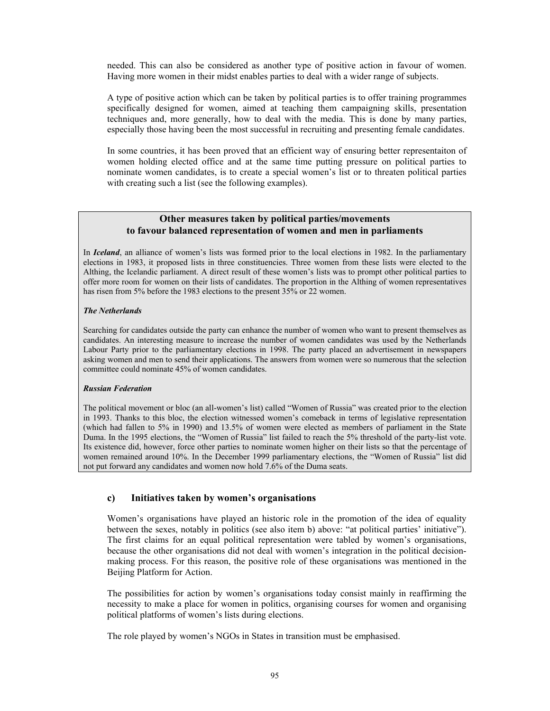needed. This can also be considered as another type of positive action in favour of women. Having more women in their midst enables parties to deal with a wider range of subjects.

A type of positive action which can be taken by political parties is to offer training programmes specifically designed for women, aimed at teaching them campaigning skills, presentation techniques and, more generally, how to deal with the media. This is done by many parties, especially those having been the most successful in recruiting and presenting female candidates.

In some countries, it has been proved that an efficient way of ensuring better representaiton of women holding elected office and at the same time putting pressure on political parties to nominate women candidates, is to create a special women's list or to threaten political parties with creating such a list (see the following examples).

### **Other measures taken by political parties/movements to favour balanced representation of women and men in parliaments**

In *Iceland*, an alliance of women's lists was formed prior to the local elections in 1982. In the parliamentary elections in 1983, it proposed lists in three constituencies. Three women from these lists were elected to the Althing, the Icelandic parliament. A direct result of these women's lists was to prompt other political parties to offer more room for women on their lists of candidates. The proportion in the Althing of women representatives has risen from 5% before the 1983 elections to the present 35% or 22 women.

#### *The Netherlands*

Searching for candidates outside the party can enhance the number of women who want to present themselves as candidates. An interesting measure to increase the number of women candidates was used by the Netherlands Labour Party prior to the parliamentary elections in 1998. The party placed an advertisement in newspapers asking women and men to send their applications. The answers from women were so numerous that the selection committee could nominate 45% of women candidates.

#### *Russian Federation*

The political movement or bloc (an all-women's list) called "Women of Russia" was created prior to the election in 1993. Thanks to this bloc, the election witnessed women's comeback in terms of legislative representation (which had fallen to 5% in 1990) and 13.5% of women were elected as members of parliament in the State Duma. In the 1995 elections, the "Women of Russia" list failed to reach the 5% threshold of the party-list vote. Its existence did, however, force other parties to nominate women higher on their lists so that the percentage of women remained around 10%. In the December 1999 parliamentary elections, the "Women of Russia" list did not put forward any candidates and women now hold 7.6% of the Duma seats.

# **c) Initiatives taken by women's organisations**

Women's organisations have played an historic role in the promotion of the idea of equality between the sexes, notably in politics (see also item b) above: "at political parties' initiative"). The first claims for an equal political representation were tabled by women's organisations, because the other organisations did not deal with women's integration in the political decisionmaking process. For this reason, the positive role of these organisations was mentioned in the Beijing Platform for Action.

The possibilities for action by women's organisations today consist mainly in reaffirming the necessity to make a place for women in politics, organising courses for women and organising political platforms of women's lists during elections.

The role played by women's NGOs in States in transition must be emphasised.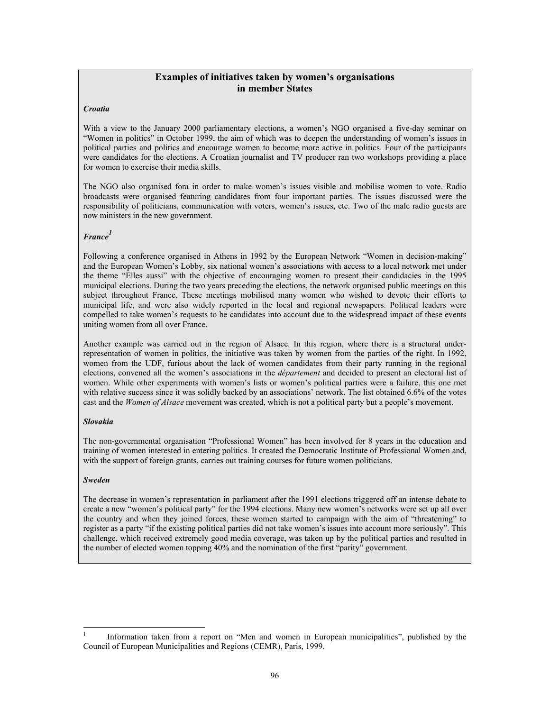# **Examples of initiatives taken by women's organisations in member States**

#### *Croatia*

With a view to the January 2000 parliamentary elections, a women's NGO organised a five-day seminar on "Women in politics" in October 1999, the aim of which was to deepen the understanding of women's issues in political parties and politics and encourage women to become more active in politics. Four of the participants were candidates for the elections. A Croatian journalist and TV producer ran two workshops providing a place for women to exercise their media skills.

The NGO also organised fora in order to make women's issues visible and mobilise women to vote. Radio broadcasts were organised featuring candidates from four important parties. The issues discussed were the responsibility of politicians, communication with voters, women's issues, etc. Two of the male radio guests are now ministers in the new government.

### *France<sup>1</sup>*

Following a conference organised in Athens in 1992 by the European Network "Women in decision-making" and the European Women's Lobby, six national women's associations with access to a local network met under the theme "Elles aussi" with the objective of encouraging women to present their candidacies in the 1995 municipal elections. During the two years preceding the elections, the network organised public meetings on this subject throughout France. These meetings mobilised many women who wished to devote their efforts to municipal life, and were also widely reported in the local and regional newspapers. Political leaders were compelled to take women's requests to be candidates into account due to the widespread impact of these events uniting women from all over France.

Another example was carried out in the region of Alsace. In this region, where there is a structural underrepresentation of women in politics, the initiative was taken by women from the parties of the right. In 1992, women from the UDF, furious about the lack of women candidates from their party running in the regional elections, convened all the women's associations in the *département* and decided to present an electoral list of women. While other experiments with women's lists or women's political parties were a failure, this one met with relative success since it was solidly backed by an associations' network. The list obtained 6.6% of the votes cast and the *Women of Alsace* movement was created, which is not a political party but a people's movement.

#### *Slovakia*

The non-governmental organisation "Professional Women" has been involved for 8 years in the education and training of women interested in entering politics. It created the Democratic Institute of Professional Women and, with the support of foreign grants, carries out training courses for future women politicians.

#### *Sweden*

l

The decrease in women's representation in parliament after the 1991 elections triggered off an intense debate to create a new "women's political party" for the 1994 elections. Many new women's networks were set up all over the country and when they joined forces, these women started to campaign with the aim of "threatening" to register as a party "if the existing political parties did not take women's issues into account more seriously". This challenge, which received extremely good media coverage, was taken up by the political parties and resulted in the number of elected women topping 40% and the nomination of the first "parity" government.

<sup>1</sup> Information taken from a report on "Men and women in European municipalities", published by the Council of European Municipalities and Regions (CEMR), Paris, 1999.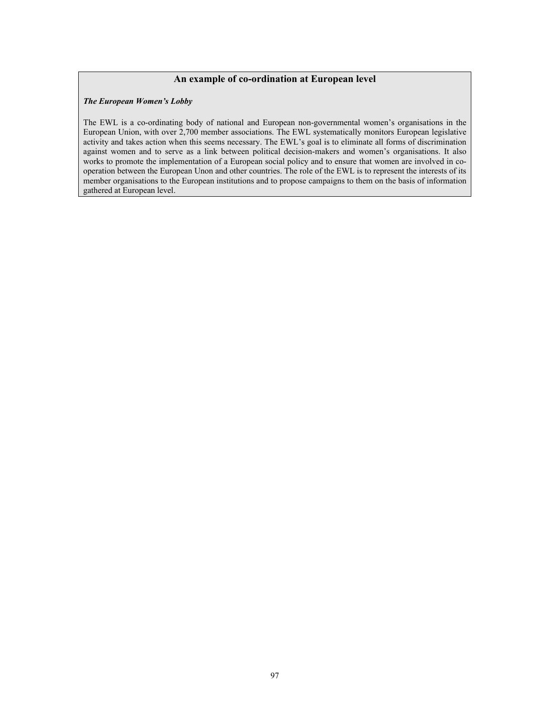### **An example of co-ordination at European level**

#### *The European Women's Lobby*

The EWL is a co-ordinating body of national and European non-governmental women's organisations in the European Union, with over 2,700 member associations. The EWL systematically monitors European legislative activity and takes action when this seems necessary. The EWL's goal is to eliminate all forms of discrimination against women and to serve as a link between political decision-makers and women's organisations. It also works to promote the implementation of a European social policy and to ensure that women are involved in cooperation between the European Unon and other countries. The role of the EWL is to represent the interests of its member organisations to the European institutions and to propose campaigns to them on the basis of information gathered at European level.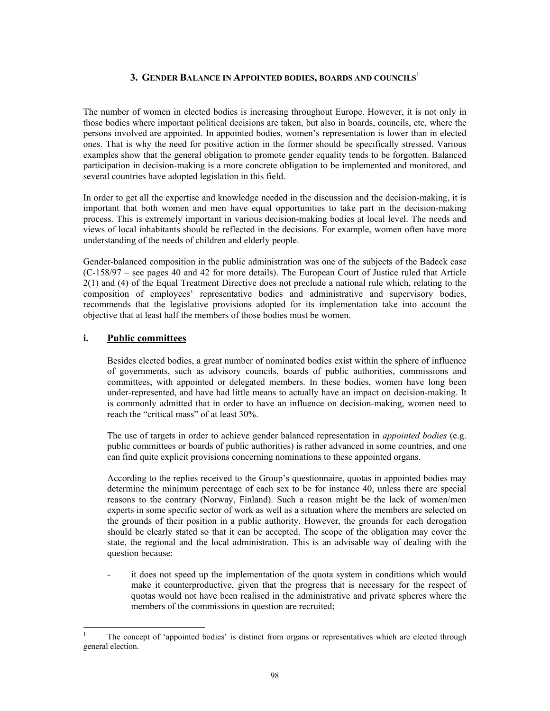### **3. GENDER BALANCE IN APPOINTED BODIES, BOARDS AND COUNCILS**<sup>1</sup>

The number of women in elected bodies is increasing throughout Europe. However, it is not only in those bodies where important political decisions are taken, but also in boards, councils, etc, where the persons involved are appointed. In appointed bodies, women's representation is lower than in elected ones. That is why the need for positive action in the former should be specifically stressed. Various examples show that the general obligation to promote gender equality tends to be forgotten. Balanced participation in decision-making is a more concrete obligation to be implemented and monitored, and several countries have adopted legislation in this field.

In order to get all the expertise and knowledge needed in the discussion and the decision-making, it is important that both women and men have equal opportunities to take part in the decision-making process. This is extremely important in various decision-making bodies at local level. The needs and views of local inhabitants should be reflected in the decisions. For example, women often have more understanding of the needs of children and elderly people.

Gender-balanced composition in the public administration was one of the subjects of the Badeck case (C-158/97 – see pages 40 and 42 for more details). The European Court of Justice ruled that Article 2(1) and (4) of the Equal Treatment Directive does not preclude a national rule which, relating to the composition of employees' representative bodies and administrative and supervisory bodies, recommends that the legislative provisions adopted for its implementation take into account the objective that at least half the members of those bodies must be women.

# **i. Public committees**

l

Besides elected bodies, a great number of nominated bodies exist within the sphere of influence of governments, such as advisory councils, boards of public authorities, commissions and committees, with appointed or delegated members. In these bodies, women have long been under-represented, and have had little means to actually have an impact on decision-making. It is commonly admitted that in order to have an influence on decision-making, women need to reach the "critical mass" of at least 30%.

The use of targets in order to achieve gender balanced representation in *appointed bodies* (e.g. public committees or boards of public authorities) is rather advanced in some countries, and one can find quite explicit provisions concerning nominations to these appointed organs.

According to the replies received to the Group's questionnaire, quotas in appointed bodies may determine the minimum percentage of each sex to be for instance 40, unless there are special reasons to the contrary (Norway, Finland). Such a reason might be the lack of women/men experts in some specific sector of work as well as a situation where the members are selected on the grounds of their position in a public authority. However, the grounds for each derogation should be clearly stated so that it can be accepted. The scope of the obligation may cover the state, the regional and the local administration. This is an advisable way of dealing with the question because:

it does not speed up the implementation of the quota system in conditions which would make it counterproductive, given that the progress that is necessary for the respect of quotas would not have been realised in the administrative and private spheres where the members of the commissions in question are recruited;

<sup>1</sup> The concept of 'appointed bodies' is distinct from organs or representatives which are elected through general election.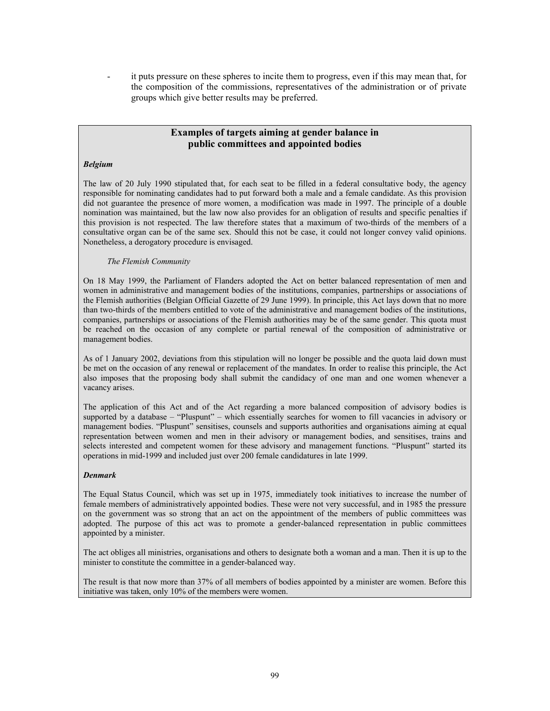it puts pressure on these spheres to incite them to progress, even if this may mean that, for the composition of the commissions, representatives of the administration or of private groups which give better results may be preferred.

# **Examples of targets aiming at gender balance in public committees and appointed bodies**

#### *Belgium*

The law of 20 July 1990 stipulated that, for each seat to be filled in a federal consultative body, the agency responsible for nominating candidates had to put forward both a male and a female candidate. As this provision did not guarantee the presence of more women, a modification was made in 1997. The principle of a double nomination was maintained, but the law now also provides for an obligation of results and specific penalties if this provision is not respected. The law therefore states that a maximum of two-thirds of the members of a consultative organ can be of the same sex. Should this not be case, it could not longer convey valid opinions. Nonetheless, a derogatory procedure is envisaged.

#### *The Flemish Community*

On 18 May 1999, the Parliament of Flanders adopted the Act on better balanced representation of men and women in administrative and management bodies of the institutions, companies, partnerships or associations of the Flemish authorities (Belgian Official Gazette of 29 June 1999). In principle, this Act lays down that no more than two-thirds of the members entitled to vote of the administrative and management bodies of the institutions, companies, partnerships or associations of the Flemish authorities may be of the same gender. This quota must be reached on the occasion of any complete or partial renewal of the composition of administrative or management bodies.

As of 1 January 2002, deviations from this stipulation will no longer be possible and the quota laid down must be met on the occasion of any renewal or replacement of the mandates. In order to realise this principle, the Act also imposes that the proposing body shall submit the candidacy of one man and one women whenever a vacancy arises.

The application of this Act and of the Act regarding a more balanced composition of advisory bodies is supported by a database – "Pluspunt" – which essentially searches for women to fill vacancies in advisory or management bodies. "Pluspunt" sensitises, counsels and supports authorities and organisations aiming at equal representation between women and men in their advisory or management bodies, and sensitises, trains and selects interested and competent women for these advisory and management functions. "Pluspunt" started its operations in mid-1999 and included just over 200 female candidatures in late 1999.

#### *Denmark*

The Equal Status Council, which was set up in 1975, immediately took initiatives to increase the number of female members of administratively appointed bodies. These were not very successful, and in 1985 the pressure on the government was so strong that an act on the appointment of the members of public committees was adopted. The purpose of this act was to promote a gender-balanced representation in public committees appointed by a minister.

The act obliges all ministries, organisations and others to designate both a woman and a man. Then it is up to the minister to constitute the committee in a gender-balanced way.

The result is that now more than 37% of all members of bodies appointed by a minister are women. Before this initiative was taken, only 10% of the members were women.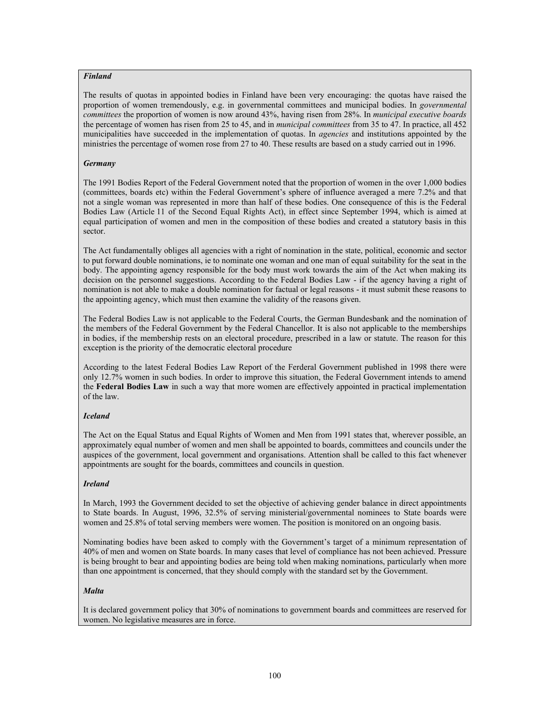### *Finland*

The results of quotas in appointed bodies in Finland have been very encouraging: the quotas have raised the proportion of women tremendously, e.g. in governmental committees and municipal bodies. In *governmental committees* the proportion of women is now around 43%, having risen from 28%. In *municipal executive boards* the percentage of women has risen from 25 to 45, and in *municipal committees* from 35 to 47. In practice, all 452 municipalities have succeeded in the implementation of quotas. In *agencies* and institutions appointed by the ministries the percentage of women rose from 27 to 40. These results are based on a study carried out in 1996.

#### *Germany*

The 1991 Bodies Report of the Federal Government noted that the proportion of women in the over 1,000 bodies (committees, boards etc) within the Federal Government's sphere of influence averaged a mere 7.2% and that not a single woman was represented in more than half of these bodies. One consequence of this is the Federal Bodies Law (Article 11 of the Second Equal Rights Act), in effect since September 1994, which is aimed at equal participation of women and men in the composition of these bodies and created a statutory basis in this sector.

The Act fundamentally obliges all agencies with a right of nomination in the state, political, economic and sector to put forward double nominations, ie to nominate one woman and one man of equal suitability for the seat in the body. The appointing agency responsible for the body must work towards the aim of the Act when making its decision on the personnel suggestions. According to the Federal Bodies Law - if the agency having a right of nomination is not able to make a double nomination for factual or legal reasons - it must submit these reasons to the appointing agency, which must then examine the validity of the reasons given.

The Federal Bodies Law is not applicable to the Federal Courts, the German Bundesbank and the nomination of the members of the Federal Government by the Federal Chancellor. It is also not applicable to the memberships in bodies, if the membership rests on an electoral procedure, prescribed in a law or statute. The reason for this exception is the priority of the democratic electoral procedure

According to the latest Federal Bodies Law Report of the Ferderal Government published in 1998 there were only 12.7% women in such bodies. In order to improve this situation, the Federal Government intends to amend the **Federal Bodies Law** in such a way that more women are effectively appointed in practical implementation of the law.

### *Iceland*

The Act on the Equal Status and Equal Rights of Women and Men from 1991 states that, wherever possible, an approximately equal number of women and men shall be appointed to boards, committees and councils under the auspices of the government, local government and organisations. Attention shall be called to this fact whenever appointments are sought for the boards, committees and councils in question.

### *Ireland*

In March, 1993 the Government decided to set the objective of achieving gender balance in direct appointments to State boards. In August, 1996, 32.5% of serving ministerial/governmental nominees to State boards were women and 25.8% of total serving members were women. The position is monitored on an ongoing basis.

Nominating bodies have been asked to comply with the Government's target of a minimum representation of 40% of men and women on State boards. In many cases that level of compliance has not been achieved. Pressure is being brought to bear and appointing bodies are being told when making nominations, particularly when more than one appointment is concerned, that they should comply with the standard set by the Government.

#### *Malta*

It is declared government policy that 30% of nominations to government boards and committees are reserved for women. No legislative measures are in force.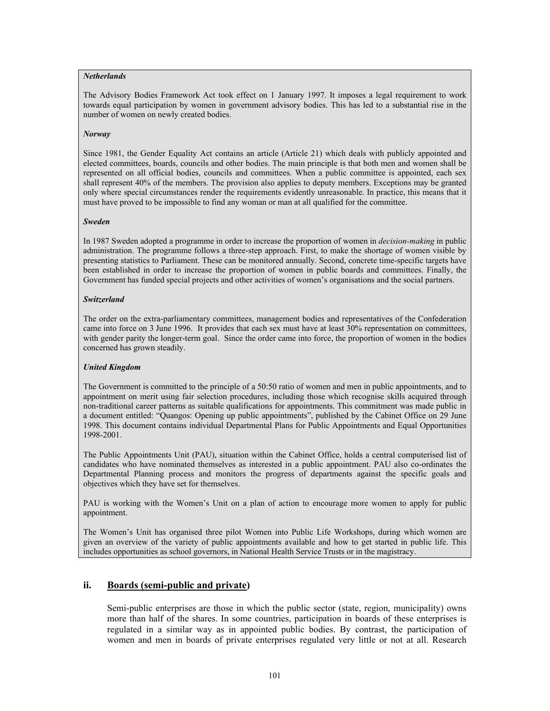#### *Netherlands*

The Advisory Bodies Framework Act took effect on 1 January 1997. It imposes a legal requirement to work towards equal participation by women in government advisory bodies. This has led to a substantial rise in the number of women on newly created bodies.

#### *Norway*

Since 1981, the Gender Equality Act contains an article (Article 21) which deals with publicly appointed and elected committees, boards, councils and other bodies. The main principle is that both men and women shall be represented on all official bodies, councils and committees. When a public committee is appointed, each sex shall represent 40% of the members. The provision also applies to deputy members. Exceptions may be granted only where special circumstances render the requirements evidently unreasonable. In practice, this means that it must have proved to be impossible to find any woman or man at all qualified for the committee.

#### *Sweden*

In 1987 Sweden adopted a programme in order to increase the proportion of women in *decision-making* in public administration. The programme follows a three-step approach. First, to make the shortage of women visible by presenting statistics to Parliament. These can be monitored annually. Second, concrete time-specific targets have been established in order to increase the proportion of women in public boards and committees. Finally, the Government has funded special projects and other activities of women's organisations and the social partners.

#### *Switzerland*

The order on the extra-parliamentary committees, management bodies and representatives of the Confederation came into force on 3 June 1996. It provides that each sex must have at least 30% representation on committees, with gender parity the longer-term goal. Since the order came into force, the proportion of women in the bodies concerned has grown steadily.

### *United Kingdom*

The Government is committed to the principle of a 50:50 ratio of women and men in public appointments, and to appointment on merit using fair selection procedures, including those which recognise skills acquired through non-traditional career patterns as suitable qualifications for appointments. This commitment was made public in a document entitled: "Quangos: Opening up public appointments", published by the Cabinet Office on 29 June 1998. This document contains individual Departmental Plans for Public Appointments and Equal Opportunities 1998-2001.

The Public Appointments Unit (PAU), situation within the Cabinet Office, holds a central computerised list of candidates who have nominated themselves as interested in a public appointment. PAU also co-ordinates the Departmental Planning process and monitors the progress of departments against the specific goals and objectives which they have set for themselves.

PAU is working with the Women's Unit on a plan of action to encourage more women to apply for public appointment.

The Women's Unit has organised three pilot Women into Public Life Workshops, during which women are given an overview of the variety of public appointments available and how to get started in public life. This includes opportunities as school governors, in National Health Service Trusts or in the magistracy.

# **ii. Boards (semi-public and private)**

Semi-public enterprises are those in which the public sector (state, region, municipality) owns more than half of the shares. In some countries, participation in boards of these enterprises is regulated in a similar way as in appointed public bodies. By contrast, the participation of women and men in boards of private enterprises regulated very little or not at all. Research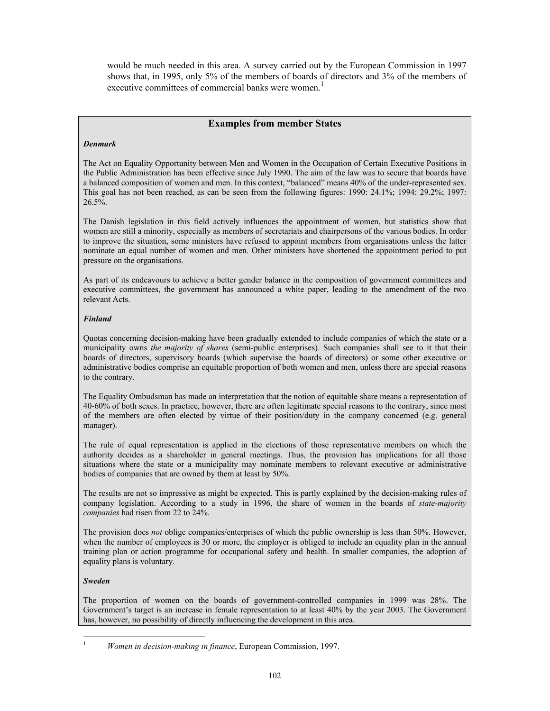would be much needed in this area. A survey carried out by the European Commission in 1997 shows that, in 1995, only 5% of the members of boards of directors and 3% of the members of executive committees of commercial banks were women.<sup>1</sup>

# **Examples from member States**

#### *Denmark*

The Act on Equality Opportunity between Men and Women in the Occupation of Certain Executive Positions in the Public Administration has been effective since July 1990. The aim of the law was to secure that boards have a balanced composition of women and men. In this context, "balanced" means 40% of the under-represented sex. This goal has not been reached, as can be seen from the following figures: 1990: 24.1%; 1994: 29.2%; 1997:  $26.5\%$ .

The Danish legislation in this field actively influences the appointment of women, but statistics show that women are still a minority, especially as members of secretariats and chairpersons of the various bodies. In order to improve the situation, some ministers have refused to appoint members from organisations unless the latter nominate an equal number of women and men. Other ministers have shortened the appointment period to put pressure on the organisations.

As part of its endeavours to achieve a better gender balance in the composition of government committees and executive committees, the government has announced a white paper, leading to the amendment of the two relevant Acts.

### *Finland*

Quotas concerning decision-making have been gradually extended to include companies of which the state or a municipality owns *the majority of shares* (semi-public enterprises). Such companies shall see to it that their boards of directors, supervisory boards (which supervise the boards of directors) or some other executive or administrative bodies comprise an equitable proportion of both women and men, unless there are special reasons to the contrary.

The Equality Ombudsman has made an interpretation that the notion of equitable share means a representation of 40-60% of both sexes. In practice, however, there are often legitimate special reasons to the contrary, since most of the members are often elected by virtue of their position/duty in the company concerned (e.g. general manager).

The rule of equal representation is applied in the elections of those representative members on which the authority decides as a shareholder in general meetings. Thus, the provision has implications for all those situations where the state or a municipality may nominate members to relevant executive or administrative bodies of companies that are owned by them at least by 50%.

The results are not so impressive as might be expected. This is partly explained by the decision-making rules of company legislation. According to a study in 1996, the share of women in the boards of *state-majority companies* had risen from 22 to 24%.

The provision does *not* oblige companies/enterprises of which the public ownership is less than 50%. However, when the number of employees is 30 or more, the employer is obliged to include an equality plan in the annual training plan or action programme for occupational safety and health. In smaller companies, the adoption of equality plans is voluntary.

#### *Sweden*

l

The proportion of women on the boards of government-controlled companies in 1999 was 28%. The Government's target is an increase in female representation to at least 40% by the year 2003. The Government has, however, no possibility of directly influencing the development in this area.

<sup>1</sup> *Women in decision-making in finance*, European Commission, 1997.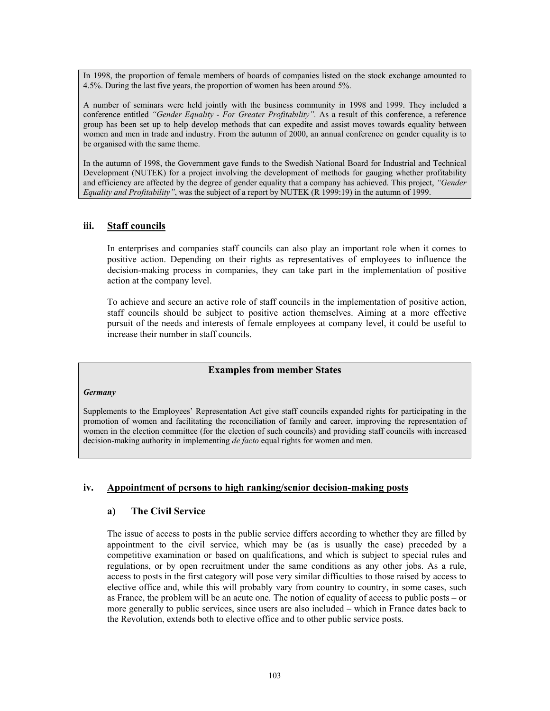In 1998, the proportion of female members of boards of companies listed on the stock exchange amounted to 4.5%. During the last five years, the proportion of women has been around 5%.

A number of seminars were held jointly with the business community in 1998 and 1999. They included a conference entitled *"Gender Equality - For Greater Profitability".* As a result of this conference, a reference group has been set up to help develop methods that can expedite and assist moves towards equality between women and men in trade and industry. From the autumn of 2000, an annual conference on gender equality is to be organised with the same theme.

In the autumn of 1998, the Government gave funds to the Swedish National Board for Industrial and Technical Development (NUTEK) for a project involving the development of methods for gauging whether profitability and efficiency are affected by the degree of gender equality that a company has achieved. This project, *"Gender Equality and Profitability"*, was the subject of a report by NUTEK (R 1999:19) in the autumn of 1999.

### **iii. Staff councils**

In enterprises and companies staff councils can also play an important role when it comes to positive action. Depending on their rights as representatives of employees to influence the decision-making process in companies, they can take part in the implementation of positive action at the company level.

To achieve and secure an active role of staff councils in the implementation of positive action, staff councils should be subject to positive action themselves. Aiming at a more effective pursuit of the needs and interests of female employees at company level, it could be useful to increase their number in staff councils.

### **Examples from member States**

#### *Germany*

Supplements to the Employees' Representation Act give staff councils expanded rights for participating in the promotion of women and facilitating the reconciliation of family and career, improving the representation of women in the election committee (for the election of such councils) and providing staff councils with increased decision-making authority in implementing *de facto* equal rights for women and men.

### **iv. Appointment of persons to high ranking/senior decision-making posts**

### **a) The Civil Service**

The issue of access to posts in the public service differs according to whether they are filled by appointment to the civil service, which may be (as is usually the case) preceded by a competitive examination or based on qualifications, and which is subject to special rules and regulations, or by open recruitment under the same conditions as any other jobs. As a rule, access to posts in the first category will pose very similar difficulties to those raised by access to elective office and, while this will probably vary from country to country, in some cases, such as France, the problem will be an acute one. The notion of equality of access to public posts – or more generally to public services, since users are also included – which in France dates back to the Revolution, extends both to elective office and to other public service posts.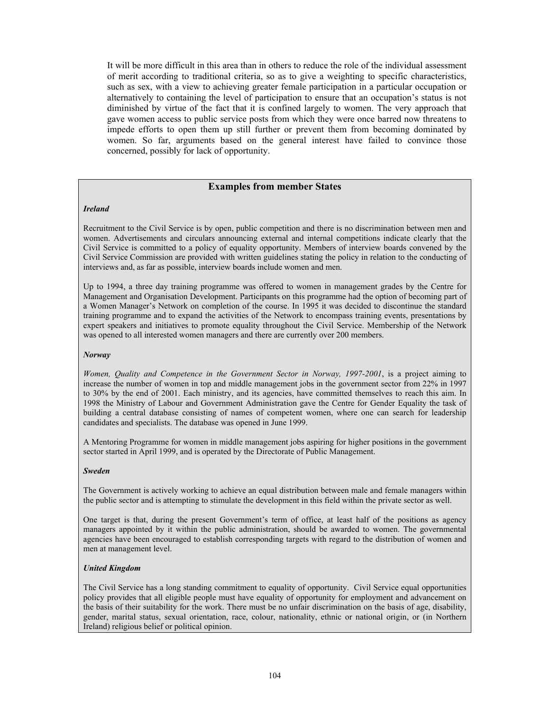It will be more difficult in this area than in others to reduce the role of the individual assessment of merit according to traditional criteria, so as to give a weighting to specific characteristics, such as sex, with a view to achieving greater female participation in a particular occupation or alternatively to containing the level of participation to ensure that an occupation's status is not diminished by virtue of the fact that it is confined largely to women. The very approach that gave women access to public service posts from which they were once barred now threatens to impede efforts to open them up still further or prevent them from becoming dominated by women. So far, arguments based on the general interest have failed to convince those concerned, possibly for lack of opportunity.

## **Examples from member States**

#### *Ireland*

Recruitment to the Civil Service is by open, public competition and there is no discrimination between men and women. Advertisements and circulars announcing external and internal competitions indicate clearly that the Civil Service is committed to a policy of equality opportunity. Members of interview boards convened by the Civil Service Commission are provided with written guidelines stating the policy in relation to the conducting of interviews and, as far as possible, interview boards include women and men.

Up to 1994, a three day training programme was offered to women in management grades by the Centre for Management and Organisation Development. Participants on this programme had the option of becoming part of a Women Manager's Network on completion of the course. In 1995 it was decided to discontinue the standard training programme and to expand the activities of the Network to encompass training events, presentations by expert speakers and initiatives to promote equality throughout the Civil Service. Membership of the Network was opened to all interested women managers and there are currently over 200 members.

#### *Norway*

*Women, Quality and Competence in the Government Sector in Norway, 1997-2001*, is a project aiming to increase the number of women in top and middle management jobs in the government sector from 22% in 1997 to 30% by the end of 2001. Each ministry, and its agencies, have committed themselves to reach this aim. In 1998 the Ministry of Labour and Government Administration gave the Centre for Gender Equality the task of building a central database consisting of names of competent women, where one can search for leadership candidates and specialists. The database was opened in June 1999.

A Mentoring Programme for women in middle management jobs aspiring for higher positions in the government sector started in April 1999, and is operated by the Directorate of Public Management.

#### *Sweden*

The Government is actively working to achieve an equal distribution between male and female managers within the public sector and is attempting to stimulate the development in this field within the private sector as well.

One target is that, during the present Government's term of office, at least half of the positions as agency managers appointed by it within the public administration, should be awarded to women. The governmental agencies have been encouraged to establish corresponding targets with regard to the distribution of women and men at management level.

#### *United Kingdom*

The Civil Service has a long standing commitment to equality of opportunity. Civil Service equal opportunities policy provides that all eligible people must have equality of opportunity for employment and advancement on the basis of their suitability for the work. There must be no unfair discrimination on the basis of age, disability, gender, marital status, sexual orientation, race, colour, nationality, ethnic or national origin, or (in Northern Ireland) religious belief or political opinion.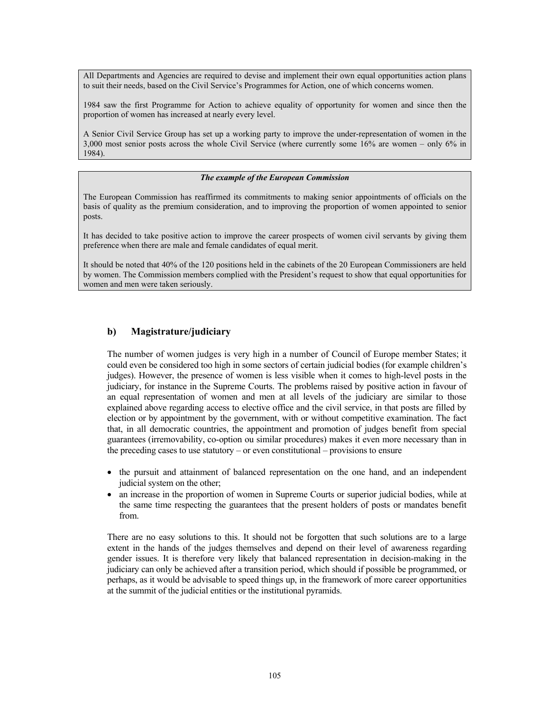All Departments and Agencies are required to devise and implement their own equal opportunities action plans to suit their needs, based on the Civil Service's Programmes for Action, one of which concerns women.

1984 saw the first Programme for Action to achieve equality of opportunity for women and since then the proportion of women has increased at nearly every level.

A Senior Civil Service Group has set up a working party to improve the under-representation of women in the 3,000 most senior posts across the whole Civil Service (where currently some 16% are women – only 6% in 1984).

#### *The example of the European Commission*

The European Commission has reaffirmed its commitments to making senior appointments of officials on the basis of quality as the premium consideration, and to improving the proportion of women appointed to senior posts.

It has decided to take positive action to improve the career prospects of women civil servants by giving them preference when there are male and female candidates of equal merit.

It should be noted that 40% of the 120 positions held in the cabinets of the 20 European Commissioners are held by women. The Commission members complied with the President's request to show that equal opportunities for women and men were taken seriously.

### **b) Magistrature/judiciary**

The number of women judges is very high in a number of Council of Europe member States; it could even be considered too high in some sectors of certain judicial bodies (for example children's judges). However, the presence of women is less visible when it comes to high-level posts in the judiciary, for instance in the Supreme Courts. The problems raised by positive action in favour of an equal representation of women and men at all levels of the judiciary are similar to those explained above regarding access to elective office and the civil service, in that posts are filled by election or by appointment by the government, with or without competitive examination. The fact that, in all democratic countries, the appointment and promotion of judges benefit from special guarantees (irremovability, co-option ou similar procedures) makes it even more necessary than in the preceding cases to use statutory – or even constitutional – provisions to ensure

- the pursuit and attainment of balanced representation on the one hand, and an independent judicial system on the other;
- an increase in the proportion of women in Supreme Courts or superior judicial bodies, while at the same time respecting the guarantees that the present holders of posts or mandates benefit from.

There are no easy solutions to this. It should not be forgotten that such solutions are to a large extent in the hands of the judges themselves and depend on their level of awareness regarding gender issues. It is therefore very likely that balanced representation in decision-making in the judiciary can only be achieved after a transition period, which should if possible be programmed, or perhaps, as it would be advisable to speed things up, in the framework of more career opportunities at the summit of the judicial entities or the institutional pyramids.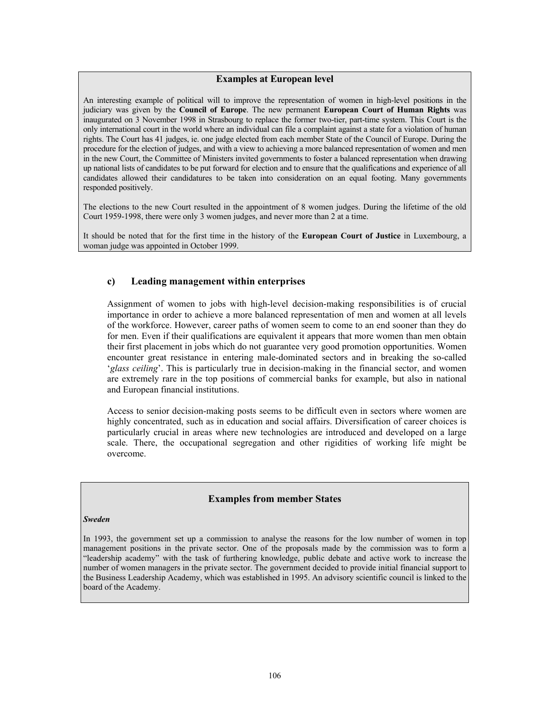### **Examples at European level**

An interesting example of political will to improve the representation of women in high-level positions in the judiciary was given by the **Council of Europe**. The new permanent **European Court of Human Rights** was inaugurated on 3 November 1998 in Strasbourg to replace the former two-tier, part-time system. This Court is the only international court in the world where an individual can file a complaint against a state for a violation of human rights. The Court has 41 judges, ie. one judge elected from each member State of the Council of Europe. During the procedure for the election of judges, and with a view to achieving a more balanced representation of women and men in the new Court, the Committee of Ministers invited governments to foster a balanced representation when drawing up national lists of candidates to be put forward for election and to ensure that the qualifications and experience of all candidates allowed their candidatures to be taken into consideration on an equal footing. Many governments responded positively.

The elections to the new Court resulted in the appointment of 8 women judges. During the lifetime of the old Court 1959-1998, there were only 3 women judges, and never more than 2 at a time.

It should be noted that for the first time in the history of the **European Court of Justice** in Luxembourg, a woman judge was appointed in October 1999.

# **c) Leading management within enterprises**

Assignment of women to jobs with high-level decision-making responsibilities is of crucial importance in order to achieve a more balanced representation of men and women at all levels of the workforce. However, career paths of women seem to come to an end sooner than they do for men. Even if their qualifications are equivalent it appears that more women than men obtain their first placement in jobs which do not guarantee very good promotion opportunities. Women encounter great resistance in entering male-dominated sectors and in breaking the so-called '*glass ceiling*'. This is particularly true in decision-making in the financial sector, and women are extremely rare in the top positions of commercial banks for example, but also in national and European financial institutions.

Access to senior decision-making posts seems to be difficult even in sectors where women are highly concentrated, such as in education and social affairs. Diversification of career choices is particularly crucial in areas where new technologies are introduced and developed on a large scale. There, the occupational segregation and other rigidities of working life might be overcome.

### **Examples from member States**

#### *Sweden*

In 1993, the government set up a commission to analyse the reasons for the low number of women in top management positions in the private sector. One of the proposals made by the commission was to form a "leadership academy" with the task of furthering knowledge, public debate and active work to increase the number of women managers in the private sector. The government decided to provide initial financial support to the Business Leadership Academy, which was established in 1995. An advisory scientific council is linked to the board of the Academy.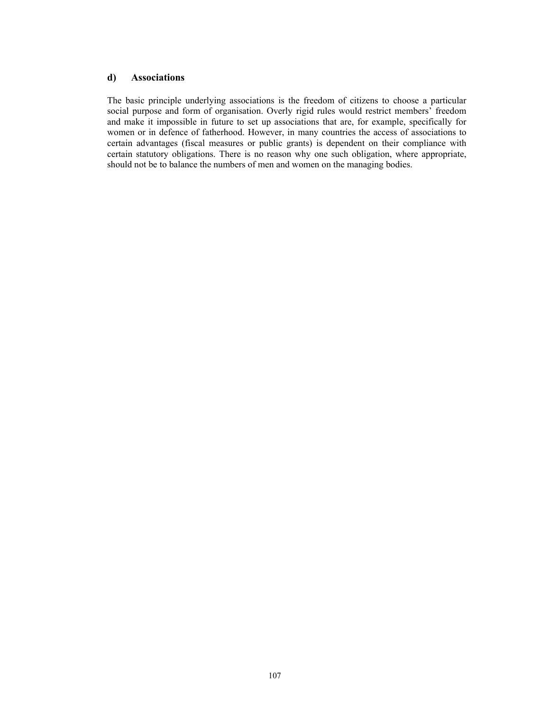## **d) Associations**

The basic principle underlying associations is the freedom of citizens to choose a particular social purpose and form of organisation. Overly rigid rules would restrict members' freedom and make it impossible in future to set up associations that are, for example, specifically for women or in defence of fatherhood. However, in many countries the access of associations to certain advantages (fiscal measures or public grants) is dependent on their compliance with certain statutory obligations. There is no reason why one such obligation, where appropriate, should not be to balance the numbers of men and women on the managing bodies.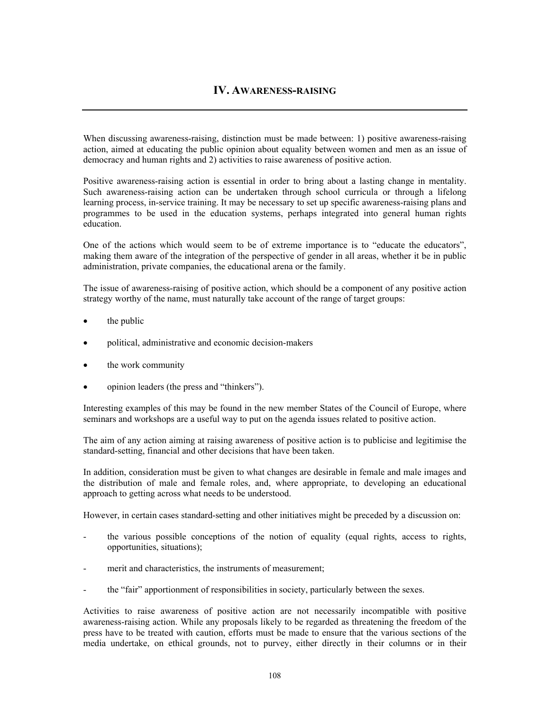# **IV. AWARENESS-RAISING**

When discussing awareness-raising, distinction must be made between: 1) positive awareness-raising action, aimed at educating the public opinion about equality between women and men as an issue of democracy and human rights and 2) activities to raise awareness of positive action.

Positive awareness-raising action is essential in order to bring about a lasting change in mentality. Such awareness-raising action can be undertaken through school curricula or through a lifelong learning process, in-service training. It may be necessary to set up specific awareness-raising plans and programmes to be used in the education systems, perhaps integrated into general human rights education.

One of the actions which would seem to be of extreme importance is to "educate the educators", making them aware of the integration of the perspective of gender in all areas, whether it be in public administration, private companies, the educational arena or the family.

The issue of awareness-raising of positive action, which should be a component of any positive action strategy worthy of the name, must naturally take account of the range of target groups:

- the public
- political, administrative and economic decision-makers
- the work community
- opinion leaders (the press and "thinkers").

Interesting examples of this may be found in the new member States of the Council of Europe, where seminars and workshops are a useful way to put on the agenda issues related to positive action.

The aim of any action aiming at raising awareness of positive action is to publicise and legitimise the standard-setting, financial and other decisions that have been taken.

In addition, consideration must be given to what changes are desirable in female and male images and the distribution of male and female roles, and, where appropriate, to developing an educational approach to getting across what needs to be understood.

However, in certain cases standard-setting and other initiatives might be preceded by a discussion on:

- the various possible conceptions of the notion of equality (equal rights, access to rights, opportunities, situations);
- merit and characteristics, the instruments of measurement;
- the "fair" apportionment of responsibilities in society, particularly between the sexes.

Activities to raise awareness of positive action are not necessarily incompatible with positive awareness-raising action. While any proposals likely to be regarded as threatening the freedom of the press have to be treated with caution, efforts must be made to ensure that the various sections of the media undertake, on ethical grounds, not to purvey, either directly in their columns or in their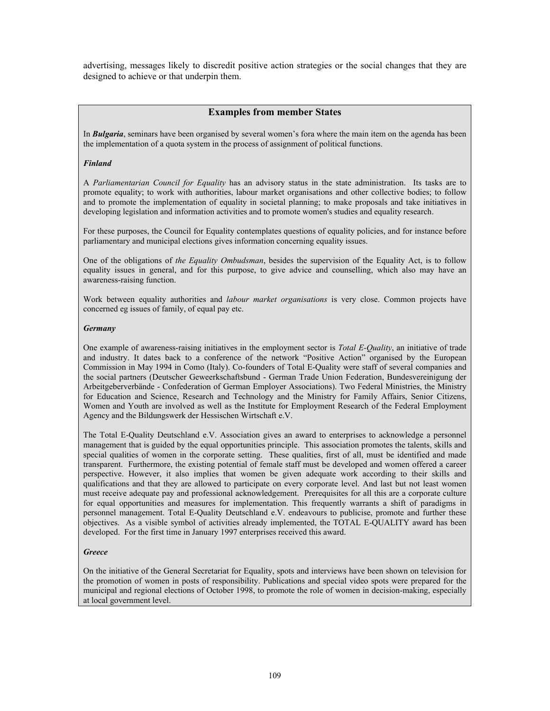advertising, messages likely to discredit positive action strategies or the social changes that they are designed to achieve or that underpin them.

## **Examples from member States**

In *Bulgaria*, seminars have been organised by several women's fora where the main item on the agenda has been the implementation of a quota system in the process of assignment of political functions.

#### *Finland*

A *Parliamentarian Council for Equality* has an advisory status in the state administration. Its tasks are to promote equality; to work with authorities, labour market organisations and other collective bodies; to follow and to promote the implementation of equality in societal planning; to make proposals and take initiatives in developing legislation and information activities and to promote women's studies and equality research.

For these purposes, the Council for Equality contemplates questions of equality policies, and for instance before parliamentary and municipal elections gives information concerning equality issues.

One of the obligations of *the Equality Ombudsman*, besides the supervision of the Equality Act, is to follow equality issues in general, and for this purpose, to give advice and counselling, which also may have an awareness-raising function.

Work between equality authorities and *labour market organisations* is very close. Common projects have concerned eg issues of family, of equal pay etc.

#### *Germany*

One example of awareness-raising initiatives in the employment sector is *Total E-Quality*, an initiative of trade and industry. It dates back to a conference of the network "Positive Action" organised by the European Commission in May 1994 in Como (Italy). Co-founders of Total E-Quality were staff of several companies and the social partners (Deutscher Geweerkschaftsbund - German Trade Union Federation, Bundesvereinigung der Arbeitgeberverbände - Confederation of German Employer Associations). Two Federal Ministries, the Ministry for Education and Science, Research and Technology and the Ministry for Family Affairs, Senior Citizens, Women and Youth are involved as well as the Institute for Employment Research of the Federal Employment Agency and the Bildungswerk der Hessischen Wirtschaft e.V.

The Total E-Quality Deutschland e.V. Association gives an award to enterprises to acknowledge a personnel management that is guided by the equal opportunities principle. This association promotes the talents, skills and special qualities of women in the corporate setting. These qualities, first of all, must be identified and made transparent. Furthermore, the existing potential of female staff must be developed and women offered a career perspective. However, it also implies that women be given adequate work according to their skills and qualifications and that they are allowed to participate on every corporate level. And last but not least women must receive adequate pay and professional acknowledgement. Prerequisites for all this are a corporate culture for equal opportunities and measures for implementation. This frequently warrants a shift of paradigms in personnel management. Total E-Quality Deutschland e.V. endeavours to publicise, promote and further these objectives. As a visible symbol of activities already implemented, the TOTAL E-QUALITY award has been developed. For the first time in January 1997 enterprises received this award.

#### *Greece*

On the initiative of the General Secretariat for Equality, spots and interviews have been shown on television for the promotion of women in posts of responsibility. Publications and special video spots were prepared for the municipal and regional elections of October 1998, to promote the role of women in decision-making, especially at local government level.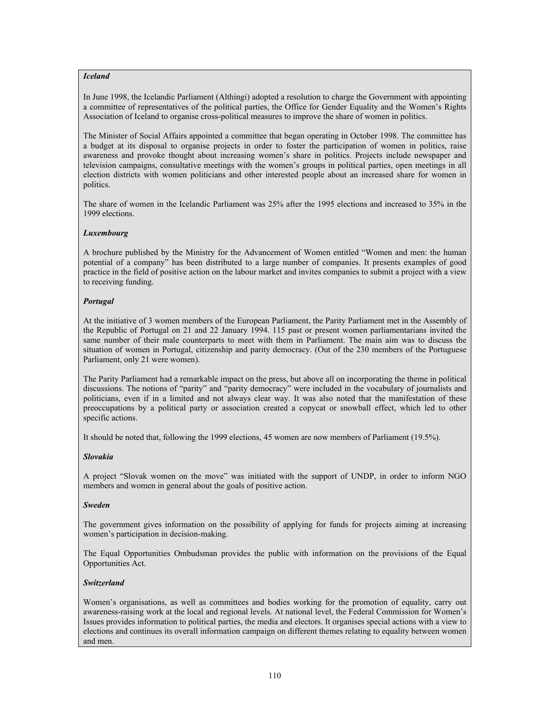#### *Iceland*

In June 1998, the Icelandic Parliament (Althingi) adopted a resolution to charge the Government with appointing a committee of representatives of the political parties, the Office for Gender Equality and the Women's Rights Association of Iceland to organise cross-political measures to improve the share of women in politics.

The Minister of Social Affairs appointed a committee that began operating in October 1998. The committee has a budget at its disposal to organise projects in order to foster the participation of women in politics, raise awareness and provoke thought about increasing women's share in politics. Projects include newspaper and television campaigns, consultative meetings with the women's groups in political parties, open meetings in all election districts with women politicians and other interested people about an increased share for women in politics.

The share of women in the Icelandic Parliament was 25% after the 1995 elections and increased to 35% in the 1999 elections.

#### *Luxembourg*

A brochure published by the Ministry for the Advancement of Women entitled "Women and men: the human potential of a company" has been distributed to a large number of companies. It presents examples of good practice in the field of positive action on the labour market and invites companies to submit a project with a view to receiving funding.

#### *Portugal*

At the initiative of 3 women members of the European Parliament, the Parity Parliament met in the Assembly of the Republic of Portugal on 21 and 22 January 1994. 115 past or present women parliamentarians invited the same number of their male counterparts to meet with them in Parliament. The main aim was to discuss the situation of women in Portugal, citizenship and parity democracy. (Out of the 230 members of the Portuguese Parliament, only 21 were women).

The Parity Parliament had a remarkable impact on the press, but above all on incorporating the theme in political discussions. The notions of "parity" and "parity democracy" were included in the vocabulary of journalists and politicians, even if in a limited and not always clear way. It was also noted that the manifestation of these preoccupations by a political party or association created a copycat or snowball effect, which led to other specific actions.

It should be noted that, following the 1999 elections, 45 women are now members of Parliament (19.5%).

### *Slovakia*

A project "Slovak women on the move" was initiated with the support of UNDP, in order to inform NGO members and women in general about the goals of positive action.

#### *Sweden*

The government gives information on the possibility of applying for funds for projects aiming at increasing women's participation in decision-making.

The Equal Opportunities Ombudsman provides the public with information on the provisions of the Equal Opportunities Act.

#### *Switzerland*

Women's organisations, as well as committees and bodies working for the promotion of equality, carry out awareness-raising work at the local and regional levels. At national level, the Federal Commission for Women's Issues provides information to political parties, the media and electors. It organises special actions with a view to elections and continues its overall information campaign on different themes relating to equality between women and men.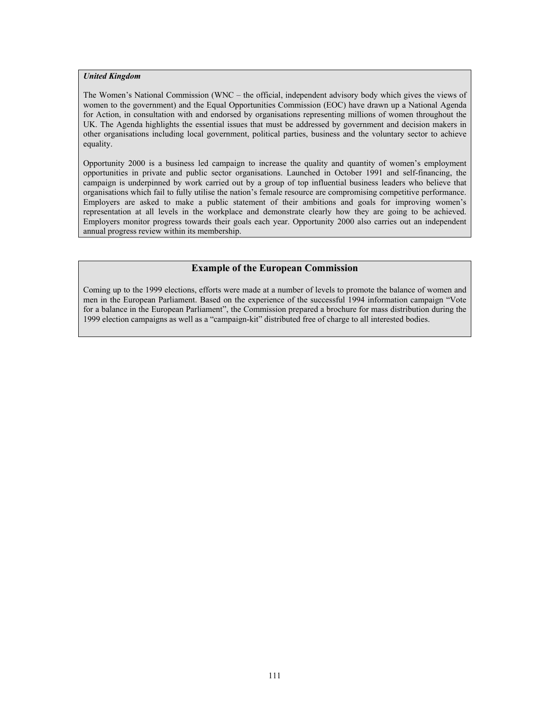#### *United Kingdom*

The Women's National Commission (WNC – the official, independent advisory body which gives the views of women to the government) and the Equal Opportunities Commission (EOC) have drawn up a National Agenda for Action, in consultation with and endorsed by organisations representing millions of women throughout the UK. The Agenda highlights the essential issues that must be addressed by government and decision makers in other organisations including local government, political parties, business and the voluntary sector to achieve equality.

Opportunity 2000 is a business led campaign to increase the quality and quantity of women's employment opportunities in private and public sector organisations. Launched in October 1991 and self-financing, the campaign is underpinned by work carried out by a group of top influential business leaders who believe that organisations which fail to fully utilise the nation's female resource are compromising competitive performance. Employers are asked to make a public statement of their ambitions and goals for improving women's representation at all levels in the workplace and demonstrate clearly how they are going to be achieved. Employers monitor progress towards their goals each year. Opportunity 2000 also carries out an independent annual progress review within its membership.

### **Example of the European Commission**

Coming up to the 1999 elections, efforts were made at a number of levels to promote the balance of women and men in the European Parliament. Based on the experience of the successful 1994 information campaign "Vote for a balance in the European Parliament", the Commission prepared a brochure for mass distribution during the 1999 election campaigns as well as a "campaign-kit" distributed free of charge to all interested bodies.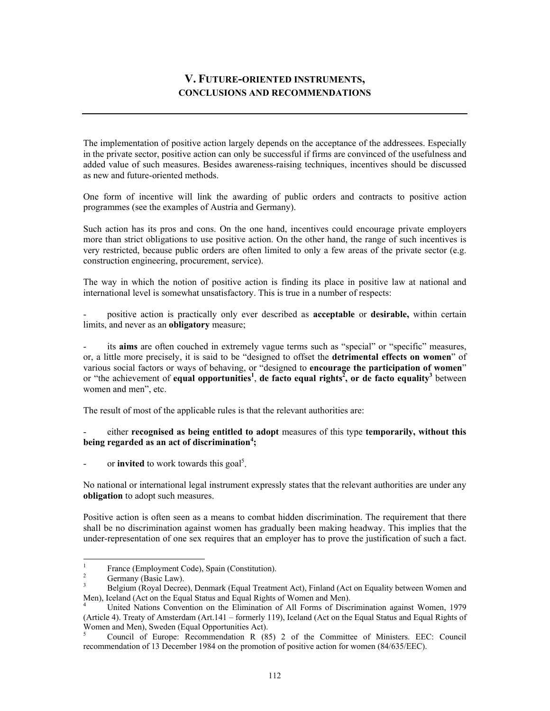# **V. FUTURE-ORIENTED INSTRUMENTS, CONCLUSIONS AND RECOMMENDATIONS**

The implementation of positive action largely depends on the acceptance of the addressees. Especially in the private sector, positive action can only be successful if firms are convinced of the usefulness and added value of such measures. Besides awareness-raising techniques, incentives should be discussed as new and future-oriented methods.

One form of incentive will link the awarding of public orders and contracts to positive action programmes (see the examples of Austria and Germany).

Such action has its pros and cons. On the one hand, incentives could encourage private employers more than strict obligations to use positive action. On the other hand, the range of such incentives is very restricted, because public orders are often limited to only a few areas of the private sector (e.g. construction engineering, procurement, service).

The way in which the notion of positive action is finding its place in positive law at national and international level is somewhat unsatisfactory. This is true in a number of respects:

- positive action is practically only ever described as **acceptable** or **desirable,** within certain limits, and never as an **obligatory** measure;

- its **aims** are often couched in extremely vague terms such as "special" or "specific" measures, or, a little more precisely, it is said to be "designed to offset the **detrimental effects on women**" of various social factors or ways of behaving, or "designed to **encourage the participation of women**" or "the achievement of **equal opportunities**<sup>1</sup>, de facto equal rights<sup>2</sup>, or de facto equality<sup>3</sup> between women and men", etc.

The result of most of the applicable rules is that the relevant authorities are:

- either **recognised as being entitled to adopt** measures of this type **temporarily, without this being regarded as an act of discrimination<sup>4</sup> ;** 

- or **invited** to work towards this goal<sup>5</sup>.

No national or international legal instrument expressly states that the relevant authorities are under any **obligation** to adopt such measures.

Positive action is often seen as a means to combat hidden discrimination. The requirement that there shall be no discrimination against women has gradually been making headway. This implies that the under-representation of one sex requires that an employer has to prove the justification of such a fact.

 $\frac{1}{1}$ France (Employment Code), Spain (Constitution).

<sup>2</sup> Germany (Basic Law).

<sup>3</sup> Belgium (Royal Decree), Denmark (Equal Treatment Act), Finland (Act on Equality between Women and Men), Iceland (Act on the Equal Status and Equal Rights of Women and Men).

<sup>4</sup> United Nations Convention on the Elimination of All Forms of Discrimination against Women, 1979 (Article 4). Treaty of Amsterdam (Art.141 – formerly 119), Iceland (Act on the Equal Status and Equal Rights of Women and Men), Sweden (Equal Opportunities Act).

<sup>5</sup> Council of Europe: Recommendation R (85) 2 of the Committee of Ministers. EEC: Council recommendation of 13 December 1984 on the promotion of positive action for women (84/635/EEC).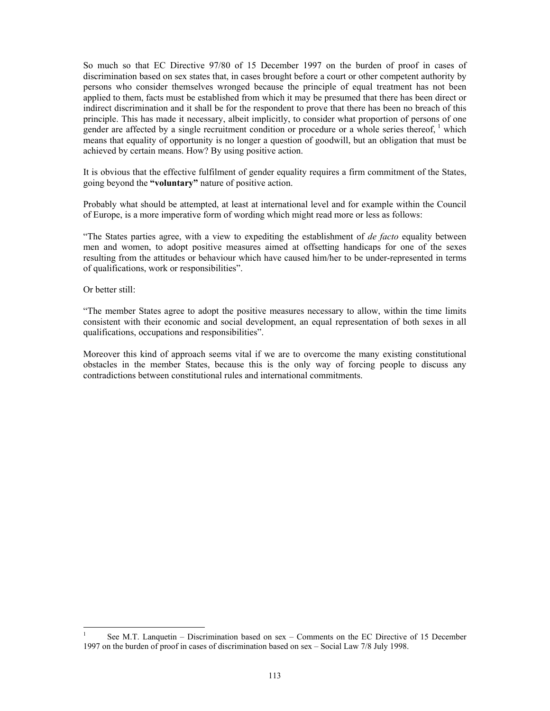So much so that EC Directive 97/80 of 15 December 1997 on the burden of proof in cases of discrimination based on sex states that, in cases brought before a court or other competent authority by persons who consider themselves wronged because the principle of equal treatment has not been applied to them, facts must be established from which it may be presumed that there has been direct or indirect discrimination and it shall be for the respondent to prove that there has been no breach of this principle. This has made it necessary, albeit implicitly, to consider what proportion of persons of one gender are affected by a single recruitment condition or procedure or a whole series thereof,  $\frac{1}{1}$  which means that equality of opportunity is no longer a question of goodwill, but an obligation that must be achieved by certain means. How? By using positive action.

It is obvious that the effective fulfilment of gender equality requires a firm commitment of the States, going beyond the **"voluntary"** nature of positive action.

Probably what should be attempted, at least at international level and for example within the Council of Europe, is a more imperative form of wording which might read more or less as follows:

"The States parties agree, with a view to expediting the establishment of *de facto* equality between men and women, to adopt positive measures aimed at offsetting handicaps for one of the sexes resulting from the attitudes or behaviour which have caused him/her to be under-represented in terms of qualifications, work or responsibilities".

Or better still:

 $\overline{\phantom{a}}$ 

"The member States agree to adopt the positive measures necessary to allow, within the time limits consistent with their economic and social development, an equal representation of both sexes in all qualifications, occupations and responsibilities".

Moreover this kind of approach seems vital if we are to overcome the many existing constitutional obstacles in the member States, because this is the only way of forcing people to discuss any contradictions between constitutional rules and international commitments.

<sup>1</sup> See M.T. Lanquetin – Discrimination based on sex – Comments on the EC Directive of 15 December 1997 on the burden of proof in cases of discrimination based on sex – Social Law 7/8 July 1998.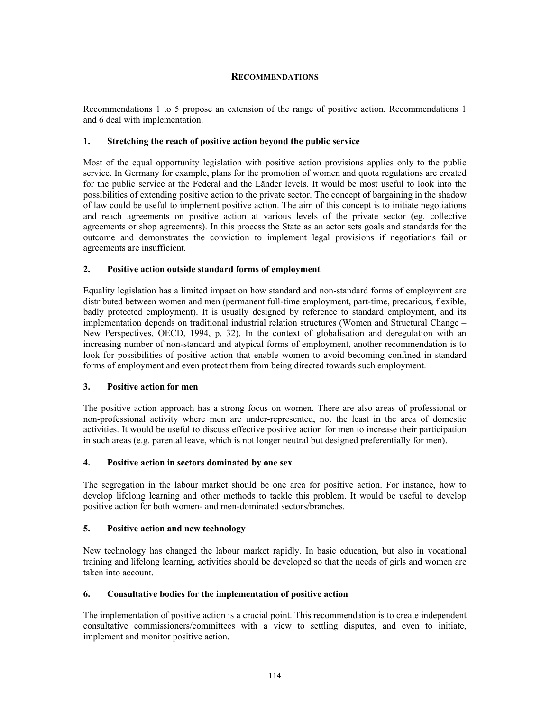## **RECOMMENDATIONS**

Recommendations 1 to 5 propose an extension of the range of positive action. Recommendations 1 and 6 deal with implementation.

### **1. Stretching the reach of positive action beyond the public service**

Most of the equal opportunity legislation with positive action provisions applies only to the public service. In Germany for example, plans for the promotion of women and quota regulations are created for the public service at the Federal and the Länder levels. It would be most useful to look into the possibilities of extending positive action to the private sector. The concept of bargaining in the shadow of law could be useful to implement positive action. The aim of this concept is to initiate negotiations and reach agreements on positive action at various levels of the private sector (eg. collective agreements or shop agreements). In this process the State as an actor sets goals and standards for the outcome and demonstrates the conviction to implement legal provisions if negotiations fail or agreements are insufficient.

## **2. Positive action outside standard forms of employment**

Equality legislation has a limited impact on how standard and non-standard forms of employment are distributed between women and men (permanent full-time employment, part-time, precarious, flexible, badly protected employment). It is usually designed by reference to standard employment, and its implementation depends on traditional industrial relation structures (Women and Structural Change – New Perspectives, OECD, 1994, p. 32). In the context of globalisation and deregulation with an increasing number of non-standard and atypical forms of employment, another recommendation is to look for possibilities of positive action that enable women to avoid becoming confined in standard forms of employment and even protect them from being directed towards such employment.

### **3. Positive action for men**

The positive action approach has a strong focus on women. There are also areas of professional or non-professional activity where men are under-represented, not the least in the area of domestic activities. It would be useful to discuss effective positive action for men to increase their participation in such areas (e.g. parental leave, which is not longer neutral but designed preferentially for men).

### **4. Positive action in sectors dominated by one sex**

The segregation in the labour market should be one area for positive action. For instance, how to develop lifelong learning and other methods to tackle this problem. It would be useful to develop positive action for both women- and men-dominated sectors/branches.

## **5. Positive action and new technology**

New technology has changed the labour market rapidly. In basic education, but also in vocational training and lifelong learning, activities should be developed so that the needs of girls and women are taken into account.

### **6. Consultative bodies for the implementation of positive action**

The implementation of positive action is a crucial point. This recommendation is to create independent consultative commissioners/committees with a view to settling disputes, and even to initiate, implement and monitor positive action.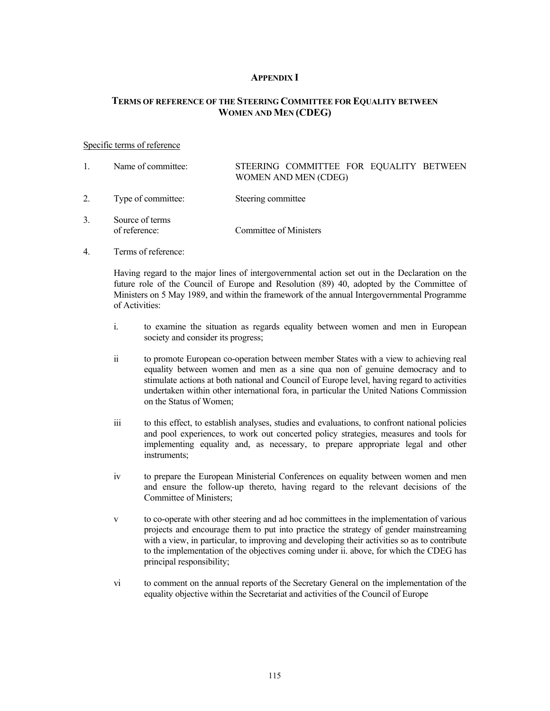## **APPENDIX I**

## **TERMS OF REFERENCE OF THE STEERING COMMITTEE FOR EQUALITY BETWEEN WOMEN AND MEN (CDEG)**

#### Specific terms of reference

- 1. Name of committee: STEERING COMMITTEE FOR EQUALITY BETWEEN WOMEN AND MEN (CDEG) 2. Type of committee: Steering committee 3. Source of terms of reference: Committee of Ministers
- 4. Terms of reference:

 Having regard to the major lines of intergovernmental action set out in the Declaration on the future role of the Council of Europe and Resolution (89) 40, adopted by the Committee of Ministers on 5 May 1989, and within the framework of the annual Intergovernmental Programme of Activities:

- i. to examine the situation as regards equality between women and men in European society and consider its progress;
- ii to promote European co-operation between member States with a view to achieving real equality between women and men as a sine qua non of genuine democracy and to stimulate actions at both national and Council of Europe level, having regard to activities undertaken within other international fora, in particular the United Nations Commission on the Status of Women;
- iii to this effect, to establish analyses, studies and evaluations, to confront national policies and pool experiences, to work out concerted policy strategies, measures and tools for implementing equality and, as necessary, to prepare appropriate legal and other instruments;
- iv to prepare the European Ministerial Conferences on equality between women and men and ensure the follow-up thereto, having regard to the relevant decisions of the Committee of Ministers;
- v to co-operate with other steering and ad hoc committees in the implementation of various projects and encourage them to put into practice the strategy of gender mainstreaming with a view, in particular, to improving and developing their activities so as to contribute to the implementation of the objectives coming under ii. above, for which the CDEG has principal responsibility;
- vi to comment on the annual reports of the Secretary General on the implementation of the equality objective within the Secretariat and activities of the Council of Europe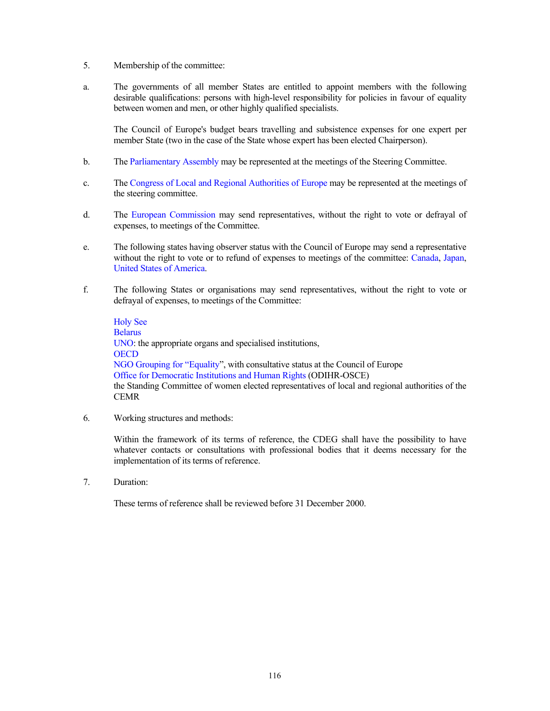- 5. Membership of the committee:
- a. The governments of all member States are entitled to appoint members with the following desirable qualifications: persons with high-level responsibility for policies in favour of equality between women and men, or other highly qualified specialists.

 The Council of Europe's budget bears travelling and subsistence expenses for one expert per member State (two in the case of the State whose expert has been elected Chairperson).

- b. The Parliamentary Assembly may be represented at the meetings of the Steering Committee.
- c. The Congress of Local and Regional Authorities of Europe may be represented at the meetings of the steering committee.
- d. The European Commission may send representatives, without the right to vote or defrayal of expenses, to meetings of the Committee.
- e. The following states having observer status with the Council of Europe may send a representative without the right to vote or to refund of expenses to meetings of the committee: Canada, Japan, United States of America.
- f. The following States or organisations may send representatives, without the right to vote or defrayal of expenses, to meetings of the Committee:

 Holy See Belarus UNO: the appropriate organs and specialised institutions, **OECD**  NGO Grouping for "Equality", with consultative status at the Council of Europe Office for Democratic Institutions and Human Rights (ODIHR-OSCE) the Standing Committee of women elected representatives of local and regional authorities of the CEMR

6. Working structures and methods:

 Within the framework of its terms of reference, the CDEG shall have the possibility to have whatever contacts or consultations with professional bodies that it deems necessary for the implementation of its terms of reference.

7. Duration:

These terms of reference shall be reviewed before 31 December 2000.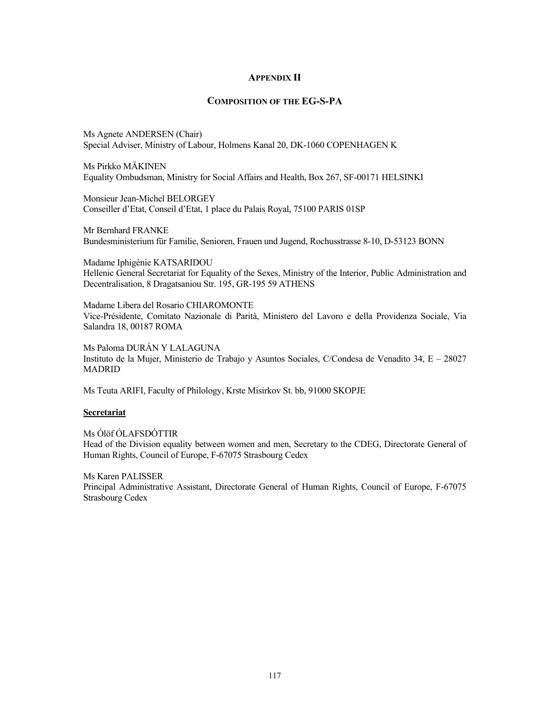## **APPENDIX II**

## **COMPOSITION OF THE EG-S-PA**

Ms Agnete ANDERSEN (Chair) Special Adviser, Ministry of Labour, Holmens Kanal 20, DK-1060 COPENHAGEN K

Ms Pirkko MÄKINEN Equality Ombudsman, Ministry for Social Affairs and Health, Box 267, SF-00171 HELSINKI

Monsieur Jean-Michel BELORGEY Conseiller d'Etat, Conseil d'Etat, 1 place du Palais Royal, 75100 PARIS 01SP

Mr Bernhard FRANKE Bundesministerium für Familie, Senioren, Frauen und Jugend, Rochusstrasse 8-10, D-53123 BONN

Madame Iphigénie KATSARIDOU Hellenic General Secretariat for Equality of the Sexes, Ministry of the Interior, Public Administration and Decentralisation, 8 Dragatsaniou Str. 195, GR-195 59 ATHENS

Madame Libera del Rosario CHIAROMONTE Vice-Présidente, Comitato Nazionale di Parità, Ministero del Lavoro e della Providenza Sociale, Via Salandra 18, 00187 ROMA

Ms Paloma DURÁN Y LALAGUNA Instituto de la Mujer, Ministerio de Trabajo y Asuntos Sociales, C/Condesa de Venadito 34, E – 28027 MADRID

Ms Teuta ARIFI, Faculty of Philology, Krste Misirkov St. bb, 91000 SKOPJE

#### **Secretariat**

Ms Ólöf ÓLAFSDÓTTIR Head of the Division equality between women and men, Secretary to the CDEG, Directorate General of Human Rights, Council of Europe, F-67075 Strasbourg Cedex

Ms Karen PALISSER Principal Administrative Assistant, Directorate General of Human Rights, Council of Europe, F-67075 Strasbourg Cedex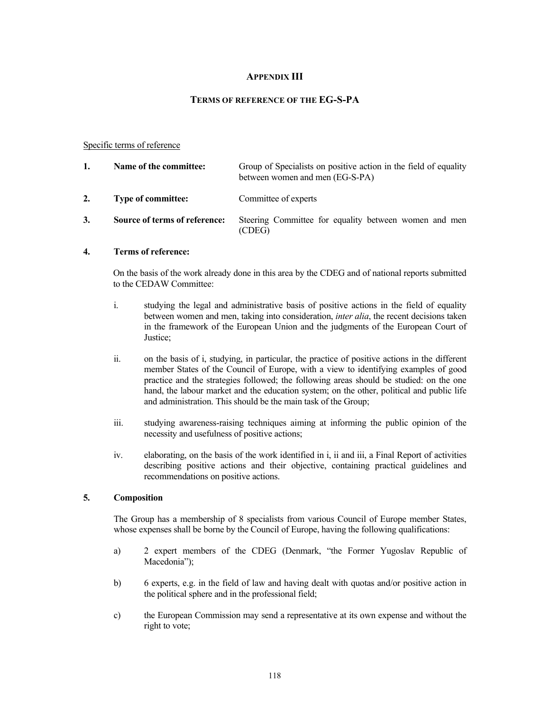## **APPENDIX III**

## **TERMS OF REFERENCE OF THE EG-S-PA**

#### Specific terms of reference

| 1. | Name of the committee:        | Group of Specialists on positive action in the field of equality<br>between women and men (EG-S-PA) |
|----|-------------------------------|-----------------------------------------------------------------------------------------------------|
| 2. | <b>Type of committee:</b>     | Committee of experts                                                                                |
| 3. | Source of terms of reference: | Steering Committee for equality between women and men<br>(CDEG)                                     |

## **4. Terms of reference:**

 On the basis of the work already done in this area by the CDEG and of national reports submitted to the CEDAW Committee:

- i. studying the legal and administrative basis of positive actions in the field of equality between women and men, taking into consideration, *inter alia*, the recent decisions taken in the framework of the European Union and the judgments of the European Court of Justice;
- ii. on the basis of i, studying, in particular, the practice of positive actions in the different member States of the Council of Europe, with a view to identifying examples of good practice and the strategies followed; the following areas should be studied: on the one hand, the labour market and the education system; on the other, political and public life and administration. This should be the main task of the Group;
- iii. studying awareness-raising techniques aiming at informing the public opinion of the necessity and usefulness of positive actions;
- iv. elaborating, on the basis of the work identified in i, ii and iii, a Final Report of activities describing positive actions and their objective, containing practical guidelines and recommendations on positive actions.

### **5. Composition**

 The Group has a membership of 8 specialists from various Council of Europe member States, whose expenses shall be borne by the Council of Europe, having the following qualifications:

- a) 2 expert members of the CDEG (Denmark, "the Former Yugoslav Republic of Macedonia");
- b) 6 experts, e.g. in the field of law and having dealt with quotas and/or positive action in the political sphere and in the professional field;
- c) the European Commission may send a representative at its own expense and without the right to vote;